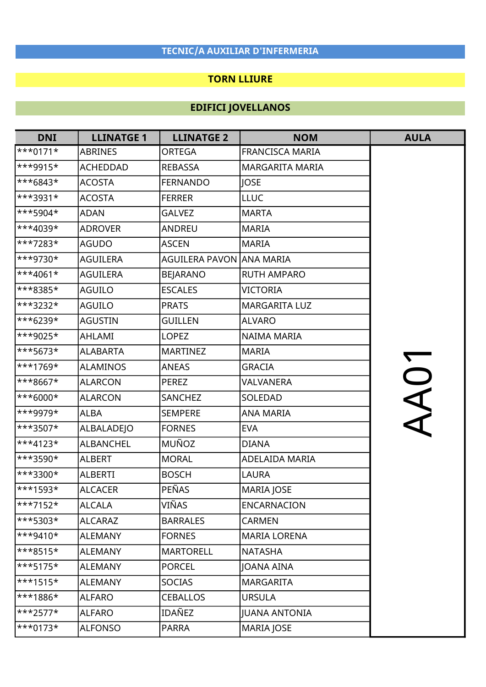### TORN LLIURE

| <b>DNI</b>              | <b>LLINATGE 1</b> | <b>LLINATGE 2</b>        | <b>NOM</b>             | <b>AULA</b> |
|-------------------------|-------------------|--------------------------|------------------------|-------------|
| $\ast\ast_{0171*}$      | <b>ABRINES</b>    | ORTEGA                   | <b>FRANCISCA MARIA</b> |             |
| ***9915*                | <b>ACHEDDAD</b>   | <b>REBASSA</b>           | <b>MARGARITA MARIA</b> |             |
| ***6843*                | ACOSTA            | <b>FERNANDO</b>          | <b>JOSE</b>            |             |
| ***3931*                | <b>ACOSTA</b>     | <b>FERRER</b>            | <b>LLUC</b>            |             |
| ***5904*                | <b>ADAN</b>       | <b>GALVEZ</b>            | <b>MARTA</b>           |             |
| ***4039*                | <b>ADROVER</b>    | ANDREU                   | <b>MARIA</b>           |             |
| ***7283*                | <b>AGUDO</b>      | <b>ASCEN</b>             | <b>MARIA</b>           |             |
| ***9730*                | <b>AGUILERA</b>   | AGUILERA PAVON ANA MARIA |                        |             |
| $\ast$ *4061*           | <b>AGUILERA</b>   | <b>BEJARANO</b>          | <b>RUTH AMPARO</b>     |             |
| ***8385*                | <b>AGUILO</b>     | <b>ESCALES</b>           | <b>VICTORIA</b>        |             |
| ***3232*                | <b>AGUILO</b>     | <b>PRATS</b>             | <b>MARGARITA LUZ</b>   |             |
| ***6239*                | <b>AGUSTIN</b>    | <b>GUILLEN</b>           | <b>ALVARO</b>          |             |
| ***9025*                | AHLAMI            | <b>LOPEZ</b>             | NAIMA MARIA            |             |
| ***5673*                | <b>ALABARTA</b>   | <b>MARTINEZ</b>          | <b>MARIA</b>           |             |
| ***1769*                | <b>ALAMINOS</b>   | <b>ANEAS</b>             | <b>GRACIA</b>          | AA01        |
| ***8667*                | <b>ALARCON</b>    | <b>PEREZ</b>             | VALVANERA              |             |
| ***6000*                | <b>ALARCON</b>    | <b>SANCHEZ</b>           | SOLEDAD                |             |
| ***9979*                | <b>ALBA</b>       | <b>SEMPERE</b>           | ANA MARIA              |             |
| ***3507*                | <b>ALBALADEJO</b> | <b>FORNES</b>            | <b>EVA</b>             |             |
| ***4123*                | <b>ALBANCHEL</b>  | MUÑOZ                    | <b>DIANA</b>           |             |
| ***3590*                | <b>ALBERT</b>     | <b>MORAL</b>             | ADELAIDA MARIA         |             |
| ***3300*                | <b>ALBERTI</b>    | <b>BOSCH</b>             | LAURA                  |             |
| <sup>***1593*</sup>     | <b>ALCACER</b>    | PEÑAS                    | <b>MARIA JOSE</b>      |             |
| ***7152*                | <b>ALCALA</b>     | VIÑAS                    | <b>ENCARNACION</b>     |             |
| ***5303*                | ALCARAZ           | <b>BARRALES</b>          | <b>CARMEN</b>          |             |
| $\ast\ast$ 9410*        | <b>ALEMANY</b>    | <b>FORNES</b>            | <b>MARIA LORENA</b>    |             |
| $\ast\ast\ast 8515\ast$ | <b>ALEMANY</b>    | <b>MARTORELL</b>         | <b>NATASHA</b>         |             |
| ***5175*                | <b>ALEMANY</b>    | <b>PORCEL</b>            | JOANA AINA             |             |
| $\ast$ **1515*          | <b>ALEMANY</b>    | <b>SOCIAS</b>            | <b>MARGARITA</b>       |             |
| ***1886*                | <b>ALFARO</b>     | <b>CEBALLOS</b>          | <b>URSULA</b>          |             |
| $\ast\ast\ast$ 2577*    | <b>ALFARO</b>     | IDAÑEZ                   | <b>JUANA ANTONIA</b>   |             |
| $\ast\ast\ast0173\ast$  | <b>ALFONSO</b>    | <b>PARRA</b>             | <b>MARIA JOSE</b>      |             |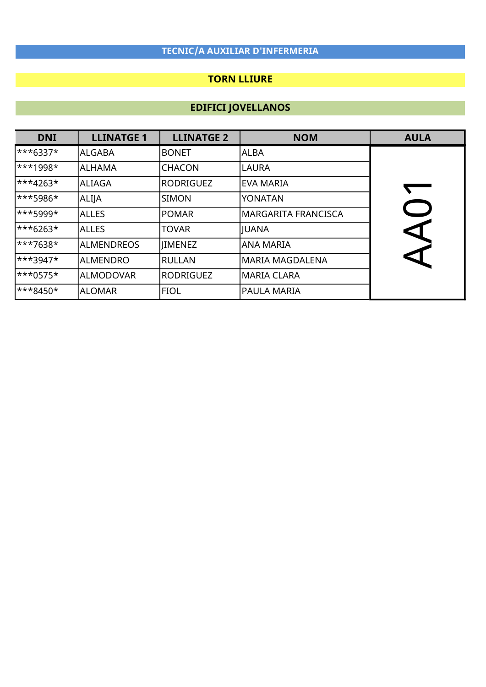### TORN LLIURE

| <b>DNI</b>              | <b>LLINATGE 1</b> | <b>LLINATGE 2</b> | <b>NOM</b>                 | <b>AULA</b>          |
|-------------------------|-------------------|-------------------|----------------------------|----------------------|
| $\ast\ast\ast$ 6337*    | <b>ALGABA</b>     | <b>BONET</b>      | <b>ALBA</b>                |                      |
| $***1998*$              | <b>ALHAMA</b>     | ICHACON           | <b>LAURA</b>               |                      |
| $\ast\ast\ast4263\ast$  | ALIAGA            | RODRIGUEZ         | <b>EVA MARIA</b>           |                      |
| $\ast\ast\ast$ 5986*    | <b>ALIJA</b>      | <b>SIMON</b>      | <b>YONATAN</b>             |                      |
| $***5999*$              | <b>ALLES</b>      | <b>POMAR</b>      | <b>MARGARITA FRANCISCA</b> |                      |
| $***6263*$              | <b>ALLES</b>      | <b>TOVAR</b>      | <b>IUANA</b>               | $\blacktriangleleft$ |
| ***7638*                | <b>ALMENDREOS</b> | <b>IIMENEZ</b>    | <b>ANA MARIA</b>           |                      |
| $\ast\ast\ast3947\ast$  | <b>ALMENDRO</b>   | RULLAN            | <b>MARIA MAGDALENA</b>     |                      |
| $***0575*$              | <b>ALMODOVAR</b>  | lrodriguez        | <b>MARIA CLARA</b>         |                      |
| $\ast\ast\ast 8450\ast$ | <b>ALOMAR</b>     | <b>FIOL</b>       | <b>PAULA MARIA</b>         |                      |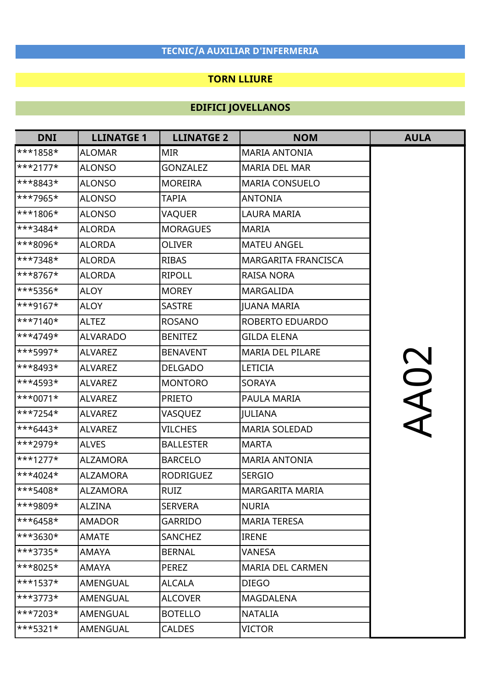### TORN LLIURE

| <b>DNI</b>              | <b>LLINATGE 1</b> | <b>LLINATGE 2</b> | <b>NOM</b>              | <b>AULA</b> |
|-------------------------|-------------------|-------------------|-------------------------|-------------|
| ***1858*                | <b>ALOMAR</b>     | <b>MIR</b>        | <b>MARIA ANTONIA</b>    |             |
| ***2177*                | <b>ALONSO</b>     | <b>GONZALEZ</b>   | <b>MARIA DEL MAR</b>    |             |
| ***8843*                | ALONSO            | <b>MOREIRA</b>    | <b>MARIA CONSUELO</b>   |             |
| ***7965*                | <b>ALONSO</b>     | <b>TAPIA</b>      | <b>ANTONIA</b>          |             |
| ***1806*                | <b>ALONSO</b>     | VAQUER            | <b>LAURA MARIA</b>      |             |
| ***3484*                | <b>ALORDA</b>     | <b>MORAGUES</b>   | <b>MARIA</b>            |             |
| ***8096*                | <b>ALORDA</b>     | <b>OLIVER</b>     | <b>MATEU ANGEL</b>      |             |
| ***7348*                | <b>ALORDA</b>     | <b>RIBAS</b>      | MARGARITA FRANCISCA     |             |
| ***8767*                | <b>ALORDA</b>     | <b>RIPOLL</b>     | <b>RAISA NORA</b>       |             |
| ***5356*                | <b>ALOY</b>       | <b>MOREY</b>      | <b>MARGALIDA</b>        |             |
| ***9167*                | <b>ALOY</b>       | <b>SASTRE</b>     | <b>JUANA MARIA</b>      |             |
| $\ast\ast\ast 7140\ast$ | <b>ALTEZ</b>      | <b>ROSANO</b>     | ROBERTO EDUARDO         |             |
| ***4749*                | <b>ALVARADO</b>   | <b>BENITEZ</b>    | <b>GILDA ELENA</b>      |             |
| ***5997*                | <b>ALVAREZ</b>    | <b>BENAVENT</b>   | <b>MARIA DEL PILARE</b> |             |
| ***8493*                | ALVAREZ           | <b>DELGADO</b>    | <b>LETICIA</b>          |             |
| ***4593*                | <b>ALVAREZ</b>    | <b>MONTORO</b>    | <b>SORAYA</b>           |             |
| ***0071*                | ALVAREZ           | <b>PRIETO</b>     | PAULA MARIA             | AA02        |
| $\star\star\star$ 7254* | <b>ALVAREZ</b>    | VASQUEZ           | <b>JULIANA</b>          |             |
| ***6443*                | <b>ALVAREZ</b>    | <b>VILCHES</b>    | <b>MARIA SOLEDAD</b>    |             |
| ***2979*                | <b>ALVES</b>      | <b>BALLESTER</b>  | <b>MARTA</b>            |             |
| $\ast\ast\ast1277\ast$  | <b>ALZAMORA</b>   | <b>BARCELO</b>    | <b>MARIA ANTONIA</b>    |             |
| ***4024*                | <b>ALZAMORA</b>   | <b>RODRIGUEZ</b>  | <b>SERGIO</b>           |             |
| ***5408*                | <b>ALZAMORA</b>   | <b>RUIZ</b>       | MARGARITA MARIA         |             |
| ***9809*                | ALZINA            | <b>SERVERA</b>    | <b>NURIA</b>            |             |
| $\ast\ast\ast$ 6458*    | AMADOR            | <b>GARRIDO</b>    | <b>MARIA TERESA</b>     |             |
| ***3630*                | AMATE             | <b>SANCHEZ</b>    | <b>IRENE</b>            |             |
| ***3735*                | AMAYA             | <b>BERNAL</b>     | <b>VANESA</b>           |             |
| ***8025*                | AMAYA             | <b>PEREZ</b>      | <b>MARIA DEL CARMEN</b> |             |
| $\ast$ *1537*           | AMENGUAL          | <b>ALCALA</b>     | <b>DIEGO</b>            |             |
| $\ast\ast\ast3773\ast$  | AMENGUAL          | <b>ALCOVER</b>    | MAGDALENA               |             |
| $\ast\ast\ast7203\ast$  | AMENGUAL          | <b>BOTELLO</b>    | <b>NATALIA</b>          |             |
| $**5321*$               | AMENGUAL          | <b>CALDES</b>     | <b>VICTOR</b>           |             |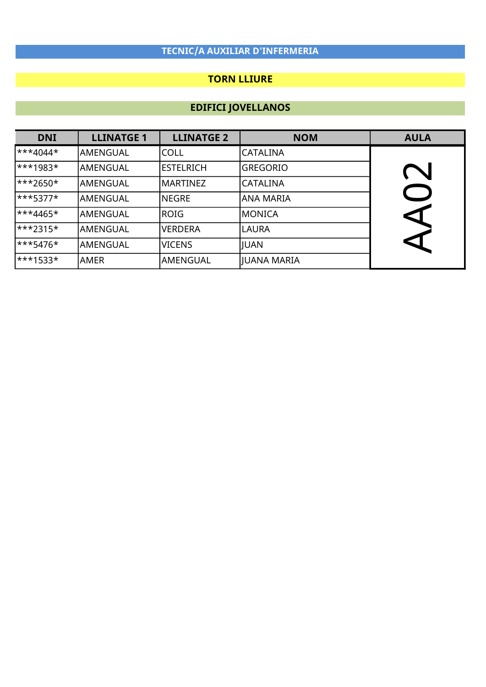### TORN LLIURE

| <b>DNI</b>               | <b>LLINATGE 1</b> | <b>LLINATGE 2</b> | <b>NOM</b>      | <b>AULA</b> |
|--------------------------|-------------------|-------------------|-----------------|-------------|
| $\star \star 4044 \star$ | AMENGUAL          | <b>COLL</b>       | <b>CATALINA</b> |             |
| $\star\star\star$ 1983*  | <b>AMENGUAL</b>   | lestelrich        | <b>GREGORIO</b> |             |
| $\ast\ast\ast$ 2650*     | <b>AMENGUAL</b>   | MARTINEZ          | <b>CATALINA</b> |             |
| $***5377*$               | <b>AMENGUAL</b>   | <b>NEGRE</b>      | ANA MARIA       |             |
| $\ast \ast 4465 \ast$    | <b>AMENGUAL</b>   | ROIG              | MONICA          | ↸           |
| $\ast\ast\ast2315\ast$   | <b>AMENGUAL</b>   | <b>VERDERA</b>    | <b>LAURA</b>    |             |
| $***5476*$               | AMENGUAL          | <b>VICENS</b>     | <b>JUAN</b>     | ↸           |
| $\star\star\star$ 1533*  | AMER              | lamengual         | JUANA MARIA     |             |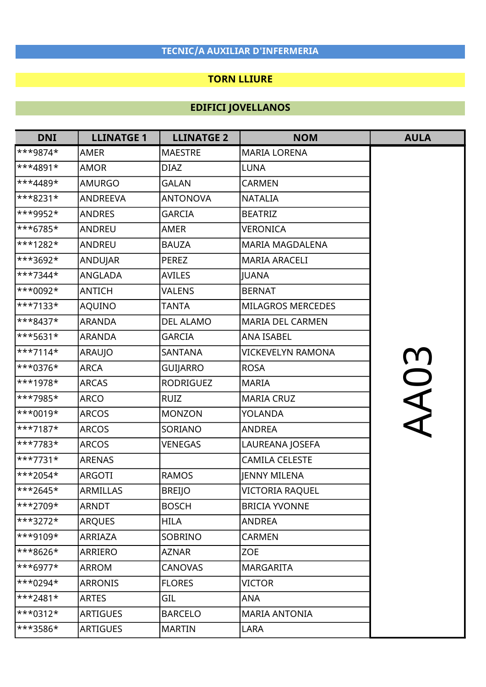### TORN LLIURE

| <b>DNI</b>               | <b>LLINATGE 1</b> | <b>LLINATGE 2</b> | <b>NOM</b>               | <b>AULA</b> |
|--------------------------|-------------------|-------------------|--------------------------|-------------|
| ***9874*                 | <b>AMER</b>       | <b>MAESTRE</b>    | <b>MARIA LORENA</b>      |             |
| ***4891*                 | <b>AMOR</b>       | <b>DIAZ</b>       | <b>LUNA</b>              |             |
| ***4489*                 | AMURGO            | <b>GALAN</b>      | <b>CARMEN</b>            |             |
| ***8231*                 | ANDREEVA          | <b>ANTONOVA</b>   | <b>NATALIA</b>           |             |
| ***9952*                 | <b>ANDRES</b>     | <b>GARCIA</b>     | <b>BEATRIZ</b>           |             |
| ***6785*                 | <b>ANDREU</b>     | AMER              | <b>VERONICA</b>          |             |
| ***1282*                 | <b>ANDREU</b>     | <b>BAUZA</b>      | <b>MARIA MAGDALENA</b>   |             |
| ***3692*                 | ANDUJAR           | <b>PEREZ</b>      | <b>MARIA ARACELI</b>     |             |
| ***7344*                 | ANGLADA           | <b>AVILES</b>     | <b>JUANA</b>             |             |
| ***0092*                 | ANTICH            | <b>VALENS</b>     | <b>BERNAT</b>            |             |
| ***7133*                 | AQUINO            | <b>TANTA</b>      | <b>MILAGROS MERCEDES</b> |             |
| ***8437*                 | <b>ARANDA</b>     | <b>DEL ALAMO</b>  | <b>MARIA DEL CARMEN</b>  |             |
| ***5631*                 | <b>ARANDA</b>     | <b>GARCIA</b>     | <b>ANA ISABEL</b>        |             |
| $\ast\ast\ast 7114\ast$  | ARAUJO            | <b>SANTANA</b>    | <b>VICKEVELYN RAMONA</b> |             |
| ***0376*                 | <b>ARCA</b>       | GUIJARRO          | <b>ROSA</b>              |             |
| ***1978*                 | <b>ARCAS</b>      | <b>RODRIGUEZ</b>  | <b>MARIA</b>             | AA03        |
| ***7985*                 | ARCO              | <b>RUIZ</b>       | <b>MARIA CRUZ</b>        |             |
| ***0019*                 | <b>ARCOS</b>      | <b>MONZON</b>     | <b>YOLANDA</b>           |             |
| ***7187*                 | <b>ARCOS</b>      | SORIANO           | <b>ANDREA</b>            |             |
| ***7783*                 | <b>ARCOS</b>      | <b>VENEGAS</b>    | LAUREANA JOSEFA          |             |
| ***7731*                 | <b>ARENAS</b>     |                   | <b>CAMILA CELESTE</b>    |             |
| ***2054*                 | <b>ARGOTI</b>     | <b>RAMOS</b>      | <b>JENNY MILENA</b>      |             |
| ***2645*                 | <b>ARMILLAS</b>   | <b>BREIJO</b>     | <b>VICTORIA RAOUEL</b>   |             |
| ***2709*                 | <b>ARNDT</b>      | <b>BOSCH</b>      | <b>BRICIA YVONNE</b>     |             |
| $\ast\ast\ast3272\ast$   | <b>ARQUES</b>     | <b>HILA</b>       | <b>ANDREA</b>            |             |
| $\ast\ast$ 9109*         | <b>ARRIAZA</b>    | <b>SOBRINO</b>    | <b>CARMEN</b>            |             |
| ***8626*                 | ARRIERO           | <b>AZNAR</b>      | <b>ZOE</b>               |             |
| $\ast\ast\ast$ 6977*     | <b>ARROM</b>      | <b>CANOVAS</b>    | <b>MARGARITA</b>         |             |
| $\ast\ast_{0294}$        | <b>ARRONIS</b>    | <b>FLORES</b>     | <b>VICTOR</b>            |             |
| $**2481*$                | <b>ARTES</b>      | GIL               | ANA                      |             |
| $\ast\ast$ + 312 $\star$ | <b>ARTIGUES</b>   | <b>BARCELO</b>    | <b>MARIA ANTONIA</b>     |             |
| ***3586*                 | <b>ARTIGUES</b>   | <b>MARTIN</b>     | <b>LARA</b>              |             |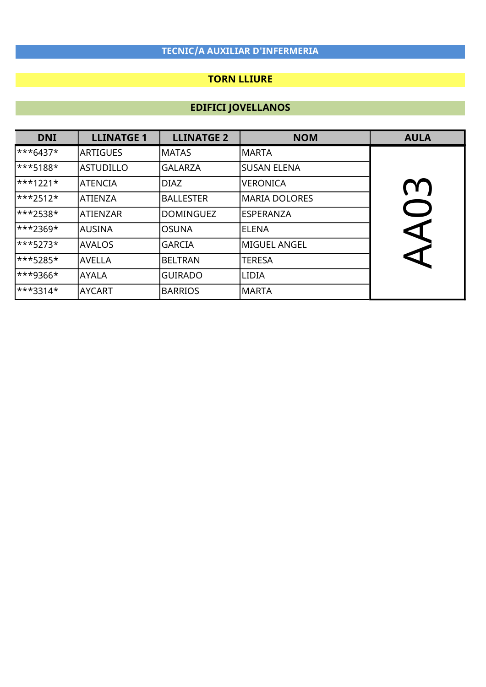### TORN LLIURE

| <b>DNI</b>           | <b>LLINATGE 1</b> | <b>LLINATGE 2</b> | <b>NOM</b>         | <b>AULA</b>          |
|----------------------|-------------------|-------------------|--------------------|----------------------|
| $\ast\ast\ast$ 6437* | <b>ARTIGUES</b>   | <b>MATAS</b>      | <b>MARTA</b>       |                      |
| ***5188*             | <b>ASTUDILLO</b>  | <b>GALARZA</b>    | <b>SUSAN ELENA</b> |                      |
| $\ast\ast\ast$ 1221* | <b>ATENCIA</b>    | DIAZ              | <b>VERONICA</b>    | (1)                  |
| $\ast\ast\ast$ 2512* | <b>ATIENZA</b>    | <b>BALLESTER</b>  | MARIA DOLORES      |                      |
| ***2538*             | <b>ATIENZAR</b>   | <b>DOMINGUEZ</b>  | <b>ESPERANZA</b>   |                      |
| ***2369*             | <b>AUSINA</b>     | <b>OSUNA</b>      | <b>ELENA</b>       | $\blacktriangleleft$ |
| $***5273*$           | <b>AVALOS</b>     | <b>GARCIA</b>     | MIGUEL ANGEL       |                      |
| ***5285*             | <b>AVELLA</b>     | <b>BELTRAN</b>    | <b>TERESA</b>      | C                    |
| ***9366*             | <b>AYALA</b>      | <b>GUIRADO</b>    | <b>LIDIA</b>       |                      |
| ***3314*             | <b>AYCART</b>     | <b>BARRIOS</b>    | <b>MARTA</b>       |                      |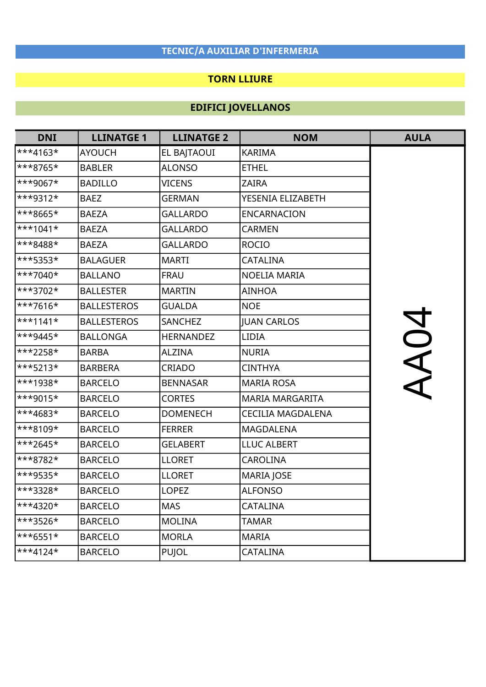### TORN LLIURE

| <b>DNI</b> | <b>LLINATGE 1</b>  | <b>LLINATGE 2</b> | <b>NOM</b>               | <b>AULA</b> |
|------------|--------------------|-------------------|--------------------------|-------------|
| $***4163*$ | <b>AYOUCH</b>      | EL BAJTAOUI       | <b>KARIMA</b>            |             |
| ***8765*   | <b>BABLER</b>      | <b>ALONSO</b>     | <b>ETHEL</b>             |             |
| ***9067*   | <b>BADILLO</b>     | <b>VICENS</b>     | <b>ZAIRA</b>             |             |
| ***9312*   | <b>BAEZ</b>        | <b>GERMAN</b>     | YESENIA ELIZABETH        |             |
| ***8665*   | <b>BAEZA</b>       | <b>GALLARDO</b>   | <b>ENCARNACION</b>       |             |
| $***1041*$ | <b>BAEZA</b>       | <b>GALLARDO</b>   | <b>CARMEN</b>            |             |
| ***8488*   | <b>BAEZA</b>       | <b>GALLARDO</b>   | <b>ROCIO</b>             |             |
| ***5353*   | <b>BALAGUER</b>    | <b>MARTI</b>      | CATALINA                 |             |
| $**7040*$  | <b>BALLANO</b>     | <b>FRAU</b>       | NOELIA MARIA             |             |
| ***3702*   | <b>BALLESTER</b>   | <b>MARTIN</b>     | <b>AINHOA</b>            |             |
| $**7616*$  | <b>BALLESTEROS</b> | <b>GUALDA</b>     | <b>NOE</b>               |             |
| $***1141*$ | <b>BALLESTEROS</b> | SANCHEZ           | <b>JUAN CARLOS</b>       |             |
| $***9445*$ | <b>BALLONGA</b>    | <b>HERNANDEZ</b>  | <b>LIDIA</b>             |             |
| ***2258*   | <b>BARBA</b>       | <b>ALZINA</b>     | <b>NURIA</b>             | AO4         |
| ***5213*   | <b>BARBERA</b>     | <b>CRIADO</b>     | <b>CINTHYA</b>           |             |
| ***1938*   | <b>BARCELO</b>     | <b>BENNASAR</b>   | <b>MARIA ROSA</b>        |             |
| $**9015*$  | <b>BARCELO</b>     | <b>CORTES</b>     | <b>MARIA MARGARITA</b>   |             |
| ***4683*   | <b>BARCELO</b>     | <b>DOMENECH</b>   | <b>CECILIA MAGDALENA</b> |             |
| ***8109*   | <b>BARCELO</b>     | <b>FERRER</b>     | MAGDALENA                |             |
| $***2645*$ | <b>BARCELO</b>     | <b>GELABERT</b>   | <b>LLUC ALBERT</b>       |             |
| ***8782*   | <b>BARCELO</b>     | <b>LLORET</b>     | <b>CAROLINA</b>          |             |
| ***9535*   | <b>BARCELO</b>     | <b>LLORET</b>     | MARIA JOSE               |             |
| ***3328*   | <b>BARCELO</b>     | <b>LOPEZ</b>      | <b>ALFONSO</b>           |             |
| $***4320*$ | <b>BARCELO</b>     | <b>MAS</b>        | CATALINA                 |             |
| ***3526*   | <b>BARCELO</b>     | <b>MOLINA</b>     | <b>TAMAR</b>             |             |
| $***6551*$ | <b>BARCELO</b>     | <b>MORLA</b>      | <b>MARIA</b>             |             |
| $***4124*$ | <b>BARCELO</b>     | <b>PUJOL</b>      | <b>CATALINA</b>          |             |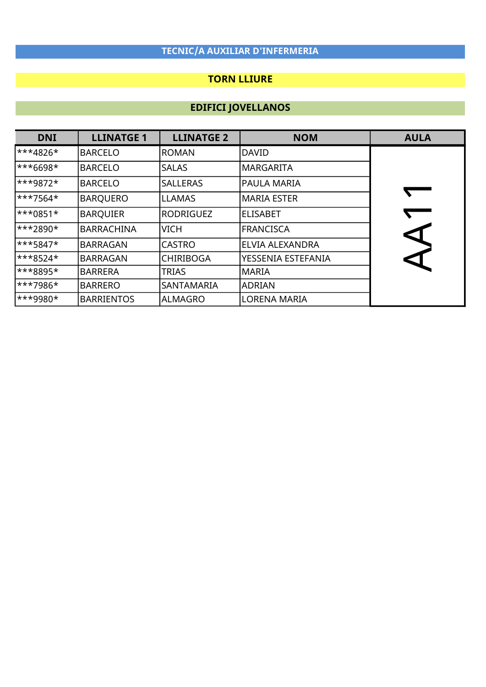### TORN LLIURE

| <b>DNI</b>                 | <b>LLINATGE 1</b> | <b>LLINATGE 2</b> | <b>NOM</b>             | <b>AULA</b>          |
|----------------------------|-------------------|-------------------|------------------------|----------------------|
| $\ast\ast\ast$ 4826*       | <b>BARCELO</b>    | <b>ROMAN</b>      | <b>DAVID</b>           |                      |
| ***6698*                   | <b>BARCELO</b>    | <b>SALAS</b>      | <b>MARGARITA</b>       |                      |
| $\star\star\star9872\star$ | <b>BARCELO</b>    | <b>SALLERAS</b>   | PAULA MARIA            |                      |
| $\star\star\star$ 7564*    | <b>BARQUERO</b>   | <b>LLAMAS</b>     | <b>MARIA ESTER</b>     |                      |
| ***0851*                   | <b>BARQUIER</b>   | RODRIGUEZ         | <b>ELISABET</b>        |                      |
| $\star\star\star2890\star$ | <b>BARRACHINA</b> | <b>VICH</b>       | <b>FRANCISCA</b>       | $\blacktriangleleft$ |
| $\star\star\star$ 5847*    | <b>BARRAGAN</b>   | <b>CASTRO</b>     | <b>ELVIA ALEXANDRA</b> |                      |
| $\ast\ast\ast 8524\ast$    | <b>BARRAGAN</b>   | <b>CHIRIBOGA</b>  | YESSENIA ESTEFANIA     |                      |
| $\ast\ast\ast8895\ast$     | <b>BARRERA</b>    | <b>TRIAS</b>      | <b>MARIA</b>           |                      |
| ***7986*                   | <b>BARRERO</b>    | SANTAMARIA        | <b>ADRIAN</b>          |                      |
| ***9980*                   | <b>BARRIENTOS</b> | ALMAGRO           | <b>LORENA MARIA</b>    |                      |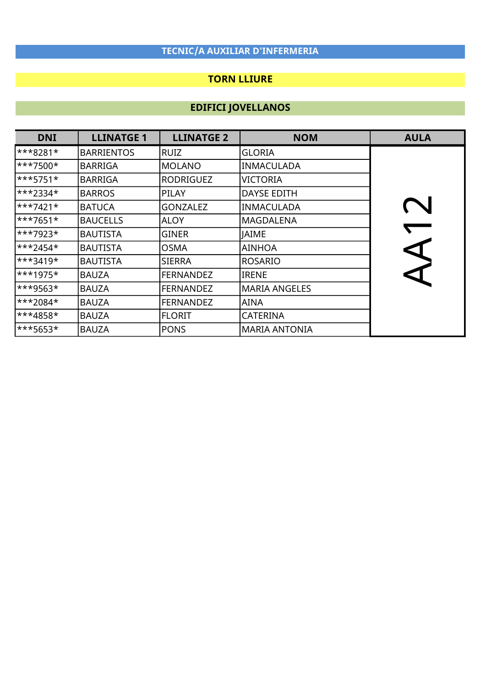### TORN LLIURE

| <b>DNI</b>                 | <b>LLINATGE 1</b> | <b>LLINATGE 2</b> | <b>NOM</b>           | <b>AULA</b>           |
|----------------------------|-------------------|-------------------|----------------------|-----------------------|
| ***8281*                   | <b>BARRIENTOS</b> | RUIZ              | <b>GLORIA</b>        |                       |
| ***7500*                   | <b>BARRIGA</b>    | MOLANO            | <b>INMACULADA</b>    |                       |
| $\ast\ast\ast$ 5751*       | <b>BARRIGA</b>    | <b>RODRIGUEZ</b>  | VICTORIA             |                       |
| ***2334*                   | <b>BARROS</b>     | PILAY             | <b>DAYSE EDITH</b>   |                       |
| $\ast\ast\ast$ 7421*       | <b>BATUCA</b>     | <b>GONZALEZ</b>   | <b>INMACULADA</b>    |                       |
| $\ast\ast\ast$ 7651*       | <b>BAUCELLS</b>   | <b>ALOY</b>       | MAGDALENA            |                       |
| $\star\star\star7923\star$ | <b>BAUTISTA</b>   | <b>GINER</b>      | <b>JAIME</b>         |                       |
| $\star\star\star$ 2454*    | <b>BAUTISTA</b>   | <b>OSMA</b>       | AINHOA               | $\blacktriangleright$ |
| <sup>***3419*</sup>        | <b>BAUTISTA</b>   | <b>SIERRA</b>     | <b>ROSARIO</b>       |                       |
| <sup>***1975*</sup>        | <b>BAUZA</b>      | <b>FERNANDEZ</b>  | <b>IRENE</b>         |                       |
| ***9563*                   | <b>BAUZA</b>      | <b>FERNANDEZ</b>  | <b>MARIA ANGELES</b> |                       |
| ***2084*                   | <b>BAUZA</b>      | <b>FERNANDEZ</b>  | AINA                 |                       |
| ***4858*                   | <b>BAUZA</b>      | <b>FLORIT</b>     | CATERINA             |                       |
| ***5653*                   | <b>BAUZA</b>      | <b>PONS</b>       | <b>MARIA ANTONIA</b> |                       |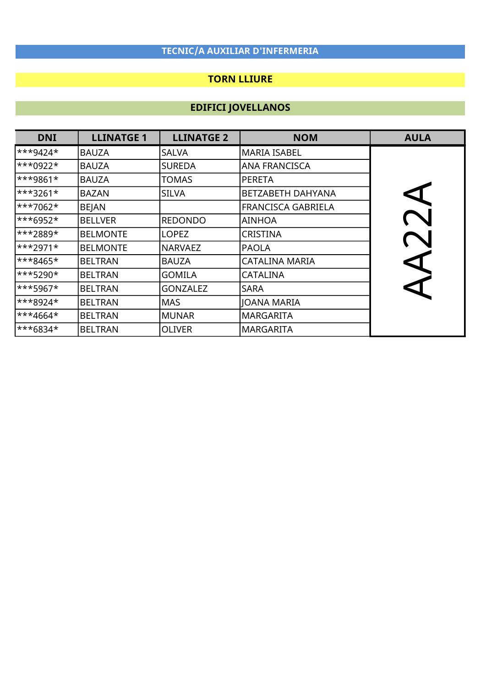### TORN LLIURE

| <b>DNI</b>                 | <b>LLINATGE 1</b> | <b>LLINATGE 2</b> | <b>NOM</b>                | <b>AULA</b>      |
|----------------------------|-------------------|-------------------|---------------------------|------------------|
| $\ast\ast$ + 424 $\ast$    | <b>BAUZA</b>      | <b>SALVA</b>      | <b>MARIA ISABEL</b>       |                  |
| $\ast\ast0922\ast$         | <b>BAUZA</b>      | <b>SUREDA</b>     | <b>ANA FRANCISCA</b>      |                  |
| $\ast\ast$ 9861*           | <b>BAUZA</b>      | TOMAS             | <b>PERETA</b>             |                  |
| ***3261*                   | <b>BAZAN</b>      | <b>SILVA</b>      | BETZABETH DAHYANA         |                  |
| $\star\star\star7062\star$ | <b>BEJAN</b>      |                   | <b>FRANCISCA GABRIELA</b> |                  |
| ***6952*                   | <b>BELLVER</b>    | <b>REDONDO</b>    | AINHOA                    |                  |
| ***2889*                   | <b>BELMONTE</b>   | <b>LOPEZ</b>      | <b>CRISTINA</b>           |                  |
| $\ast\ast\ast$ 2971*       | <b>BELMONTE</b>   | <b>NARVAEZ</b>    | <b>PAOLA</b>              |                  |
| $\ast\ast\ast$ 8465*       | <b>BELTRAN</b>    | <b>BAUZA</b>      | CATALINA MARIA            | $\blacktriangle$ |
| ***5290*                   | <b>BELTRAN</b>    | <b>GOMILA</b>     | <b>CATALINA</b>           |                  |
| ***5967*                   | <b>BELTRAN</b>    | <b>GONZALEZ</b>   | SARA                      |                  |
| ***8924*                   | <b>BELTRAN</b>    | <b>MAS</b>        | JOANA MARIA               |                  |
| $\star\star4664\star$      | <b>BELTRAN</b>    | <b>MUNAR</b>      | <b>MARGARITA</b>          |                  |
| ***6834*                   | <b>BELTRAN</b>    | <b>OLIVER</b>     | <b>MARGARITA</b>          |                  |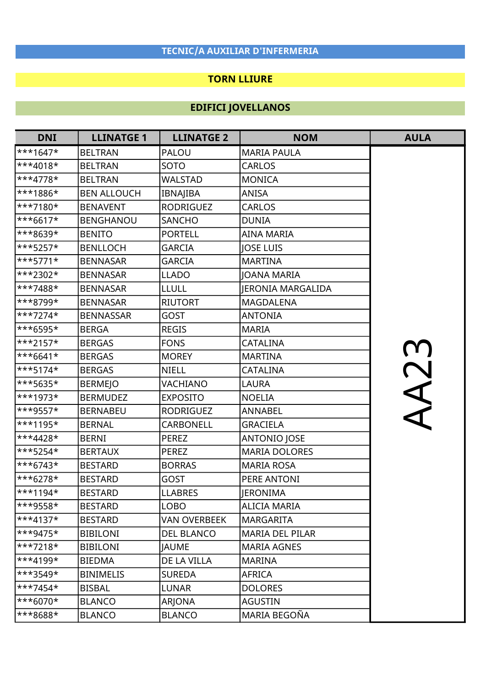#### TORN LLIURE

| <b>DNI</b>              | <b>LLINATGE 1</b>  | <b>LLINATGE 2</b>   | <b>NOM</b>               | <b>AULA</b> |
|-------------------------|--------------------|---------------------|--------------------------|-------------|
| $***1647*$              | <b>BELTRAN</b>     | PALOU               | <b>MARIA PAULA</b>       |             |
| ***4018*                | <b>BELTRAN</b>     | <b>SOTO</b>         | <b>CARLOS</b>            |             |
| ***4778*                | <b>BELTRAN</b>     | <b>WALSTAD</b>      | <b>MONICA</b>            |             |
| ***1886*                | <b>BEN ALLOUCH</b> | IBNAJIBA            | <b>ANISA</b>             |             |
| $**7180*$               | <b>BENAVENT</b>    | <b>RODRIGUEZ</b>    | <b>CARLOS</b>            |             |
| ***6617*                | <b>BENGHANOU</b>   | <b>SANCHO</b>       | <b>DUNIA</b>             |             |
| ***8639*                | <b>BENITO</b>      | <b>PORTELL</b>      | <b>AINA MARIA</b>        |             |
| ***5257*                | <b>BENLLOCH</b>    | <b>GARCIA</b>       | <b>IOSE LUIS</b>         |             |
| ***5771*                | <b>BENNASAR</b>    | <b>GARCIA</b>       | <b>MARTINA</b>           |             |
| ***2302*                | <b>BENNASAR</b>    | <b>LLADO</b>        | JOANA MARIA              |             |
| $**7488*$               | <b>BENNASAR</b>    | <b>LLULL</b>        | <b>JERONIA MARGALIDA</b> |             |
| ***8799*                | <b>BENNASAR</b>    | <b>RIUTORT</b>      | <b>MAGDALENA</b>         |             |
| $***7274*$              | <b>BENNASSAR</b>   | <b>GOST</b>         | <b>ANTONIA</b>           |             |
| ***6595*                | <b>BERGA</b>       | <b>REGIS</b>        | <b>MARIA</b>             |             |
| ***2157*                | <b>BERGAS</b>      | <b>FONS</b>         | CATALINA                 |             |
| ***6641*                | <b>BERGAS</b>      | <b>MOREY</b>        | <b>MARTINA</b>           |             |
| ***5174*                | <b>BERGAS</b>      | <b>NIELL</b>        | <b>CATALINA</b>          |             |
| ***5635*                | <b>BERMEJO</b>     | VACHIANO            | <b>LAURA</b>             | AA23        |
| $***1973*$              | <b>BERMUDEZ</b>    | <b>EXPOSITO</b>     | <b>NOELIA</b>            |             |
| ***9557*                | <b>BERNABEU</b>    | <b>RODRIGUEZ</b>    | ANNABEL                  |             |
| ***1195*                | <b>BERNAL</b>      | <b>CARBONELL</b>    | <b>GRACIELA</b>          |             |
| ***4428*                | <b>BERNI</b>       | <b>PEREZ</b>        | ANTONIO JOSE             |             |
| ***5254*                | <b>BERTAUX</b>     | <b>PEREZ</b>        | <b>MARIA DOLORES</b>     |             |
| ***6743*                | <b>BESTARD</b>     | <b>BORRAS</b>       | <b>MARIA ROSA</b>        |             |
| ***6278*                | <b>BESTARD</b>     | GOST                | PERE ANTONI              |             |
| ***1194*                | <b>BESTARD</b>     | <b>LLABRES</b>      | JERONIMA                 |             |
| ***9558*                | <b>BESTARD</b>     | <b>LOBO</b>         | <b>ALICIA MARIA</b>      |             |
| $\ast \ast 4137 \star$  | <b>BESTARD</b>     | <b>VAN OVERBEEK</b> | <b>MARGARITA</b>         |             |
| $**9475*$               | <b>BIBILONI</b>    | <b>DEL BLANCO</b>   | <b>MARIA DEL PILAR</b>   |             |
| $**7218*$               | <b>BIBILONI</b>    | <b>JAUME</b>        | <b>MARIA AGNES</b>       |             |
| $\ast\ast\ast 4199\ast$ | <b>BIEDMA</b>      | DE LA VILLA         | <b>MARINA</b>            |             |
| $\ast\ast\ast3549\ast$  | <b>BINIMELIS</b>   | <b>SUREDA</b>       | <b>AFRICA</b>            |             |
| $**7454*$               | <b>BISBAL</b>      | <b>LUNAR</b>        | <b>DOLORES</b>           |             |
| $***6070*$              | <b>BLANCO</b>      | ARJONA              | AGUSTIN                  |             |
| ***8688*                | <b>BLANCO</b>      | <b>BLANCO</b>       | MARIA BEGOÑA             |             |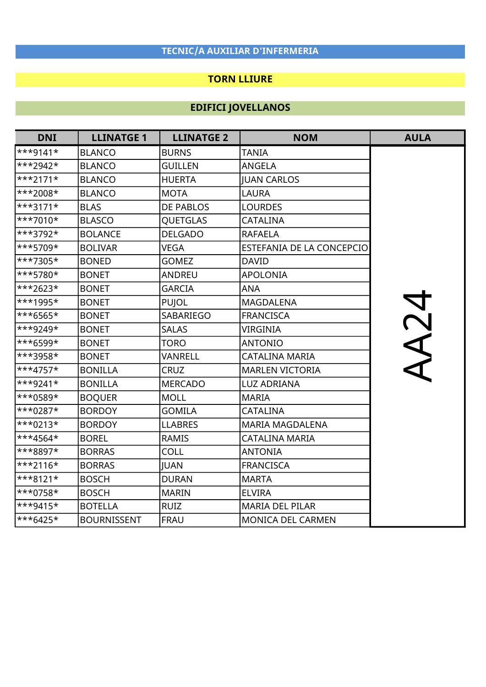### TORN LLIURE

| <b>DNI</b> | <b>LLINATGE 1</b>  | <b>LLINATGE 2</b> | <b>NOM</b>                | <b>AULA</b> |
|------------|--------------------|-------------------|---------------------------|-------------|
| $***9141*$ | <b>BLANCO</b>      | <b>BURNS</b>      | <b>TANIA</b>              |             |
| ***2942*   | <b>BLANCO</b>      | <b>GUILLEN</b>    | ANGELA                    |             |
| $***2171*$ | <b>BLANCO</b>      | <b>HUERTA</b>     | <b>JUAN CARLOS</b>        |             |
| ***2008*   | <b>BLANCO</b>      | <b>MOTA</b>       | <b>LAURA</b>              |             |
| $***3171*$ | <b>BLAS</b>        | <b>DE PABLOS</b>  | <b>LOURDES</b>            |             |
| $***7010*$ | <b>BLASCO</b>      | QUETGLAS          | <b>CATALINA</b>           |             |
| ***3792*   | <b>BOLANCE</b>     | <b>DELGADO</b>    | <b>RAFAELA</b>            |             |
| ***5709*   | <b>BOLIVAR</b>     | <b>VEGA</b>       | ESTEFANIA DE LA CONCEPCIO |             |
| ***7305*   | <b>BONED</b>       | <b>GOMEZ</b>      | <b>DAVID</b>              |             |
| ***5780*   | <b>BONET</b>       | <b>ANDREU</b>     | <b>APOLONIA</b>           |             |
| $***2623*$ | <b>BONET</b>       | <b>GARCIA</b>     | <b>ANA</b>                |             |
| ***1995*   | <b>BONET</b>       | PUJOL             | <b>MAGDALENA</b>          | <b>AA24</b> |
| ***6565*   | <b>BONET</b>       | SABARIEGO         | <b>FRANCISCA</b>          |             |
| ***9249*   | <b>BONET</b>       | <b>SALAS</b>      | <b>VIRGINIA</b>           |             |
| ***6599*   | <b>BONET</b>       | <b>TORO</b>       | <b>ANTONIO</b>            |             |
| ***3958*   | <b>BONET</b>       | VANRELL           | <b>CATALINA MARIA</b>     |             |
| $***4757*$ | <b>BONILLA</b>     | <b>CRUZ</b>       | <b>MARLEN VICTORIA</b>    |             |
| $**9241*$  | <b>BONILLA</b>     | <b>MERCADO</b>    | <b>LUZ ADRIANA</b>        |             |
| ***0589*   | <b>BOQUER</b>      | <b>MOLL</b>       | <b>MARIA</b>              |             |
| ***0287*   | <b>BORDOY</b>      | <b>GOMILA</b>     | <b>CATALINA</b>           |             |
| ***0213*   | <b>BORDOY</b>      | <b>LLABRES</b>    | <b>MARIA MAGDALENA</b>    |             |
| $***4564*$ | <b>BOREL</b>       | <b>RAMIS</b>      | <b>CATALINA MARIA</b>     |             |
| ***8897*   | <b>BORRAS</b>      | <b>COLL</b>       | <b>ANTONIA</b>            |             |
| $***2116*$ | <b>BORRAS</b>      | <b>JUAN</b>       | <b>FRANCISCA</b>          |             |
| $***8121*$ | <b>BOSCH</b>       | <b>DURAN</b>      | <b>MARTA</b>              |             |
| ***0758*   | <b>BOSCH</b>       | <b>MARIN</b>      | <b>ELVIRA</b>             |             |
| ***9415*   | <b>BOTELLA</b>     | <b>RUIZ</b>       | <b>MARIA DEL PILAR</b>    |             |
| $***6425*$ | <b>BOURNISSENT</b> | <b>FRAU</b>       | <b>MONICA DEL CARMEN</b>  |             |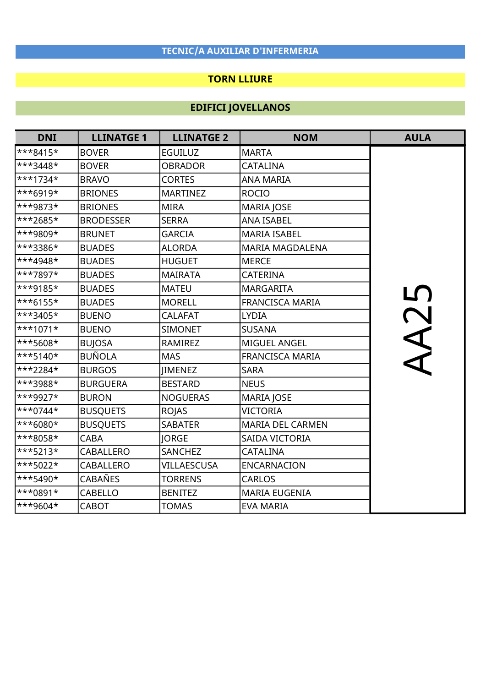### TORN LLIURE

| <b>DNI</b> | <b>LLINATGE 1</b> | <b>LLINATGE 2</b> | <b>NOM</b>              | <b>AULA</b>  |
|------------|-------------------|-------------------|-------------------------|--------------|
| $***8415*$ | <b>BOVER</b>      | <b>EGUILUZ</b>    | <b>MARTA</b>            |              |
| $***3448*$ | <b>BOVER</b>      | <b>OBRADOR</b>    | CATALINA                |              |
| $***1734*$ | <b>BRAVO</b>      | <b>CORTES</b>     | <b>ANA MARIA</b>        |              |
| ***6919*   | <b>BRIONES</b>    | <b>MARTINEZ</b>   | <b>ROCIO</b>            |              |
| ***9873*   | <b>BRIONES</b>    | <b>MIRA</b>       | <b>MARIA JOSE</b>       |              |
| ***2685*   | <b>BRODESSER</b>  | <b>SERRA</b>      | <b>ANA ISABEL</b>       |              |
| ***9809*   | <b>BRUNET</b>     | <b>GARCIA</b>     | <b>MARIA ISABEL</b>     |              |
| ***3386*   | <b>BUADES</b>     | <b>ALORDA</b>     | <b>MARIA MAGDALENA</b>  |              |
| ***4948*   | <b>BUADES</b>     | <b>HUGUET</b>     | <b>MERCE</b>            |              |
| ***7897*   | <b>BUADES</b>     | <b>MAIRATA</b>    | <b>CATERINA</b>         |              |
| ***9185*   | <b>BUADES</b>     | <b>MATEU</b>      | <b>MARGARITA</b>        | $\mathbf{L}$ |
| $***6155*$ | <b>BUADES</b>     | <b>MORELL</b>     | FRANCISCA MARIA         |              |
| $**3405*$  | <b>BUENO</b>      | <b>CALAFAT</b>    | <b>LYDIA</b>            |              |
| $***1071*$ | <b>BUENO</b>      | <b>SIMONET</b>    | <b>SUSANA</b>           |              |
| ***5608*   | <b>BUJOSA</b>     | RAMIREZ           | MIGUEL ANGEL            | NA2          |
| $***5140*$ | <b>BUÑOLA</b>     | <b>MAS</b>        | <b>FRANCISCA MARIA</b>  |              |
| ***2284*   | <b>BURGOS</b>     | <b>IIMENEZ</b>    | <b>SARA</b>             |              |
| ***3988*   | <b>BURGUERA</b>   | <b>BESTARD</b>    | <b>NEUS</b>             |              |
| ***9927*   | <b>BURON</b>      | <b>NOGUERAS</b>   | <b>MARIA JOSE</b>       |              |
| $***0744*$ | <b>BUSQUETS</b>   | <b>ROJAS</b>      | <b>VICTORIA</b>         |              |
| ***6080*   | <b>BUSQUETS</b>   | <b>SABATER</b>    | <b>MARIA DEL CARMEN</b> |              |
| ***8058*   | <b>CABA</b>       | <b>IORGE</b>      | SAIDA VICTORIA          |              |
| ***5213*   | <b>CABALLERO</b>  | <b>SANCHEZ</b>    | <b>CATALINA</b>         |              |
| $**5022*$  | <b>CABALLERO</b>  | VILLAESCUSA       | ENCARNACION             |              |
| ***5490*   | <b>CABAÑES</b>    | <b>TORRENS</b>    | <b>CARLOS</b>           |              |
| $***0891*$ | CABELLO           | <b>BENITEZ</b>    | <b>MARIA EUGENIA</b>    |              |
| ***9604*   | CABOT             | <b>TOMAS</b>      | <b>EVA MARIA</b>        |              |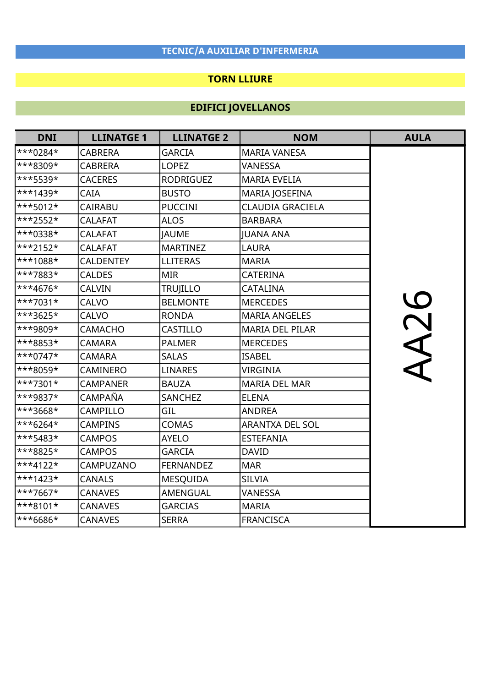### TORN LLIURE

| <b>DNI</b>  | <b>LLINATGE 1</b> | <b>LLINATGE 2</b> | <b>NOM</b>              | <b>AULA</b> |
|-------------|-------------------|-------------------|-------------------------|-------------|
| $***0284*$  | <b>CABRERA</b>    | <b>GARCIA</b>     | <b>MARIA VANESA</b>     |             |
| ***8309*    | <b>CABRERA</b>    | <b>LOPEZ</b>      | VANESSA                 |             |
| ***5539*    | <b>CACERES</b>    | <b>RODRIGUEZ</b>  | <b>MARIA EVELIA</b>     |             |
| $***1439*$  | CAIA              | <b>BUSTO</b>      | MARIA JOSEFINA          |             |
| $***5012*$  | <b>CAIRABU</b>    | <b>PUCCINI</b>    | <b>CLAUDIA GRACIELA</b> |             |
| ***2552*    | <b>CALAFAT</b>    | <b>ALOS</b>       | <b>BARBARA</b>          |             |
| ***0338*    | <b>CALAFAT</b>    | <b>JAUME</b>      | <b>JUANA ANA</b>        |             |
| $***2152*$  | <b>CALAFAT</b>    | <b>MARTINEZ</b>   | <b>LAURA</b>            |             |
| ***1088*    | <b>CALDENTEY</b>  | <b>LLITERAS</b>   | <b>MARIA</b>            |             |
| ***7883*    | <b>CALDES</b>     | <b>MIR</b>        | <b>CATERINA</b>         |             |
| $***4676*$  | <b>CALVIN</b>     | <b>TRUJILLO</b>   | CATALINA                |             |
| ***7031*    | <b>CALVO</b>      | <b>BELMONTE</b>   | <b>MERCEDES</b>         | <b>AA26</b> |
| $***3625*$  | <b>CALVO</b>      | <b>RONDA</b>      | <b>MARIA ANGELES</b>    |             |
| ***9809*    | <b>CAMACHO</b>    | CASTILLO          | <b>MARIA DEL PILAR</b>  |             |
| ***8853*    | <b>CAMARA</b>     | <b>PALMER</b>     | <b>MERCEDES</b>         |             |
| ***0747*    | <b>CAMARA</b>     | <b>SALAS</b>      | <b>ISABEL</b>           |             |
| ***8059*    | CAMINERO          | <b>LINARES</b>    | <b>VIRGINIA</b>         |             |
| ***7301*    | <b>CAMPANER</b>   | <b>BAUZA</b>      | <b>MARIA DEL MAR</b>    |             |
| ***9837*    | CAMPAÑA           | <b>SANCHEZ</b>    | <b>ELENA</b>            |             |
| ***3668*    | CAMPILLO          | GIL               | <b>ANDREA</b>           |             |
| $***6264*$  | <b>CAMPINS</b>    | <b>COMAS</b>      | <b>ARANTXA DEL SOL</b>  |             |
| $***$ 5483* | <b>CAMPOS</b>     | <b>AYELO</b>      | <b>ESTEFANIA</b>        |             |
| ***8825*    | <b>CAMPOS</b>     | <b>GARCIA</b>     | <b>DAVID</b>            |             |
| $***4122*$  | CAMPUZANO         | <b>FERNANDEZ</b>  | <b>MAR</b>              |             |
| $***1423*$  | <b>CANALS</b>     | <b>MESQUIDA</b>   | <b>SILVIA</b>           |             |
| ***7667*    | <b>CANAVES</b>    | AMENGUAL          | <b>VANESSA</b>          |             |
| $***8101*$  | <b>CANAVES</b>    | <b>GARCIAS</b>    | <b>MARIA</b>            |             |
| ***6686*    | <b>CANAVES</b>    | <b>SERRA</b>      | <b>FRANCISCA</b>        |             |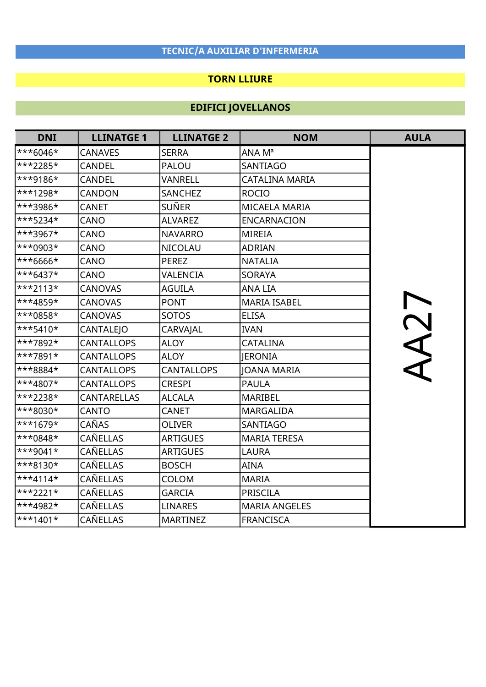### TORN LLIURE

| <b>DNI</b>              | <b>LLINATGE 1</b>  | <b>LLINATGE 2</b> | <b>NOM</b>           | <b>AULA</b> |
|-------------------------|--------------------|-------------------|----------------------|-------------|
| $***6046*$              | <b>CANAVES</b>     | <b>SERRA</b>      | ANA Mª               |             |
| ***2285*                | <b>CANDEL</b>      | PALOU             | <b>SANTIAGO</b>      |             |
| ***9186*                | CANDEL             | VANRELL           | CATALINA MARIA       |             |
| $***1298*$              | CANDON             | <b>SANCHEZ</b>    | <b>ROCIO</b>         |             |
| ***3986*                | <b>CANET</b>       | <b>SUÑER</b>      | <b>MICAELA MARIA</b> |             |
| $***5234*$              | CANO               | <b>ALVAREZ</b>    | <b>ENCARNACION</b>   |             |
| ***3967*                | CANO               | <b>NAVARRO</b>    | <b>MIREIA</b>        |             |
| ***0903*                | CANO               | <b>NICOLAU</b>    | <b>ADRIAN</b>        |             |
| ***6666*                | CANO               | <b>PEREZ</b>      | <b>NATALIA</b>       |             |
| $***6437*$              | CANO               | VALENCIA          | <b>SORAYA</b>        |             |
| $***2113*$              | <b>CANOVAS</b>     | <b>AGUILA</b>     | <b>ANA LIA</b>       |             |
| ***4859*                | <b>CANOVAS</b>     | <b>PONT</b>       | <b>MARIA ISABEL</b>  |             |
| ***0858*                | <b>CANOVAS</b>     | SOTOS             | <b>ELISA</b>         |             |
| $***5410*$              | <b>CANTALEJO</b>   | CARVAJAL          | <b>IVAN</b>          |             |
| ***7892*                | <b>CANTALLOPS</b>  | <b>ALOY</b>       | <b>CATALINA</b>      | TCAA        |
| ***7891*                | <b>CANTALLOPS</b>  | <b>ALOY</b>       | <b>JERONIA</b>       |             |
| ***8884*                | <b>CANTALLOPS</b>  | <b>CANTALLOPS</b> | <b>JOANA MARIA</b>   |             |
| ***4807*                | <b>CANTALLOPS</b>  | <b>CRESPI</b>     | <b>PAULA</b>         |             |
| ***2238*                | <b>CANTARELLAS</b> | <b>ALCALA</b>     | MARIBEL              |             |
| ***8030*                | <b>CANTO</b>       | <b>CANET</b>      | <b>MARGALIDA</b>     |             |
| ***1679*                | CAÑAS              | <b>OLIVER</b>     | SANTIAGO             |             |
| ***0848*                | <b>CAÑELLAS</b>    | <b>ARTIGUES</b>   | <b>MARIA TERESA</b>  |             |
| $***9041*$              | CAÑELLAS           | <b>ARTIGUES</b>   | <b>LAURA</b>         |             |
| $***8130*$              | CAÑELLAS           | <b>BOSCH</b>      | <b>AINA</b>          |             |
| $***4114*$              | <b>CAÑELLAS</b>    | COLOM             | <b>MARIA</b>         |             |
| ***2221*                | CAÑELLAS           | <b>GARCIA</b>     | <b>PRISCILA</b>      |             |
| ***4982*                | CAÑELLAS           | <b>LINARES</b>    | <b>MARIA ANGELES</b> |             |
| $\star\star\star$ 1401* | CAÑELLAS           | <b>MARTINEZ</b>   | <b>FRANCISCA</b>     |             |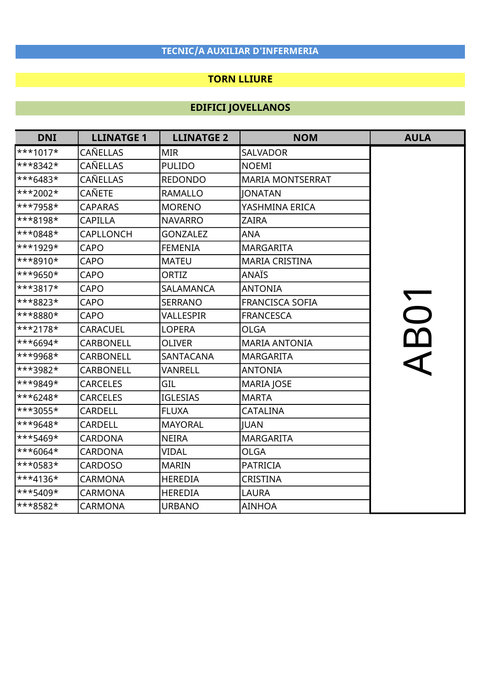### TORN LLIURE

| <b>DNI</b> | <b>LLINATGE 1</b> | <b>LLINATGE 2</b> | <b>NOM</b>              | <b>AULA</b> |
|------------|-------------------|-------------------|-------------------------|-------------|
| $***1017*$ | <b>CAÑELLAS</b>   | <b>MIR</b>        | <b>SALVADOR</b>         |             |
| ***8342*   | CAÑELLAS          | <b>PULIDO</b>     | <b>NOEMI</b>            |             |
| ***6483*   | CAÑELLAS          | <b>REDONDO</b>    | <b>MARIA MONTSERRAT</b> |             |
| ***2002*   | <b>CAÑETE</b>     | <b>RAMALLO</b>    | <b>JONATAN</b>          |             |
| ***7958*   | <b>CAPARAS</b>    | <b>MORENO</b>     | YASHMINA ERICA          |             |
| ***8198*   | <b>CAPILLA</b>    | <b>NAVARRO</b>    | <b>ZAIRA</b>            |             |
| ***0848*   | <b>CAPLLONCH</b>  | <b>GONZALEZ</b>   | <b>ANA</b>              |             |
| ***1929*   | <b>CAPO</b>       | <b>FEMENIA</b>    | <b>MARGARITA</b>        |             |
| ***8910*   | <b>CAPO</b>       | <b>MATEU</b>      | <b>MARIA CRISTINA</b>   |             |
| ***9650*   | CAPO              | ORTIZ             | <b>ANAÏS</b>            |             |
| ***3817*   | <b>CAPO</b>       | <b>SALAMANCA</b>  | <b>ANTONIA</b>          |             |
| ***8823*   | CAPO              | <b>SERRANO</b>    | <b>FRANCISCA SOFIA</b>  |             |
| ***8880*   | CAPO              | VALLESPIR         | <b>FRANCESCA</b>        |             |
| ***2178*   | <b>CARACUEL</b>   | <b>LOPERA</b>     | <b>OLGA</b>             | BO1         |
| ***6694*   | <b>CARBONELL</b>  | <b>OLIVER</b>     | <b>MARIA ANTONIA</b>    |             |
| ***9968*   | CARBONELL         | <b>SANTACANA</b>  | <b>MARGARITA</b>        |             |
| ***3982*   | <b>CARBONELL</b>  | VANRELL           | <b>ANTONIA</b>          |             |
| ***9849*   | <b>CARCELES</b>   | GIL               | MARIA JOSE              |             |
| ***6248*   | <b>CARCELES</b>   | <b>IGLESIAS</b>   | <b>MARTA</b>            |             |
| ***3055*   | <b>CARDELL</b>    | <b>FLUXA</b>      | <b>CATALINA</b>         |             |
| ***9648*   | <b>CARDELL</b>    | <b>MAYORAL</b>    | <b>JUAN</b>             |             |
| ***5469*   | <b>CARDONA</b>    | <b>NEIRA</b>      | <b>MARGARITA</b>        |             |
| ***6064*   | <b>CARDONA</b>    | <b>VIDAL</b>      | <b>OLGA</b>             |             |
| ***0583*   | <b>CARDOSO</b>    | <b>MARIN</b>      | <b>PATRICIA</b>         |             |
| ***4136*   | <b>CARMONA</b>    | <b>HEREDIA</b>    | <b>CRISTINA</b>         |             |
| ***5409*   | <b>CARMONA</b>    | <b>HEREDIA</b>    | <b>LAURA</b>            |             |
| ***8582*   | <b>CARMONA</b>    | <b>URBANO</b>     | <b>AINHOA</b>           |             |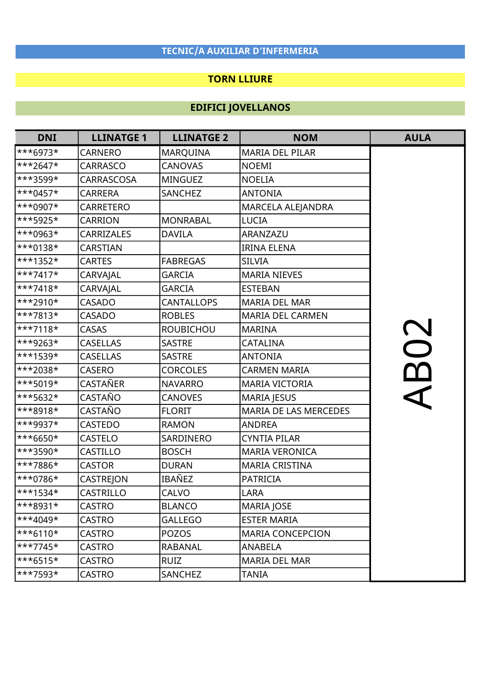### TORN LLIURE

| <b>DNI</b>                 | <b>LLINATGE 1</b> | <b>LLINATGE 2</b> | <b>NOM</b>              | <b>AULA</b> |
|----------------------------|-------------------|-------------------|-------------------------|-------------|
| $***6973*$                 | <b>CARNERO</b>    | <b>MARQUINA</b>   | MARIA DEL PILAR         |             |
| $**2647*$                  | <b>CARRASCO</b>   | <b>CANOVAS</b>    | <b>NOEMI</b>            |             |
| ***3599*                   | CARRASCOSA        | <b>MINGUEZ</b>    | <b>NOELIA</b>           |             |
| ***0457*                   | <b>CARRERA</b>    | <b>SANCHEZ</b>    | <b>ANTONIA</b>          |             |
| ***0907*                   | <b>CARRETERO</b>  |                   | MARCELA ALEJANDRA       |             |
| $**5925*$                  | <b>CARRION</b>    | <b>MONRABAL</b>   | <b>LUCIA</b>            |             |
| ***0963*                   | <b>CARRIZALES</b> | <b>DAVILA</b>     | ARANZAZU                |             |
| ***0138*                   | <b>CARSTIAN</b>   |                   | <b>IRINA ELENA</b>      |             |
| $**1352*$                  | <b>CARTES</b>     | <b>FABREGAS</b>   | <b>SILVIA</b>           |             |
| $***7417*$                 | CARVAJAL          | <b>GARCIA</b>     | <b>MARIA NIEVES</b>     |             |
| $**7418*$                  | CARVAJAL          | <b>GARCIA</b>     | <b>ESTEBAN</b>          |             |
| $**2910*$                  | <b>CASADO</b>     | <b>CANTALLOPS</b> | <b>MARIA DEL MAR</b>    |             |
| ***7813*                   | <b>CASADO</b>     | <b>ROBLES</b>     | <b>MARIA DEL CARMEN</b> |             |
| $***7118*$                 | <b>CASAS</b>      | <b>ROUBICHOU</b>  | <b>MARINA</b>           |             |
| ***9263*                   | <b>CASELLAS</b>   | <b>SASTRE</b>     | CATALINA                | <b>BO2</b>  |
| ***1539*                   | <b>CASELLAS</b>   | <b>SASTRE</b>     | <b>ANTONIA</b>          |             |
| ***2038*                   | <b>CASERO</b>     | <b>CORCOLES</b>   | <b>CARMEN MARIA</b>     |             |
| $**5019*$                  | CASTAÑER          | <b>NAVARRO</b>    | <b>MARIA VICTORIA</b>   |             |
| ***5632*                   | CASTAÑO           | <b>CANOVES</b>    | <b>MARIA JESUS</b>      |             |
| ***8918*                   | CASTAÑO           | <b>FLORIT</b>     | MARIA DE LAS MERCEDES   |             |
| ***9937*                   | <b>CASTEDO</b>    | <b>RAMON</b>      | <b>ANDREA</b>           |             |
| ***6650*                   | <b>CASTELO</b>    | SARDINERO         | <b>CYNTIA PILAR</b>     |             |
| ***3590*                   | CASTILLO          | <b>BOSCH</b>      | <b>MARIA VERONICA</b>   |             |
| ***7886*                   | <b>CASTOR</b>     | <b>DURAN</b>      | <b>MARIA CRISTINA</b>   |             |
| ***0786*                   | CASTREJON         | IBAÑEZ            | <b>PATRICIA</b>         |             |
| ***1534*                   | <b>CASTRILLO</b>  | <b>CALVO</b>      | <b>LARA</b>             |             |
| ***8931*                   | CASTRO            | <b>BLANCO</b>     | <b>MARIA JOSE</b>       |             |
| ***4049*                   | <b>CASTRO</b>     | <b>GALLEGO</b>    | <b>ESTER MARIA</b>      |             |
| $***6110*$                 | <b>CASTRO</b>     | <b>POZOS</b>      | <b>MARIA CONCEPCION</b> |             |
| $\star\star\star7745\star$ | <b>CASTRO</b>     | <b>RABANAL</b>    | <b>ANABELA</b>          |             |
| $***6515*$                 | <b>CASTRO</b>     | <b>RUIZ</b>       | <b>MARIA DEL MAR</b>    |             |
| $\ast\ast\ast$ 7593*       | <b>CASTRO</b>     | SANCHEZ           | <b>TANIA</b>            |             |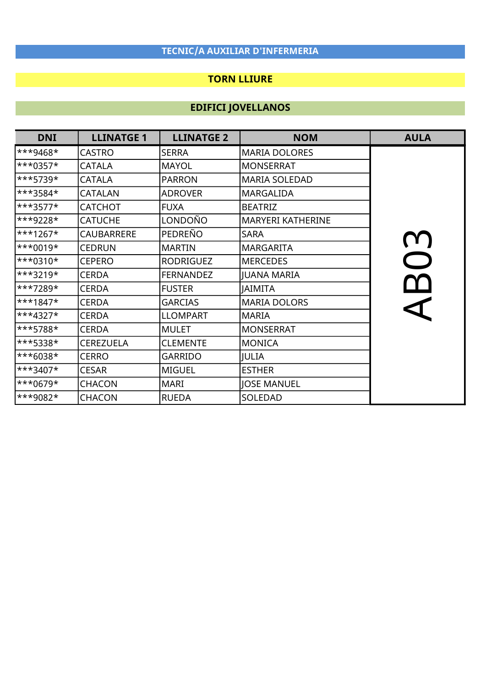### TORN LLIURE

| <b>DNI</b>         | <b>LLINATGE 1</b> | <b>LLINATGE 2</b> | <b>NOM</b>               | <b>AULA</b>               |
|--------------------|-------------------|-------------------|--------------------------|---------------------------|
| $**9468*$          | <b>CASTRO</b>     | <b>SERRA</b>      | <b>MARIA DOLORES</b>     |                           |
| $\ast\ast$ + 0357* | <b>CATALA</b>     | <b>MAYOL</b>      | <b>MONSERRAT</b>         |                           |
| ***5739*           | <b>CATALA</b>     | <b>PARRON</b>     | <b>MARIA SOLEDAD</b>     |                           |
| ***3584*           | <b>CATALAN</b>    | <b>ADROVER</b>    | <b>MARGALIDA</b>         |                           |
| ***3577*           | <b>CATCHOT</b>    | <b>FUXA</b>       | <b>BEATRIZ</b>           |                           |
| ***9228*           | <b>CATUCHE</b>    | LONDOÑO           | <b>MARYERI KATHERINE</b> |                           |
| ***1267*           | <b>CAUBARRERE</b> | PEDREÑO           | <b>SARA</b>              |                           |
| ***0019*           | <b>CEDRUN</b>     | <b>MARTIN</b>     | <b>MARGARITA</b>         |                           |
| ***0310*           | <b>CEPERO</b>     | <b>RODRIGUEZ</b>  | <b>MERCEDES</b>          | $\bigcap$                 |
| ***3219*           | <b>CERDA</b>      | <b>FERNANDEZ</b>  | <b>JUANA MARIA</b>       |                           |
| ***7289*           | <b>CERDA</b>      | <b>FUSTER</b>     | <b>JAIMITA</b>           | $\boldsymbol{\mathsf{m}}$ |
| ***1847*           | <b>CERDA</b>      | <b>GARCIAS</b>    | <b>MARIA DOLORS</b>      |                           |
| ***4327*           | <b>CERDA</b>      | <b>LLOMPART</b>   | <b>MARIA</b>             |                           |
| ***5788*           | <b>CERDA</b>      | <b>MULET</b>      | <b>MONSERRAT</b>         |                           |
| ***5338*           | <b>CEREZUELA</b>  | <b>CLEMENTE</b>   | <b>MONICA</b>            |                           |
| ***6038*           | <b>CERRO</b>      | <b>GARRIDO</b>    | JULIA                    |                           |
| ***3407*           | <b>CESAR</b>      | <b>MIGUEL</b>     | <b>ESTHER</b>            |                           |
| ***0679*           | <b>CHACON</b>     | <b>MARI</b>       | <b>JOSE MANUEL</b>       |                           |
| ***9082*           | <b>CHACON</b>     | <b>RUEDA</b>      | SOLEDAD                  |                           |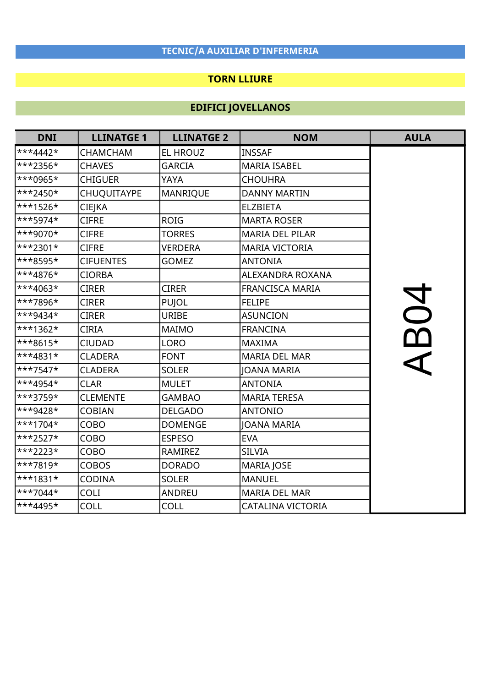### TORN LLIURE

| <b>DNI</b> | <b>LLINATGE 1</b>  | <b>LLINATGE 2</b> | <b>NOM</b>             | <b>AULA</b> |
|------------|--------------------|-------------------|------------------------|-------------|
| $***4442*$ | <b>CHAMCHAM</b>    | <b>EL HROUZ</b>   | <b>INSSAF</b>          |             |
| ***2356*   | <b>CHAVES</b>      | <b>GARCIA</b>     | <b>MARIA ISABEL</b>    |             |
| ***0965*   | <b>CHIGUER</b>     | YAYA              | <b>CHOUHRA</b>         |             |
| $**2450*$  | <b>CHUQUITAYPE</b> | <b>MANRIQUE</b>   | <b>DANNY MARTIN</b>    |             |
| ***1526*   | CIEJKA             |                   | <b>ELZBIETA</b>        |             |
| $***5974*$ | <b>CIFRE</b>       | <b>ROIG</b>       | <b>MARTA ROSER</b>     |             |
| ***9070*   | <b>CIFRE</b>       | <b>TORRES</b>     | <b>MARIA DEL PILAR</b> |             |
| $**2301*$  | <b>CIFRE</b>       | <b>VERDERA</b>    | <b>MARIA VICTORIA</b>  |             |
| ***8595*   | <b>CIFUENTES</b>   | <b>GOMEZ</b>      | <b>ANTONIA</b>         |             |
| ***4876*   | <b>CIORBA</b>      |                   | ALEXANDRA ROXANA       |             |
| $**4063*$  | <b>CIRER</b>       | <b>CIRER</b>      | <b>FRANCISCA MARIA</b> |             |
| ***7896*   | <b>CIRER</b>       | PUJOL             | <b>FELIPE</b>          |             |
| ***9434*   | <b>CIRER</b>       | <b>URIBE</b>      | <b>ASUNCION</b>        |             |
| $**1362*$  | <b>CIRIA</b>       | <b>MAIMO</b>      | <b>FRANCINA</b>        | <b>RO4</b>  |
| ***8615*   | <b>CIUDAD</b>      | <b>LORO</b>       | <b>MAXIMA</b>          |             |
| ***4831*   | <b>CLADERA</b>     | <b>FONT</b>       | <b>MARIA DEL MAR</b>   |             |
| $**7547*$  | <b>CLADERA</b>     | <b>SOLER</b>      | <b>JOANA MARIA</b>     |             |
| ***4954*   | <b>CLAR</b>        | <b>MULET</b>      | <b>ANTONIA</b>         |             |
| ***3759*   | <b>CLEMENTE</b>    | <b>GAMBAO</b>     | <b>MARIA TERESA</b>    |             |
| ***9428*   | <b>COBIAN</b>      | <b>DELGADO</b>    | <b>ANTONIO</b>         |             |
| ***1704*   | COBO               | <b>DOMENGE</b>    | <b>JOANA MARIA</b>     |             |
| ***2527*   | COBO               | <b>ESPESO</b>     | <b>EVA</b>             |             |
| $**2223*$  | COBO               | <b>RAMIREZ</b>    | <b>SILVIA</b>          |             |
| ***7819*   | <b>COBOS</b>       | <b>DORADO</b>     | <b>MARIA JOSE</b>      |             |
| ***1831*   | <b>CODINA</b>      | <b>SOLER</b>      | <b>MANUEL</b>          |             |
| $**7044*$  | <b>COLI</b>        | <b>ANDREU</b>     | <b>MARIA DEL MAR</b>   |             |
| ***4495*   | <b>COLL</b>        | <b>COLL</b>       | CATALINA VICTORIA      |             |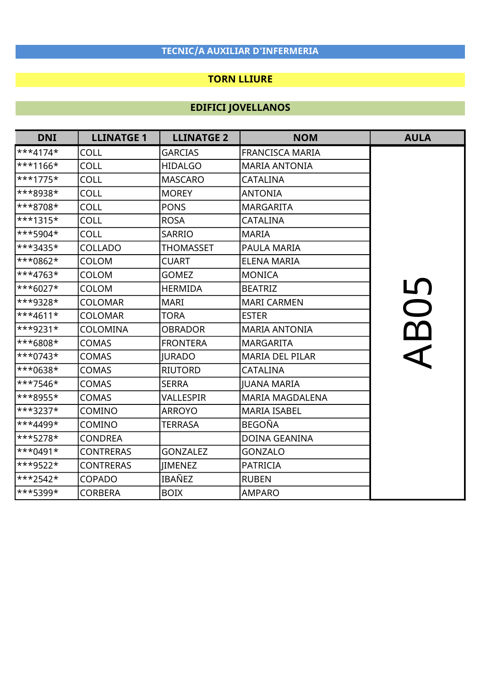### TORN LLIURE

| <b>DNI</b>              | <b>LLINATGE 1</b> | <b>LLINATGE 2</b> | <b>NOM</b>             | <b>AULA</b> |
|-------------------------|-------------------|-------------------|------------------------|-------------|
| $**4174*$               | COLL              | <b>GARCIAS</b>    | <b>FRANCISCA MARIA</b> |             |
| $**1166*$               | COLL              | <b>HIDALGO</b>    | <b>MARIA ANTONIA</b>   |             |
| $***1775*$              | COLL              | <b>MASCARO</b>    | <b>CATALINA</b>        |             |
| ***8938*                | <b>COLL</b>       | <b>MOREY</b>      | <b>ANTONIA</b>         |             |
| ***8708*                | <b>COLL</b>       | <b>PONS</b>       | <b>MARGARITA</b>       |             |
| $***1315*$              | <b>COLL</b>       | <b>ROSA</b>       | <b>CATALINA</b>        |             |
| ***5904*                | <b>COLL</b>       | <b>SARRIO</b>     | <b>MARIA</b>           |             |
| $***3435*$              | COLLADO           | <b>THOMASSET</b>  | <b>PAULA MARIA</b>     |             |
| $**0862*$               | <b>COLOM</b>      | <b>CUART</b>      | <b>ELENA MARIA</b>     |             |
| ***4763*                | COLOM             | <b>GOMEZ</b>      | <b>MONICA</b>          |             |
| $**6027*$               | <b>COLOM</b>      | <b>HERMIDA</b>    | <b>BEATRIZ</b>         | <u>LN</u>   |
| ***9328*                | <b>COLOMAR</b>    | <b>MARI</b>       | <b>MARI CARMEN</b>     | $\bigcirc$  |
| $\ast\ast\ast 4611\ast$ | <b>COLOMAR</b>    | <b>TORA</b>       | <b>ESTER</b>           |             |
| ***9231*                | COLOMINA          | <b>OBRADOR</b>    | <b>MARIA ANTONIA</b>   |             |
| ***6808*                | <b>COMAS</b>      | <b>FRONTERA</b>   | <b>MARGARITA</b>       |             |
| $***0743*$              | <b>COMAS</b>      | <b>JURADO</b>     | <b>MARIA DEL PILAR</b> |             |
| $**0638*$               | <b>COMAS</b>      | <b>RIUTORD</b>    | <b>CATALINA</b>        |             |
| $**7546*$               | <b>COMAS</b>      | <b>SERRA</b>      | <b>JUANA MARIA</b>     |             |
| $***8955*$              | <b>COMAS</b>      | VALLESPIR         | <b>MARIA MAGDALENA</b> |             |
| $***3237*$              | COMINO            | <b>ARROYO</b>     | <b>MARIA ISABEL</b>    |             |
| ***4499*                | COMINO            | <b>TERRASA</b>    | <b>BEGOÑA</b>          |             |
| $***5278*$              | <b>CONDREA</b>    |                   | <b>DOINA GEANINA</b>   |             |
| $***0491*$              | <b>CONTRERAS</b>  | <b>GONZALEZ</b>   | <b>GONZALO</b>         |             |
| $**9522*$               | <b>CONTRERAS</b>  | <b>IIMENEZ</b>    | <b>PATRICIA</b>        |             |
| ***2542*                | COPADO            | IBAÑEZ            | <b>RUBEN</b>           |             |
| ***5399*                | CORBERA           | <b>BOIX</b>       | <b>AMPARO</b>          |             |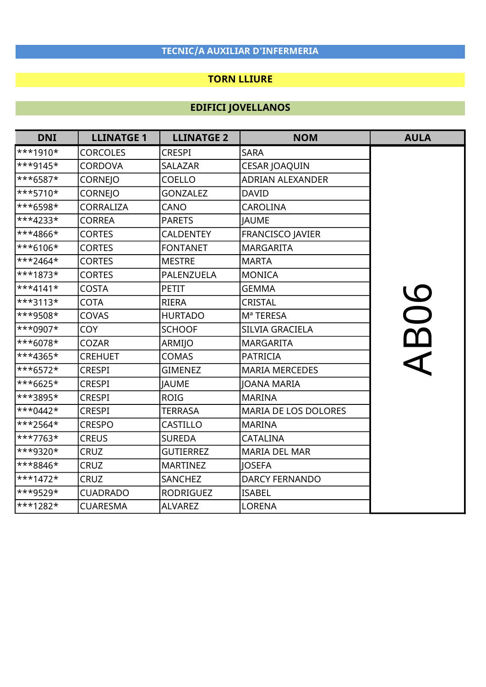### TORN LLIURE

| <b>DNI</b> | <b>LLINATGE 1</b> | <b>LLINATGE 2</b> | <b>NOM</b>                  | <b>AULA</b> |
|------------|-------------------|-------------------|-----------------------------|-------------|
| $**1910*$  | <b>CORCOLES</b>   | <b>CRESPI</b>     | <b>SARA</b>                 |             |
| ***9145*   | <b>CORDOVA</b>    | <b>SALAZAR</b>    | CESAR JOAQUIN               |             |
| ***6587*   | <b>CORNEJO</b>    | <b>COELLO</b>     | <b>ADRIAN ALEXANDER</b>     |             |
| ***5710*   | CORNEJO           | <b>GONZALEZ</b>   | <b>DAVID</b>                |             |
| ***6598*   | <b>CORRALIZA</b>  | CANO              | <b>CAROLINA</b>             |             |
| ***4233*   | <b>CORREA</b>     | <b>PARETS</b>     | <b>JAUME</b>                |             |
| ***4866*   | <b>CORTES</b>     | <b>CALDENTEY</b>  | <b>FRANCISCO JAVIER</b>     |             |
| ***6106*   | <b>CORTES</b>     | <b>FONTANET</b>   | <b>MARGARITA</b>            |             |
| ***2464*   | <b>CORTES</b>     | <b>MESTRE</b>     | <b>MARTA</b>                |             |
| ***1873*   | <b>CORTES</b>     | PALENZUELA        | <b>MONICA</b>               |             |
| ***4141*   | <b>COSTA</b>      | <b>PETIT</b>      | <b>GEMMA</b>                |             |
| ***3113*   | <b>COTA</b>       | <b>RIERA</b>      | CRISTAL                     |             |
| ***9508*   | COVAS             | <b>HURTADO</b>    | Mª TERESA                   | 06          |
| ***0907*   | <b>COY</b>        | <b>SCHOOF</b>     | SILVIA GRACIELA             |             |
| ***6078*   | <b>COZAR</b>      | ARMIJO            | <b>MARGARITA</b>            |             |
| ***4365*   | <b>CREHUET</b>    | <b>COMAS</b>      | <b>PATRICIA</b>             |             |
| ***6572*   | <b>CRESPI</b>     | <b>GIMENEZ</b>    | <b>MARIA MERCEDES</b>       |             |
| ***6625*   | <b>CRESPI</b>     | <b>JAUME</b>      | <b>JOANA MARIA</b>          |             |
| ***3895*   | <b>CRESPI</b>     | <b>ROIG</b>       | <b>MARINA</b>               |             |
| ***0442*   | <b>CRESPI</b>     | <b>TERRASA</b>    | <b>MARIA DE LOS DOLORES</b> |             |
| ***2564*   | <b>CRESPO</b>     | <b>CASTILLO</b>   | <b>MARINA</b>               |             |
| ***7763*   | <b>CREUS</b>      | <b>SUREDA</b>     | <b>CATALINA</b>             |             |
| ***9320*   | <b>CRUZ</b>       | <b>GUTIERREZ</b>  | <b>MARIA DEL MAR</b>        |             |
| ***8846*   | <b>CRUZ</b>       | <b>MARTINEZ</b>   | <b>JOSEFA</b>               |             |
| ***1472*   | <b>CRUZ</b>       | SANCHEZ           | <b>DARCY FERNANDO</b>       |             |
| ***9529*   | <b>CUADRADO</b>   | <b>RODRIGUEZ</b>  | <b>ISABEL</b>               |             |
| ***1282*   | <b>CUARESMA</b>   | <b>ALVAREZ</b>    | <b>LORENA</b>               |             |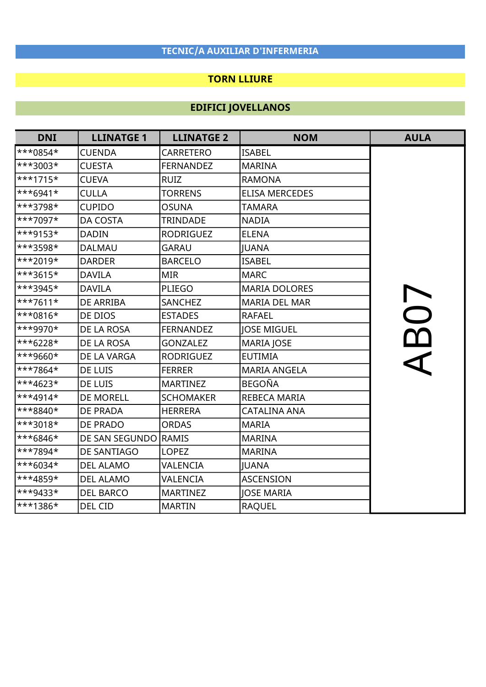### TORN LLIURE

| <b>DNI</b> | <b>LLINATGE 1</b>    | <b>LLINATGE 2</b> | <b>NOM</b>            | <b>AULA</b> |
|------------|----------------------|-------------------|-----------------------|-------------|
| $***0854*$ | <b>CUENDA</b>        | <b>CARRETERO</b>  | <b>ISABEL</b>         |             |
| ***3003*   | <b>CUESTA</b>        | <b>FERNANDEZ</b>  | <b>MARINA</b>         |             |
| ***1715*   | <b>CUEVA</b>         | <b>RUIZ</b>       | <b>RAMONA</b>         |             |
| $***6941*$ | <b>CULLA</b>         | <b>TORRENS</b>    | <b>ELISA MERCEDES</b> |             |
| ***3798*   | <b>CUPIDO</b>        | <b>OSUNA</b>      | <b>TAMARA</b>         |             |
| ***7097*   | <b>DA COSTA</b>      | <b>TRINDADE</b>   | <b>NADIA</b>          |             |
| $**9153*$  | <b>DADIN</b>         | <b>RODRIGUEZ</b>  | <b>ELENA</b>          |             |
| ***3598*   | <b>DALMAU</b>        | <b>GARAU</b>      | <b>JUANA</b>          |             |
| $***2019*$ | <b>DARDER</b>        | <b>BARCELO</b>    | <b>ISABEL</b>         |             |
| $**3615*$  | <b>DAVILA</b>        | <b>MIR</b>        | <b>MARC</b>           |             |
| ***3945*   | <b>DAVILA</b>        | <b>PLIEGO</b>     | <b>MARIA DOLORES</b>  |             |
| $**7611*$  | <b>DE ARRIBA</b>     | <b>SANCHEZ</b>    | <b>MARIA DEL MAR</b>  |             |
| $**0816*$  | DE DIOS              | <b>ESTADES</b>    | <b>RAFAEL</b>         |             |
| ***9970*   | DE LA ROSA           | <b>FERNANDEZ</b>  | <b>JOSE MIGUEL</b>    | <b>B07</b>  |
| ***6228*   | DE LA ROSA           | <b>GONZALEZ</b>   | MARIA JOSE            |             |
| $**9660*$  | DE LA VARGA          | <b>RODRIGUEZ</b>  | <b>EUTIMIA</b>        |             |
| $***7864*$ | DE LUIS              | <b>FERRER</b>     | <b>MARIA ANGELA</b>   |             |
| ***4623*   | DE LUIS              | <b>MARTINEZ</b>   | <b>BEGOÑA</b>         |             |
| ***4914*   | <b>DE MORELL</b>     | <b>SCHOMAKER</b>  | <b>REBECA MARIA</b>   |             |
| $***8840*$ | <b>DE PRADA</b>      | <b>HERRERA</b>    | <b>CATALINA ANA</b>   |             |
| ***3018*   | DE PRADO             | <b>ORDAS</b>      | <b>MARIA</b>          |             |
| ***6846*   | DE SAN SEGUNDO RAMIS |                   | <b>MARINA</b>         |             |
| ***7894*   | DE SANTIAGO          | <b>LOPEZ</b>      | <b>MARINA</b>         |             |
| $**6034*$  | <b>DEL ALAMO</b>     | VALENCIA          | <b>JUANA</b>          |             |
| ***4859*   | <b>DEL ALAMO</b>     | VALENCIA          | <b>ASCENSION</b>      |             |
| ***9433*   | <b>DEL BARCO</b>     | <b>MARTINEZ</b>   | <b>JOSE MARIA</b>     |             |
| ***1386*   | DEL CID              | <b>MARTIN</b>     | <b>RAQUEL</b>         |             |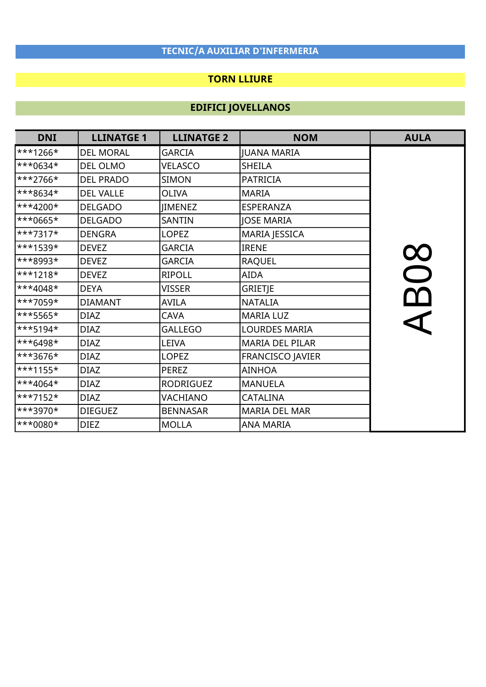### TORN LLIURE

| <b>DNI</b>          | <b>LLINATGE 1</b> | <b>LLINATGE 2</b> | <b>NOM</b>           | <b>AULA</b> |
|---------------------|-------------------|-------------------|----------------------|-------------|
| $**1266*$           | <b>DEL MORAL</b>  | <b>GARCIA</b>     | <b>JUANA MARIA</b>   |             |
| ***0634*            | DEL OLMO          | <b>VELASCO</b>    | SHEILA               |             |
| ***2766*            | <b>DEL PRADO</b>  | <b>SIMON</b>      | <b>PATRICIA</b>      |             |
| ***8634*            | <b>DEL VALLE</b>  | <b>OLIVA</b>      | <b>MARIA</b>         |             |
| ***4200*            | <b>DELGADO</b>    | <b>JIMENEZ</b>    | <b>ESPERANZA</b>     |             |
| ***0665*            | <b>DELGADO</b>    | SANTIN            | <b>JOSE MARIA</b>    |             |
| ***7317*            | <b>DENGRA</b>     | LOPEZ             | MARIA JESSICA        |             |
| ***1539*            | <b>DEVEZ</b>      | <b>GARCIA</b>     | <b>IRENE</b>         |             |
| $**8993*$           | <b>DEVEZ</b>      | <b>GARCIA</b>     | <b>RAQUEL</b>        | $\infty$    |
| ***1218*            | <b>DEVEZ</b>      | <b>RIPOLL</b>     | <b>AIDA</b>          |             |
| ***4048*            | <b>DEYA</b>       | <b>VISSER</b>     | GRIETJE              |             |
| ***7059*            | <b>DIAMANT</b>    | <b>AVILA</b>      | <b>NATALIA</b>       | $\alpha$    |
| ***5565*            | <b>DIAZ</b>       | <b>CAVA</b>       | <b>MARIA LUZ</b>     |             |
| ***5194*            | <b>DIAZ</b>       | <b>GALLEGO</b>    | <b>LOURDES MARIA</b> |             |
| ***6498*            | <b>DIAZ</b>       | <b>LEIVA</b>      | MARIA DEL PILAR      |             |
| ***3676*            | <b>DIAZ</b>       | <b>LOPEZ</b>      | FRANCISCO JAVIER     |             |
| ***1155*            | <b>DIAZ</b>       | <b>PEREZ</b>      | <b>AINHOA</b>        |             |
| $**4064*$           | <b>DIAZ</b>       | <b>RODRIGUEZ</b>  | <b>MANUELA</b>       |             |
| ***7152*            | <b>DIAZ</b>       | <b>VACHIANO</b>   | <b>CATALINA</b>      |             |
| <sup>***3970*</sup> | <b>DIEGUEZ</b>    | <b>BENNASAR</b>   | <b>MARIA DEL MAR</b> |             |
| ***0080*            | <b>DIEZ</b>       | <b>MOLLA</b>      | <b>ANA MARIA</b>     |             |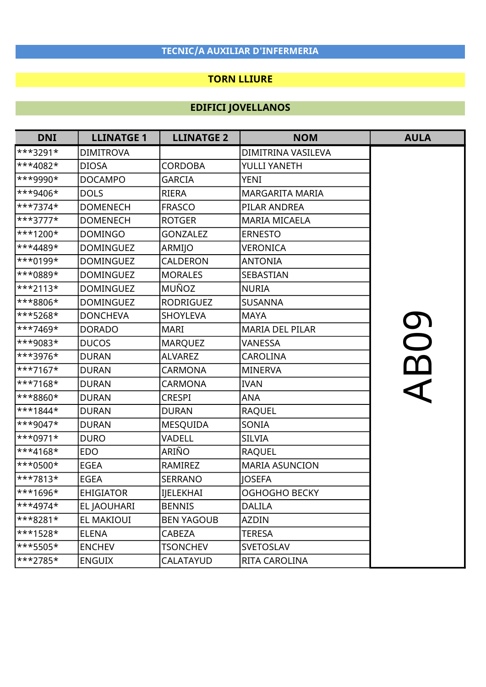### TORN LLIURE

| <b>DNI</b>                 | <b>LLINATGE 1</b> | <b>LLINATGE 2</b> | <b>NOM</b>             | <b>AULA</b>       |
|----------------------------|-------------------|-------------------|------------------------|-------------------|
| $***3291*$                 | <b>DIMITROVA</b>  |                   | DIMITRINA VASILEVA     |                   |
| $**4082*$                  | <b>DIOSA</b>      | <b>CORDOBA</b>    | YULLI YANETH           |                   |
| $\star\star\star9990\star$ | <b>DOCAMPO</b>    | <b>GARCIA</b>     | <b>YENI</b>            |                   |
| $**9406*$                  | <b>DOLS</b>       | <b>RIERA</b>      | <b>MARGARITA MARIA</b> |                   |
| ***7374*                   | <b>DOMENECH</b>   | <b>FRASCO</b>     | PILAR ANDREA           |                   |
| ***3777*                   | <b>DOMENECH</b>   | <b>ROTGER</b>     | <b>MARIA MICAELA</b>   |                   |
| $**1200*$                  | <b>DOMINGO</b>    | <b>GONZALEZ</b>   | <b>ERNESTO</b>         |                   |
| ***4489*                   | <b>DOMINGUEZ</b>  | ARMIJO            | VERONICA               |                   |
| ***0199*                   | <b>DOMINGUEZ</b>  | CALDERON          | <b>ANTONIA</b>         |                   |
| ***0889*                   | <b>DOMINGUEZ</b>  | <b>MORALES</b>    | SEBASTIAN              |                   |
| $***2113*$                 | <b>DOMINGUEZ</b>  | MUÑOZ             | <b>NURIA</b>           |                   |
| ***8806*                   | <b>DOMINGUEZ</b>  | <b>RODRIGUEZ</b>  | <b>SUSANNA</b>         |                   |
| ***5268*                   | <b>DONCHEVA</b>   | <b>SHOYLEVA</b>   | <b>MAYA</b>            |                   |
| ***7469*                   | <b>DORADO</b>     | <b>MARI</b>       | <b>MARIA DEL PILAR</b> | 00                |
| ***9083*                   | <b>DUCOS</b>      | <b>MARQUEZ</b>    | VANESSA                |                   |
| ***3976*                   | <b>DURAN</b>      | <b>ALVAREZ</b>    | <b>CAROLINA</b>        |                   |
| $**7167*$                  | <b>DURAN</b>      | <b>CARMONA</b>    | <b>MINERVA</b>         | $\mathbf{\Omega}$ |
| $**7168*$                  | <b>DURAN</b>      | <b>CARMONA</b>    | <b>IVAN</b>            |                   |
| ***8860*                   | <b>DURAN</b>      | <b>CRESPI</b>     | <b>ANA</b>             |                   |
| ***1844*                   | <b>DURAN</b>      | <b>DURAN</b>      | <b>RAQUEL</b>          |                   |
| $**9047*$                  | <b>DURAN</b>      | <b>MESQUIDA</b>   | SONIA                  |                   |
| ***0971*                   | <b>DURO</b>       | VADELL            | <b>SILVIA</b>          |                   |
| $**4168*$                  | <b>EDO</b>        | ARIÑO             | <b>RAQUEL</b>          |                   |
| ***0500*                   | <b>EGEA</b>       | RAMIREZ           | <b>MARIA ASUNCION</b>  |                   |
| ***7813*                   | <b>EGEA</b>       | <b>SERRANO</b>    | <b>JOSEFA</b>          |                   |
| ***1696*                   | <b>EHIGIATOR</b>  | <b>IJELEKHAI</b>  | <b>OGHOGHO BECKY</b>   |                   |
| $***4974*$                 | EL JAOUHARI       | <b>BENNIS</b>     | <b>DALILA</b>          |                   |
| $***8281*$                 | EL MAKIOUI        | <b>BEN YAGOUB</b> | <b>AZDIN</b>           |                   |
| $**1528*$                  | <b>ELENA</b>      | CABEZA            | <b>TERESA</b>          |                   |
| $***5505*$                 | <b>ENCHEV</b>     | <b>TSONCHEV</b>   | <b>SVETOSLAV</b>       |                   |
| $***2785*$                 | <b>ENGUIX</b>     | CALATAYUD         | RITA CAROLINA          |                   |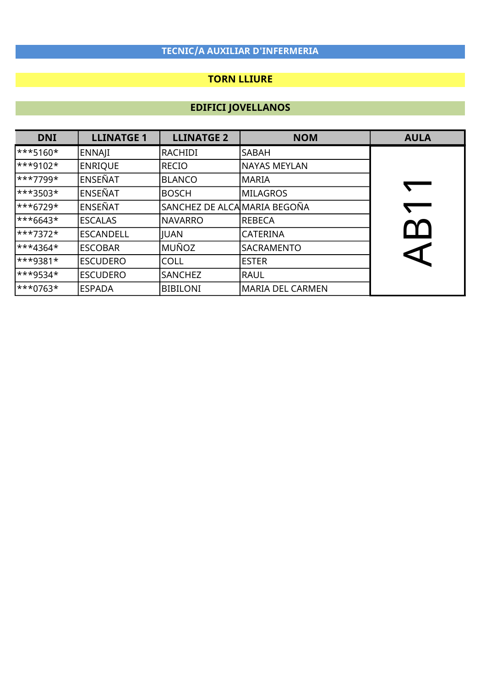### TORN LLIURE

| <b>DNI</b>                 | <b>LLINATGE 1</b> | <b>LLINATGE 2</b>            | <b>NOM</b>              | <b>AULA</b> |
|----------------------------|-------------------|------------------------------|-------------------------|-------------|
| $\ast\ast\ast5160\ast$     | <b>ENNAJI</b>     | RACHIDI                      | <b>SABAH</b>            |             |
| $\star\star\star9102\star$ | <b>ENRIQUE</b>    | RECIO                        | <b>NAYAS MEYLAN</b>     |             |
| $\star\star\star7799\star$ | <b>ENSEÑAT</b>    | BLANCO                       | <b>MARIA</b>            |             |
| $\ast\ast\ast3503\ast$     | <b>ENSEÑAT</b>    | <b>BOSCH</b>                 | <b>MILAGROS</b>         |             |
| $\ast\ast\ast$ 6729*       | ENSEÑAT           | SANCHEZ DE ALCA MARIA BEGOÑA |                         |             |
| $\ast\ast\ast 6643\ast$    | <b>ESCALAS</b>    | <b>NAVARRO</b>               | <b>REBECA</b>           |             |
| $\star\star\star7372\star$ | <b>ESCANDELL</b>  | <b>JUAN</b>                  | <b>CATERINA</b>         |             |
| $\ast\ast$ 4364*           | <b>ESCOBAR</b>    | MUÑOZ                        | SACRAMENTO              |             |
| $\ast\ast$ + 3381 $\star$  | <b>ESCUDERO</b>   | <b>COLL</b>                  | <b>ESTER</b>            |             |
| $\ast\ast$ + 9534 $\star$  | <b>ESCUDERO</b>   | SANCHEZ                      | <b>RAUL</b>             |             |
| $\ast\ast\ast0763\ast$     | <b>ESPADA</b>     | <b>BIBILONI</b>              | <b>MARIA DEL CARMEN</b> |             |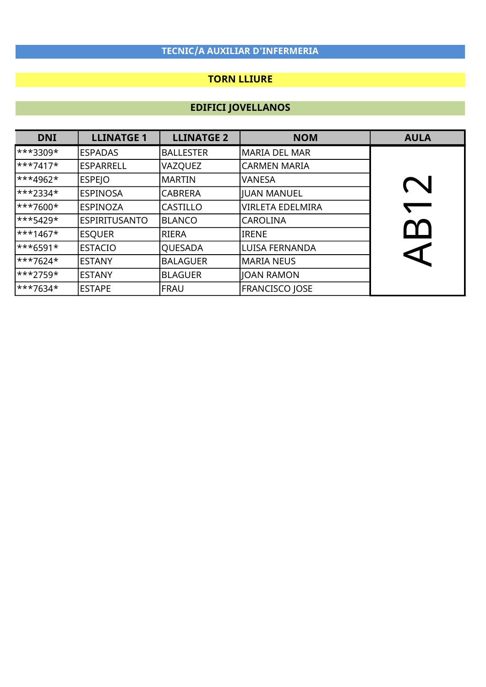### TORN LLIURE

| <b>DNI</b>                  | <b>LLINATGE 1</b>    | <b>LLINATGE 2</b> | <b>NOM</b>              | <b>AULA</b> |
|-----------------------------|----------------------|-------------------|-------------------------|-------------|
| $\ast\ast\ast 3309\ast$     | <b>ESPADAS</b>       | <b>BALLESTER</b>  | MARIA DEL MAR           |             |
| $\star\star\star$ 7417*     | <b>ESPARRELL</b>     | <b>VAZQUEZ</b>    | <b>CARMEN MARIA</b>     |             |
| ***4962*                    | <b>ESPEJO</b>        | <b>MARTIN</b>     | <b>VANESA</b>           |             |
| ***2334*                    | <b>ESPINOSA</b>      | <b>CABRERA</b>    | JUAN MANUEL             |             |
| $\star\star\star7600\star$  | <b>ESPINOZA</b>      | <b>CASTILLO</b>   | <b>VIRLETA EDELMIRA</b> |             |
| $\star\star\star$ 5429*     | <b>ESPIRITUSANTO</b> | <b>BLANCO</b>     | lCAROLINA               |             |
| $\star\star\star$ 1467*     | <b>ESQUER</b>        | RIERA             | <b>IRENE</b>            |             |
| $\ast\ast\ast$ 6591 $\star$ | <b>ESTACIO</b>       | QUESADA           | lLUISA FERNANDA         |             |
| $\star\star\star7624\star$  | <b>ESTANY</b>        | <b>BALAGUER</b>   | <b>MARIA NEUS</b>       |             |
| $\ast\ast\ast$ 2759*        | <b>ESTANY</b>        | <b>BLAGUER</b>    | JOAN RAMON              |             |
| $\star\star\star7634\star$  | <b>ESTAPE</b>        | FRAU              | <b>FRANCISCO JOSE</b>   |             |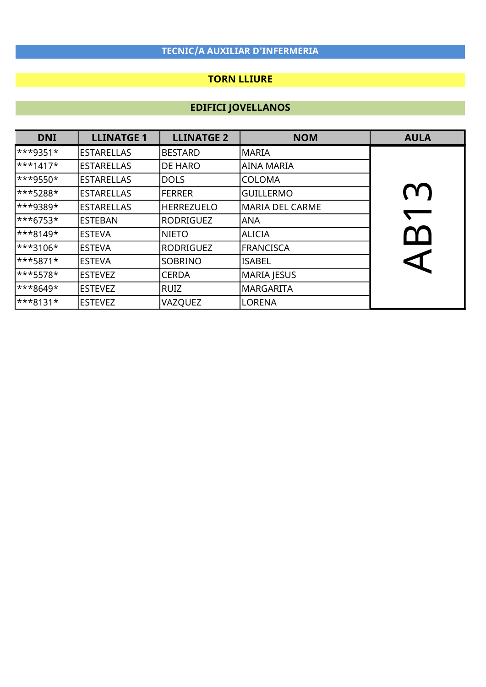### TORN LLIURE

| <b>DNI</b>                | <b>LLINATGE 1</b> | <b>LLINATGE 2</b> | <b>NOM</b>             | <b>AULA</b> |
|---------------------------|-------------------|-------------------|------------------------|-------------|
| $\ast\ast$ + 3351 $\star$ | <b>ESTARELLAS</b> | <b>BESTARD</b>    | <b>MARIA</b>           |             |
| $\star\star\star$ 1417*   | <b>ESTARELLAS</b> | <b>DE HARO</b>    | <b>AINA MARIA</b>      |             |
| $\ast\ast$ 9550*          | <b>ESTARELLAS</b> | <b>DOLS</b>       | <b>COLOMA</b>          |             |
| ***5288*                  | <b>ESTARELLAS</b> | <b>FERRER</b>     | <b>GUILLERMO</b>       | $\Omega$    |
| $\ast\ast$ 9389*          | <b>ESTARELLAS</b> | <b>HERREZUELO</b> | <b>MARIA DEL CARME</b> |             |
| $\ast\ast\ast$ 6753*      | <b>ESTEBAN</b>    | <b>RODRIGUEZ</b>  | <b>ANA</b>             |             |
| $\ast\ast\ast 8149\ast$   | <b>ESTEVA</b>     | <b>NIETO</b>      | <b>ALICIA</b>          |             |
| $\ast\ast\ast3106\ast$    | <b>ESTEVA</b>     | <b>RODRIGUEZ</b>  | <b>FRANCISCA</b>       |             |
| $\ast\ast\ast$ 5871*      | <b>ESTEVA</b>     | <b>SOBRINO</b>    | <b>ISABEL</b>          |             |
| $\ast\ast\ast$ 5578*      | <b>ESTEVEZ</b>    | <b>CERDA</b>      | <b>MARIA JESUS</b>     |             |
| $\ast\ast\ast8649\ast$    | <b>ESTEVEZ</b>    | RUIZ              | <b>MARGARITA</b>       |             |
| $\ast\ast\ast 8131\ast$   | <b>ESTEVEZ</b>    | VAZQUEZ           | <b>LORENA</b>          |             |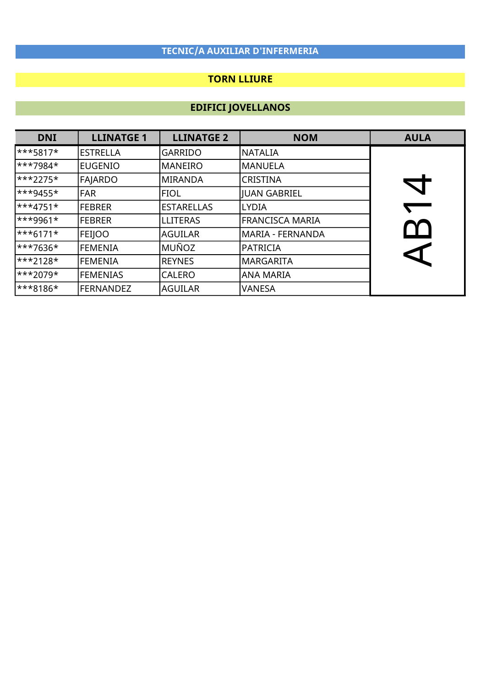### TORN LLIURE

| <b>DNI</b>                 | <b>LLINATGE 1</b> | <b>LLINATGE 2</b> | <b>NOM</b>             | <b>AULA</b> |
|----------------------------|-------------------|-------------------|------------------------|-------------|
| $\star\star\star$ 5817*    | <b>ESTRELLA</b>   | <b>GARRIDO</b>    | <b>NATALIA</b>         |             |
| $\star\star\star7984\star$ | <b>EUGENIO</b>    | <b>MANEIRO</b>    | MANUELA                |             |
| $\ast\ast\ast2275\ast$     | FAJARDO           | MIRANDA           | <b>CRISTINA</b>        |             |
| ***9455*                   | <b>FAR</b>        | <b>FIOL</b>       | <b>JUAN GABRIEL</b>    |             |
| $\star\star\star$ 4751*    | <b>FEBRER</b>     | <b>ESTARELLAS</b> | <b>LYDIA</b>           |             |
| $**9961*$                  | <b>FEBRER</b>     | <b>LLITERAS</b>   | <b>FRANCISCA MARIA</b> |             |
| $\ast\ast\ast 6171\ast$    | <b>FEIJOO</b>     | AGUILAR           | MARIA - FERNANDA       |             |
| ***7636*                   | <b>FEMENIA</b>    | MUÑOZ             | <b>PATRICIA</b>        |             |
| $\star\star\star2128\star$ | <b>FEMENIA</b>    | <b>REYNES</b>     | <b>MARGARITA</b>       |             |
| $\star\star\star2079\star$ | <b>FEMENIAS</b>   | <b>CALERO</b>     | <b>ANA MARIA</b>       |             |
| $***8186*$                 | FERNANDEZ         | laguilar          | <b>VANESA</b>          |             |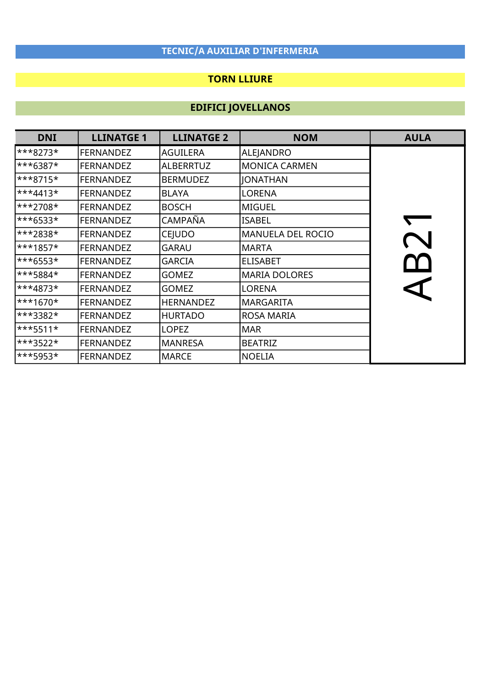### TORN LLIURE

| <b>DNI</b>              | <b>LLINATGE 1</b> | <b>LLINATGE 2</b> | <b>NOM</b>               | <b>AULA</b> |
|-------------------------|-------------------|-------------------|--------------------------|-------------|
| $\ast\ast\ast 8273\ast$ | <b>FERNANDEZ</b>  | AGUILERA          | ALEJANDRO                |             |
| ***6387*                | <b>FERNANDEZ</b>  | <b>ALBERRTUZ</b>  | <b>MONICA CARMEN</b>     |             |
| $\ast\ast\ast 8715\ast$ | <b>FERNANDEZ</b>  | <b>BERMUDEZ</b>   | <b>JONATHAN</b>          |             |
| ***4413*                | <b>FERNANDEZ</b>  | <b>BLAYA</b>      | <b>LORENA</b>            |             |
| ***2708*                | <b>FERNANDEZ</b>  | <b>BOSCH</b>      | <b>MIGUEL</b>            |             |
| ***6533*                | <b>FERNANDEZ</b>  | CAMPAÑA           | <b>ISABEL</b>            |             |
| ***2838*                | <b>FERNANDEZ</b>  | <b>CEJUDO</b>     | <b>MANUELA DEL ROCIO</b> |             |
| ***1857*                | <b>FERNANDEZ</b>  | <b>GARAU</b>      | <b>MARTA</b>             |             |
| ***6553*                | <b>FERNANDEZ</b>  | <b>GARCIA</b>     | <b>ELISABET</b>          | $\Gamma$    |
| ***5884*                | <b>FERNANDEZ</b>  | <b>GOMEZ</b>      | <b>MARIA DOLORES</b>     |             |
| ***4873*                | <b>FERNANDEZ</b>  | <b>GOMEZ</b>      | <b>LORENA</b>            |             |
| ***1670*                | <b>FERNANDEZ</b>  | <b>HERNANDEZ</b>  | <b>MARGARITA</b>         |             |
| ***3382*                | <b>FERNANDEZ</b>  | <b>HURTADO</b>    | <b>ROSA MARIA</b>        |             |
| ***5511*                | <b>FERNANDEZ</b>  | <b>LOPEZ</b>      | <b>MAR</b>               |             |
| ***3522*                | <b>FERNANDEZ</b>  | <b>MANRESA</b>    | <b>BEATRIZ</b>           |             |
| ***5953*                | <b>FERNANDEZ</b>  | <b>MARCE</b>      | <b>NOELIA</b>            |             |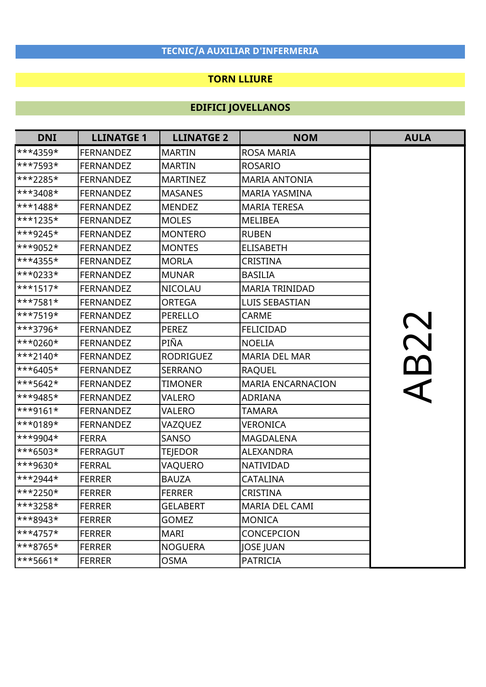### TORN LLIURE

| <b>DNI</b>  | <b>LLINATGE 1</b> | <b>LLINATGE 2</b> | <b>NOM</b>               | <b>AULA</b> |
|-------------|-------------------|-------------------|--------------------------|-------------|
| ***4359*    | <b>FERNANDEZ</b>  | <b>MARTIN</b>     | <b>ROSA MARIA</b>        |             |
| ***7593*    | <b>FERNANDEZ</b>  | <b>MARTIN</b>     | <b>ROSARIO</b>           |             |
| ***2285*    | <b>FERNANDEZ</b>  | <b>MARTINEZ</b>   | <b>MARIA ANTONIA</b>     |             |
| ***3408*    | <b>FERNANDEZ</b>  | <b>MASANES</b>    | MARIA YASMINA            |             |
| $***1488*$  | <b>FERNANDEZ</b>  | <b>MENDEZ</b>     | <b>MARIA TERESA</b>      |             |
| $***1235*$  | <b>FERNANDEZ</b>  | <b>MOLES</b>      | <b>MELIBEA</b>           |             |
| $**9245*$   | <b>FERNANDEZ</b>  | <b>MONTERO</b>    | <b>RUBEN</b>             |             |
| ***9052*    | <b>FERNANDEZ</b>  | <b>MONTES</b>     | <b>ELISABETH</b>         |             |
| ***4355*    | <b>FERNANDEZ</b>  | <b>MORLA</b>      | <b>CRISTINA</b>          |             |
| $***0233*$  | <b>FERNANDEZ</b>  | <b>MUNAR</b>      | <b>BASILIA</b>           |             |
| $***1517*$  | <b>FERNANDEZ</b>  | <b>NICOLAU</b>    | <b>MARIA TRINIDAD</b>    |             |
| $***7581*$  | <b>FERNANDEZ</b>  | <b>ORTEGA</b>     | <b>LUIS SEBASTIAN</b>    |             |
| $***7519*$  | <b>FERNANDEZ</b>  | <b>PERELLO</b>    | <b>CARME</b>             |             |
| ***3796*    | <b>FERNANDEZ</b>  | <b>PEREZ</b>      | <b>FELICIDAD</b>         |             |
| ***0260*    | <b>FERNANDEZ</b>  | PIÑA              | <b>NOELIA</b>            |             |
| $***2140*$  | <b>FERNANDEZ</b>  | <b>RODRIGUEZ</b>  | <b>MARIA DEL MAR</b>     | B22         |
| $***6405*$  | <b>FERNANDEZ</b>  | <b>SERRANO</b>    | <b>RAQUEL</b>            |             |
| $***$ 5642* | <b>FERNANDEZ</b>  | <b>TIMONER</b>    | <b>MARIA ENCARNACION</b> |             |
| ***9485*    | <b>FERNANDEZ</b>  | VALERO            | <b>ADRIANA</b>           |             |
| $**9161*$   | <b>FERNANDEZ</b>  | <b>VALERO</b>     | <b>TAMARA</b>            |             |
| ***0189*    | <b>FERNANDEZ</b>  | VAZQUEZ           | VERONICA                 |             |
| ***9904*    | <b>FERRA</b>      | <b>SANSO</b>      | <b>MAGDALENA</b>         |             |
| ***6503*    | <b>FERRAGUT</b>   | <b>TEJEDOR</b>    | <b>ALEXANDRA</b>         |             |
| ***9630*    | <b>FERRAL</b>     | VAQUERO           | NATIVIDAD                |             |
| $**2944*$   | <b>FERRER</b>     | <b>BAUZA</b>      | CATALINA                 |             |
| ***2250*    | <b>FERRER</b>     | <b>FERRER</b>     | CRISTINA                 |             |
| $***3258*$  | <b>FERRER</b>     | <b>GELABERT</b>   | MARIA DEL CAMI           |             |
| ***8943*    | <b>FERRER</b>     | <b>GOMEZ</b>      | <b>MONICA</b>            |             |
| $***4757*$  | <b>FERRER</b>     | <b>MARI</b>       | CONCEPCION               |             |
| ***8765*    | <b>FERRER</b>     | <b>NOGUERA</b>    | <b>JOSE JUAN</b>         |             |
| ***5661*    | <b>FERRER</b>     | <b>OSMA</b>       | <b>PATRICIA</b>          |             |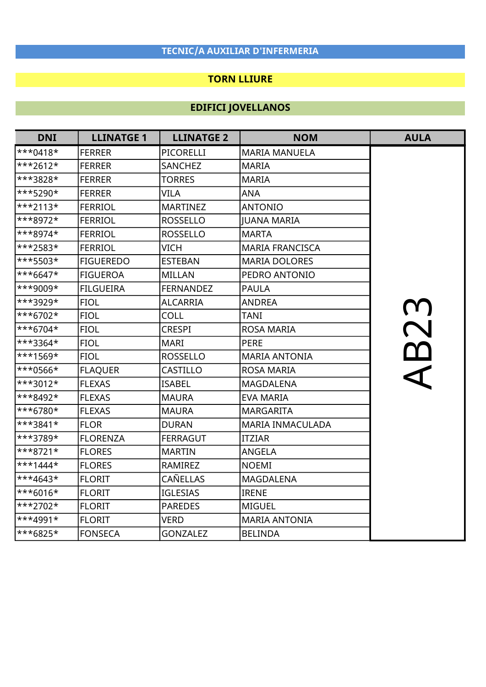### TORN LLIURE

| <b>DNI</b> | <b>LLINATGE 1</b> | <b>LLINATGE 2</b> | <b>NOM</b>              | <b>AULA</b> |
|------------|-------------------|-------------------|-------------------------|-------------|
| $***0418*$ | <b>FERRER</b>     | PICORELLI         | <b>MARIA MANUELA</b>    |             |
| $***2612*$ | <b>FERRER</b>     | <b>SANCHEZ</b>    | <b>MARIA</b>            |             |
| ***3828*   | <b>FERRER</b>     | <b>TORRES</b>     | <b>MARIA</b>            |             |
| ***5290*   | <b>FERRER</b>     | <b>VILA</b>       | <b>ANA</b>              |             |
| $***2113*$ | <b>FERRIOL</b>    | <b>MARTINEZ</b>   | <b>ANTONIO</b>          |             |
| ***8972*   | <b>FERRIOL</b>    | <b>ROSSELLO</b>   | <b>IUANA MARIA</b>      |             |
| ***8974*   | <b>FERRIOL</b>    | <b>ROSSELLO</b>   | <b>MARTA</b>            |             |
| ***2583*   | <b>FERRIOL</b>    | <b>VICH</b>       | <b>MARIA FRANCISCA</b>  |             |
| ***5503*   | <b>FIGUEREDO</b>  | <b>ESTEBAN</b>    | <b>MARIA DOLORES</b>    |             |
| $***6647*$ | <b>FIGUEROA</b>   | <b>MILLAN</b>     | PEDRO ANTONIO           |             |
| ***9009*   | <b>FILGUEIRA</b>  | <b>FERNANDEZ</b>  | <b>PAULA</b>            |             |
| ***3929*   | <b>FIOL</b>       | <b>ALCARRIA</b>   | <b>ANDREA</b>           |             |
| $***6702*$ | <b>FIOL</b>       | COLL              | <b>TANI</b>             |             |
| ***6704*   | <b>FIOL</b>       | <b>CRESPI</b>     | <b>ROSA MARIA</b>       |             |
| ***3364*   | <b>FIOL</b>       | <b>MARI</b>       | <b>PERE</b>             | <b>AB23</b> |
| $***1569*$ | <b>FIOL</b>       | <b>ROSSELLO</b>   | <b>MARIA ANTONIA</b>    |             |
| ***0566*   | <b>FLAQUER</b>    | CASTILLO          | <b>ROSA MARIA</b>       |             |
| ***3012*   | <b>FLEXAS</b>     | <b>ISABEL</b>     | <b>MAGDALENA</b>        |             |
| $***8492*$ | <b>FLEXAS</b>     | <b>MAURA</b>      | <b>EVA MARIA</b>        |             |
| ***6780*   | <b>FLEXAS</b>     | <b>MAURA</b>      | <b>MARGARITA</b>        |             |
| $***3841*$ | <b>FLOR</b>       | <b>DURAN</b>      | <b>MARIA INMACULADA</b> |             |
| ***3789*   | <b>FLORENZA</b>   | <b>FERRAGUT</b>   | <b>ITZIAR</b>           |             |
| $***8721*$ | <b>FLORES</b>     | <b>MARTIN</b>     | <b>ANGELA</b>           |             |
| $***1444*$ | <b>FLORES</b>     | RAMIREZ           | <b>NOEMI</b>            |             |
| $***4643*$ | <b>FLORIT</b>     | <b>CAÑELLAS</b>   | MAGDALENA               |             |
| $***6016*$ | <b>FLORIT</b>     | <b>IGLESIAS</b>   | <b>IRENE</b>            |             |
| ***2702*   | <b>FLORIT</b>     | <b>PAREDES</b>    | <b>MIGUEL</b>           |             |
| ***4991*   | <b>FLORIT</b>     | <b>VERD</b>       | <b>MARIA ANTONIA</b>    |             |
| ***6825*   | <b>FONSECA</b>    | <b>GONZALEZ</b>   | <b>BELINDA</b>          |             |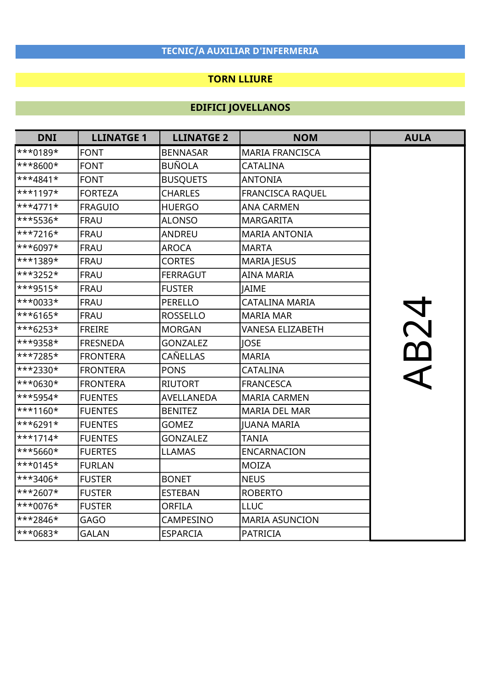### TORN LLIURE

| <b>DNI</b> | <b>LLINATGE 1</b> | <b>LLINATGE 2</b> | <b>NOM</b>              | <b>AULA</b> |
|------------|-------------------|-------------------|-------------------------|-------------|
| ***0189*   | <b>FONT</b>       | <b>BENNASAR</b>   | <b>MARIA FRANCISCA</b>  |             |
| ***8600*   | <b>FONT</b>       | <b>BUÑOLA</b>     | CATALINA                |             |
| $***4841*$ | <b>FONT</b>       | <b>BUSQUETS</b>   | <b>ANTONIA</b>          |             |
| $***1197*$ | <b>FORTEZA</b>    | <b>CHARLES</b>    | <b>FRANCISCA RAQUEL</b> |             |
| $***4771*$ | <b>FRAGUIO</b>    | <b>HUERGO</b>     | <b>ANA CARMEN</b>       |             |
| ***5536*   | <b>FRAU</b>       | <b>ALONSO</b>     | <b>MARGARITA</b>        |             |
| $**7216*$  | <b>FRAU</b>       | <b>ANDREU</b>     | <b>MARIA ANTONIA</b>    |             |
| ***6097*   | <b>FRAU</b>       | <b>AROCA</b>      | <b>MARTA</b>            |             |
| ***1389*   | <b>FRAU</b>       | <b>CORTES</b>     | <b>MARIA JESUS</b>      |             |
| ***3252*   | <b>FRAU</b>       | <b>FERRAGUT</b>   | <b>AINA MARIA</b>       |             |
| $***9515*$ | <b>FRAU</b>       | <b>FUSTER</b>     | <b>JAIME</b>            |             |
| $**0033*$  | <b>FRAU</b>       | <b>PERELLO</b>    | <b>CATALINA MARIA</b>   |             |
| $***6165*$ | <b>FRAU</b>       | <b>ROSSELLO</b>   | <b>MARIA MAR</b>        | <b>NB24</b> |
| $***6253*$ | <b>FREIRE</b>     | <b>MORGAN</b>     | <b>VANESA ELIZABETH</b> |             |
| ***9358*   | <b>FRESNEDA</b>   | <b>GONZALEZ</b>   | <b>JOSE</b>             |             |
| ***7285*   | <b>FRONTERA</b>   | CAÑELLAS          | <b>MARIA</b>            |             |
| ***2330*   | <b>FRONTERA</b>   | <b>PONS</b>       | <b>CATALINA</b>         |             |
| ***0630*   | <b>FRONTERA</b>   | <b>RIUTORT</b>    | <b>FRANCESCA</b>        |             |
| ***5954*   | <b>FUENTES</b>    | <b>AVELLANEDA</b> | <b>MARIA CARMEN</b>     |             |
| $***1160*$ | <b>FUENTES</b>    | <b>BENITEZ</b>    | <b>MARIA DEL MAR</b>    |             |
| $***6291*$ | <b>FUENTES</b>    | <b>GOMEZ</b>      | <b>JUANA MARIA</b>      |             |
| $***1714*$ | <b>FUENTES</b>    | <b>GONZALEZ</b>   | <b>TANIA</b>            |             |
| ***5660*   | <b>FUERTES</b>    | <b>LLAMAS</b>     | <b>ENCARNACION</b>      |             |
| $***0145*$ | <b>FURLAN</b>     |                   | <b>MOIZA</b>            |             |
| $**3406*$  | <b>FUSTER</b>     | <b>BONET</b>      | <b>NEUS</b>             |             |
| $**2607*$  | <b>FUSTER</b>     | <b>ESTEBAN</b>    | <b>ROBERTO</b>          |             |
| $**0076*$  | <b>FUSTER</b>     | <b>ORFILA</b>     | <b>LLUC</b>             |             |
| ***2846*   | <b>GAGO</b>       | CAMPESINO         | <b>MARIA ASUNCION</b>   |             |
| ***0683*   | <b>GALAN</b>      | <b>ESPARCIA</b>   | <b>PATRICIA</b>         |             |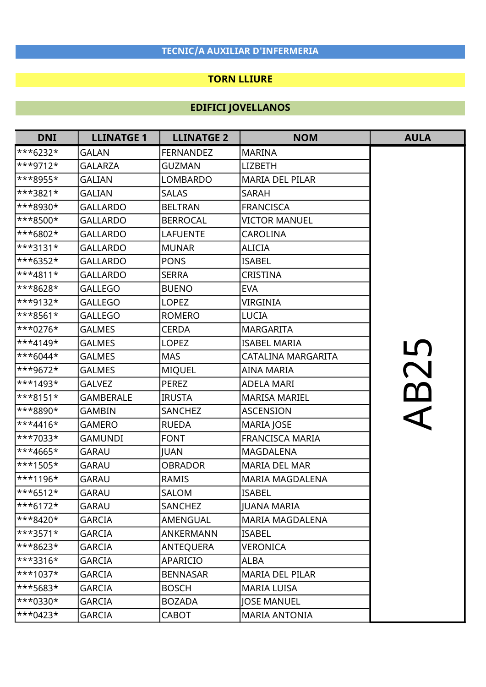#### TORN LLIURE

| <b>DNI</b>              | <b>LLINATGE 1</b> | <b>LLINATGE 2</b> | <b>NOM</b>             | <b>AULA</b> |
|-------------------------|-------------------|-------------------|------------------------|-------------|
| $***6232*$              | <b>GALAN</b>      | <b>FERNANDEZ</b>  | <b>MARINA</b>          |             |
| $**9712*$               | <b>GALARZA</b>    | <b>GUZMAN</b>     | <b>LIZBETH</b>         |             |
| ***8955*                | <b>GALIAN</b>     | <b>LOMBARDO</b>   | <b>MARIA DEL PILAR</b> |             |
| ***3821*                | GALIAN            | <b>SALAS</b>      | <b>SARAH</b>           |             |
| ***8930*                | <b>GALLARDO</b>   | <b>BELTRAN</b>    | <b>FRANCISCA</b>       |             |
| ***8500*                | <b>GALLARDO</b>   | <b>BERROCAL</b>   | <b>VICTOR MANUEL</b>   |             |
| ***6802*                | <b>GALLARDO</b>   | <b>LAFUENTE</b>   | <b>CAROLINA</b>        |             |
| ***3131*                | <b>GALLARDO</b>   | <b>MUNAR</b>      | <b>ALICIA</b>          |             |
| $***6352*$              | <b>GALLARDO</b>   | <b>PONS</b>       | <b>ISABEL</b>          |             |
| $***4811*$              | <b>GALLARDO</b>   | <b>SERRA</b>      | CRISTINA               |             |
| $***8628*$              | <b>GALLEGO</b>    | <b>BUENO</b>      | <b>EVA</b>             |             |
| ***9132*                | <b>GALLEGO</b>    | <b>LOPEZ</b>      | <b>VIRGINIA</b>        |             |
| $***8561*$              | <b>GALLEGO</b>    | <b>ROMERO</b>     | <b>LUCIA</b>           |             |
| $***0276*$              | <b>GALMES</b>     | <b>CERDA</b>      | <b>MARGARITA</b>       |             |
| $**4149*$               | <b>GALMES</b>     | <b>LOPEZ</b>      | <b>ISABEL MARIA</b>    |             |
| $\ast\ast\ast 6044\ast$ | <b>GALMES</b>     | <b>MAS</b>        | CATALINA MARGARITA     | <u>LN</u>   |
| ***9672*                | <b>GALMES</b>     | <b>MIQUEL</b>     | AINA MARIA             | B2          |
| $***1493*$              | <b>GALVEZ</b>     | <b>PEREZ</b>      | <b>ADELA MARI</b>      |             |
| $***8151*$              | <b>GAMBERALE</b>  | <b>IRUSTA</b>     | <b>MARISA MARIEL</b>   |             |
| ***8890*                | <b>GAMBIN</b>     | <b>SANCHEZ</b>    | <b>ASCENSION</b>       |             |
| $***4416*$              | <b>GAMERO</b>     | <b>RUEDA</b>      | MARIA JOSE             |             |
| ***7033*                | GAMUNDI           | <b>FONT</b>       | <b>FRANCISCA MARIA</b> |             |
| $**4665*$               | <b>GARAU</b>      | <b>JUAN</b>       | <b>MAGDALENA</b>       |             |
| $***1505*$              | <b>GARAU</b>      | <b>OBRADOR</b>    | <b>MARIA DEL MAR</b>   |             |
| ***1196*                | <b>GARAU</b>      | <b>RAMIS</b>      | <b>MARIA MAGDALENA</b> |             |
| $***6512*$              | <b>GARAU</b>      | SALOM             | <b>ISABEL</b>          |             |
| $***6172*$              | GARAU             | <b>SANCHEZ</b>    | <b>JUANA MARIA</b>     |             |
| $***8420*$              | GARCIA            | AMENGUAL          | <b>MARIA MAGDALENA</b> |             |
| $***3571*$              | <b>GARCIA</b>     | ANKERMANN         | <b>ISABEL</b>          |             |
| ***8623*                | <b>GARCIA</b>     | <b>ANTEQUERA</b>  | <b>VERONICA</b>        |             |
| $***3316*$              | GARCIA            | APARICIO          | ALBA                   |             |
| $***1037*$              | GARCIA            | <b>BENNASAR</b>   | <b>MARIA DEL PILAR</b> |             |
| $***5683*$              | GARCIA            | <b>BOSCH</b>      | <b>MARIA LUISA</b>     |             |
| $***0330*$              | <b>GARCIA</b>     | <b>BOZADA</b>     | <b>JOSE MANUEL</b>     |             |
| $***0423*$              | GARCIA            | CABOT             | <b>MARIA ANTONIA</b>   |             |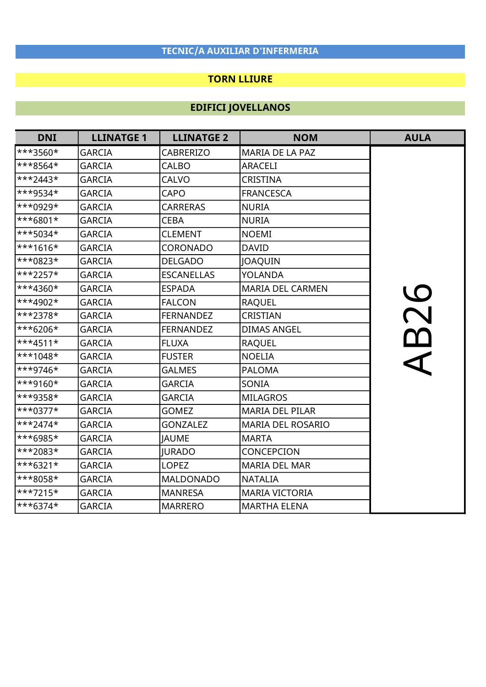### TORN LLIURE

| <b>DNI</b> | <b>LLINATGE 1</b> | <b>LLINATGE 2</b> | <b>NOM</b>               | <b>AULA</b> |
|------------|-------------------|-------------------|--------------------------|-------------|
| ***3560*   | <b>GARCIA</b>     | <b>CABRERIZO</b>  | MARIA DE LA PAZ          |             |
| ***8564*   | <b>GARCIA</b>     | <b>CALBO</b>      | <b>ARACELI</b>           |             |
| ***2443*   | <b>GARCIA</b>     | <b>CALVO</b>      | <b>CRISTINA</b>          |             |
| ***9534*   | <b>GARCIA</b>     | <b>CAPO</b>       | <b>FRANCESCA</b>         |             |
| ***0929*   | <b>GARCIA</b>     | <b>CARRERAS</b>   | <b>NURIA</b>             |             |
| ***6801*   | <b>GARCIA</b>     | <b>CEBA</b>       | <b>NURIA</b>             |             |
| ***5034*   | <b>GARCIA</b>     | <b>CLEMENT</b>    | <b>NOEMI</b>             |             |
| $**1616*$  | <b>GARCIA</b>     | CORONADO          | <b>DAVID</b>             |             |
| ***0823*   | <b>GARCIA</b>     | <b>DELGADO</b>    | JOAQUIN                  |             |
| ***2257*   | <b>GARCIA</b>     | <b>ESCANELLAS</b> | <b>YOLANDA</b>           |             |
| $***4360*$ | <b>GARCIA</b>     | <b>ESPADA</b>     | <b>MARIA DEL CARMEN</b>  |             |
| $**4902*$  | <b>GARCIA</b>     | <b>FALCON</b>     | <b>RAQUEL</b>            |             |
| ***2378*   | <b>GARCIA</b>     | <b>FERNANDEZ</b>  | CRISTIAN                 |             |
| ***6206*   | <b>GARCIA</b>     | <b>FERNANDEZ</b>  | <b>DIMAS ANGEL</b>       | <b>B26</b>  |
| ***4511*   | <b>GARCIA</b>     | <b>FLUXA</b>      | <b>RAQUEL</b>            |             |
| ***1048*   | <b>GARCIA</b>     | <b>FUSTER</b>     | <b>NOELIA</b>            |             |
| ***9746*   | <b>GARCIA</b>     | <b>GALMES</b>     | <b>PALOMA</b>            |             |
| ***9160*   | <b>GARCIA</b>     | <b>GARCIA</b>     | SONIA                    |             |
| ***9358*   | <b>GARCIA</b>     | <b>GARCIA</b>     | <b>MILAGROS</b>          |             |
| $***0377*$ | <b>GARCIA</b>     | <b>GOMEZ</b>      | <b>MARIA DEL PILAR</b>   |             |
| $**2474*$  | <b>GARCIA</b>     | <b>GONZALEZ</b>   | <b>MARIA DEL ROSARIO</b> |             |
| ***6985*   | <b>GARCIA</b>     | <b>JAUME</b>      | <b>MARTA</b>             |             |
| ***2083*   | <b>GARCIA</b>     | <b>JURADO</b>     | CONCEPCION               |             |
| ***6321*   | <b>GARCIA</b>     | <b>LOPEZ</b>      | <b>MARIA DEL MAR</b>     |             |
| ***8058*   | <b>GARCIA</b>     | <b>MALDONADO</b>  | <b>NATALIA</b>           |             |
| ***7215*   | <b>GARCIA</b>     | <b>MANRESA</b>    | MARIA VICTORIA           |             |
| ***6374*   | GARCIA            | <b>MARRERO</b>    | <b>MARTHA ELENA</b>      |             |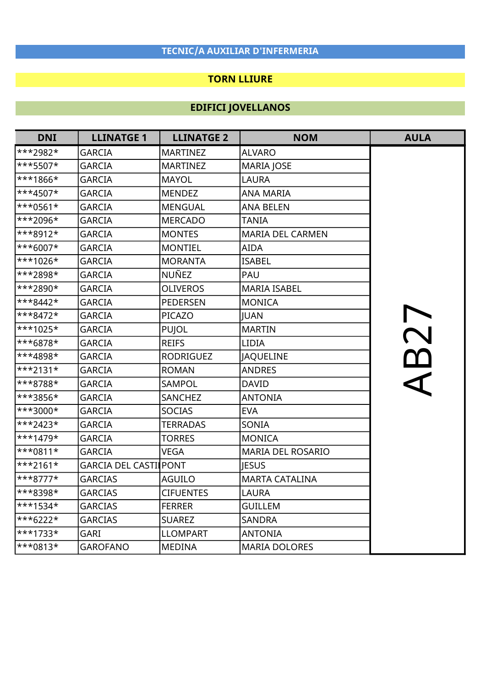### TORN LLIURE

| <b>DNI</b> | <b>LLINATGE 1</b>            | <b>LLINATGE 2</b> | <b>NOM</b>               | <b>AULA</b> |
|------------|------------------------------|-------------------|--------------------------|-------------|
| $***2982*$ | <b>GARCIA</b>                | <b>MARTINEZ</b>   | <b>ALVARO</b>            |             |
| ***5507*   | <b>GARCIA</b>                | <b>MARTINEZ</b>   | <b>MARIA JOSE</b>        |             |
| ***1866*   | <b>GARCIA</b>                | <b>MAYOL</b>      | <b>LAURA</b>             |             |
| ***4507*   | <b>GARCIA</b>                | <b>MENDEZ</b>     | <b>ANA MARIA</b>         |             |
| $***0561*$ | <b>GARCIA</b>                | <b>MENGUAL</b>    | <b>ANA BELEN</b>         |             |
| ***2096*   | <b>GARCIA</b>                | <b>MERCADO</b>    | <b>TANIA</b>             |             |
| ***8912*   | <b>GARCIA</b>                | <b>MONTES</b>     | <b>MARIA DEL CARMEN</b>  |             |
| ***6007*   | <b>GARCIA</b>                | <b>MONTIEL</b>    | <b>AIDA</b>              |             |
| ***1026*   | <b>GARCIA</b>                | <b>MORANTA</b>    | <b>ISABEL</b>            |             |
| ***2898*   | <b>GARCIA</b>                | <b>NUÑEZ</b>      | PAU                      |             |
| ***2890*   | <b>GARCIA</b>                | <b>OLIVEROS</b>   | <b>MARIA ISABEL</b>      |             |
| $***8442*$ | <b>GARCIA</b>                | <b>PEDERSEN</b>   | <b>MONICA</b>            |             |
| $***8472*$ | <b>GARCIA</b>                | PICAZO            | JUAN                     | AB27        |
| ***1025*   | <b>GARCIA</b>                | <b>PUJOL</b>      | <b>MARTIN</b>            |             |
| ***6878*   | <b>GARCIA</b>                | <b>REIFS</b>      | <b>LIDIA</b>             |             |
| ***4898*   | <b>GARCIA</b>                | <b>RODRIGUEZ</b>  | JAQUELINE                |             |
| $***2131*$ | <b>GARCIA</b>                | <b>ROMAN</b>      | <b>ANDRES</b>            |             |
| ***8788*   | <b>GARCIA</b>                | <b>SAMPOL</b>     | <b>DAVID</b>             |             |
| ***3856*   | <b>GARCIA</b>                | <b>SANCHEZ</b>    | <b>ANTONIA</b>           |             |
| ***3000*   | <b>GARCIA</b>                | <b>SOCIAS</b>     | <b>EVA</b>               |             |
| $***2423*$ | <b>GARCIA</b>                | <b>TERRADAS</b>   | SONIA                    |             |
| $***1479*$ | <b>GARCIA</b>                | <b>TORRES</b>     | <b>MONICA</b>            |             |
| $***0811*$ | <b>GARCIA</b>                | <b>VEGA</b>       | <b>MARIA DEL ROSARIO</b> |             |
| $***2161*$ | <b>GARCIA DEL CASTILPONT</b> |                   | <b>JESUS</b>             |             |
| $***8777*$ | <b>GARCIAS</b>               | <b>AGUILO</b>     | <b>MARTA CATALINA</b>    |             |
| ***8398*   | <b>GARCIAS</b>               | <b>CIFUENTES</b>  | <b>LAURA</b>             |             |
| $***1534*$ | <b>GARCIAS</b>               | <b>FERRER</b>     | <b>GUILLEM</b>           |             |
| ***6222*   | <b>GARCIAS</b>               | <b>SUAREZ</b>     | <b>SANDRA</b>            |             |
| ***1733*   | <b>GARI</b>                  | <b>LLOMPART</b>   | <b>ANTONIA</b>           |             |
| $***0813*$ | <b>GAROFANO</b>              | <b>MEDINA</b>     | <b>MARIA DOLORES</b>     |             |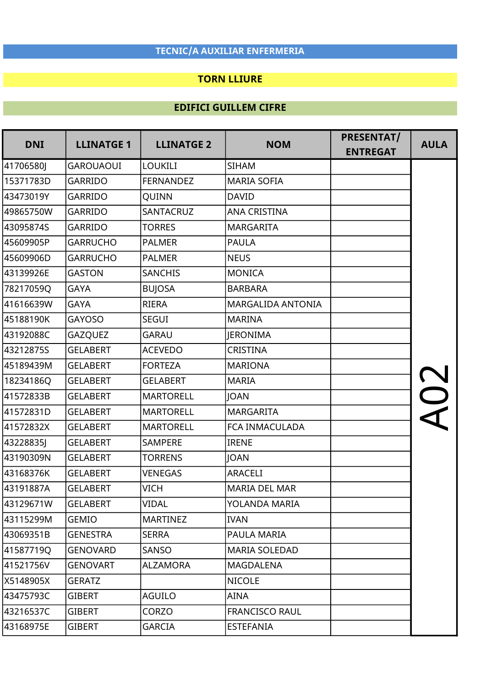#### TORN LLIURE

### EDIFICI GUILLEM CIFRE

| <b>DNI</b> | <b>LLINATGE 1</b> | <b>LLINATGE 2</b> | <b>NOM</b>               | PRESENTAT/      | <b>AULA</b> |
|------------|-------------------|-------------------|--------------------------|-----------------|-------------|
|            |                   |                   |                          | <b>ENTREGAT</b> |             |
| 41706580J  | <b>GAROUAOUI</b>  | <b>LOUKILI</b>    | <b>SIHAM</b>             |                 |             |
| 15371783D  | <b>GARRIDO</b>    | <b>FERNANDEZ</b>  | <b>MARIA SOFIA</b>       |                 |             |
| 43473019Y  | <b>GARRIDO</b>    | QUINN             | <b>DAVID</b>             |                 |             |
| 49865750W  | <b>GARRIDO</b>    | <b>SANTACRUZ</b>  | <b>ANA CRISTINA</b>      |                 |             |
| 43095874S  | <b>GARRIDO</b>    | <b>TORRES</b>     | <b>MARGARITA</b>         |                 |             |
| 45609905P  | <b>GARRUCHO</b>   | <b>PALMER</b>     | <b>PAULA</b>             |                 |             |
| 45609906D  | <b>GARRUCHO</b>   | <b>PALMER</b>     | <b>NEUS</b>              |                 |             |
| 43139926E  | <b>GASTON</b>     | <b>SANCHIS</b>    | <b>MONICA</b>            |                 |             |
| 78217059Q  | <b>GAYA</b>       | <b>BUJOSA</b>     | <b>BARBARA</b>           |                 |             |
| 41616639W  | <b>GAYA</b>       | <b>RIERA</b>      | <b>MARGALIDA ANTONIA</b> |                 |             |
| 45188190K  | <b>GAYOSO</b>     | <b>SEGUI</b>      | <b>MARINA</b>            |                 |             |
| 43192088C  | <b>GAZQUEZ</b>    | <b>GARAU</b>      | <b>JERONIMA</b>          |                 |             |
| 43212875S  | <b>GELABERT</b>   | <b>ACEVEDO</b>    | <b>CRISTINA</b>          |                 |             |
| 45189439M  | <b>GELABERT</b>   | <b>FORTEZA</b>    | <b>MARIONA</b>           |                 |             |
| 18234186Q  | <b>GELABERT</b>   | <b>GELABERT</b>   | <b>MARIA</b>             |                 |             |
| 41572833B  | <b>GELABERT</b>   | <b>MARTORELL</b>  | <b>JOAN</b>              |                 |             |
| 41572831D  | <b>GELABERT</b>   | <b>MARTORELL</b>  | <b>MARGARITA</b>         |                 |             |
| 41572832X  | <b>GELABERT</b>   | <b>MARTORELL</b>  | FCA INMACULADA           |                 |             |
| 43228835J  | <b>GELABERT</b>   | <b>SAMPERE</b>    | <b>IRENE</b>             |                 |             |
| 43190309N  | <b>GELABERT</b>   | <b>TORRENS</b>    | <b>JOAN</b>              |                 |             |
| 43168376K  | <b>GELABERT</b>   | <b>VENEGAS</b>    | <b>ARACELI</b>           |                 |             |
| 43191887A  | <b>GELABERT</b>   | <b>VICH</b>       | <b>MARIA DEL MAR</b>     |                 |             |
| 43129671W  | <b>GELABERT</b>   | VIDAL             | YOLANDA MARIA            |                 |             |
| 43115299M  | <b>GEMIO</b>      | <b>MARTINEZ</b>   | <b>IVAN</b>              |                 |             |
| 43069351B  | <b>GENESTRA</b>   | <b>SERRA</b>      | PAULA MARIA              |                 |             |
| 41587719Q  | <b>GENOVARD</b>   | SANSO             | <b>MARIA SOLEDAD</b>     |                 |             |
| 41521756V  | <b>GENOVART</b>   | <b>ALZAMORA</b>   | <b>MAGDALENA</b>         |                 |             |
| X5148905X  | <b>GERATZ</b>     |                   | <b>NICOLE</b>            |                 |             |
| 43475793C  | <b>GIBERT</b>     | <b>AGUILO</b>     | AINA                     |                 |             |
| 43216537C  | <b>GIBERT</b>     | CORZO             | <b>FRANCISCO RAUL</b>    |                 |             |
| 43168975E  | <b>GIBERT</b>     | <b>GARCIA</b>     | <b>ESTEFANIA</b>         |                 |             |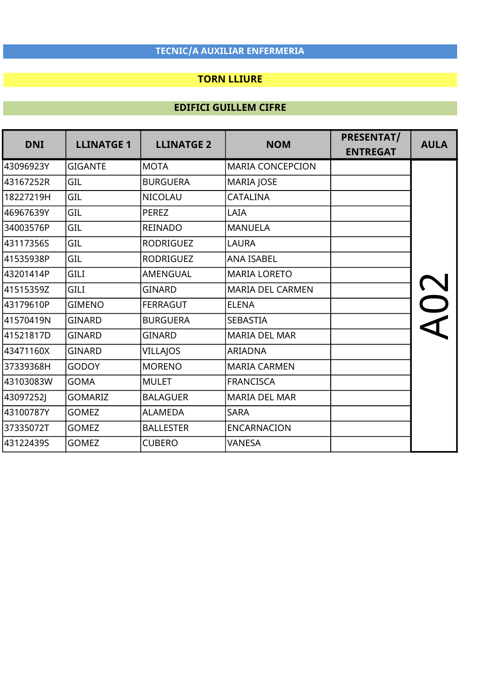## TORN LLIURE

| <b>DNI</b> | <b>LLINATGE 1</b> | <b>LLINATGE 2</b> | <b>NOM</b>              | PRESENTAT/<br><b>ENTREGAT</b> | <b>AULA</b> |
|------------|-------------------|-------------------|-------------------------|-------------------------------|-------------|
| 43096923Y  | <b>GIGANTE</b>    | <b>MOTA</b>       | <b>MARIA CONCEPCION</b> |                               |             |
| 43167252R  | GIL               | <b>BURGUERA</b>   | <b>MARIA JOSE</b>       |                               |             |
| 18227219H  | GIL               | <b>NICOLAU</b>    | <b>CATALINA</b>         |                               |             |
| 46967639Y  | GIL               | <b>PEREZ</b>      | LAIA                    |                               |             |
| 34003576P  | GIL               | <b>REINADO</b>    | <b>MANUELA</b>          |                               |             |
| 43117356S  | GIL               | <b>RODRIGUEZ</b>  | <b>LAURA</b>            |                               |             |
| 41535938P  | GIL               | <b>RODRIGUEZ</b>  | <b>ANA ISABEL</b>       |                               |             |
| l43201414P | <b>GILI</b>       | <b>AMENGUAL</b>   | <b>MARIA LORETO</b>     |                               |             |
| 41515359Z  | <b>GILI</b>       | <b>GINARD</b>     | <b>MARIA DEL CARMEN</b> |                               |             |
| 43179610P  | <b>GIMENO</b>     | <b>FERRAGUT</b>   | <b>ELENA</b>            |                               |             |
| 41570419N  | <b>GINARD</b>     | <b>BURGUERA</b>   | <b>SEBASTIA</b>         |                               |             |
| 41521817D  | <b>GINARD</b>     | <b>GINARD</b>     | <b>MARIA DEL MAR</b>    |                               |             |
| 43471160X  | <b>GINARD</b>     | <b>VILLAJOS</b>   | <b>ARIADNA</b>          |                               |             |
| 37339368H  | <b>GODOY</b>      | <b>MORENO</b>     | <b>MARIA CARMEN</b>     |                               |             |
| 43103083W  | <b>GOMA</b>       | <b>MULET</b>      | <b>FRANCISCA</b>        |                               |             |
| 43097252J  | <b>GOMARIZ</b>    | <b>BALAGUER</b>   | <b>MARIA DEL MAR</b>    |                               |             |
| 43100787Y  | <b>GOMEZ</b>      | <b>ALAMEDA</b>    | <b>SARA</b>             |                               |             |
| 37335072T  | <b>GOMEZ</b>      | <b>BALLESTER</b>  | <b>ENCARNACION</b>      |                               |             |
| 43122439S  | <b>GOMEZ</b>      | <b>CUBERO</b>     | <b>VANESA</b>           |                               |             |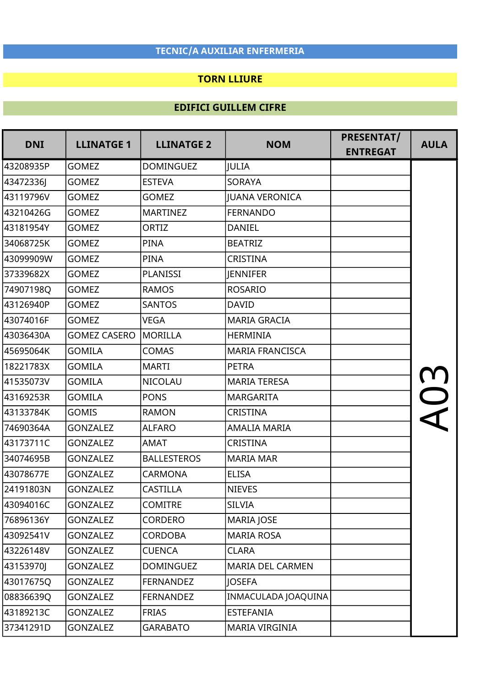### TORN LLIURE

| <b>DNI</b> | <b>LLINATGE 1</b>   | <b>LLINATGE 2</b>  | <b>NOM</b>              | <b>PRESENTAT/</b> | <b>AULA</b> |
|------------|---------------------|--------------------|-------------------------|-------------------|-------------|
|            |                     |                    |                         | <b>ENTREGAT</b>   |             |
| 43208935P  | <b>GOMEZ</b>        | <b>DOMINGUEZ</b>   | <b>JULIA</b>            |                   |             |
| 43472336J  | <b>GOMEZ</b>        | <b>ESTEVA</b>      | <b>SORAYA</b>           |                   |             |
| 43119796V  | <b>GOMEZ</b>        | <b>GOMEZ</b>       | <b>IUANA VERONICA</b>   |                   |             |
| 43210426G  | <b>GOMEZ</b>        | <b>MARTINEZ</b>    | <b>FERNANDO</b>         |                   |             |
| 43181954Y  | <b>GOMEZ</b>        | ORTIZ              | <b>DANIEL</b>           |                   |             |
| 34068725K  | <b>GOMEZ</b>        | <b>PINA</b>        | <b>BEATRIZ</b>          |                   |             |
| 43099909W  | <b>GOMEZ</b>        | <b>PINA</b>        | <b>CRISTINA</b>         |                   |             |
| 37339682X  | <b>GOMEZ</b>        | PLANISSI           | <b>JENNIFER</b>         |                   |             |
| 74907198Q  | <b>GOMEZ</b>        | <b>RAMOS</b>       | <b>ROSARIO</b>          |                   |             |
| 43126940P  | <b>GOMEZ</b>        | <b>SANTOS</b>      | <b>DAVID</b>            |                   |             |
| 43074016F  | <b>GOMEZ</b>        | VEGA               | <b>MARIA GRACIA</b>     |                   |             |
| 43036430A  | <b>GOMEZ CASERO</b> | MORILLA            | <b>HERMINIA</b>         |                   |             |
| 45695064K  | <b>GOMILA</b>       | <b>COMAS</b>       | <b>MARIA FRANCISCA</b>  |                   |             |
| 18221783X  | <b>GOMILA</b>       | <b>MARTI</b>       | <b>PETRA</b>            |                   |             |
| 41535073V  | <b>GOMILA</b>       | <b>NICOLAU</b>     | <b>MARIA TERESA</b>     |                   |             |
| 43169253R  | <b>GOMILA</b>       | <b>PONS</b>        | <b>MARGARITA</b>        |                   |             |
| 43133784K  | <b>GOMIS</b>        | <b>RAMON</b>       | CRISTINA                |                   |             |
| 74690364A  | <b>GONZALEZ</b>     | <b>ALFARO</b>      | <b>AMALIA MARIA</b>     |                   |             |
| 43173711C  | <b>GONZALEZ</b>     | <b>AMAT</b>        | <b>CRISTINA</b>         |                   |             |
| 34074695B  | <b>GONZALEZ</b>     | <b>BALLESTEROS</b> | <b>MARIA MAR</b>        |                   |             |
| 43078677E  | <b>GONZALEZ</b>     | <b>CARMONA</b>     | <b>ELISA</b>            |                   |             |
| 24191803N  | <b>GONZALEZ</b>     | <b>CASTILLA</b>    | <b>NIEVES</b>           |                   |             |
| 43094016C  | <b>GONZALEZ</b>     | <b>COMITRE</b>     | <b>SILVIA</b>           |                   |             |
| 76896136Y  | <b>GONZALEZ</b>     | <b>CORDERO</b>     | <b>MARIA JOSE</b>       |                   |             |
| 43092541V  | <b>GONZALEZ</b>     | <b>CORDOBA</b>     | <b>MARIA ROSA</b>       |                   |             |
| 43226148V  | <b>GONZALEZ</b>     | <b>CUENCA</b>      | <b>CLARA</b>            |                   |             |
| 43153970J  | <b>GONZALEZ</b>     | <b>DOMINGUEZ</b>   | <b>MARIA DEL CARMEN</b> |                   |             |
| 43017675Q  | <b>GONZALEZ</b>     | <b>FERNANDEZ</b>   | <b>JOSEFA</b>           |                   |             |
| 08836639Q  | <b>GONZALEZ</b>     | <b>FERNANDEZ</b>   | INMACULADA JOAQUINA     |                   |             |
| 43189213C  | <b>GONZALEZ</b>     | <b>FRIAS</b>       | <b>ESTEFANIA</b>        |                   |             |
| 37341291D  | <b>GONZALEZ</b>     | <b>GARABATO</b>    | MARIA VIRGINIA          |                   |             |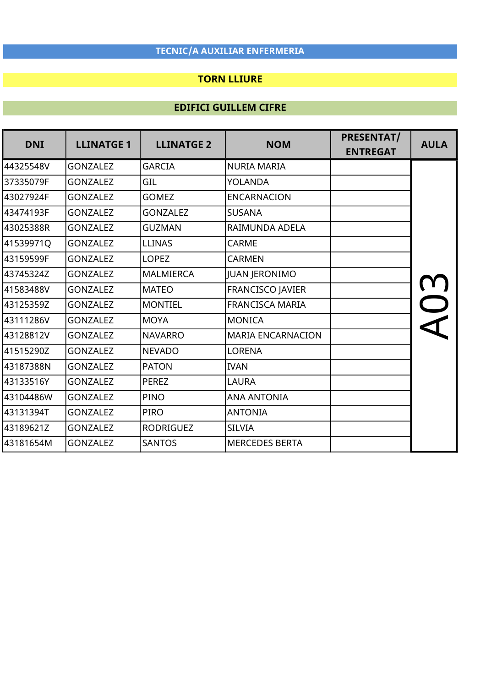### TORN LLIURE

| <b>DNI</b> | <b>LLINATGE 1</b> |                  | <b>LLINATGE 2</b><br><b>NOM</b> | PRESENTAT/      | <b>AULA</b> |
|------------|-------------------|------------------|---------------------------------|-----------------|-------------|
|            |                   |                  |                                 | <b>ENTREGAT</b> |             |
| 44325548V  | <b>GONZALEZ</b>   | <b>GARCIA</b>    | <b>NURIA MARIA</b>              |                 |             |
| 37335079F  | <b>GONZALEZ</b>   | GIL              | <b>YOLANDA</b>                  |                 |             |
| 43027924F  | <b>GONZALEZ</b>   | <b>GOMEZ</b>     | <b>ENCARNACION</b>              |                 |             |
| l43474193F | <b>GONZALEZ</b>   | <b>GONZALEZ</b>  | <b>SUSANA</b>                   |                 |             |
| 43025388R  | <b>GONZALEZ</b>   | <b>GUZMAN</b>    | RAIMUNDA ADELA                  |                 |             |
| 41539971Q  | <b>GONZALEZ</b>   | <b>LLINAS</b>    | <b>CARME</b>                    |                 |             |
| l43159599F | <b>GONZALEZ</b>   | <b>LOPEZ</b>     | <b>CARMEN</b>                   |                 |             |
| 43745324Z  | <b>GONZALEZ</b>   | <b>MALMIERCA</b> | <b>JUAN JERONIMO</b>            |                 |             |
| 41583488V  | <b>GONZALEZ</b>   | <b>MATEO</b>     | <b>FRANCISCO JAVIER</b>         |                 |             |
| l43125359Z | <b>GONZALEZ</b>   | <b>MONTIEL</b>   | <b>FRANCISCA MARIA</b>          |                 |             |
| l43111286V | <b>GONZALEZ</b>   | <b>MOYA</b>      | <b>MONICA</b>                   |                 |             |
| 43128812V  | <b>GONZALEZ</b>   | <b>NAVARRO</b>   | <b>MARIA ENCARNACION</b>        |                 |             |
| 41515290Z  | <b>GONZALEZ</b>   | <b>NEVADO</b>    | <b>LORENA</b>                   |                 |             |
| 43187388N  | <b>GONZALEZ</b>   | <b>PATON</b>     | <b>IVAN</b>                     |                 |             |
| 43133516Y  | <b>GONZALEZ</b>   | <b>PEREZ</b>     | LAURA                           |                 |             |
| l43104486W | <b>GONZALEZ</b>   | <b>PINO</b>      | <b>ANA ANTONIA</b>              |                 |             |
| 43131394T  | <b>GONZALEZ</b>   | <b>PIRO</b>      | <b>ANTONIA</b>                  |                 |             |
| l43189621Z | <b>GONZALEZ</b>   | <b>RODRIGUEZ</b> | <b>SILVIA</b>                   |                 |             |
| 43181654M  | <b>GONZALEZ</b>   | <b>SANTOS</b>    | <b>MERCEDES BERTA</b>           |                 |             |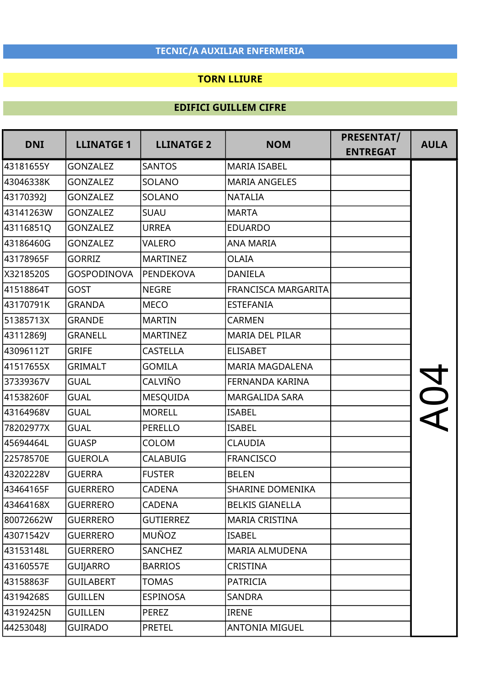### TORN LLIURE

| <b>DNI</b> | <b>LLINATGE 1</b>  | <b>LLINATGE 2</b> | <b>NOM</b>                 | PRESENTAT/<br><b>ENTREGAT</b> | <b>AULA</b> |
|------------|--------------------|-------------------|----------------------------|-------------------------------|-------------|
| 43181655Y  | <b>GONZALEZ</b>    | <b>SANTOS</b>     | <b>MARIA ISABEL</b>        |                               |             |
| 43046338K  | <b>GONZALEZ</b>    | SOLANO            | <b>MARIA ANGELES</b>       |                               |             |
| 43170392J  | <b>GONZALEZ</b>    | SOLANO            | <b>NATALIA</b>             |                               |             |
| 43141263W  | <b>GONZALEZ</b>    | <b>SUAU</b>       | <b>MARTA</b>               |                               |             |
| 43116851Q  | <b>GONZALEZ</b>    | <b>URREA</b>      | <b>EDUARDO</b>             |                               |             |
| 43186460G  | <b>GONZALEZ</b>    | VALERO            | <b>ANA MARIA</b>           |                               |             |
| 43178965F  | <b>GORRIZ</b>      | <b>MARTINEZ</b>   | <b>OLAIA</b>               |                               |             |
| X3218520S  | <b>GOSPODINOVA</b> | PENDEKOVA         | <b>DANIELA</b>             |                               |             |
| 41518864T  | <b>GOST</b>        | <b>NEGRE</b>      | <b>FRANCISCA MARGARITA</b> |                               |             |
| 43170791K  | <b>GRANDA</b>      | <b>MECO</b>       | <b>ESTEFANIA</b>           |                               |             |
| 51385713X  | <b>GRANDE</b>      | <b>MARTIN</b>     | <b>CARMEN</b>              |                               |             |
| 43112869J  | <b>GRANELL</b>     | <b>MARTINEZ</b>   | <b>MARIA DEL PILAR</b>     |                               |             |
| 43096112T  | <b>GRIFE</b>       | <b>CASTELLA</b>   | <b>ELISABET</b>            |                               |             |
| 41517655X  | <b>GRIMALT</b>     | <b>GOMILA</b>     | <b>MARIA MAGDALENA</b>     |                               |             |
| 37339367V  | <b>GUAL</b>        | CALVIÑO           | FERNANDA KARINA            |                               |             |
| 41538260F  | <b>GUAL</b>        | <b>MESQUIDA</b>   | <b>MARGALIDA SARA</b>      |                               |             |
| 43164968V  | <b>GUAL</b>        | <b>MORELL</b>     | <b>ISABEL</b>              |                               |             |
| 78202977X  | <b>GUAL</b>        | <b>PERELLO</b>    | <b>ISABEL</b>              |                               |             |
| 45694464L  | <b>GUASP</b>       | COLOM             | <b>CLAUDIA</b>             |                               |             |
| 22578570E  | <b>GUEROLA</b>     | <b>CALABUIG</b>   | <b>FRANCISCO</b>           |                               |             |
| 43202228V  | <b>GUERRA</b>      | <b>FUSTER</b>     | <b>BELEN</b>               |                               |             |
| 43464165F  | <b>GUERRERO</b>    | <b>CADENA</b>     | <b>SHARINE DOMENIKA</b>    |                               |             |
| 43464168X  | <b>GUERRERO</b>    | <b>CADENA</b>     | <b>BELKIS GIANELLA</b>     |                               |             |
| 80072662W  | <b>GUERRERO</b>    | <b>GUTIERREZ</b>  | <b>MARIA CRISTINA</b>      |                               |             |
| 43071542V  | <b>GUERRERO</b>    | MUÑOZ             | <b>ISABEL</b>              |                               |             |
| 43153148L  | <b>GUERRERO</b>    | <b>SANCHEZ</b>    | MARIA ALMUDENA             |                               |             |
| 43160557E  | <b>GUIJARRO</b>    | <b>BARRIOS</b>    | <b>CRISTINA</b>            |                               |             |
| 43158863F  | <b>GUILABERT</b>   | TOMAS             | <b>PATRICIA</b>            |                               |             |
| 43194268S  | <b>GUILLEN</b>     | <b>ESPINOSA</b>   | SANDRA                     |                               |             |
| 43192425N  | <b>GUILLEN</b>     | <b>PEREZ</b>      | <b>IRENE</b>               |                               |             |
| 44253048J  | <b>GUIRADO</b>     | <b>PRETEL</b>     | <b>ANTONIA MIGUEL</b>      |                               |             |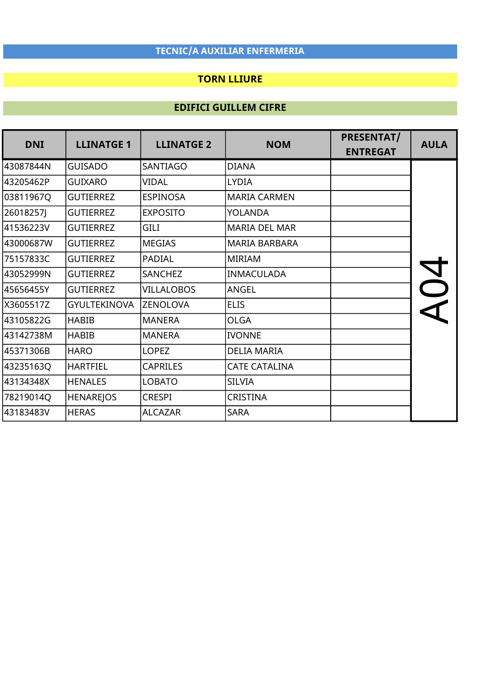## TORN LLIURE

| <b>DNI</b> | <b>LLINATGE 1</b>   | <b>LLINATGE 2</b> | <b>NOM</b>           | PRESENTAT/<br><b>ENTREGAT</b> | <b>AULA</b> |
|------------|---------------------|-------------------|----------------------|-------------------------------|-------------|
| 43087844N  | <b>GUISADO</b>      | <b>SANTIAGO</b>   | <b>DIANA</b>         |                               |             |
| 43205462P  | <b>GUIXARO</b>      | VIDAL             | LYDIA                |                               |             |
| 03811967Q  | <b>GUTIERREZ</b>    | <b>ESPINOSA</b>   | <b>MARIA CARMEN</b>  |                               |             |
| 26018257J  | <b>GUTIERREZ</b>    | <b>EXPOSITO</b>   | YOLANDA              |                               |             |
| 41536223V  | <b>GUTIERREZ</b>    | <b>GILI</b>       | <b>MARIA DEL MAR</b> |                               |             |
| 43000687W  | <b>GUTIERREZ</b>    | <b>MEGIAS</b>     | <b>MARIA BARBARA</b> |                               |             |
| 75157833C  | <b>GUTIERREZ</b>    | <b>PADIAL</b>     | <b>MIRIAM</b>        |                               |             |
| 43052999N  | <b>GUTIERREZ</b>    | SANCHEZ           | <b>INMACULADA</b>    |                               |             |
| 45656455Y  | <b>GUTIERREZ</b>    | <b>VILLALOBOS</b> | ANGEL                |                               |             |
| X3605517Z  | <b>GYULTEKINOVA</b> | <b>ZENOLOVA</b>   | <b>ELIS</b>          |                               |             |
| 43105822G  | <b>HABIB</b>        | <b>MANERA</b>     | <b>OLGA</b>          |                               |             |
| 43142738M  | <b>HABIB</b>        | <b>MANERA</b>     | <b>IVONNE</b>        |                               |             |
| 45371306B  | <b>HARO</b>         | <b>LOPEZ</b>      | <b>DELIA MARIA</b>   |                               |             |
| 43235163Q  | <b>HARTFIEL</b>     | <b>CAPRILES</b>   | <b>CATE CATALINA</b> |                               |             |
| 43134348X  | <b>HENALES</b>      | <b>LOBATO</b>     | <b>SILVIA</b>        |                               |             |
| 78219014Q  | <b>HENAREJOS</b>    | <b>CRESPI</b>     | <b>CRISTINA</b>      |                               |             |
| 43183483V  | <b>HERAS</b>        | <b>ALCAZAR</b>    | <b>SARA</b>          |                               |             |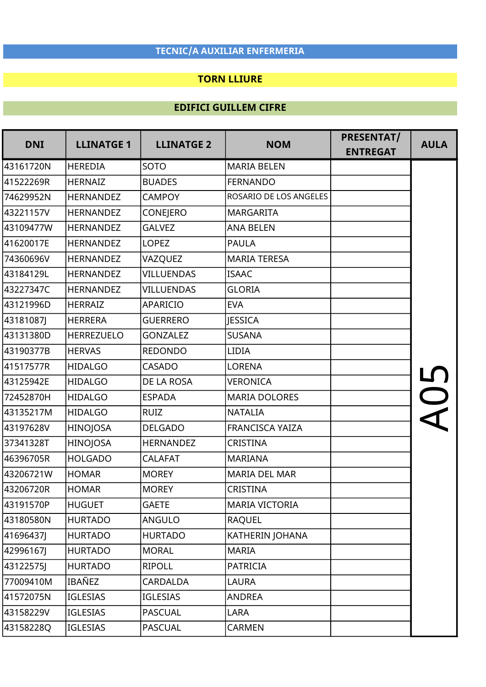### TORN LLIURE

| <b>DNI</b> | <b>LLINATGE 1</b> | <b>LLINATGE 2</b> | <b>NOM</b>             | PRESENTAT/<br><b>ENTREGAT</b> | <b>AULA</b> |
|------------|-------------------|-------------------|------------------------|-------------------------------|-------------|
| 43161720N  | <b>HEREDIA</b>    | SOTO              | <b>MARIA BELEN</b>     |                               |             |
| 41522269R  | <b>HERNAIZ</b>    | <b>BUADES</b>     | <b>FERNANDO</b>        |                               |             |
| 74629952N  | <b>HERNANDEZ</b>  | <b>CAMPOY</b>     | ROSARIO DE LOS ANGELES |                               |             |
| 43221157V  | <b>HERNANDEZ</b>  | <b>CONEJERO</b>   | <b>MARGARITA</b>       |                               |             |
| 43109477W  | <b>HERNANDEZ</b>  | <b>GALVEZ</b>     | <b>ANA BELEN</b>       |                               |             |
| 41620017E  | <b>HERNANDEZ</b>  | <b>LOPEZ</b>      | <b>PAULA</b>           |                               |             |
| 74360696V  | <b>HERNANDEZ</b>  | VAZQUEZ           | <b>MARIA TERESA</b>    |                               |             |
| 43184129L  | <b>HERNANDEZ</b>  | <b>VILLUENDAS</b> | <b>ISAAC</b>           |                               |             |
| 43227347C  | <b>HERNANDEZ</b>  | <b>VILLUENDAS</b> | <b>GLORIA</b>          |                               |             |
| 43121996D  | <b>HERRAIZ</b>    | <b>APARICIO</b>   | <b>EVA</b>             |                               |             |
| 43181087J  | <b>HERRERA</b>    | <b>GUERRERO</b>   | <b>JESSICA</b>         |                               |             |
| 43131380D  | <b>HERREZUELO</b> | <b>GONZALEZ</b>   | <b>SUSANA</b>          |                               |             |
| 43190377B  | <b>HERVAS</b>     | <b>REDONDO</b>    | <b>LIDIA</b>           |                               |             |
| 41517577R  | <b>HIDALGO</b>    | <b>CASADO</b>     | <b>LORENA</b>          |                               |             |
| 43125942E  | <b>HIDALGO</b>    | DE LA ROSA        | <b>VERONICA</b>        |                               |             |
| 72452870H  | <b>HIDALGO</b>    | <b>ESPADA</b>     | <b>MARIA DOLORES</b>   |                               |             |
| 43135217M  | <b>HIDALGO</b>    | <b>RUIZ</b>       | <b>NATALIA</b>         |                               |             |
| 43197628V  | HINOJOSA          | <b>DELGADO</b>    | FRANCISCA YAIZA        |                               |             |
| 37341328T  | <b>HINOJOSA</b>   | <b>HERNANDEZ</b>  | <b>CRISTINA</b>        |                               |             |
| 46396705R  | <b>HOLGADO</b>    | <b>CALAFAT</b>    | <b>MARIANA</b>         |                               |             |
| 43206721W  | <b>HOMAR</b>      | <b>MOREY</b>      | <b>MARIA DEL MAR</b>   |                               |             |
| 43206720R  | <b>HOMAR</b>      | <b>MOREY</b>      | CRISTINA               |                               |             |
| 43191570P  | <b>HUGUET</b>     | <b>GAETE</b>      | <b>MARIA VICTORIA</b>  |                               |             |
| 43180580N  | <b>HURTADO</b>    | ANGULO            | <b>RAQUEL</b>          |                               |             |
| 41696437J  | <b>HURTADO</b>    | <b>HURTADO</b>    | KATHERIN JOHANA        |                               |             |
| 42996167J  | <b>HURTADO</b>    | <b>MORAL</b>      | <b>MARIA</b>           |                               |             |
| 43122575J  | <b>HURTADO</b>    | <b>RIPOLL</b>     | <b>PATRICIA</b>        |                               |             |
| 77009410M  | IBAÑEZ            | CARDALDA          | <b>LAURA</b>           |                               |             |
| 41572075N  | IGLESIAS          | IGLESIAS          | <b>ANDREA</b>          |                               |             |
| 43158229V  | <b>IGLESIAS</b>   | <b>PASCUAL</b>    | LARA                   |                               |             |
| 43158228Q  | <b>IGLESIAS</b>   | <b>PASCUAL</b>    | CARMEN                 |                               |             |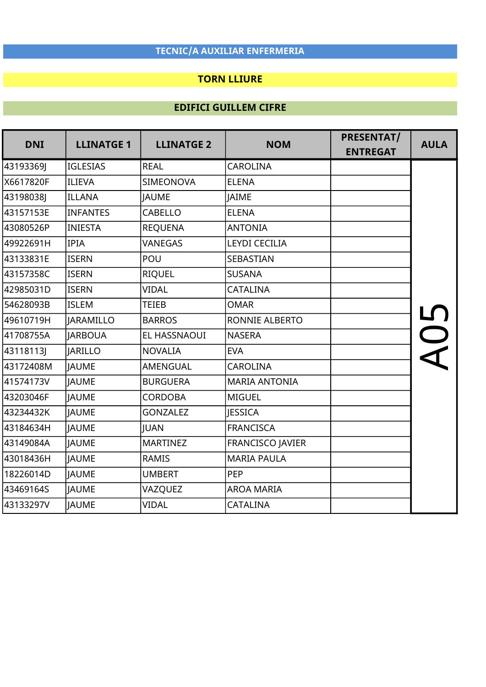## TORN LLIURE

| <b>DNI</b> | <b>LLINATGE 1</b> | <b>LLINATGE 2</b> | <b>NOM</b>              | PRESENTAT/<br><b>ENTREGAT</b> | <b>AULA</b> |
|------------|-------------------|-------------------|-------------------------|-------------------------------|-------------|
| 43193369J  | <b>IGLESIAS</b>   | <b>REAL</b>       | <b>CAROLINA</b>         |                               |             |
| X6617820F  | ILIEVA            | <b>SIMEONOVA</b>  | <b>ELENA</b>            |                               |             |
| 43198038J  | <b>ILLANA</b>     | <b>JAUME</b>      | <b>JAIME</b>            |                               |             |
| 43157153E  | <b>INFANTES</b>   | <b>CABELLO</b>    | <b>ELENA</b>            |                               |             |
| 43080526P  | <b>INIESTA</b>    | <b>REQUENA</b>    | <b>ANTONIA</b>          |                               |             |
| 49922691H  | <b>IPIA</b>       | VANEGAS           | <b>LEYDI CECILIA</b>    |                               |             |
| 43133831E  | <b>ISERN</b>      | POU               | SEBASTIAN               |                               |             |
| 43157358C  | <b>ISERN</b>      | <b>RIQUEL</b>     | <b>SUSANA</b>           |                               |             |
| 42985031D  | <b>ISERN</b>      | <b>VIDAL</b>      | <b>CATALINA</b>         |                               |             |
| 54628093B  | <b>ISLEM</b>      | <b>TEIEB</b>      | <b>OMAR</b>             |                               |             |
| 49610719H  | JARAMILLO         | <b>BARROS</b>     | RONNIE ALBERTO          |                               |             |
| 41708755A  | <b>JARBOUA</b>    | EL HASSNAOUI      | <b>NASERA</b>           |                               |             |
| 43118113J  | <b>JARILLO</b>    | <b>NOVALIA</b>    | <b>EVA</b>              |                               |             |
| 43172408M  | <b>JAUME</b>      | AMENGUAL          | <b>CAROLINA</b>         |                               |             |
| 41574173V  | <b>JAUME</b>      | <b>BURGUERA</b>   | <b>MARIA ANTONIA</b>    |                               |             |
| 43203046F  | <b>JAUME</b>      | <b>CORDOBA</b>    | <b>MIGUEL</b>           |                               |             |
| 43234432K  | <b>JAUME</b>      | <b>GONZALEZ</b>   | <b>JESSICA</b>          |                               |             |
| 43184634H  | <b>JAUME</b>      | <b>IUAN</b>       | <b>FRANCISCA</b>        |                               |             |
| 43149084A  | <b>JAUME</b>      | <b>MARTINEZ</b>   | <b>FRANCISCO JAVIER</b> |                               |             |
| 43018436H  | <b>JAUME</b>      | <b>RAMIS</b>      | <b>MARIA PAULA</b>      |                               |             |
| 18226014D  | <b>JAUME</b>      | <b>UMBERT</b>     | PEP                     |                               |             |
| 43469164S  | <b>JAUME</b>      | VAZQUEZ           | <b>AROA MARIA</b>       |                               |             |
| 43133297V  | <b>JAUME</b>      | <b>VIDAL</b>      | <b>CATALINA</b>         |                               |             |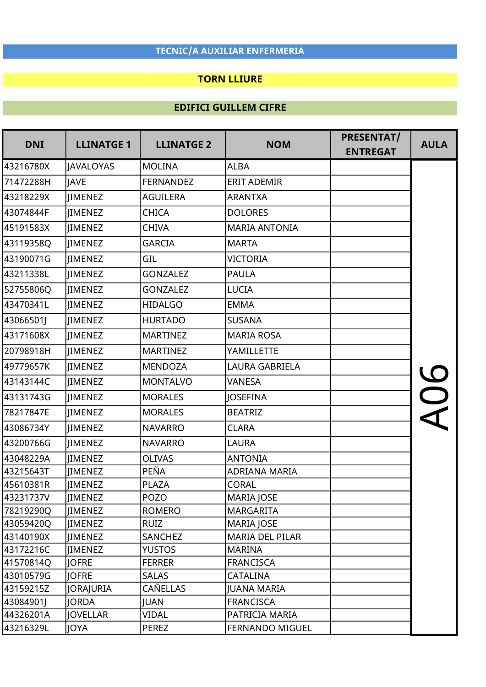### TORN LLIURE

| <b>DNI</b> | <b>LLINATGE 1</b> | <b>LLINATGE 2</b> | <b>NOM</b>             | PRESENTAT/      | <b>AULA</b> |
|------------|-------------------|-------------------|------------------------|-----------------|-------------|
|            |                   |                   |                        | <b>ENTREGAT</b> |             |
| 43216780X  | JAVALOYAS         | <b>MOLINA</b>     | <b>ALBA</b>            |                 |             |
| 71472288H  | <b>IAVE</b>       | <b>FERNANDEZ</b>  | <b>ERIT ADEMIR</b>     |                 |             |
| 43218229X  | <b>JIMENEZ</b>    | <b>AGUILERA</b>   | <b>ARANTXA</b>         |                 |             |
| 43074844F  | <b>IIMENEZ</b>    | CHICA             | <b>DOLORES</b>         |                 |             |
| 45191583X  | <b>IIMENEZ</b>    | <b>CHIVA</b>      | <b>MARIA ANTONIA</b>   |                 |             |
| 43119358Q  | <b>IMENEZ</b>     | <b>GARCIA</b>     | <b>MARTA</b>           |                 |             |
| 43190071G  | <b>IMENEZ</b>     | GIL               | VICTORIA               |                 |             |
| 43211338L  | JIMENEZ           | <b>GONZALEZ</b>   | <b>PAULA</b>           |                 |             |
| 52755806Q  | IIMENEZ           | <b>GONZALEZ</b>   | <b>LUCIA</b>           |                 |             |
| 43470341L  | <b>IIMENEZ</b>    | <b>HIDALGO</b>    | <b>EMMA</b>            |                 |             |
| 43066501J  | <b>IIMENEZ</b>    | <b>HURTADO</b>    | <b>SUSANA</b>          |                 |             |
| 43171608X  | <b>IIMENEZ</b>    | <b>MARTINEZ</b>   | <b>MARIA ROSA</b>      |                 |             |
| 20798918H  | <b>IMENEZ</b>     | <b>MARTINEZ</b>   | YAMILLETTE             |                 |             |
| 49779657K  | <b>IIMENEZ</b>    | <b>MENDOZA</b>    | LAURA GABRIELA         |                 |             |
| 43143144C  | JIMENEZ           | <b>MONTALVO</b>   | VANESA                 |                 | $\bigcup$   |
| 43131743G  | <b>IMENEZ</b>     | <b>MORALES</b>    | <b>JOSEFINA</b>        |                 |             |
| 78217847E  | <b>JIMENEZ</b>    | <b>MORALES</b>    | <b>BEATRIZ</b>         |                 |             |
| 43086734Y  | <b>IIMENEZ</b>    | <b>NAVARRO</b>    | <b>CLARA</b>           |                 |             |
| 43200766G  | <b>IIMENEZ</b>    | <b>NAVARRO</b>    | <b>LAURA</b>           |                 |             |
| 43048229A  | <b>IIMENEZ</b>    | <b>OLIVAS</b>     | <b>ANTONIA</b>         |                 |             |
| 43215643T  | <b>IIMENEZ</b>    | PEÑA              | <b>ADRIANA MARIA</b>   |                 |             |
| 45610381R  | <b>JIMENEZ</b>    | <b>PLAZA</b>      | <b>CORAL</b>           |                 |             |
| 43231737V  | <b>JIMENEZ</b>    | <b>POZO</b>       | <b>MARIA JOSE</b>      |                 |             |
| 78219290Q  | JIMENEZ           | <b>ROMERO</b>     | <b>MARGARITA</b>       |                 |             |
| 43059420Q  | <b>JIMENEZ</b>    | <b>RUIZ</b>       | <b>MARIA JOSE</b>      |                 |             |
| 43140190X  | <b>JIMENEZ</b>    | <b>SANCHEZ</b>    | <b>MARIA DEL PILAR</b> |                 |             |
| 43172216C  | <b>JIMENEZ</b>    | <b>YUSTOS</b>     | <b>MARINA</b>          |                 |             |
| 41570814Q  | <b>JOFRE</b>      | <b>FERRER</b>     | <b>FRANCISCA</b>       |                 |             |
| 43010579G  | <b>JOFRE</b>      | <b>SALAS</b>      | CATALINA               |                 |             |
| 43159215Z  | <b>JORAJURIA</b>  | CAÑELLAS          | <b>JUANA MARIA</b>     |                 |             |
| 43084901J  | <b>JORDA</b>      | <b>JUAN</b>       | <b>FRANCISCA</b>       |                 |             |
| 44326201A  | <b>JOVELLAR</b>   | VIDAL             | PATRICIA MARIA         |                 |             |
| 43216329L  | <b>JOYA</b>       | PEREZ             | FERNANDO MIGUEL        |                 |             |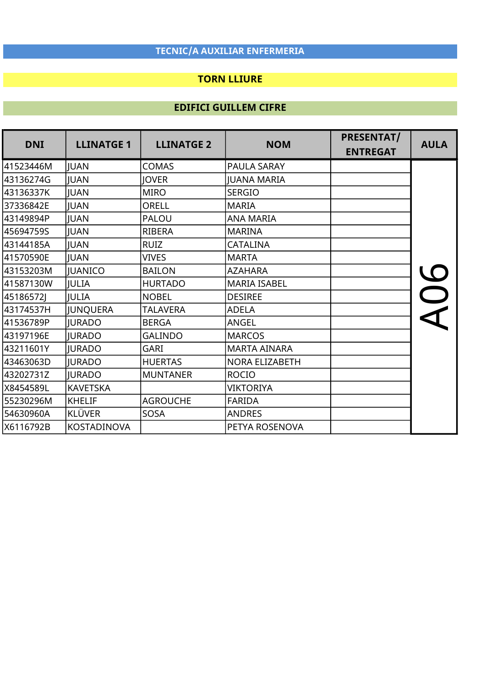## TORN LLIURE

| <b>DNI</b> | <b>LLINATGE 1</b>  | <b>LLINATGE 2</b> | <b>NOM</b>          | PRESENTAT/      | <b>AULA</b> |
|------------|--------------------|-------------------|---------------------|-----------------|-------------|
|            |                    |                   |                     | <b>ENTREGAT</b> |             |
| 41523446M  | <b>JUAN</b>        | <b>COMAS</b>      | PAULA SARAY         |                 |             |
| 43136274G  | <b>JUAN</b>        | <b>IOVER</b>      | <b>IUANA MARIA</b>  |                 |             |
| 43136337K  | JUAN               | <b>MIRO</b>       | <b>SERGIO</b>       |                 |             |
| 37336842E  | JUAN               | <b>ORELL</b>      | <b>MARIA</b>        |                 |             |
| 43149894P  | <b>JUAN</b>        | PALOU             | <b>ANA MARIA</b>    |                 |             |
| 45694759S  | <b>JUAN</b>        | RIBERA            | <b>MARINA</b>       |                 |             |
| l43144185A | <b>JUAN</b>        | <b>RUIZ</b>       | CATALINA            |                 |             |
| 41570590E  | JUAN               | <b>VIVES</b>      | <b>MARTA</b>        |                 |             |
| 43153203M  | <b>JUANICO</b>     | <b>BAILON</b>     | <b>AZAHARA</b>      |                 |             |
| 41587130W  | JULIA              | <b>HURTADO</b>    | <b>MARIA ISABEL</b> |                 |             |
| 45186572J  | JULIA              | <b>NOBEL</b>      | <b>DESIREE</b>      |                 |             |
| 43174537H  | JUNQUERA           | <b>TALAVERA</b>   | <b>ADELA</b>        |                 |             |
| 41536789P  | <b>JURADO</b>      | <b>BERGA</b>      | ANGEL               |                 |             |
| 43197196E  | <b>JURADO</b>      | <b>GALINDO</b>    | <b>MARCOS</b>       |                 |             |
| 43211601Y  | <b>JURADO</b>      | GARI              | <b>MARTA AINARA</b> |                 |             |
| 43463063D  | <b>JURADO</b>      | <b>HUERTAS</b>    | NORA ELIZABETH      |                 |             |
| 43202731Z  | <b>IURADO</b>      | <b>MUNTANER</b>   | <b>ROCIO</b>        |                 |             |
| X8454589L  | <b>KAVETSKA</b>    |                   | <b>VIKTORIYA</b>    |                 |             |
| 55230296M  | <b>KHELIF</b>      | <b>AGROUCHE</b>   | <b>FARIDA</b>       |                 |             |
| 54630960A  | KLÜVER             | <b>SOSA</b>       | <b>ANDRES</b>       |                 |             |
| X6116792B  | <b>KOSTADINOVA</b> |                   | PETYA ROSENOVA      |                 |             |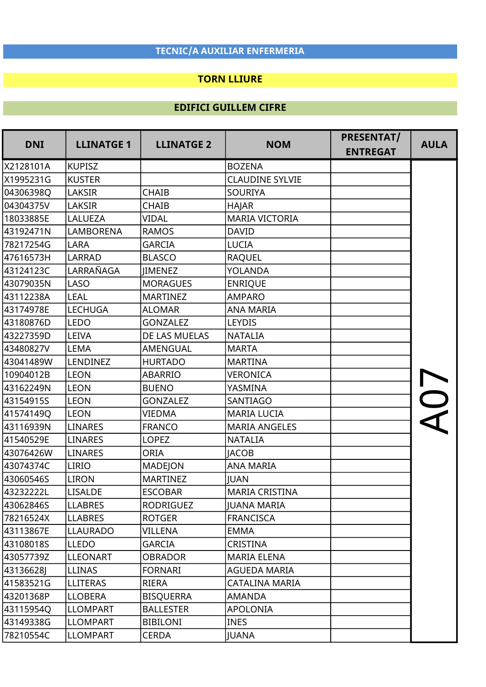### TORN LLIURE

| <b>DNI</b> | <b>LLINATGE 1</b> | <b>LLINATGE 2</b> | <b>NOM</b>             | PRESENTAT/      | <b>AULA</b> |
|------------|-------------------|-------------------|------------------------|-----------------|-------------|
|            |                   |                   |                        | <b>ENTREGAT</b> |             |
| X2128101A  | <b>KUPISZ</b>     |                   | <b>BOZENA</b>          |                 |             |
| X1995231G  | <b>KUSTER</b>     |                   | <b>CLAUDINE SYLVIE</b> |                 |             |
| 04306398Q  | <b>LAKSIR</b>     | <b>CHAIB</b>      | <b>SOURIYA</b>         |                 |             |
| 04304375V  | <b>LAKSIR</b>     | <b>CHAIB</b>      | <b>HAJAR</b>           |                 |             |
| 18033885E  | LALUEZA           | <b>VIDAL</b>      | <b>MARIA VICTORIA</b>  |                 |             |
| 43192471N  | <b>LAMBORENA</b>  | <b>RAMOS</b>      | <b>DAVID</b>           |                 |             |
| 78217254G  | <b>LARA</b>       | <b>GARCIA</b>     | <b>LUCIA</b>           |                 |             |
| 47616573H  | <b>LARRAD</b>     | <b>BLASCO</b>     | <b>RAQUEL</b>          |                 |             |
| 43124123C  | LARRAÑAGA         | <b>IIMENEZ</b>    | YOLANDA                |                 |             |
| 43079035N  | <b>LASO</b>       | <b>MORAGUES</b>   | <b>ENRIQUE</b>         |                 |             |
| 43112238A  | <b>LEAL</b>       | <b>MARTINEZ</b>   | <b>AMPARO</b>          |                 |             |
| 43174978E  | <b>LECHUGA</b>    | <b>ALOMAR</b>     | <b>ANA MARIA</b>       |                 |             |
| 43180876D  | <b>LEDO</b>       | <b>GONZALEZ</b>   | LEYDIS                 |                 |             |
| 43227359D  | LEIVA             | DE LAS MUELAS     | <b>NATALIA</b>         |                 |             |
| 43480827V  | <b>LEMA</b>       | <b>AMENGUAL</b>   | <b>MARTA</b>           |                 |             |
| 43041489W  | <b>LENDINEZ</b>   | <b>HURTADO</b>    | <b>MARTINA</b>         |                 |             |
| 10904012B  | <b>LEON</b>       | <b>ABARRIO</b>    | <b>VERONICA</b>        |                 |             |
| 43162249N  | <b>LEON</b>       | <b>BUENO</b>      | YASMINA                |                 |             |
| 43154915S  | <b>LEON</b>       | <b>GONZALEZ</b>   | SANTIAGO               |                 |             |
| 41574149Q  | <b>LEON</b>       | <b>VIEDMA</b>     | <b>MARIA LUCIA</b>     |                 |             |
| 43116939N  | <b>LINARES</b>    | <b>FRANCO</b>     | <b>MARIA ANGELES</b>   |                 |             |
| 41540529E  | <b>LINARES</b>    | <b>LOPEZ</b>      | <b>NATALIA</b>         |                 |             |
| 43076426W  | <b>LINARES</b>    | <b>ORIA</b>       | <b>IACOB</b>           |                 |             |
| 43074374C  | <b>LIRIO</b>      | <b>MADEJON</b>    | <b>ANA MARIA</b>       |                 |             |
| 43060546S  | <b>LIRON</b>      | <b>MARTINEZ</b>   | <b>JUAN</b>            |                 |             |
| 43232222L  | <b>LISALDE</b>    | <b>ESCOBAR</b>    | <b>MARIA CRISTINA</b>  |                 |             |
| 43062846S  | <b>LLABRES</b>    | RODRIGUEZ         | <b>JUANA MARIA</b>     |                 |             |
| 78216524X  | <b>LLABRES</b>    | <b>ROTGER</b>     | <b>FRANCISCA</b>       |                 |             |
| 43113867E  | <b>LLAURADO</b>   | VILLENA           | <b>EMMA</b>            |                 |             |
| 43108018S  | <b>LLEDO</b>      | <b>GARCIA</b>     | <b>CRISTINA</b>        |                 |             |
| 43057739Z  | LLEONART          | <b>OBRADOR</b>    | <b>MARIA ELENA</b>     |                 |             |
| 43136628J  | LLINAS            | <b>FORNARI</b>    | AGUEDA MARIA           |                 |             |
| 41583521G  | <b>LLITERAS</b>   | RIERA             | <b>CATALINA MARIA</b>  |                 |             |
| 43201368P  | LLOBERA           | <b>BISQUERRA</b>  | <b>AMANDA</b>          |                 |             |
| 43115954Q  | <b>LLOMPART</b>   | <b>BALLESTER</b>  | APOLONIA               |                 |             |
| 43149338G  | <b>LLOMPART</b>   | <b>BIBILONI</b>   | <b>INES</b>            |                 |             |
| 78210554C  | <b>LLOMPART</b>   | <b>CERDA</b>      | <b>JUANA</b>           |                 |             |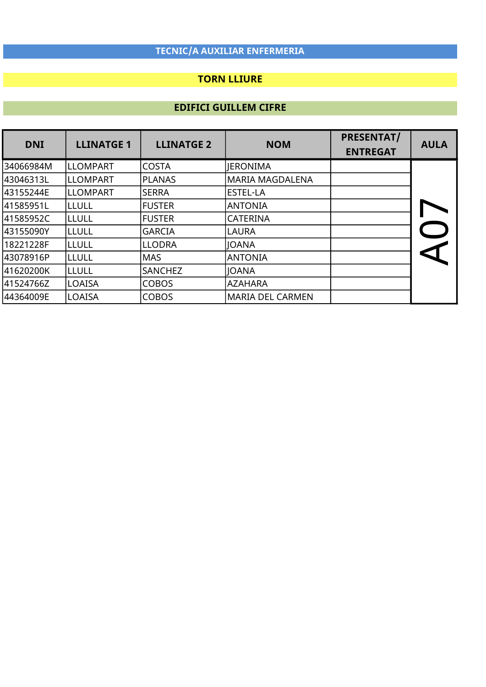## TORN LLIURE

| <b>DNI</b> | <b>LLINATGE 1</b> | <b>LLINATGE 2</b> | <b>NOM</b>              | <b>PRESENTAT/</b><br><b>ENTREGAT</b> | <b>AULA</b> |
|------------|-------------------|-------------------|-------------------------|--------------------------------------|-------------|
| l34066984M | <b>LLOMPART</b>   | <b>COSTA</b>      | <b>JERONIMA</b>         |                                      |             |
| l43046313L | lllompart         | PLANAS            | <b>MARIA MAGDALENA</b>  |                                      |             |
| 43155244E  | ILLOMPART         | <b>SERRA</b>      | <b>IESTEL-LA</b>        |                                      |             |
| l41585951L | ILLULL            | <b>FUSTER</b>     | <b>ANTONIA</b>          |                                      |             |
| 41585952C  | ILLULL            | <b>FUSTER</b>     | <b>CATERINA</b>         |                                      |             |
| 43155090Y  | ILLULL            | <b>GARCIA</b>     | <b>LAURA</b>            |                                      |             |
| 18221228F  | lllull            | <b>LLODRA</b>     | <b>JOANA</b>            |                                      |             |
| l43078916P | ILLULL            | <b>MAS</b>        | <b>ANTONIA</b>          |                                      |             |
| 41620200K  | ILLULL            | SANCHEZ           | <b>IOANA</b>            |                                      |             |
| 41524766Z  | <b>LOAISA</b>     | <b>COBOS</b>      | <b>AZAHARA</b>          |                                      |             |
| l44364009E | LOAISA            | <b>COBOS</b>      | <b>MARIA DEL CARMEN</b> |                                      |             |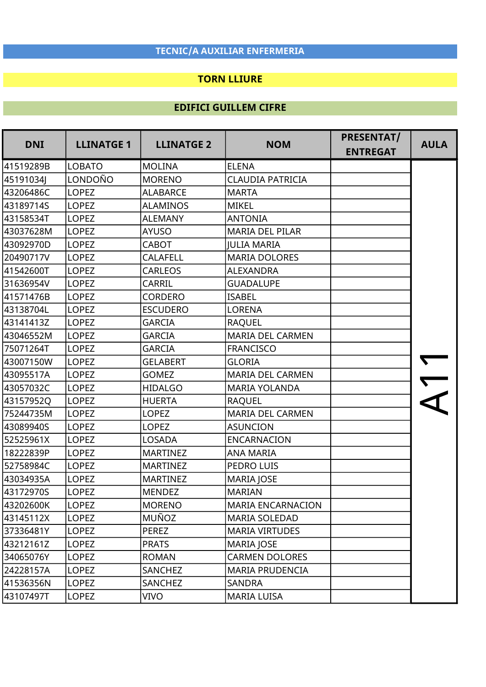### TORN LLIURE

| <b>DNI</b> | <b>LLINATGE 1</b> | <b>LLINATGE 2</b><br><b>NOM</b> | <b>PRESENTAT/</b>        | <b>AULA</b>     |  |
|------------|-------------------|---------------------------------|--------------------------|-----------------|--|
|            |                   |                                 |                          | <b>ENTREGAT</b> |  |
| 41519289B  | <b>LOBATO</b>     | <b>MOLINA</b>                   | <b>ELENA</b>             |                 |  |
| 45191034J  | LONDOÑO           | <b>MORENO</b>                   | <b>CLAUDIA PATRICIA</b>  |                 |  |
| 43206486C  | <b>LOPEZ</b>      | <b>ALABARCE</b>                 | <b>MARTA</b>             |                 |  |
| 43189714S  | <b>LOPEZ</b>      | <b>ALAMINOS</b>                 | <b>MIKEL</b>             |                 |  |
| 43158534T  | <b>LOPEZ</b>      | <b>ALEMANY</b>                  | <b>ANTONIA</b>           |                 |  |
| 43037628M  | <b>LOPEZ</b>      | <b>AYUSO</b>                    | <b>MARIA DEL PILAR</b>   |                 |  |
| 43092970D  | <b>LOPEZ</b>      | <b>CABOT</b>                    | <b>JULIA MARIA</b>       |                 |  |
| 20490717V  | <b>LOPEZ</b>      | <b>CALAFELL</b>                 | <b>MARIA DOLORES</b>     |                 |  |
| 41542600T  | <b>LOPEZ</b>      | <b>CARLEOS</b>                  | ALEXANDRA                |                 |  |
| 31636954V  | <b>LOPEZ</b>      | <b>CARRIL</b>                   | <b>GUADALUPE</b>         |                 |  |
| 41571476B  | <b>LOPEZ</b>      | <b>CORDERO</b>                  | <b>ISABEL</b>            |                 |  |
| 43138704L  | <b>LOPEZ</b>      | <b>ESCUDERO</b>                 | <b>LORENA</b>            |                 |  |
| 43141413Z  | <b>LOPEZ</b>      | <b>GARCIA</b>                   | <b>RAQUEL</b>            |                 |  |
| 43046552M  | <b>LOPEZ</b>      | <b>GARCIA</b>                   | <b>MARIA DEL CARMEN</b>  |                 |  |
| 75071264T  | <b>LOPEZ</b>      | <b>GARCIA</b>                   | <b>FRANCISCO</b>         |                 |  |
| 43007150W  | <b>LOPEZ</b>      | <b>GELABERT</b>                 | <b>GLORIA</b>            |                 |  |
| 43095517A  | <b>LOPEZ</b>      | <b>GOMEZ</b>                    | <b>MARIA DEL CARMEN</b>  |                 |  |
| 43057032C  | <b>LOPEZ</b>      | <b>HIDALGO</b>                  | <b>MARIA YOLANDA</b>     |                 |  |
| 43157952Q  | <b>LOPEZ</b>      | <b>HUERTA</b>                   | <b>RAQUEL</b>            |                 |  |
| 75244735M  | <b>LOPEZ</b>      | <b>LOPEZ</b>                    | <b>MARIA DEL CARMEN</b>  |                 |  |
| 43089940S  | <b>LOPEZ</b>      | <b>LOPEZ</b>                    | <b>ASUNCION</b>          |                 |  |
| 52525961X  | <b>LOPEZ</b>      | <b>LOSADA</b>                   | <b>ENCARNACION</b>       |                 |  |
| 18222839P  | <b>LOPEZ</b>      | <b>MARTINEZ</b>                 | <b>ANA MARIA</b>         |                 |  |
| 52758984C  | <b>LOPEZ</b>      | <b>MARTINEZ</b>                 | PEDRO LUIS               |                 |  |
| 43034935A  | <b>LOPEZ</b>      | <b>MARTINEZ</b>                 | <b>MARIA JOSE</b>        |                 |  |
| 43172970S  | <b>LOPEZ</b>      | <b>MENDEZ</b>                   | <b>MARIAN</b>            |                 |  |
| 43202600K  | <b>LOPEZ</b>      | <b>MORENO</b>                   | <b>MARIA ENCARNACION</b> |                 |  |
| 43145112X  | <b>LOPEZ</b>      | <b>MUÑOZ</b>                    | <b>MARIA SOLEDAD</b>     |                 |  |
| 37336481Y  | LOPEZ             | <b>PEREZ</b>                    | <b>MARIA VIRTUDES</b>    |                 |  |
| 43212161Z  | <b>LOPEZ</b>      | <b>PRATS</b>                    | MARIA JOSE               |                 |  |
| 34065076Y  | <b>LOPEZ</b>      | <b>ROMAN</b>                    | <b>CARMEN DOLORES</b>    |                 |  |
| 24228157A  | LOPEZ             | SANCHEZ                         | <b>MARIA PRUDENCIA</b>   |                 |  |
| 41536356N  | LOPEZ             | SANCHEZ                         | <b>SANDRA</b>            |                 |  |
| 43107497T  | <b>LOPEZ</b>      | <b>VIVO</b>                     | <b>MARIA LUISA</b>       |                 |  |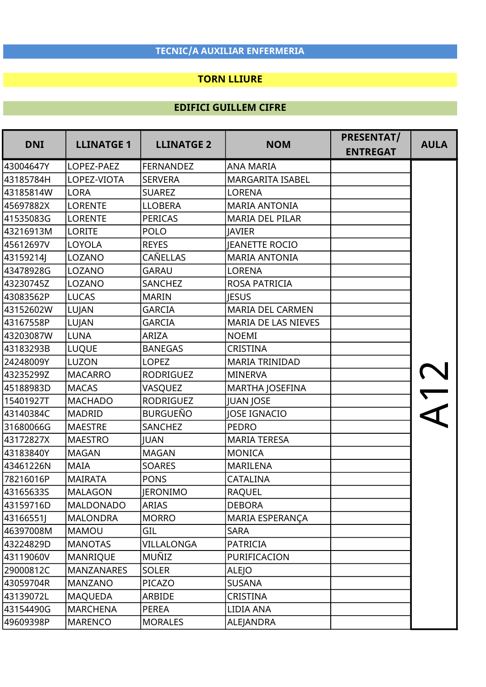#### TORN LLIURE

| <b>DNI</b> | <b>LLINATGE 1</b> | <b>LLINATGE 2</b> | <b>NOM</b>              | PRESENTAT/<br><b>ENTREGAT</b> | <b>AULA</b> |
|------------|-------------------|-------------------|-------------------------|-------------------------------|-------------|
| 43004647Y  | LOPEZ-PAEZ        | <b>FERNANDEZ</b>  | <b>ANA MARIA</b>        |                               |             |
| 43185784H  | LOPEZ-VIOTA       | <b>SERVERA</b>    | <b>MARGARITA ISABEL</b> |                               |             |
| 43185814W  | <b>LORA</b>       | <b>SUAREZ</b>     | <b>LORENA</b>           |                               |             |
| 45697882X  | <b>LORENTE</b>    | <b>LLOBERA</b>    | <b>MARIA ANTONIA</b>    |                               |             |
| 41535083G  | <b>LORENTE</b>    | <b>PERICAS</b>    | <b>MARIA DEL PILAR</b>  |                               |             |
| 43216913M  | <b>LORITE</b>     | <b>POLO</b>       | <b>JAVIER</b>           |                               |             |
| 45612697V  | LOYOLA            | <b>REYES</b>      | <b>JEANETTE ROCIO</b>   |                               |             |
| 43159214J  | LOZANO            | CAÑELLAS          | <b>MARIA ANTONIA</b>    |                               |             |
| 43478928G  | LOZANO            | <b>GARAU</b>      | <b>LORENA</b>           |                               |             |
| 43230745Z  | LOZANO            | SANCHEZ           | ROSA PATRICIA           |                               |             |
| 43083562P  | <b>LUCAS</b>      | <b>MARIN</b>      | <b>IESUS</b>            |                               |             |
| 43152602W  | LUJAN             | <b>GARCIA</b>     | <b>MARIA DEL CARMEN</b> |                               |             |
| 43167558P  | LUJAN             | <b>GARCIA</b>     | MARIA DE LAS NIEVES     |                               |             |
| 43203087W  | <b>LUNA</b>       | ARIZA             | <b>NOEMI</b>            |                               |             |
| 43183293B  | <b>LUQUE</b>      | <b>BANEGAS</b>    | <b>CRISTINA</b>         |                               |             |
| 24248009Y  | LUZON             | <b>LOPEZ</b>      | <b>MARIA TRINIDAD</b>   |                               |             |
| 43235299Z  | <b>MACARRO</b>    | <b>RODRIGUEZ</b>  | <b>MINERVA</b>          |                               |             |
| 45188983D  | <b>MACAS</b>      | VASQUEZ           | MARTHA JOSEFINA         |                               |             |
| 15401927T  | <b>MACHADO</b>    | <b>RODRIGUEZ</b>  | <b>JUAN JOSE</b>        |                               |             |
| 43140384C  | <b>MADRID</b>     | <b>BURGUEÑO</b>   | <b>JOSE IGNACIO</b>     |                               |             |
| 31680066G  | <b>MAESTRE</b>    | SANCHEZ           | <b>PEDRO</b>            |                               |             |
| 43172827X  | <b>MAESTRO</b>    | <b>JUAN</b>       | <b>MARIA TERESA</b>     |                               |             |
| 43183840Y  | <b>MAGAN</b>      | <b>MAGAN</b>      | <b>MONICA</b>           |                               |             |
| 43461226N  | <b>MAIA</b>       | <b>SOARES</b>     | <b>MARILENA</b>         |                               |             |
| 78216016P  | <b>MAIRATA</b>    | <b>PONS</b>       | <b>CATALINA</b>         |                               |             |
| 43165633S  | <b>MALAGON</b>    | JERONIMO          | <b>RAQUEL</b>           |                               |             |
| 43159716D  | <b>MALDONADO</b>  | ARIAS             | <b>DEBORA</b>           |                               |             |
| 43166551J  | <b>MALONDRA</b>   | <b>MORRO</b>      | MARIA ESPERANÇA         |                               |             |
| 46397008M  | <b>MAMOU</b>      | GIL               | <b>SARA</b>             |                               |             |
| 43224829D  | <b>MANOTAS</b>    | VILLALONGA        | PATRICIA                |                               |             |
| 43119060V  | <b>MANRIQUE</b>   | MUÑIZ             | PURIFICACION            |                               |             |
| 29000812C  | <b>MANZANARES</b> | <b>SOLER</b>      | <b>ALEJO</b>            |                               |             |
| 43059704R  | <b>MANZANO</b>    | PICAZO            | <b>SUSANA</b>           |                               |             |
| 43139072L  | <b>MAQUEDA</b>    | ARBIDE            | CRISTINA                |                               |             |
| 43154490G  | <b>MARCHENA</b>   | <b>PEREA</b>      | LIDIA ANA               |                               |             |
| 49609398P  | <b>MARENCO</b>    | <b>MORALES</b>    | ALEJANDRA               |                               |             |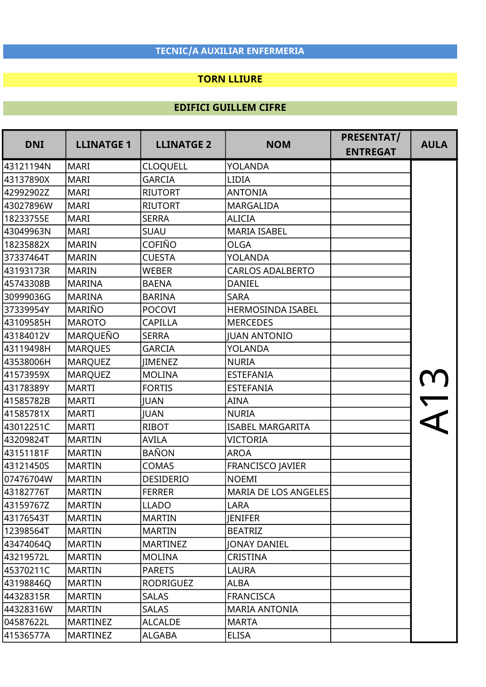### TORN LLIURE

| <b>DNI</b> | <b>LLINATGE 1</b> | <b>LLINATGE 2</b> | <b>NOM</b>                  | PRESENTAT/<br><b>ENTREGAT</b> | <b>AULA</b> |
|------------|-------------------|-------------------|-----------------------------|-------------------------------|-------------|
| 43121194N  | <b>MARI</b>       | <b>CLOQUELL</b>   | YOLANDA                     |                               |             |
| 43137890X  | <b>MARI</b>       | <b>GARCIA</b>     | LIDIA                       |                               |             |
| 42992902Z  | <b>MARI</b>       | <b>RIUTORT</b>    | <b>ANTONIA</b>              |                               |             |
| 43027896W  | <b>MARI</b>       | <b>RIUTORT</b>    | <b>MARGALIDA</b>            |                               |             |
| 18233755E  | <b>MARI</b>       | <b>SERRA</b>      | <b>ALICIA</b>               |                               |             |
| 43049963N  | <b>MARI</b>       | <b>SUAU</b>       | <b>MARIA ISABEL</b>         |                               |             |
| 18235882X  | <b>MARIN</b>      | <b>COFIÑO</b>     | <b>OLGA</b>                 |                               |             |
| 37337464T  | <b>MARIN</b>      | <b>CUESTA</b>     | YOLANDA                     |                               |             |
| 43193173R  | <b>MARIN</b>      | <b>WEBER</b>      | <b>CARLOS ADALBERTO</b>     |                               |             |
| 45743308B  | <b>MARINA</b>     | <b>BAENA</b>      | <b>DANIEL</b>               |                               |             |
| 30999036G  | <b>MARINA</b>     | <b>BARINA</b>     | <b>SARA</b>                 |                               |             |
| 37339954Y  | MARIÑO            | <b>POCOVI</b>     | <b>HERMOSINDA ISABEL</b>    |                               |             |
| 43109585H  | <b>MAROTO</b>     | <b>CAPILLA</b>    | <b>MERCEDES</b>             |                               |             |
| 43184012V  | <b>MARQUEÑO</b>   | <b>SERRA</b>      | <b>JUAN ANTONIO</b>         |                               |             |
| 43119498H  | <b>MARQUES</b>    | <b>GARCIA</b>     | <b>YOLANDA</b>              |                               |             |
| 43538006H  | <b>MARQUEZ</b>    | <b>IIMENEZ</b>    | <b>NURIA</b>                |                               |             |
| 41573959X  | <b>MARQUEZ</b>    | <b>MOLINA</b>     | <b>ESTEFANIA</b>            |                               |             |
| 43178389Y  | <b>MARTI</b>      | <b>FORTIS</b>     | <b>ESTEFANIA</b>            |                               |             |
| 41585782B  | <b>MARTI</b>      | <b>JUAN</b>       | <b>AINA</b>                 |                               |             |
| 41585781X  | <b>MARTI</b>      | <b>JUAN</b>       | <b>NURIA</b>                |                               |             |
| 43012251C  | <b>MARTI</b>      | <b>RIBOT</b>      | <b>ISABEL MARGARITA</b>     |                               |             |
| 43209824T  | <b>MARTIN</b>     | <b>AVILA</b>      | <b>VICTORIA</b>             |                               |             |
| 43151181F  | <b>MARTIN</b>     | <b>BAÑON</b>      | <b>AROA</b>                 |                               |             |
| 43121450S  | <b>MARTIN</b>     | <b>COMAS</b>      | <b>FRANCISCO JAVIER</b>     |                               |             |
| 07476704W  | <b>MARTIN</b>     | <b>DESIDERIO</b>  | <b>NOEMI</b>                |                               |             |
| 43182776T  | <b>MARTIN</b>     | <b>FERRER</b>     | <b>MARIA DE LOS ANGELES</b> |                               |             |
| 43159767Z  | <b>MARTIN</b>     | <b>LLADO</b>      | <b>LARA</b>                 |                               |             |
| 43176543T  | <b>MARTIN</b>     | <b>MARTIN</b>     | <b>JENIFER</b>              |                               |             |
| 12398564T  | <b>MARTIN</b>     | <b>MARTIN</b>     | <b>BEATRIZ</b>              |                               |             |
| 43474064Q  | <b>MARTIN</b>     | <b>MARTINEZ</b>   | <b>JONAY DANIEL</b>         |                               |             |
| 43219572L  | <b>MARTIN</b>     | <b>MOLINA</b>     | <b>CRISTINA</b>             |                               |             |
| 45370211C  | <b>MARTIN</b>     | <b>PARETS</b>     | <b>LAURA</b>                |                               |             |
| 43198846Q  | <b>MARTIN</b>     | <b>RODRIGUEZ</b>  | <b>ALBA</b>                 |                               |             |
| 44328315R  | <b>MARTIN</b>     | <b>SALAS</b>      | <b>FRANCISCA</b>            |                               |             |
| 44328316W  | <b>MARTIN</b>     | <b>SALAS</b>      | <b>MARIA ANTONIA</b>        |                               |             |
| 04587622L  | <b>MARTINEZ</b>   | <b>ALCALDE</b>    | <b>MARTA</b>                |                               |             |
| 41536577A  | <b>MARTINEZ</b>   | <b>ALGABA</b>     | <b>ELISA</b>                |                               |             |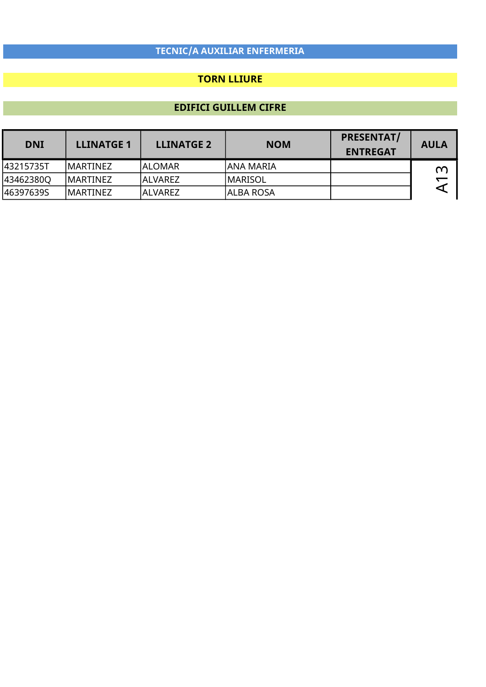## TORN LLIURE

| <b>DNI</b> | <b>LLINATGE 1</b> | <b>LLINATGE 2</b> | <b>NOM</b> | <b>PRESENTAT/</b><br><b>ENTREGAT</b> | <b>AULA</b> |
|------------|-------------------|-------------------|------------|--------------------------------------|-------------|
| l43215735T | IMARTINEZ         | lalomar           | ANA MARIA  |                                      | ന           |
| 43462380Q  | IMARTINEZ         | <b>ALVAREZ</b>    | lmarisol   |                                      |             |
| 46397639S  | IMARTINEZ         | ALVAREZ           | ALBA ROSA  |                                      |             |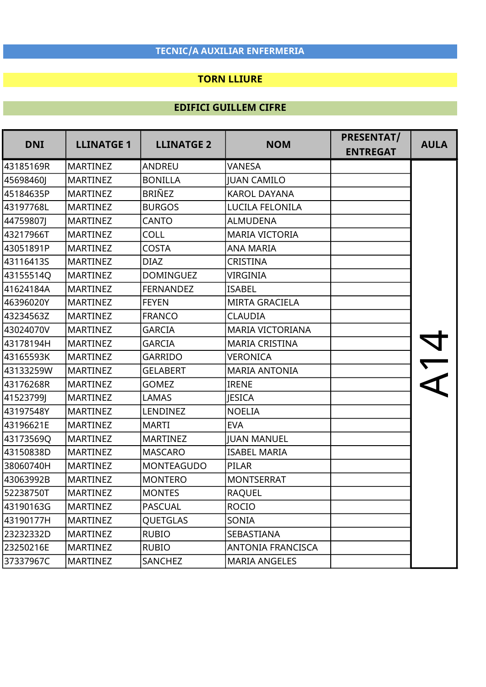## TORN LLIURE

| <b>DNI</b> | <b>LLINATGE 1</b> | <b>LLINATGE 2</b> | <b>NOM</b>               | PRESENTAT/<br><b>ENTREGAT</b> | <b>AULA</b>          |
|------------|-------------------|-------------------|--------------------------|-------------------------------|----------------------|
| 43185169R  | <b>MARTINEZ</b>   | <b>ANDREU</b>     | <b>VANESA</b>            |                               |                      |
| 45698460J  | <b>MARTINEZ</b>   | <b>BONILLA</b>    | <b>IUAN CAMILO</b>       |                               |                      |
| 45184635P  | <b>MARTINEZ</b>   | <b>BRIÑEZ</b>     | <b>KAROL DAYANA</b>      |                               |                      |
| 43197768L  | <b>MARTINEZ</b>   | <b>BURGOS</b>     | LUCILA FELONILA          |                               |                      |
| 44759807J  | <b>MARTINEZ</b>   | <b>CANTO</b>      | <b>ALMUDENA</b>          |                               |                      |
| 43217966T  | <b>MARTINEZ</b>   | COLL              | <b>MARIA VICTORIA</b>    |                               |                      |
| 43051891P  | <b>MARTINEZ</b>   | <b>COSTA</b>      | <b>ANA MARIA</b>         |                               |                      |
| 43116413S  | <b>MARTINEZ</b>   | <b>DIAZ</b>       | <b>CRISTINA</b>          |                               |                      |
| 43155514Q  | <b>MARTINEZ</b>   | <b>DOMINGUEZ</b>  | <b>VIRGINIA</b>          |                               |                      |
| 41624184A  | <b>MARTINEZ</b>   | <b>FERNANDEZ</b>  | <b>ISABEL</b>            |                               |                      |
| 46396020Y  | <b>MARTINEZ</b>   | <b>FEYEN</b>      | <b>MIRTA GRACIELA</b>    |                               |                      |
| 43234563Z  | <b>MARTINEZ</b>   | <b>FRANCO</b>     | <b>CLAUDIA</b>           |                               |                      |
| 43024070V  | <b>MARTINEZ</b>   | <b>GARCIA</b>     | MARIA VICTORIANA         |                               |                      |
| 43178194H  | <b>MARTINEZ</b>   | <b>GARCIA</b>     | <b>MARIA CRISTINA</b>    |                               |                      |
| 43165593K  | <b>MARTINEZ</b>   | <b>GARRIDO</b>    | VERONICA                 |                               | $\frac{v}{\sqrt{2}}$ |
| 43133259W  | <b>MARTINEZ</b>   | <b>GELABERT</b>   | <b>MARIA ANTONIA</b>     |                               |                      |
| 43176268R  | <b>MARTINEZ</b>   | <b>GOMEZ</b>      | <b>IRENE</b>             |                               |                      |
| 41523799J  | <b>MARTINEZ</b>   | <b>LAMAS</b>      | <b>IESICA</b>            |                               |                      |
| 43197548Y  | <b>MARTINEZ</b>   | LENDINEZ          | <b>NOELIA</b>            |                               |                      |
| 43196621E  | <b>MARTINEZ</b>   | <b>MARTI</b>      | <b>EVA</b>               |                               |                      |
| 43173569Q  | <b>MARTINEZ</b>   | <b>MARTINEZ</b>   | <b>JUAN MANUEL</b>       |                               |                      |
| 43150838D  | <b>MARTINEZ</b>   | <b>MASCARO</b>    | <b>ISABEL MARIA</b>      |                               |                      |
| 38060740H  | <b>MARTINEZ</b>   | <b>MONTEAGUDO</b> | <b>PILAR</b>             |                               |                      |
| 43063992B  | <b>MARTINEZ</b>   | <b>MONTERO</b>    | <b>MONTSERRAT</b>        |                               |                      |
| 52238750T  | <b>MARTINEZ</b>   | <b>MONTES</b>     | <b>RAQUEL</b>            |                               |                      |
| 43190163G  | <b>MARTINEZ</b>   | <b>PASCUAL</b>    | <b>ROCIO</b>             |                               |                      |
| 43190177H  | <b>MARTINEZ</b>   | <b>QUETGLAS</b>   | SONIA                    |                               |                      |
| 23232332D  | <b>MARTINEZ</b>   | <b>RUBIO</b>      | SEBASTIANA               |                               |                      |
| 23250216E  | <b>MARTINEZ</b>   | <b>RUBIO</b>      | <b>ANTONIA FRANCISCA</b> |                               |                      |
| 37337967C  | <b>MARTINEZ</b>   | SANCHEZ           | <b>MARIA ANGELES</b>     |                               |                      |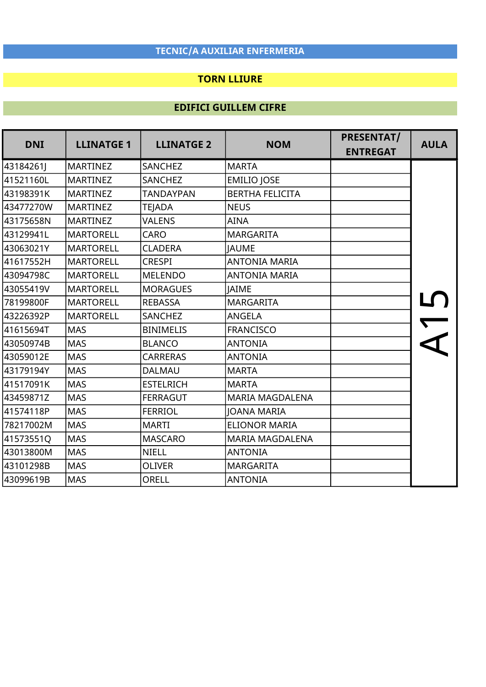## TORN LLIURE

| <b>DNI</b> | <b>LLINATGE 1</b> | <b>LLINATGE 2</b> | <b>NOM</b>             | PRESENTAT/      | <b>AULA</b> |
|------------|-------------------|-------------------|------------------------|-----------------|-------------|
|            |                   |                   |                        | <b>ENTREGAT</b> |             |
| 43184261J  | <b>MARTINEZ</b>   | <b>SANCHEZ</b>    | <b>MARTA</b>           |                 |             |
| 41521160L  | <b>MARTINEZ</b>   | <b>SANCHEZ</b>    | <b>EMILIO JOSE</b>     |                 |             |
| 43198391K  | <b>MARTINEZ</b>   | <b>TANDAYPAN</b>  | <b>BERTHA FELICITA</b> |                 |             |
| 43477270W  | <b>MARTINEZ</b>   | <b>TEJADA</b>     | <b>NEUS</b>            |                 |             |
| 43175658N  | <b>MARTINEZ</b>   | <b>VALENS</b>     | <b>AINA</b>            |                 |             |
| 43129941L  | <b>MARTORELL</b>  | CARO              | <b>MARGARITA</b>       |                 |             |
| 43063021Y  | <b>MARTORELL</b>  | <b>CLADERA</b>    | <b>JAUME</b>           |                 |             |
| 41617552H  | <b>MARTORELL</b>  | <b>CRESPI</b>     | <b>ANTONIA MARIA</b>   |                 |             |
| 43094798C  | <b>MARTORELL</b>  | <b>MELENDO</b>    | <b>ANTONIA MARIA</b>   |                 |             |
| 43055419V  | <b>MARTORELL</b>  | <b>MORAGUES</b>   | <b>JAIME</b>           |                 |             |
| 78199800F  | <b>MARTORELL</b>  | <b>REBASSA</b>    | <b>MARGARITA</b>       |                 |             |
| 43226392P  | <b>MARTORELL</b>  | <b>SANCHEZ</b>    | ANGELA                 |                 |             |
| 41615694T  | <b>MAS</b>        | <b>BINIMELIS</b>  | <b>FRANCISCO</b>       |                 |             |
| 43050974B  | <b>MAS</b>        | <b>BLANCO</b>     | <b>ANTONIA</b>         |                 |             |
| 43059012E  | <b>MAS</b>        | <b>CARRERAS</b>   | <b>ANTONIA</b>         |                 |             |
| 43179194Y  | <b>MAS</b>        | <b>DALMAU</b>     | <b>MARTA</b>           |                 |             |
| 41517091K  | <b>MAS</b>        | <b>ESTELRICH</b>  | <b>MARTA</b>           |                 |             |
| 43459871Z  | <b>MAS</b>        | <b>FERRAGUT</b>   | <b>MARIA MAGDALENA</b> |                 |             |
| 41574118P  | <b>MAS</b>        | <b>FERRIOL</b>    | <b>JOANA MARIA</b>     |                 |             |
| 78217002M  | <b>MAS</b>        | <b>MARTI</b>      | <b>ELIONOR MARIA</b>   |                 |             |
| 41573551Q  | <b>MAS</b>        | <b>MASCARO</b>    | <b>MARIA MAGDALENA</b> |                 |             |
| 43013800M  | <b>MAS</b>        | <b>NIELL</b>      | <b>ANTONIA</b>         |                 |             |
| 43101298B  | <b>MAS</b>        | <b>OLIVER</b>     | <b>MARGARITA</b>       |                 |             |
| 43099619B  | <b>MAS</b>        | <b>ORELL</b>      | <b>ANTONIA</b>         |                 |             |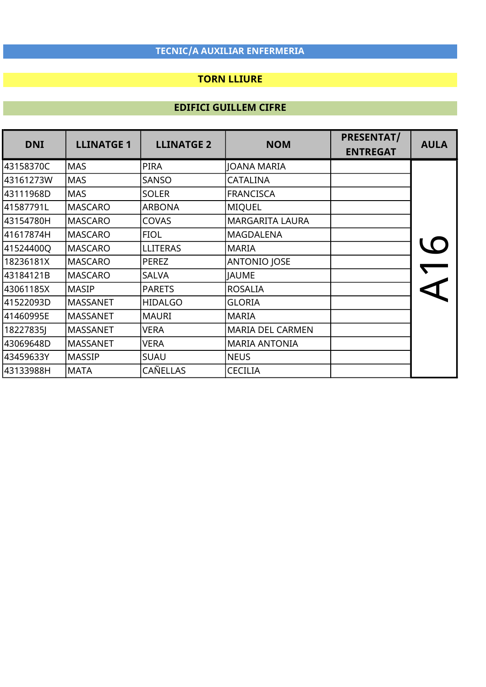### TORN LLIURE

| <b>DNI</b> | <b>LLINATGE 1</b> | <b>LLINATGE 2</b> | <b>NOM</b>              | <b>PRESENTAT/</b><br><b>ENTREGAT</b> | <b>AULA</b> |
|------------|-------------------|-------------------|-------------------------|--------------------------------------|-------------|
| 43158370C  | <b>MAS</b>        | <b>PIRA</b>       | <b>JOANA MARIA</b>      |                                      |             |
| 43161273W  | <b>MAS</b>        | <b>SANSO</b>      | <b>CATALINA</b>         |                                      |             |
| 43111968D  | <b>MAS</b>        | <b>SOLER</b>      | <b>FRANCISCA</b>        |                                      |             |
| 41587791L  | <b>MASCARO</b>    | <b>ARBONA</b>     | <b>MIQUEL</b>           |                                      |             |
| 43154780H  | MASCARO           | COVAS             | <b>MARGARITA LAURA</b>  |                                      |             |
| 41617874H  | <b>MASCARO</b>    | <b>FIOL</b>       | <b>MAGDALENA</b>        |                                      |             |
| 41524400Q  | <b>MASCARO</b>    | <b>LLITERAS</b>   | <b>MARIA</b>            |                                      |             |
| 18236181X  | <b>MASCARO</b>    | <b>PEREZ</b>      | <b>ANTONIO JOSE</b>     |                                      |             |
| 43184121B  | <b>MASCARO</b>    | <b>SALVA</b>      | <b>JAUME</b>            |                                      |             |
| 43061185X  | <b>MASIP</b>      | <b>PARETS</b>     | <b>ROSALIA</b>          |                                      |             |
| 41522093D  | MASSANET          | <b>HIDALGO</b>    | <b>GLORIA</b>           |                                      |             |
| 41460995E  | <b>MASSANET</b>   | <b>MAURI</b>      | <b>MARIA</b>            |                                      |             |
| 182278351  | <b>MASSANET</b>   | VERA              | <b>MARIA DEL CARMEN</b> |                                      |             |
| 43069648D  | <b>MASSANET</b>   | <b>VERA</b>       | <b>MARIA ANTONIA</b>    |                                      |             |
| 43459633Y  | <b>MASSIP</b>     | SUAU              | <b>NEUS</b>             |                                      |             |
| 43133988H  | <b>MATA</b>       | CAÑELLAS          | <b>CECILIA</b>          |                                      |             |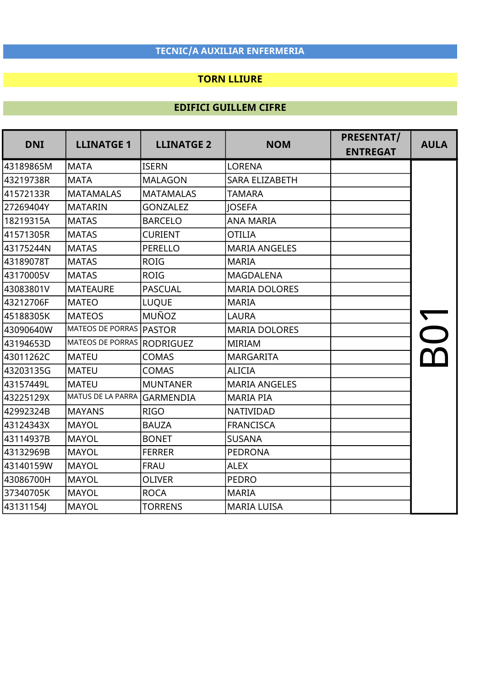## TORN LLIURE

| <b>DNI</b> | <b>LLINATGE 1</b>                | <b>LLINATGE 2</b> | <b>NOM</b>           | PRESENTAT/<br><b>ENTREGAT</b> | <b>AULA</b> |
|------------|----------------------------------|-------------------|----------------------|-------------------------------|-------------|
|            |                                  |                   |                      |                               |             |
| 43189865M  | MATA                             | <b>ISERN</b>      | <b>LORENA</b>        |                               |             |
| 43219738R  | <b>MATA</b>                      | <b>MALAGON</b>    | SARA ELIZABETH       |                               |             |
| 41572133R  | <b>MATAMALAS</b>                 | <b>MATAMALAS</b>  | <b>TAMARA</b>        |                               |             |
| 27269404Y  | MATARIN                          | <b>GONZALEZ</b>   | <b>JOSEFA</b>        |                               |             |
| 18219315A  | <b>MATAS</b>                     | <b>BARCELO</b>    | <b>ANA MARIA</b>     |                               |             |
| 41571305R  | <b>MATAS</b>                     | <b>CURIENT</b>    | <b>OTILIA</b>        |                               |             |
| 43175244N  | <b>MATAS</b>                     | PERELLO           | <b>MARIA ANGELES</b> |                               |             |
| 43189078T  | <b>MATAS</b>                     | <b>ROIG</b>       | <b>MARIA</b>         |                               |             |
| 43170005V  | <b>MATAS</b>                     | <b>ROIG</b>       | <b>MAGDALENA</b>     |                               |             |
| 43083801V  | <b>MATEAURE</b>                  | <b>PASCUAL</b>    | <b>MARIA DOLORES</b> |                               |             |
| 43212706F  | <b>MATEO</b>                     | <b>LUQUE</b>      | <b>MARIA</b>         |                               |             |
| 45188305K  | <b>MATEOS</b>                    | <b>MUÑOZ</b>      | <b>LAURA</b>         |                               |             |
| 43090640W  | <b>MATEOS DE PORRAS   PASTOR</b> |                   | <b>MARIA DOLORES</b> |                               |             |
| 43194653D  | <b>MATEOS DE PORRAS</b>          | RODRIGUEZ         | <b>MIRIAM</b>        |                               |             |
| 43011262C  | <b>MATEU</b>                     | <b>COMAS</b>      | <b>MARGARITA</b>     |                               |             |
| 43203135G  | MATEU                            | <b>COMAS</b>      | <b>ALICIA</b>        |                               |             |
| 43157449L  | <b>MATEU</b>                     | <b>MUNTANER</b>   | <b>MARIA ANGELES</b> |                               |             |
| 43225129X  | <b>MATUS DE LA PARRA</b>         | <b>GARMENDIA</b>  | <b>MARIA PIA</b>     |                               |             |
| 42992324B  | <b>MAYANS</b>                    | <b>RIGO</b>       | <b>NATIVIDAD</b>     |                               |             |
| 43124343X  | <b>MAYOL</b>                     | <b>BAUZA</b>      | <b>FRANCISCA</b>     |                               |             |
| 43114937B  | <b>MAYOL</b>                     | <b>BONET</b>      | <b>SUSANA</b>        |                               |             |
| 43132969B  | MAYOL                            | <b>FERRER</b>     | <b>PEDRONA</b>       |                               |             |
| 43140159W  | MAYOL                            | <b>FRAU</b>       | <b>ALEX</b>          |                               |             |
| 43086700H  | <b>MAYOL</b>                     | <b>OLIVER</b>     | <b>PEDRO</b>         |                               |             |
| 37340705K  | MAYOL                            | <b>ROCA</b>       | <b>MARIA</b>         |                               |             |
| 43131154J  | <b>MAYOL</b>                     | <b>TORRENS</b>    | <b>MARIA LUISA</b>   |                               |             |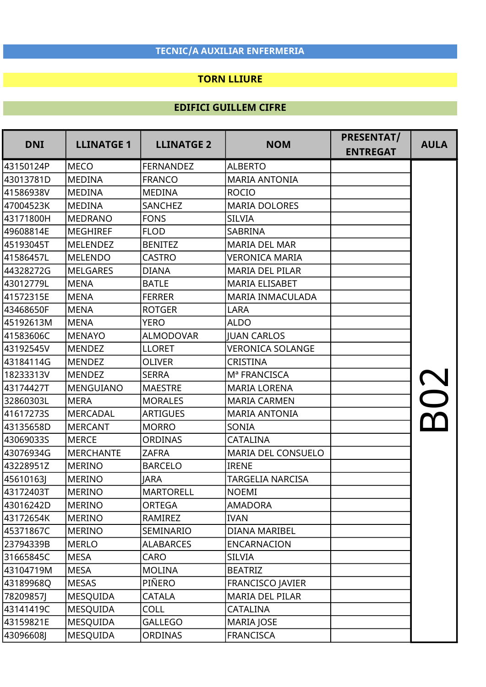### TORN LLIURE

| <b>DNI</b> | <b>LLINATGE 1</b> | <b>LLINATGE 2</b> | <b>NOM</b>                | <b>PRESENTAT/</b><br><b>ENTREGAT</b> | <b>AULA</b> |
|------------|-------------------|-------------------|---------------------------|--------------------------------------|-------------|
| 43150124P  | <b>MECO</b>       | <b>FERNANDEZ</b>  | <b>ALBERTO</b>            |                                      |             |
| 43013781D  | <b>MEDINA</b>     | <b>FRANCO</b>     | <b>MARIA ANTONIA</b>      |                                      |             |
| 41586938V  | <b>MEDINA</b>     | <b>MEDINA</b>     | <b>ROCIO</b>              |                                      |             |
| 47004523K  | <b>MEDINA</b>     | <b>SANCHEZ</b>    | <b>MARIA DOLORES</b>      |                                      |             |
| 43171800H  | <b>MEDRANO</b>    | <b>FONS</b>       | <b>SILVIA</b>             |                                      |             |
| 49608814E  | <b>MEGHIREF</b>   | <b>FLOD</b>       | <b>SABRINA</b>            |                                      |             |
| 45193045T  | <b>MELENDEZ</b>   | <b>BENITEZ</b>    | <b>MARIA DEL MAR</b>      |                                      |             |
| 41586457L  | <b>MELENDO</b>    | <b>CASTRO</b>     | <b>VERONICA MARIA</b>     |                                      |             |
| 44328272G  | <b>MELGARES</b>   | <b>DIANA</b>      | <b>MARIA DEL PILAR</b>    |                                      |             |
| 43012779L  | <b>MENA</b>       | <b>BATLE</b>      | <b>MARIA ELISABET</b>     |                                      |             |
| 41572315E  | <b>MENA</b>       | <b>FERRER</b>     | <b>MARIA INMACULADA</b>   |                                      |             |
| 43468650F  | <b>MENA</b>       | <b>ROTGER</b>     | <b>LARA</b>               |                                      |             |
| 45192613M  | <b>MENA</b>       | <b>YERO</b>       | <b>ALDO</b>               |                                      |             |
| 41583606C  | <b>MENAYO</b>     | <b>ALMODOVAR</b>  | <b>JUAN CARLOS</b>        |                                      |             |
| 43192545V  | <b>MENDEZ</b>     | <b>LLORET</b>     | <b>VERONICA SOLANGE</b>   |                                      |             |
| 43184114G  | <b>MENDEZ</b>     | <b>OLIVER</b>     | <b>CRISTINA</b>           |                                      |             |
| 18233313V  | <b>MENDEZ</b>     | <b>SERRA</b>      | M <sup>ª</sup> FRANCISCA  |                                      |             |
| 43174427T  | <b>MENGUIANO</b>  | <b>MAESTRE</b>    | <b>MARIA LORENA</b>       |                                      |             |
| 32860303L  | <b>MERA</b>       | <b>MORALES</b>    | <b>MARIA CARMEN</b>       |                                      |             |
| 41617273S  | <b>MERCADAL</b>   | <b>ARTIGUES</b>   | <b>MARIA ANTONIA</b>      |                                      |             |
| 43135658D  | <b>MERCANT</b>    | <b>MORRO</b>      | SONIA                     |                                      |             |
| 43069033S  | <b>MERCE</b>      | <b>ORDINAS</b>    | <b>CATALINA</b>           |                                      |             |
| 43076934G  | <b>MERCHANTE</b>  | <b>ZAFRA</b>      | <b>MARIA DEL CONSUELO</b> |                                      |             |
| 43228951Z  | <b>MERINO</b>     | <b>BARCELO</b>    | <b>IRENE</b>              |                                      |             |
| 45610163J  | <b>MERINO</b>     | <b>JARA</b>       | <b>TARGELIA NARCISA</b>   |                                      |             |
| 43172403T  | <b>MERINO</b>     | <b>MARTORELL</b>  | <b>NOEMI</b>              |                                      |             |
| 43016242D  | <b>MERINO</b>     | <b>ORTEGA</b>     | <b>AMADORA</b>            |                                      |             |
| 43172654K  | <b>MERINO</b>     | RAMIREZ           | <b>IVAN</b>               |                                      |             |
| 45371867C  | <b>MERINO</b>     | SEMINARIO         | DIANA MARIBEL             |                                      |             |
| 23794339B  | <b>MERLO</b>      | <b>ALABARCES</b>  | <b>ENCARNACION</b>        |                                      |             |
| 31665845C  | <b>MESA</b>       | CARO              | <b>SILVIA</b>             |                                      |             |
| 43104719M  | <b>MESA</b>       | <b>MOLINA</b>     | <b>BEATRIZ</b>            |                                      |             |
| 43189968Q  | <b>MESAS</b>      | PIÑERO            | <b>FRANCISCO JAVIER</b>   |                                      |             |
| 78209857J  | <b>MESQUIDA</b>   | <b>CATALA</b>     | <b>MARIA DEL PILAR</b>    |                                      |             |
| 43141419C  | <b>MESQUIDA</b>   | <b>COLL</b>       | CATALINA                  |                                      |             |
| 43159821E  | <b>MESQUIDA</b>   | <b>GALLEGO</b>    | <b>MARIA JOSE</b>         |                                      |             |
| 43096608J  | <b>MESQUIDA</b>   | <b>ORDINAS</b>    | <b>FRANCISCA</b>          |                                      |             |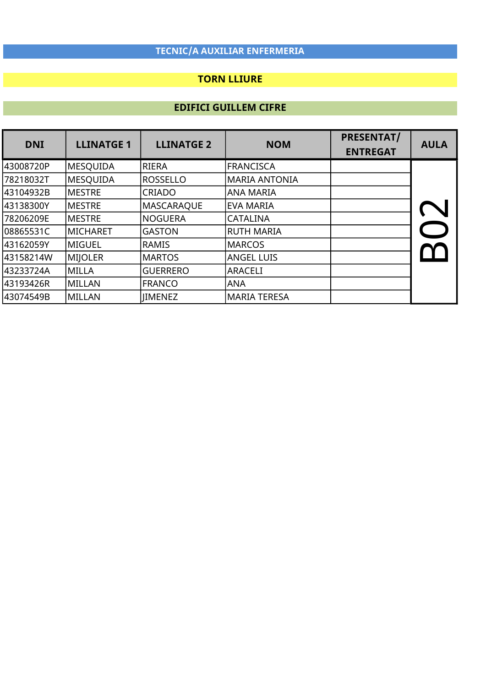## TORN LLIURE

| <b>DNI</b> | <b>LLINATGE 1</b> | <b>LLINATGE 2</b> | <b>NOM</b>          | <b>PRESENTAT/</b><br><b>ENTREGAT</b> | <b>AULA</b> |
|------------|-------------------|-------------------|---------------------|--------------------------------------|-------------|
| 43008720P  | <b>MESQUIDA</b>   | RIERA             | <b>FRANCISCA</b>    |                                      |             |
| 78218032T  | MESOUIDA          | <b>ROSSELLO</b>   | lmaria antonia      |                                      |             |
| l43104932B | <b>MESTRE</b>     | CRIADO            | ANA MARIA           |                                      |             |
| 43138300Y  | <b>IMESTRE</b>    | <b>MASCARAQUE</b> | <b>EVA MARIA</b>    |                                      |             |
| 78206209E  | <b>IMESTRE</b>    | NOGUERA           | <b>CATALINA</b>     |                                      |             |
| 08865531C  | MICHARET          | <b>GASTON</b>     | <b>RUTH MARIA</b>   |                                      |             |
| l43162059Y | lmiguel           | RAMIS             | <b>MARCOS</b>       |                                      |             |
| 43158214W  | MIJOLER           | <b>MARTOS</b>     | <b>ANGEL LUIS</b>   |                                      |             |
| l43233724A | lmilla            | <b>GUERRERO</b>   | <b>ARACELI</b>      |                                      |             |
| l43193426R | MILLAN            | <b>FRANCO</b>     | <b>ANA</b>          |                                      |             |
| 43074549B  | MILLAN            | <b>IIMENEZ</b>    | <b>MARIA TERESA</b> |                                      |             |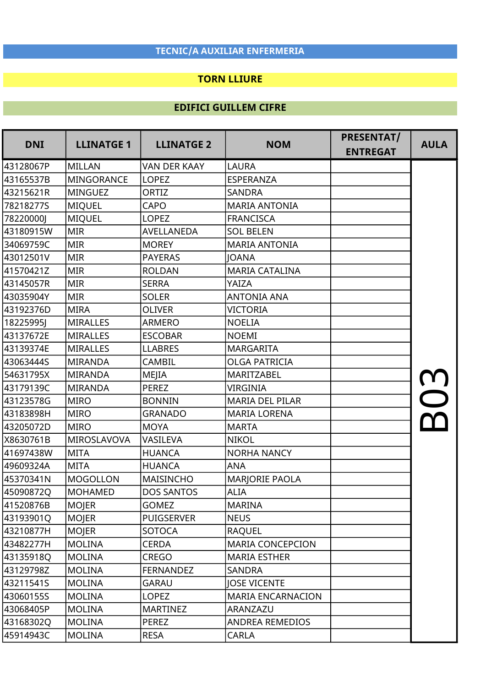#### TORN LLIURE

| <b>DNI</b> | <b>LLINATGE 1</b> | <b>LLINATGE 2</b>   | <b>NOM</b>               | <b>PRESENTAT/</b><br><b>ENTREGAT</b> | <b>AULA</b> |
|------------|-------------------|---------------------|--------------------------|--------------------------------------|-------------|
| 43128067P  | <b>MILLAN</b>     | <b>VAN DER KAAY</b> | <b>LAURA</b>             |                                      |             |
| 43165537B  | <b>MINGORANCE</b> | <b>LOPEZ</b>        | ESPERANZA                |                                      |             |
| 43215621R  | <b>MINGUEZ</b>    | ORTIZ               | <b>SANDRA</b>            |                                      |             |
| 78218277S  | <b>MIQUEL</b>     | <b>CAPO</b>         | <b>MARIA ANTONIA</b>     |                                      |             |
| 78220000J  | <b>MIQUEL</b>     | <b>LOPEZ</b>        | <b>FRANCISCA</b>         |                                      |             |
| 43180915W  | <b>MIR</b>        | AVELLANEDA          | <b>SOL BELEN</b>         |                                      |             |
| 34069759C  | <b>MIR</b>        | <b>MOREY</b>        | <b>MARIA ANTONIA</b>     |                                      |             |
| 43012501V  | <b>MIR</b>        | <b>PAYERAS</b>      | <b>JOANA</b>             |                                      |             |
| 41570421Z  | <b>MIR</b>        | <b>ROLDAN</b>       | <b>MARIA CATALINA</b>    |                                      |             |
| 43145057R  | <b>MIR</b>        | <b>SERRA</b>        | YAIZA                    |                                      |             |
| 43035904Y  | <b>MIR</b>        | <b>SOLER</b>        | <b>ANTONIA ANA</b>       |                                      |             |
| 43192376D  | <b>MIRA</b>       | <b>OLIVER</b>       | <b>VICTORIA</b>          |                                      |             |
| 18225995J  | <b>MIRALLES</b>   | <b>ARMERO</b>       | <b>NOELIA</b>            |                                      |             |
| 43137672E  | <b>MIRALLES</b>   | <b>ESCOBAR</b>      | <b>NOEMI</b>             |                                      |             |
| 43139374E  | <b>MIRALLES</b>   | <b>LLABRES</b>      | <b>MARGARITA</b>         |                                      |             |
| 43063444S  | <b>MIRANDA</b>    | <b>CAMBIL</b>       | <b>OLGA PATRICIA</b>     |                                      |             |
| 54631795X  | <b>MIRANDA</b>    | MEJIA               | MARITZABEL               |                                      |             |
| 43179139C  | <b>MIRANDA</b>    | <b>PEREZ</b>        | <b>VIRGINIA</b>          |                                      |             |
| 43123578G  | <b>MIRO</b>       | <b>BONNIN</b>       | <b>MARIA DEL PILAR</b>   |                                      |             |
| 43183898H  | <b>MIRO</b>       | <b>GRANADO</b>      | <b>MARIA LORENA</b>      |                                      |             |
| 43205072D  | <b>MIRO</b>       | <b>MOYA</b>         | <b>MARTA</b>             |                                      |             |
| X8630761B  | MIROSLAVOVA       | VASILEVA            | <b>NIKOL</b>             |                                      |             |
| 41697438W  | <b>MITA</b>       | <b>HUANCA</b>       | <b>NORHA NANCY</b>       |                                      |             |
| 49609324A  | <b>MITA</b>       | <b>HUANCA</b>       | <b>ANA</b>               |                                      |             |
| 45370341N  | <b>MOGOLLON</b>   | <b>MAISINCHO</b>    | <b>MARJORIE PAOLA</b>    |                                      |             |
| 45090872Q  | <b>MOHAMED</b>    | <b>DOS SANTOS</b>   | <b>ALIA</b>              |                                      |             |
| 41520876B  | <b>MOJER</b>      | <b>GOMEZ</b>        | <b>MARINA</b>            |                                      |             |
| 43193901Q  | <b>MOJER</b>      | <b>PUIGSERVER</b>   | <b>NEUS</b>              |                                      |             |
| 43210877H  | <b>MOJER</b>      | <b>SOTOCA</b>       | <b>RAQUEL</b>            |                                      |             |
| 43482277H  | <b>MOLINA</b>     | <b>CERDA</b>        | <b>MARIA CONCEPCION</b>  |                                      |             |
| 43135918Q  | <b>MOLINA</b>     | <b>CREGO</b>        | <b>MARIA ESTHER</b>      |                                      |             |
| 43129798Z  | <b>MOLINA</b>     | <b>FERNANDEZ</b>    | SANDRA                   |                                      |             |
| 43211541S  | <b>MOLINA</b>     | <b>GARAU</b>        | <b>JOSE VICENTE</b>      |                                      |             |
| 43060155S  | <b>MOLINA</b>     | <b>LOPEZ</b>        | <b>MARIA ENCARNACION</b> |                                      |             |
| 43068405P  | <b>MOLINA</b>     | <b>MARTINEZ</b>     | ARANZAZU                 |                                      |             |
| 43168302Q  | <b>MOLINA</b>     | PEREZ               | ANDREA REMEDIOS          |                                      |             |
| 45914943C  | <b>MOLINA</b>     | <b>RESA</b>         | <b>CARLA</b>             |                                      |             |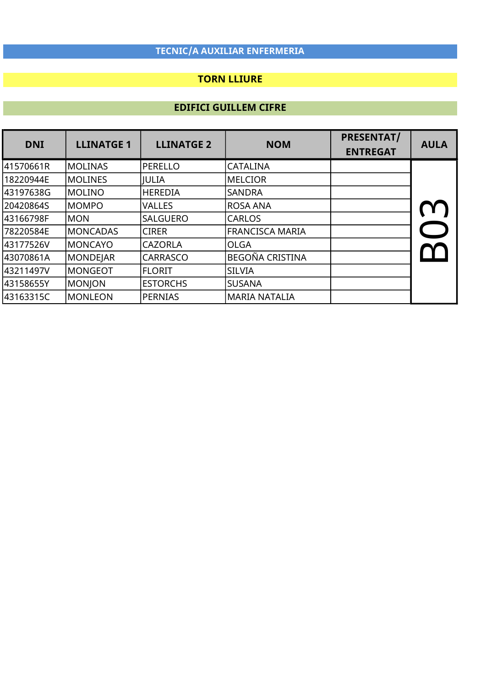## TORN LLIURE

| <b>DNI</b> | <b>LLINATGE 1</b> | <b>LLINATGE 2</b> | <b>NOM</b>           | <b>PRESENTAT/</b><br><b>ENTREGAT</b> | <b>AULA</b> |
|------------|-------------------|-------------------|----------------------|--------------------------------------|-------------|
| 41570661R  | <b>MOLINAS</b>    | PERELLO           | <b>CATALINA</b>      |                                      |             |
| 18220944E  | <b>MOLINES</b>    | <b>JULIA</b>      | <b>MELCIOR</b>       |                                      |             |
| 43197638G  | MOLINO            | <b>HEREDIA</b>    | <b>SANDRA</b>        |                                      |             |
| 20420864S  | IMOMPO            | <b>VALLES</b>     | IROSA ANA            |                                      |             |
| 43166798F  | IMON              | <b>SALGUERO</b>   | <b>CARLOS</b>        |                                      |             |
| 78220584E  | <b>IMONCADAS</b>  | <b>CIRER</b>      | FRANCISCA MARIA      |                                      |             |
| 43177526V  | IMONCAYO          | <b>CAZORLA</b>    | <b>OLGA</b>          |                                      |             |
| 43070861A  | <b>MONDEJAR</b>   | <b>CARRASCO</b>   | BEGOÑA CRISTINA      |                                      |             |
| 43211497V  | lmongeot          | IFLORIT           | <b>SILVIA</b>        |                                      |             |
| 43158655Y  | <b>MONJON</b>     | <b>ESTORCHS</b>   | <b>SUSANA</b>        |                                      |             |
| l43163315C | lmonleon          | PERNIAS           | <b>MARIA NATALIA</b> |                                      |             |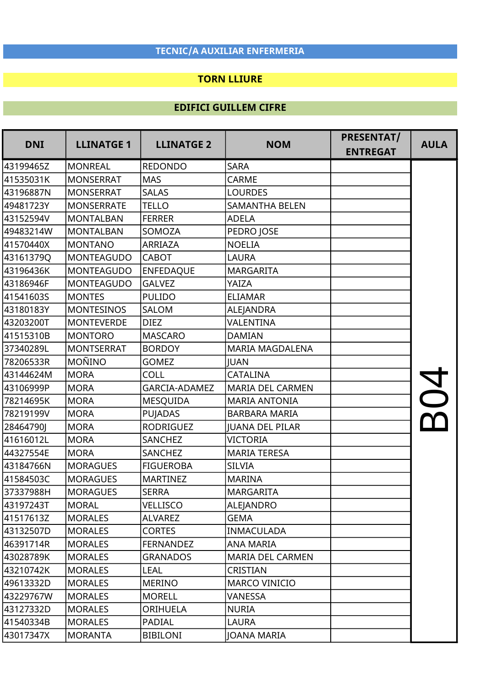#### TORN LLIURE

| <b>DNI</b> | <b>LLINATGE 1</b> | <b>LLINATGE 2</b> | <b>NOM</b>              | PRESENTAT/<br><b>ENTREGAT</b> | <b>AULA</b> |
|------------|-------------------|-------------------|-------------------------|-------------------------------|-------------|
| 43199465Z  | <b>MONREAL</b>    | <b>REDONDO</b>    | <b>SARA</b>             |                               |             |
| 41535031K  | <b>MONSERRAT</b>  | <b>MAS</b>        | <b>CARME</b>            |                               |             |
| 43196887N  | <b>MONSERRAT</b>  | <b>SALAS</b>      | <b>LOURDES</b>          |                               |             |
| 49481723Y  | <b>MONSERRATE</b> | <b>TELLO</b>      | <b>SAMANTHA BELEN</b>   |                               |             |
| 43152594V  | <b>MONTALBAN</b>  | <b>FERRER</b>     | <b>ADELA</b>            |                               |             |
| 49483214W  | <b>MONTALBAN</b>  | SOMOZA            | PEDRO JOSE              |                               |             |
| 41570440X  | <b>MONTANO</b>    | ARRIAZA           | <b>NOELIA</b>           |                               |             |
| 43161379Q  | <b>MONTEAGUDO</b> | <b>CABOT</b>      | LAURA                   |                               |             |
| 43196436K  | <b>MONTEAGUDO</b> | <b>ENFEDAQUE</b>  | <b>MARGARITA</b>        |                               |             |
| 43186946F  | <b>MONTEAGUDO</b> | <b>GALVEZ</b>     | YAIZA                   |                               |             |
| 41541603S  | <b>MONTES</b>     | <b>PULIDO</b>     | <b>ELIAMAR</b>          |                               |             |
| 43180183Y  | <b>MONTESINOS</b> | <b>SALOM</b>      | ALEJANDRA               |                               |             |
| 43203200T  | <b>MONTEVERDE</b> | <b>DIEZ</b>       | VALENTINA               |                               |             |
| 41515310B  | <b>MONTORO</b>    | <b>MASCARO</b>    | <b>DAMIAN</b>           |                               |             |
| 37340289L  | <b>MONTSERRAT</b> | <b>BORDOY</b>     | <b>MARIA MAGDALENA</b>  |                               |             |
| 78206533R  | <b>MOÑINO</b>     | <b>GOMEZ</b>      | <b>JUAN</b>             |                               |             |
| 43144624M  | <b>MORA</b>       | <b>COLL</b>       | <b>CATALINA</b>         |                               |             |
| 43106999P  | <b>MORA</b>       | GARCIA-ADAMEZ     | <b>MARIA DEL CARMEN</b> |                               |             |
| 78214695K  | <b>MORA</b>       | <b>MESQUIDA</b>   | <b>MARIA ANTONIA</b>    |                               |             |
| 78219199V  | <b>MORA</b>       | <b>PUJADAS</b>    | <b>BARBARA MARIA</b>    |                               |             |
| 28464790J  | <b>MORA</b>       | <b>RODRIGUEZ</b>  | <b>JUANA DEL PILAR</b>  |                               |             |
| 41616012L  | <b>MORA</b>       | SANCHEZ           | <b>VICTORIA</b>         |                               |             |
| 44327554E  | <b>MORA</b>       | SANCHEZ           | <b>MARIA TERESA</b>     |                               |             |
| 43184766N  | <b>MORAGUES</b>   | <b>FIGUEROBA</b>  | <b>SILVIA</b>           |                               |             |
| 41584503C  | <b>MORAGUES</b>   | <b>MARTINEZ</b>   | <b>MARINA</b>           |                               |             |
| 37337988H  | <b>MORAGUES</b>   | <b>SERRA</b>      | <b>MARGARITA</b>        |                               |             |
| 43197243T  | <b>MORAL</b>      | <b>VELLISCO</b>   | <b>ALEJANDRO</b>        |                               |             |
| 41517613Z  | <b>MORALES</b>    | <b>ALVAREZ</b>    | <b>GEMA</b>             |                               |             |
| 43132507D  | <b>MORALES</b>    | <b>CORTES</b>     | <b>INMACULADA</b>       |                               |             |
| 46391714R  | <b>MORALES</b>    | <b>FERNANDEZ</b>  | <b>ANA MARIA</b>        |                               |             |
| 43028789K  | <b>MORALES</b>    | <b>GRANADOS</b>   | MARIA DEL CARMEN        |                               |             |
| 43210742K  | <b>MORALES</b>    | <b>LEAL</b>       | <b>CRISTIAN</b>         |                               |             |
| 49613332D  | <b>MORALES</b>    | <b>MERINO</b>     | <b>MARCO VINICIO</b>    |                               |             |
| 43229767W  | <b>MORALES</b>    | <b>MORELL</b>     | VANESSA                 |                               |             |
| 43127332D  | <b>MORALES</b>    | ORIHUELA          | <b>NURIA</b>            |                               |             |
| 41540334B  | <b>MORALES</b>    | PADIAL            | <b>LAURA</b>            |                               |             |
| 43017347X  | <b>MORANTA</b>    | <b>BIBILONI</b>   | <b>JOANA MARIA</b>      |                               |             |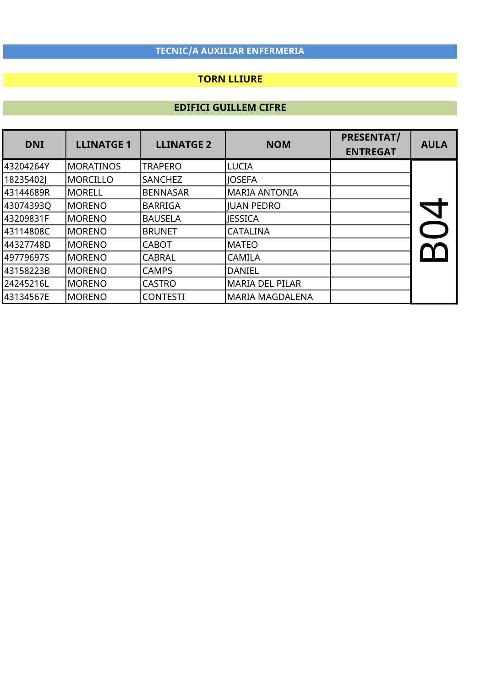## TORN LLIURE

| <b>DNI</b> | <b>LLINATGE 1</b> | <b>LLINATGE 2</b> | <b>NOM</b>             | <b>PRESENTAT/</b><br><b>ENTREGAT</b> | <b>AULA</b> |
|------------|-------------------|-------------------|------------------------|--------------------------------------|-------------|
| l43204264Y | IMORATINOS        | <b>TRAPERO</b>    | <b>LUCIA</b>           |                                      |             |
| 18235402J  | lmorcillo         | <b>SANCHEZ</b>    | <b>IOSEFA</b>          |                                      |             |
| 43144689R  | MORELL            | <b>BENNASAR</b>   | <b>MARIA ANTONIA</b>   |                                      |             |
| 430743930  | lmoreno           | <b>BARRIGA</b>    | <b>IUAN PEDRO</b>      |                                      |             |
| l43209831F | MORENO            | <b>BAUSELA</b>    | <b>IESSICA</b>         |                                      |             |
| l43114808C | IMORENO           | <b>BRUNET</b>     | <b>CATALINA</b>        |                                      |             |
| 44327748D  | lmoreno           | <b>CABOT</b>      | <b>MATEO</b>           |                                      |             |
| 49779697S  | MORENO            | <b>CABRAL</b>     | <b>CAMILA</b>          |                                      |             |
| 43158223B  | MORENO            | <b>CAMPS</b>      | DANIEL                 |                                      |             |
| 24245216L  | MORENO            | <b>CASTRO</b>     | <b>MARIA DEL PILAR</b> |                                      |             |
| 43134567E  | MORENO            | <b>CONTESTI</b>   | <b>MARIA MAGDALENA</b> |                                      |             |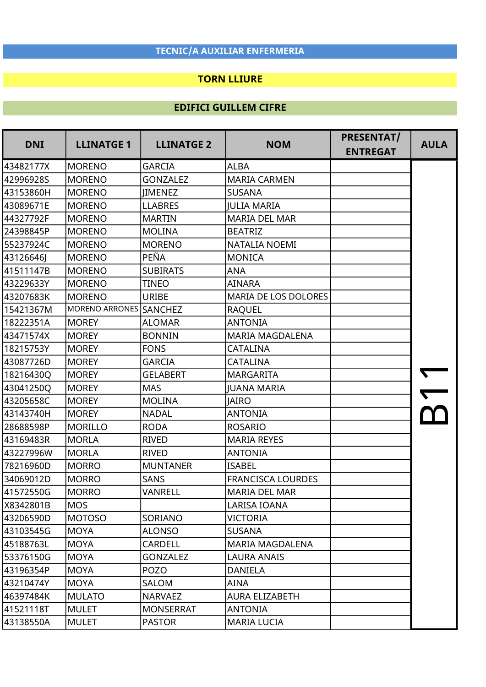### TORN LLIURE

| <b>DNI</b> | <b>LLINATGE 1</b>      | <b>LLINATGE 2</b> | <b>NOM</b>               | <b>PRESENTAT/</b><br><b>ENTREGAT</b> | <b>AULA</b> |
|------------|------------------------|-------------------|--------------------------|--------------------------------------|-------------|
| 43482177X  | <b>MORENO</b>          | <b>GARCIA</b>     | <b>ALBA</b>              |                                      |             |
| 42996928S  | <b>MORENO</b>          | <b>GONZALEZ</b>   | <b>MARIA CARMEN</b>      |                                      |             |
| 43153860H  | <b>MORENO</b>          | <b>IIMENEZ</b>    | <b>SUSANA</b>            |                                      |             |
| 43089671E  | <b>MORENO</b>          | <b>LLABRES</b>    | <b>JULIA MARIA</b>       |                                      |             |
| 44327792F  | <b>MORENO</b>          | <b>MARTIN</b>     | <b>MARIA DEL MAR</b>     |                                      |             |
| 24398845P  | <b>MORENO</b>          | <b>MOLINA</b>     | <b>BEATRIZ</b>           |                                      |             |
| 55237924C  | <b>MORENO</b>          | <b>MORENO</b>     | NATALIA NOEMI            |                                      |             |
| 43126646J  | <b>MORENO</b>          | PEÑA              | <b>MONICA</b>            |                                      |             |
| 41511147B  | <b>MORENO</b>          | <b>SUBIRATS</b>   | <b>ANA</b>               |                                      |             |
| 43229633Y  | <b>MORENO</b>          | TINEO             | <b>AINARA</b>            |                                      |             |
| 43207683K  | <b>MORENO</b>          | <b>URIBE</b>      | MARIA DE LOS DOLORES     |                                      |             |
| 15421367M  | MORENO ARRONES SANCHEZ |                   | <b>RAQUEL</b>            |                                      |             |
| 18222351A  | <b>MOREY</b>           | <b>ALOMAR</b>     | <b>ANTONIA</b>           |                                      |             |
| 43471574X  | <b>MOREY</b>           | <b>BONNIN</b>     | <b>MARIA MAGDALENA</b>   |                                      |             |
| 18215753Y  | <b>MOREY</b>           | <b>FONS</b>       | <b>CATALINA</b>          |                                      |             |
| 43087726D  | <b>MOREY</b>           | <b>GARCIA</b>     | <b>CATALINA</b>          |                                      |             |
| 18216430Q  | <b>MOREY</b>           | <b>GELABERT</b>   | <b>MARGARITA</b>         |                                      |             |
| 43041250Q  | <b>MOREY</b>           | <b>MAS</b>        | <b>IUANA MARIA</b>       |                                      |             |
| 43205658C  | <b>MOREY</b>           | <b>MOLINA</b>     | <b>JAIRO</b>             |                                      |             |
| 43143740H  | <b>MOREY</b>           | <b>NADAL</b>      | <b>ANTONIA</b>           |                                      |             |
| 28688598P  | <b>MORILLO</b>         | <b>RODA</b>       | <b>ROSARIO</b>           |                                      |             |
| 43169483R  | <b>MORLA</b>           | <b>RIVED</b>      | <b>MARIA REYES</b>       |                                      |             |
| 43227996W  | <b>MORLA</b>           | <b>RIVED</b>      | <b>ANTONIA</b>           |                                      |             |
| 78216960D  | <b>MORRO</b>           | <b>MUNTANER</b>   | <b>ISABEL</b>            |                                      |             |
| 34069012D  | <b>MORRO</b>           | <b>SANS</b>       | <b>FRANCISCA LOURDES</b> |                                      |             |
| 41572550G  | <b>MORRO</b>           | VANRELL           | <b>MARIA DEL MAR</b>     |                                      |             |
| X8342801B  | <b>MOS</b>             |                   | LARISA IOANA             |                                      |             |
| 43206590D  | <b>MOTOSO</b>          | SORIANO           | VICTORIA                 |                                      |             |
| 43103545G  | <b>MOYA</b>            | <b>ALONSO</b>     | <b>SUSANA</b>            |                                      |             |
| 45188763L  | <b>MOYA</b>            | <b>CARDELL</b>    | <b>MARIA MAGDALENA</b>   |                                      |             |
| 53376150G  | <b>MOYA</b>            | <b>GONZALEZ</b>   | <b>LAURA ANAIS</b>       |                                      |             |
| 43196354P  | <b>MOYA</b>            | <b>POZO</b>       | <b>DANIELA</b>           |                                      |             |
| 43210474Y  | <b>MOYA</b>            | SALOM             | AINA                     |                                      |             |
| 46397484K  | <b>MULATO</b>          | <b>NARVAEZ</b>    | <b>AURA ELIZABETH</b>    |                                      |             |
| 41521118T  | <b>MULET</b>           | <b>MONSERRAT</b>  | <b>ANTONIA</b>           |                                      |             |
| 43138550A  | <b>MULET</b>           | <b>PASTOR</b>     | <b>MARIA LUCIA</b>       |                                      |             |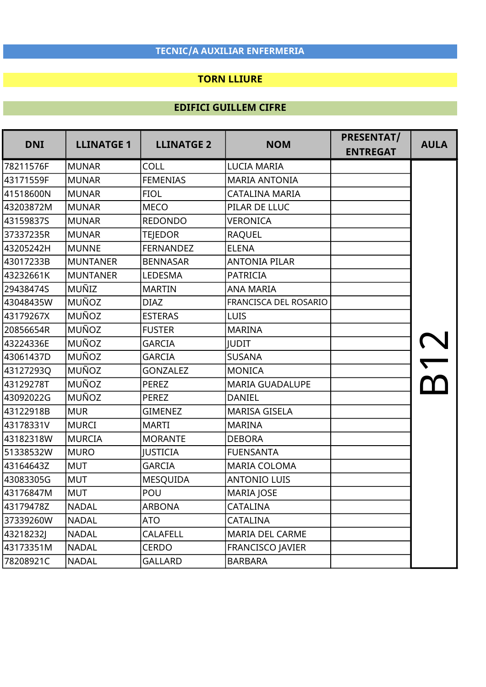### TORN LLIURE

| <b>DNI</b> | <b>LLINATGE 1</b> | <b>LLINATGE 2</b> | <b>NOM</b>              | PRESENTAT/<br><b>ENTREGAT</b> | <b>AULA</b> |
|------------|-------------------|-------------------|-------------------------|-------------------------------|-------------|
| 78211576F  | <b>MUNAR</b>      | COLL              | <b>LUCIA MARIA</b>      |                               |             |
| 43171559F  | <b>MUNAR</b>      | <b>FEMENIAS</b>   | <b>MARIA ANTONIA</b>    |                               |             |
| 41518600N  | <b>MUNAR</b>      | <b>FIOL</b>       | CATALINA MARIA          |                               |             |
| 43203872M  | <b>MUNAR</b>      | <b>MECO</b>       | PILAR DE LLUC           |                               |             |
| 43159837S  | <b>MUNAR</b>      | <b>REDONDO</b>    | <b>VERONICA</b>         |                               |             |
| 37337235R  | <b>MUNAR</b>      | <b>TEJEDOR</b>    | <b>RAQUEL</b>           |                               |             |
| 43205242H  | <b>MUNNE</b>      | <b>FERNANDEZ</b>  | <b>ELENA</b>            |                               |             |
| 43017233B  | <b>MUNTANER</b>   | <b>BENNASAR</b>   | <b>ANTONIA PILAR</b>    |                               |             |
| 43232661K  | <b>MUNTANER</b>   | LEDESMA           | <b>PATRICIA</b>         |                               |             |
| 29438474S  | MUÑIZ             | <b>MARTIN</b>     | <b>ANA MARIA</b>        |                               |             |
| 43048435W  | <b>MUÑOZ</b>      | <b>DIAZ</b>       | FRANCISCA DEL ROSARIO   |                               |             |
| 43179267X  | <b>MUÑOZ</b>      | <b>ESTERAS</b>    | <b>LUIS</b>             |                               |             |
| 20856654R  | <b>MUÑOZ</b>      | <b>FUSTER</b>     | <b>MARINA</b>           |                               |             |
| 43224336E  | <b>MUÑOZ</b>      | <b>GARCIA</b>     | <b>JUDIT</b>            |                               |             |
| 43061437D  | <b>MUÑOZ</b>      | <b>GARCIA</b>     | <b>SUSANA</b>           |                               |             |
| 43127293Q  | MUÑOZ             | <b>GONZALEZ</b>   | <b>MONICA</b>           |                               |             |
| 43129278T  | <b>MUÑOZ</b>      | <b>PEREZ</b>      | <b>MARIA GUADALUPE</b>  |                               |             |
| 43092022G  | <b>MUÑOZ</b>      | <b>PEREZ</b>      | <b>DANIEL</b>           |                               |             |
| 43122918B  | <b>MUR</b>        | <b>GIMENEZ</b>    | <b>MARISA GISELA</b>    |                               |             |
| 43178331V  | <b>MURCI</b>      | <b>MARTI</b>      | <b>MARINA</b>           |                               |             |
| 43182318W  | <b>MURCIA</b>     | <b>MORANTE</b>    | <b>DEBORA</b>           |                               |             |
| 51338532W  | <b>MURO</b>       | <b>JUSTICIA</b>   | <b>FUENSANTA</b>        |                               |             |
| 43164643Z  | <b>MUT</b>        | <b>GARCIA</b>     | <b>MARIA COLOMA</b>     |                               |             |
| 43083305G  | <b>MUT</b>        | <b>MESQUIDA</b>   | <b>ANTONIO LUIS</b>     |                               |             |
| 43176847M  | <b>MUT</b>        | POU               | <b>MARIA JOSE</b>       |                               |             |
| 43179478Z  | <b>NADAL</b>      | <b>ARBONA</b>     | CATALINA                |                               |             |
| 37339260W  | <b>NADAL</b>      | <b>ATO</b>        | CATALINA                |                               |             |
| 43218232J  | <b>NADAL</b>      | <b>CALAFELL</b>   | MARIA DEL CARME         |                               |             |
| 43173351M  | <b>NADAL</b>      | <b>CERDO</b>      | <b>FRANCISCO JAVIER</b> |                               |             |
| 78208921C  | <b>NADAL</b>      | <b>GALLARD</b>    | <b>BARBARA</b>          |                               |             |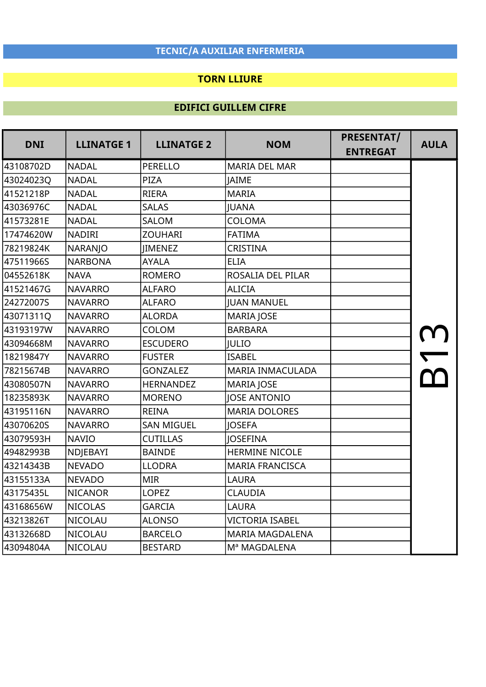## TORN LLIURE

| <b>DNI</b> | <b>LLINATGE 1</b> | <b>LLINATGE 2</b> | <b>NOM</b>             | PRESENTAT/<br><b>ENTREGAT</b> | <b>AULA</b> |
|------------|-------------------|-------------------|------------------------|-------------------------------|-------------|
| 43108702D  | <b>NADAL</b>      | PERELLO           | <b>MARIA DEL MAR</b>   |                               |             |
| 43024023Q  | NADAL             | <b>PIZA</b>       | <b>JAIME</b>           |                               |             |
| 41521218P  | <b>NADAL</b>      | <b>RIERA</b>      | <b>MARIA</b>           |                               |             |
| 43036976C  | <b>NADAL</b>      | <b>SALAS</b>      | <b>JUANA</b>           |                               |             |
| 41573281E  | <b>NADAL</b>      | SALOM             | <b>COLOMA</b>          |                               |             |
| 17474620W  | <b>NADIRI</b>     | <b>ZOUHARI</b>    | <b>FATIMA</b>          |                               |             |
| 78219824K  | NARANJO           | <b>IIMENEZ</b>    | CRISTINA               |                               |             |
| 47511966S  | <b>NARBONA</b>    | <b>AYALA</b>      | <b>ELIA</b>            |                               |             |
| 04552618K  | <b>NAVA</b>       | <b>ROMERO</b>     | ROSALIA DEL PILAR      |                               |             |
| 41521467G  | <b>NAVARRO</b>    | <b>ALFARO</b>     | <b>ALICIA</b>          |                               |             |
| 24272007S  | <b>NAVARRO</b>    | <b>ALFARO</b>     | <b>JUAN MANUEL</b>     |                               |             |
| 43071311Q  | <b>NAVARRO</b>    | <b>ALORDA</b>     | <b>MARIA JOSE</b>      |                               |             |
| 43193197W  | <b>NAVARRO</b>    | <b>COLOM</b>      | <b>BARBARA</b>         |                               |             |
| 43094668M  | <b>NAVARRO</b>    | <b>ESCUDERO</b>   | <b>JULIO</b>           |                               |             |
| 18219847Y  | <b>NAVARRO</b>    | <b>FUSTER</b>     | <b>ISABEL</b>          |                               |             |
| 78215674B  | <b>NAVARRO</b>    | <b>GONZALEZ</b>   | MARIA INMACULADA       |                               |             |
| 43080507N  | <b>NAVARRO</b>    | <b>HERNANDEZ</b>  | <b>MARIA JOSE</b>      |                               |             |
| 18235893K  | <b>NAVARRO</b>    | <b>MORENO</b>     | <b>JOSE ANTONIO</b>    |                               |             |
| 43195116N  | <b>NAVARRO</b>    | <b>REINA</b>      | <b>MARIA DOLORES</b>   |                               |             |
| 43070620S  | <b>NAVARRO</b>    | <b>SAN MIGUEL</b> | <b>JOSEFA</b>          |                               |             |
| 43079593H  | <b>NAVIO</b>      | <b>CUTILLAS</b>   | <b>JOSEFINA</b>        |                               |             |
| 49482993B  | NDJEBAYI          | <b>BAINDE</b>     | <b>HERMINE NICOLE</b>  |                               |             |
| 43214343B  | <b>NEVADO</b>     | <b>LLODRA</b>     | <b>MARIA FRANCISCA</b> |                               |             |
| 43155133A  | <b>NEVADO</b>     | <b>MIR</b>        | <b>LAURA</b>           |                               |             |
| 43175435L  | <b>NICANOR</b>    | <b>LOPEZ</b>      | <b>CLAUDIA</b>         |                               |             |
| 43168656W  | <b>NICOLAS</b>    | <b>GARCIA</b>     | <b>LAURA</b>           |                               |             |
| 43213826T  | NICOLAU           | <b>ALONSO</b>     | <b>VICTORIA ISABEL</b> |                               |             |
| 43132668D  | <b>NICOLAU</b>    | <b>BARCELO</b>    | <b>MARIA MAGDALENA</b> |                               |             |
| 43094804A  | <b>NICOLAU</b>    | <b>BESTARD</b>    | Mª MAGDALENA           |                               |             |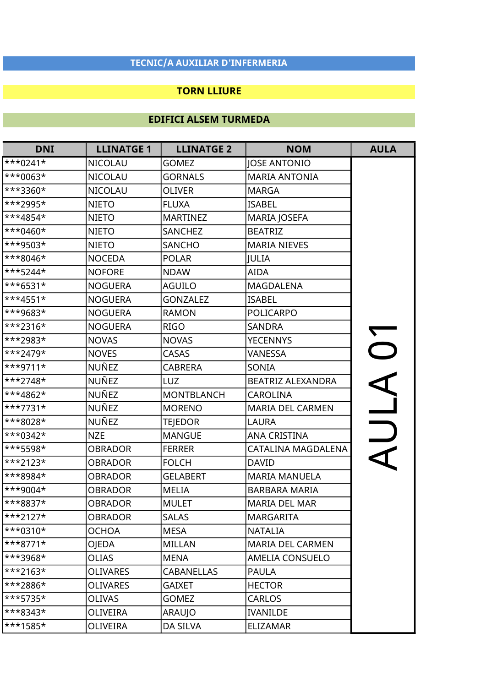#### TORN LLIURE

| <b>DNI</b> | <b>LLINATGE 1</b> | <b>LLINATGE 2</b> | <b>NOM</b>               | <b>AULA</b>              |
|------------|-------------------|-------------------|--------------------------|--------------------------|
| $***0241*$ | <b>NICOLAU</b>    | <b>GOMEZ</b>      | <b>JOSE ANTONIO</b>      |                          |
| ***0063*   | <b>NICOLAU</b>    | <b>GORNALS</b>    | <b>MARIA ANTONIA</b>     |                          |
| ***3360*   | <b>NICOLAU</b>    | <b>OLIVER</b>     | <b>MARGA</b>             |                          |
| ***2995*   | <b>NIETO</b>      | <b>FLUXA</b>      | <b>ISABEL</b>            |                          |
| ***4854*   | <b>NIETO</b>      | <b>MARTINEZ</b>   | <b>MARIA JOSEFA</b>      |                          |
| ***0460*   | <b>NIETO</b>      | <b>SANCHEZ</b>    | <b>BEATRIZ</b>           |                          |
| ***9503*   | <b>NIETO</b>      | <b>SANCHO</b>     | <b>MARIA NIEVES</b>      |                          |
| ***8046*   | <b>NOCEDA</b>     | <b>POLAR</b>      | <b>JULIA</b>             |                          |
| ***5244*   | <b>NOFORE</b>     | <b>NDAW</b>       | <b>AIDA</b>              |                          |
| $***6531*$ | <b>NOGUERA</b>    | <b>AGUILO</b>     | <b>MAGDALENA</b>         |                          |
| $***4551*$ | <b>NOGUERA</b>    | <b>GONZALEZ</b>   | <b>ISABEL</b>            |                          |
| ***9683*   | <b>NOGUERA</b>    | <b>RAMON</b>      | <b>POLICARPO</b>         |                          |
| ***2316*   | <b>NOGUERA</b>    | <b>RIGO</b>       | <b>SANDRA</b>            |                          |
| ***2983*   | <b>NOVAS</b>      | <b>NOVAS</b>      | <b>YECENNYS</b>          | $\overline{\phantom{a}}$ |
| ***2479*   | <b>NOVES</b>      | <b>CASAS</b>      | <b>VANESSA</b>           |                          |
| ***9711*   | NUÑEZ             | <b>CABRERA</b>    | SONIA                    |                          |
| ***2748*   | NUÑEZ             | LUZ               | <b>BEATRIZ ALEXANDRA</b> |                          |
| ***4862*   | <b>NUÑEZ</b>      | <b>MONTBLANCH</b> | <b>CAROLINA</b>          |                          |
| ***7731*   | NUÑEZ             | <b>MORENO</b>     | MARIA DEL CARMEN         |                          |
| ***8028*   | NUÑEZ             | TEJEDOR           | LAURA                    |                          |
| ***0342*   | <b>NZE</b>        | <b>MANGUE</b>     | <b>ANA CRISTINA</b>      |                          |
| ***5598*   | <b>OBRADOR</b>    | <b>FERRER</b>     | CATALINA MAGDALENA       |                          |
| ***2123*   | <b>OBRADOR</b>    | <b>FOLCH</b>      | <b>DAVID</b>             |                          |
| ***8984*   | OBRADOR           | <b>GELABERT</b>   | <b>MARIA MANUELA</b>     |                          |
| ***9004*   | OBRADOR           | <b>MELIA</b>      | <b>BARBARA MARIA</b>     |                          |
| ***8837*   | <b>OBRADOR</b>    | <b>MULET</b>      | <b>MARIA DEL MAR</b>     |                          |
| $***2127*$ | <b>OBRADOR</b>    | <b>SALAS</b>      | <b>MARGARITA</b>         |                          |
| $***0310*$ | <b>OCHOA</b>      | <b>MESA</b>       | <b>NATALIA</b>           |                          |
| $***8771*$ | OJEDA             | <b>MILLAN</b>     | <b>MARIA DEL CARMEN</b>  |                          |
| ***3968*   | <b>OLIAS</b>      | <b>MENA</b>       | <b>AMELIA CONSUELO</b>   |                          |
| $***2163*$ | <b>OLIVARES</b>   | <b>CABANELLAS</b> | <b>PAULA</b>             |                          |
| ***2886*   | <b>OLIVARES</b>   | <b>GAIXET</b>     | <b>HECTOR</b>            |                          |
| ***5735*   | <b>OLIVAS</b>     | <b>GOMEZ</b>      | <b>CARLOS</b>            |                          |
| ***8343*   | OLIVEIRA          | ARAUJO            | <b>IVANILDE</b>          |                          |
| ***1585*   | OLIVEIRA          | DA SILVA          | <b>ELIZAMAR</b>          |                          |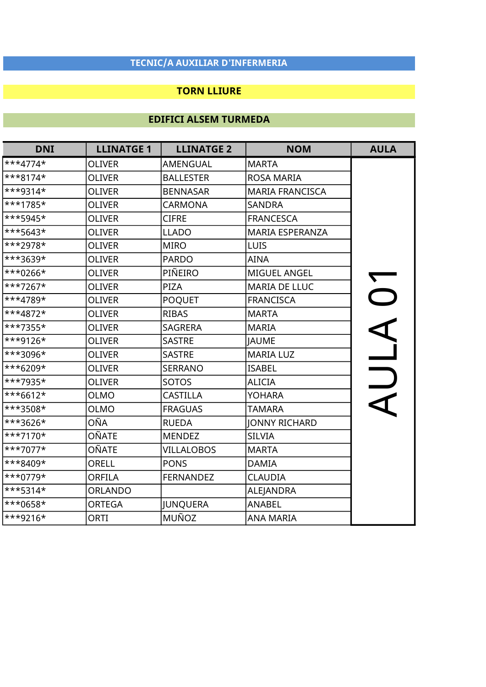#### TORN LLIURE

| <b>DNI</b> | <b>LLINATGE 1</b> | <b>LLINATGE 2</b> | <b>NOM</b>             | <b>AULA</b>    |
|------------|-------------------|-------------------|------------------------|----------------|
| ***4774*   | <b>OLIVER</b>     | AMENGUAL          | <b>MARTA</b>           |                |
| $***8174*$ | <b>OLIVER</b>     | <b>BALLESTER</b>  | ROSA MARIA             |                |
| $***9314*$ | <b>OLIVER</b>     | <b>BENNASAR</b>   | <b>MARIA FRANCISCA</b> |                |
| ***1785*   | <b>OLIVER</b>     | <b>CARMONA</b>    | <b>SANDRA</b>          |                |
| ***5945*   | <b>OLIVER</b>     | <b>CIFRE</b>      | <b>FRANCESCA</b>       |                |
| ***5643*   | <b>OLIVER</b>     | <b>LLADO</b>      | MARIA ESPERANZA        |                |
| ***2978*   | <b>OLIVER</b>     | <b>MIRO</b>       | LUIS                   |                |
| ***3639*   | <b>OLIVER</b>     | <b>PARDO</b>      | <b>AINA</b>            |                |
| ***0266*   | <b>OLIVER</b>     | PIÑEIRO           | MIGUEL ANGEL           |                |
| ***7267*   | <b>OLIVER</b>     | PIZA              | MARIA DE LLUC          | $\overline{C}$ |
| ***4789*   | <b>OLIVER</b>     | <b>POQUET</b>     | <b>FRANCISCA</b>       |                |
| ***4872*   | <b>OLIVER</b>     | <b>RIBAS</b>      | <b>MARTA</b>           |                |
| ***7355*   | <b>OLIVER</b>     | <b>SAGRERA</b>    | <b>MARIA</b>           |                |
| ***9126*   | <b>OLIVER</b>     | <b>SASTRE</b>     | <b>JAUME</b>           |                |
| ***3096*   | <b>OLIVER</b>     | <b>SASTRE</b>     | <b>MARIA LUZ</b>       | $\overline{a}$ |
| ***6209*   | <b>OLIVER</b>     | <b>SERRANO</b>    | <b>ISABEL</b>          |                |
| ***7935*   | <b>OLIVER</b>     | <b>SOTOS</b>      | <b>ALICIA</b>          |                |
| $***6612*$ | <b>OLMO</b>       | <b>CASTILLA</b>   | <b>YOHARA</b>          |                |
| ***3508*   | OLMO              | <b>FRAGUAS</b>    | <b>TAMARA</b>          |                |
| ***3626*   | OÑA               | <b>RUEDA</b>      | <b>JONNY RICHARD</b>   |                |
| ***7170*   | OÑATE             | <b>MENDEZ</b>     | <b>SILVIA</b>          |                |
| ***7077*   | OÑATE             | <b>VILLALOBOS</b> | <b>MARTA</b>           |                |
| ***8409*   | ORELL             | <b>PONS</b>       | <b>DAMIA</b>           |                |
| ***0779*   | <b>ORFILA</b>     | <b>FERNANDEZ</b>  | <b>CLAUDIA</b>         |                |
| $***5314*$ | <b>ORLANDO</b>    |                   | ALEJANDRA              |                |
| ***0658*   | <b>ORTEGA</b>     | JUNQUERA          | <b>ANABEL</b>          |                |
| ***9216*   | ORTI              | MUÑOZ             | <b>ANA MARIA</b>       |                |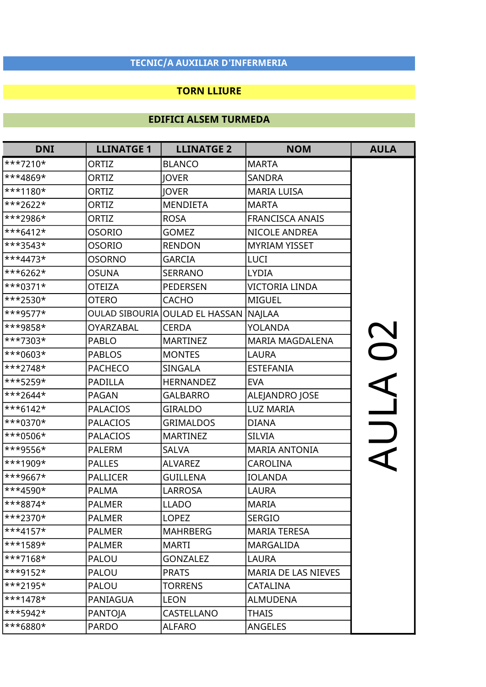#### TORN LLIURE

| <b>DNI</b>              | <b>LLINATGE 1</b> | <b>LLINATGE 2</b>              | <b>NOM</b>             | <b>AULA</b> |
|-------------------------|-------------------|--------------------------------|------------------------|-------------|
| ***7210*                | ORTIZ             | <b>BLANCO</b>                  | <b>MARTA</b>           |             |
| ***4869*                | ORTIZ             | <b>JOVER</b>                   | <b>SANDRA</b>          |             |
| ***1180*                | ORTIZ             | <b>JOVER</b>                   | <b>MARIA LUISA</b>     |             |
| ***2622*                | ORTIZ             | <b>MENDIETA</b>                | <b>MARTA</b>           |             |
| ***2986*                | ORTIZ             | <b>ROSA</b>                    | <b>FRANCISCA ANAIS</b> |             |
| $***6412*$              | osorio            | <b>GOMEZ</b>                   | NICOLE ANDREA          |             |
| ***3543*                | OSORIO            | <b>RENDON</b>                  | <b>MYRIAM YISSET</b>   |             |
| ***4473*                | OSORNO            | <b>GARCIA</b>                  | LUCI                   |             |
| ***6262*                | OSUNA             | <b>SERRANO</b>                 | <b>LYDIA</b>           |             |
| ***0371*                | <b>OTEIZA</b>     | <b>PEDERSEN</b>                | <b>VICTORIA LINDA</b>  |             |
| ***2530*                | <b>OTERO</b>      | <b>CACHO</b>                   | <b>MIGUEL</b>          |             |
| ***9577*                |                   | OULAD SIBOURIA OULAD EL HASSAN | <b>NAJLAA</b>          |             |
| ***9858*                | <b>OYARZABAL</b>  | <b>CERDA</b>                   | <b>YOLANDA</b>         |             |
| ***7303*                | <b>PABLO</b>      | <b>MARTINEZ</b>                | MARIA MAGDALENA        | $\Omega$    |
| ***0603*                | <b>PABLOS</b>     | <b>MONTES</b>                  | <b>LAURA</b>           |             |
| ***2748*                | <b>PACHECO</b>    | <b>SINGALA</b>                 | <b>ESTEFANIA</b>       |             |
| ***5259*                | <b>PADILLA</b>    | <b>HERNANDEZ</b>               | <b>EVA</b>             |             |
| ***2644*                | <b>PAGAN</b>      | <b>GALBARRO</b>                | ALEJANDRO JOSE         |             |
| ***6142*                | <b>PALACIOS</b>   | <b>GIRALDO</b>                 | <b>LUZ MARIA</b>       |             |
| ***0370*                | <b>PALACIOS</b>   | <b>GRIMALDOS</b>               | <b>DIANA</b>           |             |
| ***0506*                | <b>PALACIOS</b>   | <b>MARTINEZ</b>                | <b>SILVIA</b>          |             |
| ***9556*                | <b>PALERM</b>     | <b>SALVA</b>                   | <b>MARIA ANTONIA</b>   |             |
| ***1909*                | <b>PALLES</b>     | <b>ALVAREZ</b>                 | <b>CAROLINA</b>        |             |
| ***9667*                | <b>PALLICER</b>   | <b>GUILLENA</b>                | <b>IOLANDA</b>         |             |
| ***4590*                | <b>PALMA</b>      | <b>LARROSA</b>                 | <b>LAURA</b>           |             |
| ***8874*                | <b>PALMER</b>     | <b>LLADO</b>                   | <b>MARIA</b>           |             |
| ***2370*                | <b>PALMER</b>     | <b>LOPEZ</b>                   | <b>SERGIO</b>          |             |
| $\ast \ast 4157 \star$  | <b>PALMER</b>     | <b>MAHRBERG</b>                | <b>MARIA TERESA</b>    |             |
| ***1589*                | <b>PALMER</b>     | <b>MARTI</b>                   | <b>MARGALIDA</b>       |             |
| $\ast\ast\ast 7168\ast$ | <b>PALOU</b>      | <b>GONZALEZ</b>                | LAURA                  |             |
| ***9152*                | <b>PALOU</b>      | <b>PRATS</b>                   | MARIA DE LAS NIEVES    |             |
| $\ast\ast\ast$ 2195*    | PALOU             | <b>TORRENS</b>                 | <b>CATALINA</b>        |             |
| $\ast\ast\ast$ 1478*    | PANIAGUA          | <b>LEON</b>                    | <b>ALMUDENA</b>        |             |
| ***5942*                | PANTOJA           | CASTELLANO                     | <b>THAIS</b>           |             |
| ***6880*                | <b>PARDO</b>      | <b>ALFARO</b>                  | ANGELES                |             |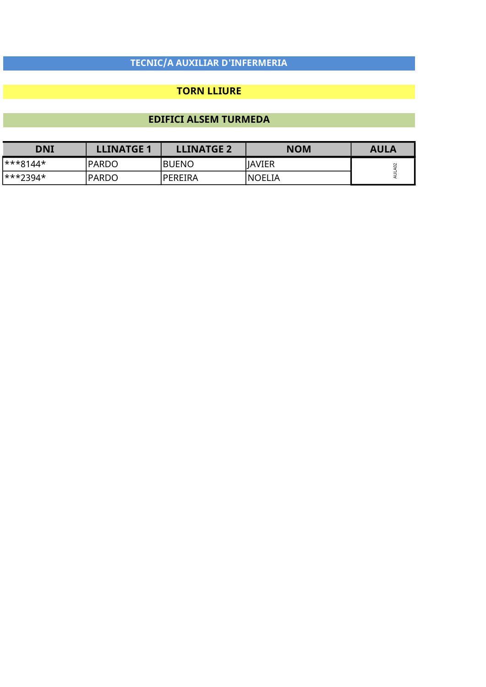#### TORN LLIURE

| <b>DNI</b> | <b>LLINATGE 1</b> | <b>LLINATGE 2</b> | <b>NOM</b>    | <b>AULA</b> |
|------------|-------------------|-------------------|---------------|-------------|
| l***8144*  | <b>PARDO</b>      | <b>BUENO</b>      | <b>JAVIER</b> |             |
| l***2394*  | <b>PARDO</b>      | <b>PEREIRA</b>    | INOELIA       |             |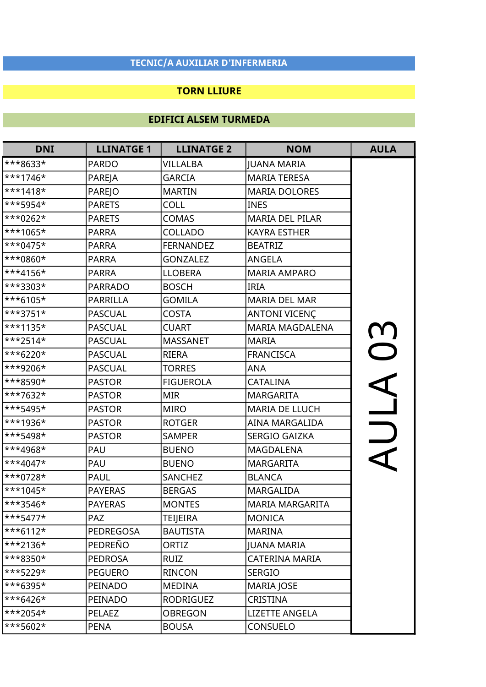#### TORN LLIURE

| <b>DNI</b>              | <b>LLINATGE 1</b> | <b>LLINATGE 2</b> | <b>NOM</b>             | <b>AULA</b>  |
|-------------------------|-------------------|-------------------|------------------------|--------------|
| ***8633*                | <b>PARDO</b>      | VILLALBA          | <b>JUANA MARIA</b>     |              |
| ***1746*                | PAREJA            | <b>GARCIA</b>     | <b>MARIA TERESA</b>    |              |
| ***1418*                | <b>PAREJO</b>     | <b>MARTIN</b>     | <b>MARIA DOLORES</b>   |              |
| ***5954*                | <b>PARETS</b>     | <b>COLL</b>       | <b>INES</b>            |              |
| ***0262*                | <b>PARETS</b>     | <b>COMAS</b>      | <b>MARIA DEL PILAR</b> |              |
| ***1065*                | <b>PARRA</b>      | COLLADO           | <b>KAYRA ESTHER</b>    |              |
| ***0475*                | <b>PARRA</b>      | <b>FERNANDEZ</b>  | <b>BEATRIZ</b>         |              |
| ***0860*                | <b>PARRA</b>      | <b>GONZALEZ</b>   | ANGELA                 |              |
| ***4156*                | <b>PARRA</b>      | <b>LLOBERA</b>    | <b>MARIA AMPARO</b>    |              |
| ***3303*                | <b>PARRADO</b>    | <b>BOSCH</b>      | <b>IRIA</b>            |              |
| ***6105*                | <b>PARRILLA</b>   | <b>GOMILA</b>     | <b>MARIA DEL MAR</b>   |              |
| ***3751*                | <b>PASCUAL</b>    | <b>COSTA</b>      | ANTONI VICENÇ          |              |
| ***1135*                | <b>PASCUAL</b>    | <b>CUART</b>      | <b>MARIA MAGDALENA</b> |              |
| ***2514*                | <b>PASCUAL</b>    | <b>MASSANET</b>   | <b>MARIA</b>           | $\mathbf{C}$ |
| ***6220*                | <b>PASCUAL</b>    | <b>RIERA</b>      | <b>FRANCISCA</b>       |              |
| ***9206*                | <b>PASCUAL</b>    | <b>TORRES</b>     | <b>ANA</b>             |              |
| ***8590*                | <b>PASTOR</b>     | <b>FIGUEROLA</b>  | CATALINA               |              |
| ***7632*                | <b>PASTOR</b>     | <b>MIR</b>        | <b>MARGARITA</b>       |              |
| ***5495*                | <b>PASTOR</b>     | <b>MIRO</b>       | <b>MARIA DE LLUCH</b>  |              |
| <sup>***1936*</sup>     | <b>PASTOR</b>     | <b>ROTGER</b>     | AINA MARGALIDA         |              |
| ***5498*                | <b>PASTOR</b>     | <b>SAMPER</b>     | SERGIO GAIZKA          |              |
| ***4968*                | PAU               | <b>BUENO</b>      | MAGDALENA              |              |
| ***4047*                | PAU               | <b>BUENO</b>      | <b>MARGARITA</b>       |              |
| ***0728*                | <b>PAUL</b>       | <b>SANCHEZ</b>    | <b>BLANCA</b>          |              |
| ***1045*                | <b>PAYERAS</b>    | <b>BERGAS</b>     | MARGALIDA              |              |
| ***3546*                | <b>PAYERAS</b>    | <b>MONTES</b>     | <b>MARIA MARGARITA</b> |              |
| $\ast\ast\ast$ 5477*    | <b>PAZ</b>        | <b>TEIJEIRA</b>   | <b>MONICA</b>          |              |
| $\ast\ast\ast 6112\ast$ | PEDREGOSA         | <b>BAUTISTA</b>   | <b>MARINA</b>          |              |
| ***2136*                | PEDREÑO           | ORTIZ             | <b>JUANA MARIA</b>     |              |
| ***8350*                | <b>PEDROSA</b>    | <b>RUIZ</b>       | CATERINA MARIA         |              |
| ***5229*                | <b>PEGUERO</b>    | <b>RINCON</b>     | <b>SERGIO</b>          |              |
| ***6395*                | PEINADO           | <b>MEDINA</b>     | <b>MARIA JOSE</b>      |              |
| ***6426*                | PEINADO           | <b>RODRIGUEZ</b>  | CRISTINA               |              |
| ***2054*                | <b>PELAEZ</b>     | <b>OBREGON</b>    | <b>LIZETTE ANGELA</b>  |              |
| $***5602*$              | <b>PENA</b>       | <b>BOUSA</b>      | CONSUELO               |              |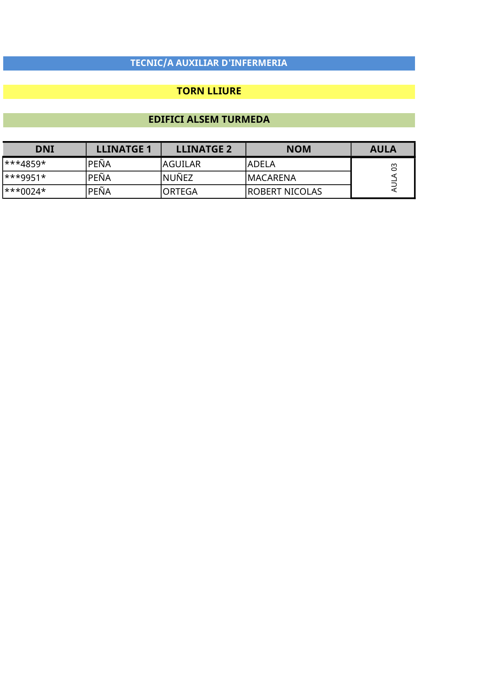#### TORN LLIURE

| DNI      | <b>LLINATGE 1</b> | <b>LLINATGE 2</b> | <b>NOM</b>      | <b>AULA</b> |
|----------|-------------------|-------------------|-----------------|-------------|
| ***4859* | PEÑA              | AGUILAR           | IADELA          |             |
| ***9951* | PEÑA              | lnuñez            | IMACARENA       |             |
| ***0024* | PEÑA              | ORTEGA            | IROBERT NICOLAS |             |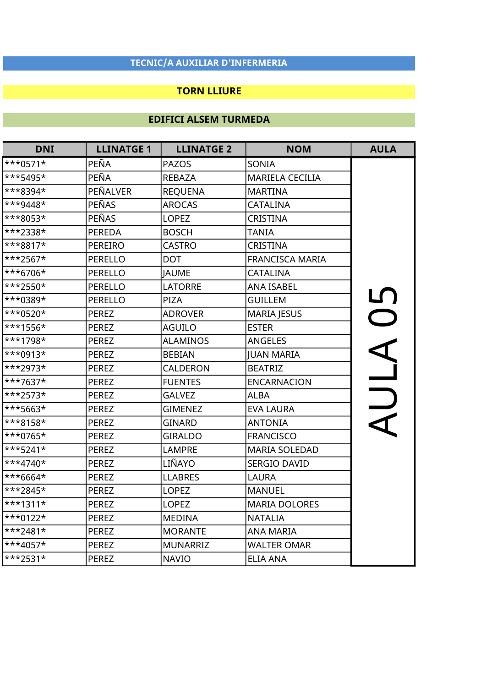#### TORN LLIURE

| <b>DNI</b> | <b>LLINATGE 1</b> | <b>LLINATGE 2</b> | <b>NOM</b>             | <b>AULA</b>              |
|------------|-------------------|-------------------|------------------------|--------------------------|
| $***0571*$ | PEÑA              | <b>PAZOS</b>      | SONIA                  |                          |
| ***5495*   | PEÑA              | <b>REBAZA</b>     | <b>MARIELA CECILIA</b> |                          |
| ***8394*   | PEÑALVER          | <b>REQUENA</b>    | <b>MARTINA</b>         |                          |
| ***9448*   | <b>PEÑAS</b>      | <b>AROCAS</b>     | <b>CATALINA</b>        |                          |
| ***8053*   | PEÑAS             | <b>LOPEZ</b>      | <b>CRISTINA</b>        |                          |
| ***2338*   | <b>PEREDA</b>     | <b>BOSCH</b>      | <b>TANIA</b>           |                          |
| ***8817*   | PEREIRO           | <b>CASTRO</b>     | <b>CRISTINA</b>        |                          |
| ***2567*   | PERELLO           | <b>DOT</b>        | FRANCISCA MARIA        |                          |
| ***6706*   | <b>PERELLO</b>    | <b>JAUME</b>      | <b>CATALINA</b>        |                          |
| ***2550*   | PERELLO           | <b>LATORRE</b>    | <b>ANA ISABEL</b>      |                          |
| ***0389*   | <b>PERELLO</b>    | PIZA              | <b>GUILLEM</b>         |                          |
| ***0520*   | <b>PEREZ</b>      | <b>ADROVER</b>    | <b>MARIA JESUS</b>     | <b>JO5</b>               |
| ***1556*   | <b>PEREZ</b>      | <b>AGUILO</b>     | <b>ESTER</b>           |                          |
| ***1798*   | <b>PEREZ</b>      | <b>ALAMINOS</b>   | <b>ANGELES</b>         |                          |
| ***0913*   | <b>PEREZ</b>      | <b>BEBIAN</b>     | <b>JUAN MARIA</b>      | $\overline{\phantom{a}}$ |
| ***2973*   | <b>PEREZ</b>      | <b>CALDERON</b>   | <b>BEATRIZ</b>         |                          |
| ***7637*   | <b>PEREZ</b>      | <b>FUENTES</b>    | <b>ENCARNACION</b>     |                          |
| ***2573*   | <b>PEREZ</b>      | <b>GALVEZ</b>     | <b>ALBA</b>            | $\overline{a}$           |
| ***5663*   | <b>PEREZ</b>      | <b>GIMENEZ</b>    | <b>EVA LAURA</b>       |                          |
| ***8158*   | <b>PEREZ</b>      | <b>GINARD</b>     | <b>ANTONIA</b>         |                          |
| ***0765*   | <b>PEREZ</b>      | <b>GIRALDO</b>    | <b>FRANCISCO</b>       |                          |
| ***5241*   | <b>PEREZ</b>      | <b>LAMPRE</b>     | <b>MARIA SOLEDAD</b>   |                          |
| $***4740*$ | <b>PEREZ</b>      | LIÑAYO            | SERGIO DAVID           |                          |
| ***6664*   | <b>PEREZ</b>      | <b>LLABRES</b>    | <b>LAURA</b>           |                          |
| ***2845*   | <b>PEREZ</b>      | <b>LOPEZ</b>      | <b>MANUEL</b>          |                          |
| $***1311*$ | <b>PEREZ</b>      | <b>LOPEZ</b>      | <b>MARIA DOLORES</b>   |                          |
| $***0122*$ | <b>PEREZ</b>      | <b>MEDINA</b>     | <b>NATALIA</b>         |                          |
| $***2481*$ | <b>PEREZ</b>      | <b>MORANTE</b>    | <b>ANA MARIA</b>       |                          |
| ***4057*   | <b>PEREZ</b>      | <b>MUNARRIZ</b>   | <b>WALTER OMAR</b>     |                          |
| $***2531*$ | <b>PEREZ</b>      | <b>NAVIO</b>      | <b>ELIA ANA</b>        |                          |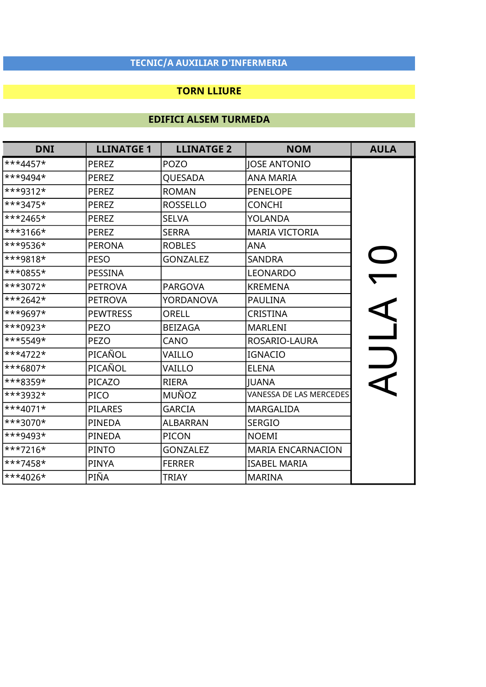#### TORN LLIURE

| <b>DNI</b> | <b>LLINATGE 1</b> | <b>LLINATGE 2</b> | <b>NOM</b>               | <b>AULA</b> |
|------------|-------------------|-------------------|--------------------------|-------------|
| ***4457*   | <b>PEREZ</b>      | <b>POZO</b>       | <b>JOSE ANTONIO</b>      |             |
| ***9494*   | <b>PEREZ</b>      | QUESADA           | <b>ANA MARIA</b>         |             |
| ***9312*   | <b>PEREZ</b>      | <b>ROMAN</b>      | <b>PENELOPE</b>          |             |
| ***3475*   | <b>PEREZ</b>      | <b>ROSSELLO</b>   | <b>CONCHI</b>            |             |
| ***2465*   | <b>PEREZ</b>      | <b>SELVA</b>      | <b>YOLANDA</b>           |             |
| ***3166*   | <b>PEREZ</b>      | <b>SERRA</b>      | <b>MARIA VICTORIA</b>    |             |
| ***9536*   | <b>PERONA</b>     | <b>ROBLES</b>     | <b>ANA</b>               |             |
| ***9818*   | <b>PESO</b>       | <b>GONZALEZ</b>   | <b>SANDRA</b>            |             |
| ***0855*   | PESSINA           |                   | <b>LEONARDO</b>          |             |
| ***3072*   | <b>PETROVA</b>    | <b>PARGOVA</b>    | <b>KREMENA</b>           |             |
| ***2642*   | <b>PETROVA</b>    | <b>YORDANOVA</b>  | <b>PAULINA</b>           |             |
| ***9697*   | <b>PEWTRESS</b>   | ORELL             | CRISTINA                 |             |
| ***0923*   | <b>PEZO</b>       | <b>BEIZAGA</b>    | <b>MARLENI</b>           |             |
| ***5549*   | <b>PEZO</b>       | CANO              | ROSARIO-LAURA            |             |
| ***4722*   | PICAÑOL           | VAILLO            | <b>IGNACIO</b>           |             |
| ***6807*   | PICAÑOL           | VAILLO            | <b>ELENA</b>             |             |
| ***8359*   | PICAZO            | <b>RIERA</b>      | <b>JUANA</b>             |             |
| ***3932*   | <b>PICO</b>       | MUÑOZ             | VANESSA DE LAS MERCEDES  |             |
| $***4071*$ | <b>PILARES</b>    | <b>GARCIA</b>     | <b>MARGALIDA</b>         |             |
| ***3070*   | <b>PINEDA</b>     | <b>ALBARRAN</b>   | <b>SERGIO</b>            |             |
| ***9493*   | <b>PINEDA</b>     | <b>PICON</b>      | <b>NOEMI</b>             |             |
| ***7216*   | <b>PINTO</b>      | <b>GONZALEZ</b>   | <b>MARIA ENCARNACION</b> |             |
| ***7458*   | <b>PINYA</b>      | <b>FERRER</b>     | <b>ISABEL MARIA</b>      |             |
| ***4026*   | PIÑA              | <b>TRIAY</b>      | <b>MARINA</b>            |             |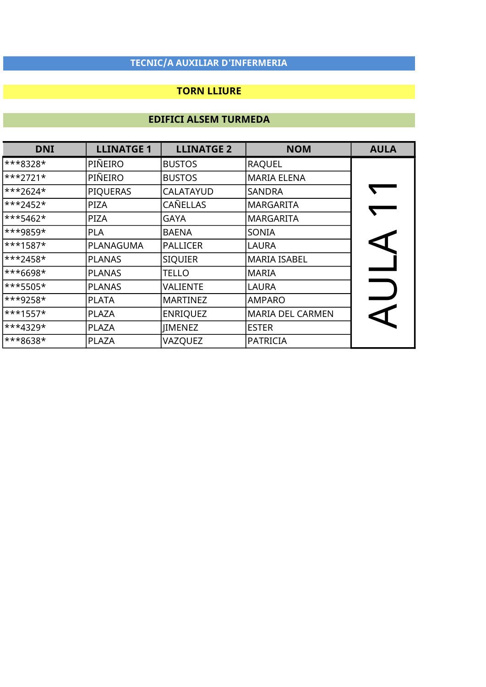### TORN LLIURE

| <b>DNI</b>          | <b>LLINATGE 1</b> | <b>LLINATGE 2</b> | <b>NOM</b>              | <b>AULA</b> |
|---------------------|-------------------|-------------------|-------------------------|-------------|
| ***8328*            | PIÑEIRO           | <b>BUSTOS</b>     | <b>RAQUEL</b>           |             |
| $***2721*$          | PIÑEIRO           | <b>BUSTOS</b>     | <b>MARIA ELENA</b>      |             |
| ***2624*            | <b>PIQUERAS</b>   | CALATAYUD         | <b>SANDRA</b>           |             |
| ***2452*            | <b>PIZA</b>       | CAÑELLAS          | <b>MARGARITA</b>        |             |
| ***5462*            | <b>PIZA</b>       | GAYA              | <b>MARGARITA</b>        |             |
| ***9859*            | <b>PLA</b>        | <b>BAENA</b>      | SONIA                   |             |
| ***1587*            | PLANAGUMA         | <b>PALLICER</b>   | LAURA                   |             |
| ***2458*            | <b>PLANAS</b>     | <b>SIQUIER</b>    | <b>MARIA ISABEL</b>     |             |
| ***6698*            | <b>PLANAS</b>     | TELLO             | <b>MARIA</b>            |             |
| <sup>***5505*</sup> | <b>PLANAS</b>     | VALIENTE          | <b>LAURA</b>            |             |
| ***9258*            | <b>PLATA</b>      | <b>MARTINEZ</b>   | <b>AMPARO</b>           |             |
| ***1557*            | <b>PLAZA</b>      | <b>ENRIQUEZ</b>   | <b>MARIA DEL CARMEN</b> |             |
| ***4329*            | <b>PLAZA</b>      | <b>JIMENEZ</b>    | <b>ESTER</b>            |             |
| ***8638*            | <b>PLAZA</b>      | VAZQUEZ           | <b>PATRICIA</b>         |             |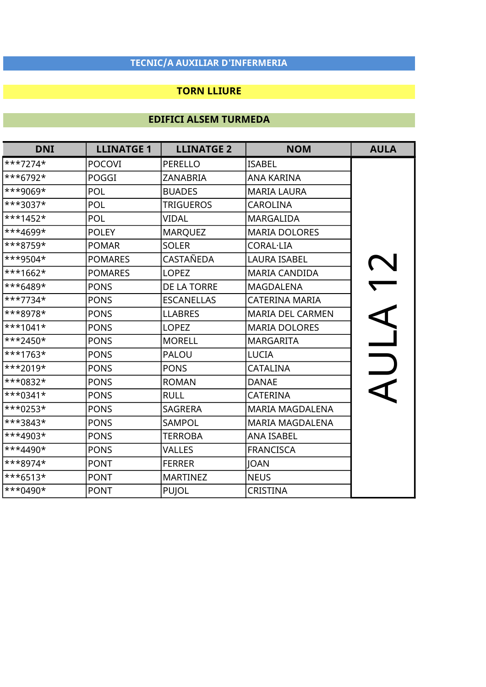### TORN LLIURE

| <b>DNI</b> | <b>LLINATGE 1</b> | <b>LLINATGE 2</b> | <b>NOM</b>              | <b>AULA</b> |
|------------|-------------------|-------------------|-------------------------|-------------|
| $***7274*$ | <b>POCOVI</b>     | <b>PERELLO</b>    | <b>ISABEL</b>           |             |
| ***6792*   | POGGI             | <b>ZANABRIA</b>   | <b>ANA KARINA</b>       |             |
| ***9069*   | POL               | <b>BUADES</b>     | <b>MARIA LAURA</b>      |             |
| ***3037*   | <b>POL</b>        | <b>TRIGUEROS</b>  | <b>CAROLINA</b>         |             |
| $***1452*$ | <b>POL</b>        | <b>VIDAL</b>      | <b>MARGALIDA</b>        |             |
| ***4699*   | <b>POLEY</b>      | <b>MARQUEZ</b>    | <b>MARIA DOLORES</b>    |             |
| ***8759*   | <b>POMAR</b>      | <b>SOLER</b>      | <b>CORAL·LIA</b>        |             |
| ***9504*   | <b>POMARES</b>    | CASTAÑEDA         | <b>LAURA ISABEL</b>     |             |
| $***1662*$ | <b>POMARES</b>    | <b>LOPEZ</b>      | MARIA CANDIDA           |             |
| $***6489*$ | <b>PONS</b>       | DE LA TORRE       | <b>MAGDALENA</b>        |             |
| ***7734*   | <b>PONS</b>       | <b>ESCANELLAS</b> | <b>CATERINA MARIA</b>   |             |
| ***8978*   | <b>PONS</b>       | <b>LLABRES</b>    | <b>MARIA DEL CARMEN</b> |             |
| $***1041*$ | <b>PONS</b>       | <b>LOPEZ</b>      | <b>MARIA DOLORES</b>    |             |
| $***2450*$ | <b>PONS</b>       | <b>MORELL</b>     | <b>MARGARITA</b>        |             |
| ***1763*   | <b>PONS</b>       | <b>PALOU</b>      | <b>LUCIA</b>            |             |
| $***2019*$ | <b>PONS</b>       | <b>PONS</b>       | <b>CATALINA</b>         |             |
| ***0832*   | <b>PONS</b>       | <b>ROMAN</b>      | <b>DANAE</b>            |             |
| $***0341*$ | <b>PONS</b>       | <b>RULL</b>       | CATERINA                |             |
| ***0253*   | <b>PONS</b>       | <b>SAGRERA</b>    | <b>MARIA MAGDALENA</b>  |             |
| ***3843*   | <b>PONS</b>       | SAMPOL            | <b>MARIA MAGDALENA</b>  |             |
| ***4903*   | <b>PONS</b>       | <b>TERROBA</b>    | <b>ANA ISABEL</b>       |             |
| ***4490*   | <b>PONS</b>       | <b>VALLES</b>     | <b>FRANCISCA</b>        |             |
| $***8974*$ | <b>PONT</b>       | <b>FERRER</b>     | <b>JOAN</b>             |             |
| $***6513*$ | <b>PONT</b>       | <b>MARTINEZ</b>   | <b>NEUS</b>             |             |
| $***0490*$ | <b>PONT</b>       | <b>PUJOL</b>      | CRISTINA                |             |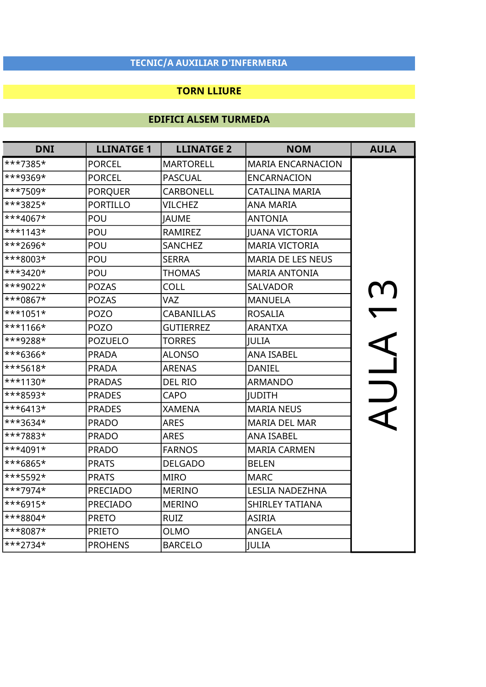### TORN LLIURE

| <b>DNI</b> | <b>LLINATGE 1</b> | <b>LLINATGE 2</b> | <b>NOM</b>               | <b>AULA</b> |
|------------|-------------------|-------------------|--------------------------|-------------|
| ***7385*   | <b>PORCEL</b>     | <b>MARTORELL</b>  | <b>MARIA ENCARNACION</b> |             |
| ***9369*   | <b>PORCEL</b>     | <b>PASCUAL</b>    | <b>ENCARNACION</b>       |             |
| ***7509*   | <b>PORQUER</b>    | <b>CARBONELL</b>  | <b>CATALINA MARIA</b>    |             |
| ***3825*   | <b>PORTILLO</b>   | <b>VILCHEZ</b>    | <b>ANA MARIA</b>         |             |
| ***4067*   | POU               | <b>JAUME</b>      | <b>ANTONIA</b>           |             |
| $***1143*$ | POU               | <b>RAMIREZ</b>    | <b>JUANA VICTORIA</b>    |             |
| ***2696*   | POU               | <b>SANCHEZ</b>    | <b>MARIA VICTORIA</b>    |             |
| ***8003*   | POU               | <b>SERRA</b>      | <b>MARIA DE LES NEUS</b> |             |
| ***3420*   | POU               | <b>THOMAS</b>     | <b>MARIA ANTONIA</b>     |             |
| ***9022*   | <b>POZAS</b>      | <b>COLL</b>       | <b>SALVADOR</b>          |             |
| ***0867*   | <b>POZAS</b>      | <b>VAZ</b>        | <b>MANUELA</b>           |             |
| $***1051*$ | <b>POZO</b>       | <b>CABANILLAS</b> | <b>ROSALIA</b>           |             |
| $***1166*$ | <b>POZO</b>       | <b>GUTIERREZ</b>  | <b>ARANTXA</b>           |             |
| ***9288*   | <b>POZUELO</b>    | <b>TORRES</b>     | <b>JULIA</b>             |             |
| ***6366*   | <b>PRADA</b>      | <b>ALONSO</b>     | <b>ANA ISABEL</b>        |             |
| ***5618*   | <b>PRADA</b>      | <b>ARENAS</b>     | <b>DANIEL</b>            |             |
| ***1130*   | <b>PRADAS</b>     | <b>DEL RIO</b>    | <b>ARMANDO</b>           | $\bigcup$   |
| ***8593*   | <b>PRADES</b>     | CAPO              | <b>JUDITH</b>            |             |
| $***6413*$ | <b>PRADES</b>     | <b>XAMENA</b>     | <b>MARIA NEUS</b>        |             |
| ***3634*   | <b>PRADO</b>      | <b>ARES</b>       | <b>MARIA DEL MAR</b>     |             |
| ***7883*   | <b>PRADO</b>      | <b>ARES</b>       | <b>ANA ISABEL</b>        |             |
| ***4091*   | <b>PRADO</b>      | <b>FARNOS</b>     | <b>MARIA CARMEN</b>      |             |
| ***6865*   | <b>PRATS</b>      | <b>DELGADO</b>    | <b>BELEN</b>             |             |
| ***5592*   | <b>PRATS</b>      | <b>MIRO</b>       | <b>MARC</b>              |             |
| ***7974*   | PRECIADO          | <b>MERINO</b>     | LESLIA NADEZHNA          |             |
| ***6915*   | <b>PRECIADO</b>   | <b>MERINO</b>     | <b>SHIRLEY TATIANA</b>   |             |
| ***8804*   | <b>PRETO</b>      | <b>RUIZ</b>       | <b>ASIRIA</b>            |             |
| ***8087*   | <b>PRIETO</b>     | <b>OLMO</b>       | <b>ANGELA</b>            |             |
| ***2734*   | <b>PROHENS</b>    | <b>BARCELO</b>    | <b>JULIA</b>             |             |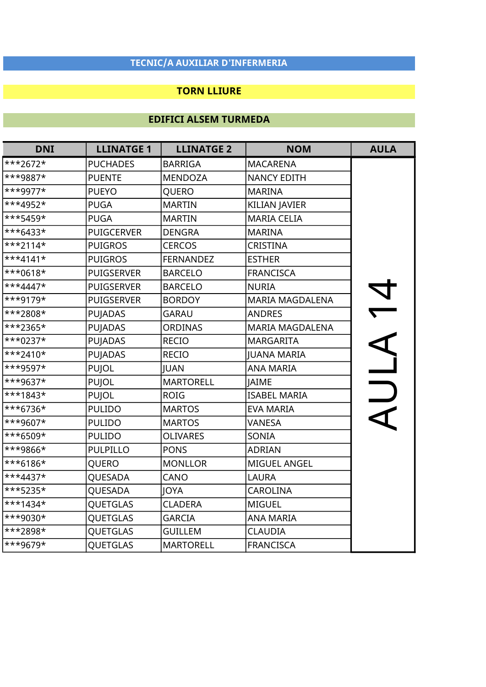### TORN LLIURE

| <b>DNI</b> | <b>LLINATGE 1</b> | <b>LLINATGE 2</b> | <b>NOM</b>             | <b>AULA</b>              |
|------------|-------------------|-------------------|------------------------|--------------------------|
| ***2672*   | <b>PUCHADES</b>   | <b>BARRIGA</b>    | <b>MACARENA</b>        |                          |
| ***9887*   | <b>PUENTE</b>     | <b>MENDOZA</b>    | <b>NANCY EDITH</b>     |                          |
| ***9977*   | <b>PUEYO</b>      | QUERO             | <b>MARINA</b>          |                          |
| ***4952*   | <b>PUGA</b>       | <b>MARTIN</b>     | <b>KILIAN JAVIER</b>   |                          |
| ***5459*   | <b>PUGA</b>       | <b>MARTIN</b>     | <b>MARIA CELIA</b>     |                          |
| ***6433*   | <b>PUIGCERVER</b> | <b>DENGRA</b>     | <b>MARINA</b>          |                          |
| $***2114*$ | <b>PUIGROS</b>    | <b>CERCOS</b>     | <b>CRISTINA</b>        |                          |
| $***4141*$ | <b>PUIGROS</b>    | <b>FERNANDEZ</b>  | <b>ESTHER</b>          |                          |
| ***0618*   | <b>PUIGSERVER</b> | <b>BARCELO</b>    | <b>FRANCISCA</b>       |                          |
| $***4447*$ | <b>PUIGSERVER</b> | <b>BARCELO</b>    | <b>NURIA</b>           |                          |
| ***9179*   | <b>PUIGSERVER</b> | <b>BORDOY</b>     | <b>MARIA MAGDALENA</b> | N<br>N                   |
| ***2808*   | <b>PUJADAS</b>    | <b>GARAU</b>      | <b>ANDRES</b>          |                          |
| ***2365*   | <b>PUJADAS</b>    | <b>ORDINAS</b>    | <b>MARIA MAGDALENA</b> |                          |
| ***0237*   | <b>PUJADAS</b>    | <b>RECIO</b>      | <b>MARGARITA</b>       |                          |
| $***2410*$ | PUJADAS           | <b>RECIO</b>      | <b>JUANA MARIA</b>     | $\overline{\phantom{a}}$ |
| ***9597*   | <b>PUJOL</b>      | <b>JUAN</b>       | <b>ANA MARIA</b>       |                          |
| ***9637*   | <b>PUJOL</b>      | <b>MARTORELL</b>  | <b>JAIME</b>           | $\bigcup$                |
| ***1843*   | <b>PUJOL</b>      | <b>ROIG</b>       | <b>ISABEL MARIA</b>    |                          |
| ***6736*   | <b>PULIDO</b>     | <b>MARTOS</b>     | <b>EVA MARIA</b>       |                          |
| ***9607*   | <b>PULIDO</b>     | <b>MARTOS</b>     | VANESA                 |                          |
| ***6509*   | <b>PULIDO</b>     | <b>OLIVARES</b>   | SONIA                  |                          |
| ***9866*   | <b>PULPILLO</b>   | <b>PONS</b>       | <b>ADRIAN</b>          |                          |
| ***6186*   | QUERO             | <b>MONLLOR</b>    | MIGUEL ANGEL           |                          |
| ***4437*   | QUESADA           | CANO              | <b>LAURA</b>           |                          |
| ***5235*   | QUESADA           | <b>JOYA</b>       | <b>CAROLINA</b>        |                          |
| ***1434*   | QUETGLAS          | <b>CLADERA</b>    | <b>MIGUEL</b>          |                          |
| ***9030*   | QUETGLAS          | <b>GARCIA</b>     | <b>ANA MARIA</b>       |                          |
| ***2898*   | <b>QUETGLAS</b>   | <b>GUILLEM</b>    | <b>CLAUDIA</b>         |                          |
| ***9679*   | QUETGLAS          | <b>MARTORELL</b>  | <b>FRANCISCA</b>       |                          |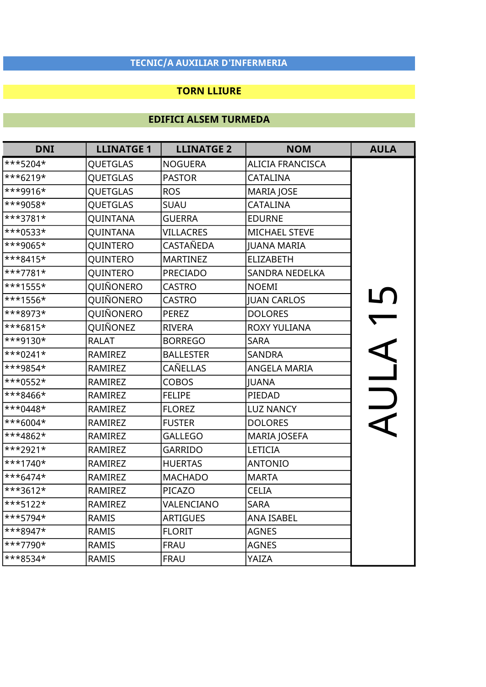### TORN LLIURE

| <b>DNI</b> | <b>LLINATGE 1</b> | <b>LLINATGE 2</b> | <b>NOM</b>              | <b>AULA</b>              |
|------------|-------------------|-------------------|-------------------------|--------------------------|
| ***5204*   | <b>QUETGLAS</b>   | <b>NOGUERA</b>    | <b>ALICIA FRANCISCA</b> |                          |
| ***6219*   | <b>QUETGLAS</b>   | <b>PASTOR</b>     | <b>CATALINA</b>         |                          |
| ***9916*   | <b>QUETGLAS</b>   | <b>ROS</b>        | <b>MARIA JOSE</b>       |                          |
| ***9058*   | <b>QUETGLAS</b>   | SUAU              | <b>CATALINA</b>         |                          |
| ***3781*   | QUINTANA          | <b>GUERRA</b>     | <b>EDURNE</b>           |                          |
| ***0533*   | QUINTANA          | <b>VILLACRES</b>  | <b>MICHAEL STEVE</b>    |                          |
| ***9065*   | QUINTERO          | <b>CASTAÑEDA</b>  | <b>JUANA MARIA</b>      |                          |
| ***8415*   | QUINTERO          | <b>MARTINEZ</b>   | <b>ELIZABETH</b>        |                          |
| ***7781*   | QUINTERO          | <b>PRECIADO</b>   | <b>SANDRA NEDELKA</b>   |                          |
| ***1555*   | QUIÑONERO         | <b>CASTRO</b>     | <b>NOEMI</b>            |                          |
| ***1556*   | QUIÑONERO         | <b>CASTRO</b>     | <b>JUAN CARLOS</b>      |                          |
| ***8973*   | QUIÑONERO         | <b>PEREZ</b>      | <b>DOLORES</b>          |                          |
| ***6815*   | QUIÑONEZ          | <b>RIVERA</b>     | <b>ROXY YULIANA</b>     | $\overline{\phantom{0}}$ |
| ***9130*   | <b>RALAT</b>      | <b>BORREGO</b>    | <b>SARA</b>             |                          |
| $***0241*$ | <b>RAMIREZ</b>    | <b>BALLESTER</b>  | <b>SANDRA</b>           | $\frac{4}{1}$            |
| ***9854*   | RAMIREZ           | <b>CAÑELLAS</b>   | <b>ANGELA MARIA</b>     |                          |
| $***0552*$ | <b>RAMIREZ</b>    | <b>COBOS</b>      | <b>JUANA</b>            |                          |
| ***8466*   | <b>RAMIREZ</b>    | <b>FELIPE</b>     | PIEDAD                  |                          |
| ***0448*   | <b>RAMIREZ</b>    | <b>FLOREZ</b>     | <b>LUZ NANCY</b>        |                          |
| ***6004*   | <b>RAMIREZ</b>    | <b>FUSTER</b>     | <b>DOLORES</b>          |                          |
| ***4862*   | <b>RAMIREZ</b>    | <b>GALLEGO</b>    | <b>MARIA JOSEFA</b>     |                          |
| $***2921*$ | <b>RAMIREZ</b>    | <b>GARRIDO</b>    | <b>LETICIA</b>          |                          |
| $***1740*$ | RAMIREZ           | <b>HUERTAS</b>    | <b>ANTONIO</b>          |                          |
| $***6474*$ | RAMIREZ           | <b>MACHADO</b>    | <b>MARTA</b>            |                          |
| ***3612*   | RAMIREZ           | PICAZO            | <b>CELIA</b>            |                          |
| ***5122*   | RAMIREZ           | VALENCIANO        | <b>SARA</b>             |                          |
| ***5794*   | <b>RAMIS</b>      | <b>ARTIGUES</b>   | <b>ANA ISABEL</b>       |                          |
| ***8947*   | <b>RAMIS</b>      | <b>FLORIT</b>     | <b>AGNES</b>            |                          |
| ***7790*   | <b>RAMIS</b>      | <b>FRAU</b>       | <b>AGNES</b>            |                          |
| ***8534*   | <b>RAMIS</b>      | <b>FRAU</b>       | YAIZA                   |                          |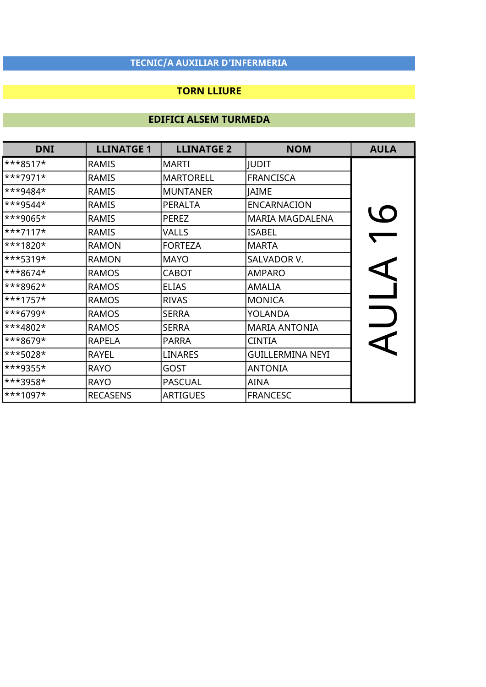### TORN LLIURE

| <b>DNI</b> | <b>LLINATGE 1</b> | <b>LLINATGE 2</b> | <b>NOM</b>              | <b>AULA</b> |
|------------|-------------------|-------------------|-------------------------|-------------|
| $***8517*$ | <b>RAMIS</b>      | <b>MARTI</b>      | <b>JUDIT</b>            |             |
| ***7971*   | <b>RAMIS</b>      | <b>MARTORELL</b>  | <b>FRANCISCA</b>        |             |
| ***9484*   | <b>RAMIS</b>      | <b>MUNTANER</b>   | <b>JAIME</b>            |             |
| ***9544*   | <b>RAMIS</b>      | <b>PERALTA</b>    | <b>ENCARNACION</b>      |             |
| ***9065*   | <b>RAMIS</b>      | <b>PEREZ</b>      | <b>MARIA MAGDALENA</b>  | LO          |
| $***7117*$ | <b>RAMIS</b>      | VALLS             | <b>ISABEL</b>           |             |
| ***1820*   | <b>RAMON</b>      | <b>FORTEZA</b>    | <b>MARTA</b>            |             |
| ***5319*   | <b>RAMON</b>      | <b>MAYO</b>       | SALVADOR V.             |             |
| ***8674*   | <b>RAMOS</b>      | <b>CABOT</b>      | <b>AMPARO</b>           |             |
| ***8962*   | <b>RAMOS</b>      | <b>ELIAS</b>      | <b>AMALIA</b>           |             |
| $***1757*$ | <b>RAMOS</b>      | <b>RIVAS</b>      | <b>MONICA</b>           |             |
| ***6799*   | <b>RAMOS</b>      | <b>SERRA</b>      | YOLANDA                 |             |
| ***4802*   | <b>RAMOS</b>      | <b>SERRA</b>      | <b>MARIA ANTONIA</b>    |             |
| ***8679*   | <b>RAPELA</b>     | <b>PARRA</b>      | <b>CINTIA</b>           |             |
| ***5028*   | RAYEL             | <b>LINARES</b>    | <b>GUILLERMINA NEYI</b> |             |
| ***9355*   | <b>RAYO</b>       | GOST              | <b>ANTONIA</b>          |             |
| ***3958*   | <b>RAYO</b>       | <b>PASCUAL</b>    | AINA                    |             |
| ***1097*   | <b>RECASENS</b>   | <b>ARTIGUES</b>   | <b>FRANCESC</b>         |             |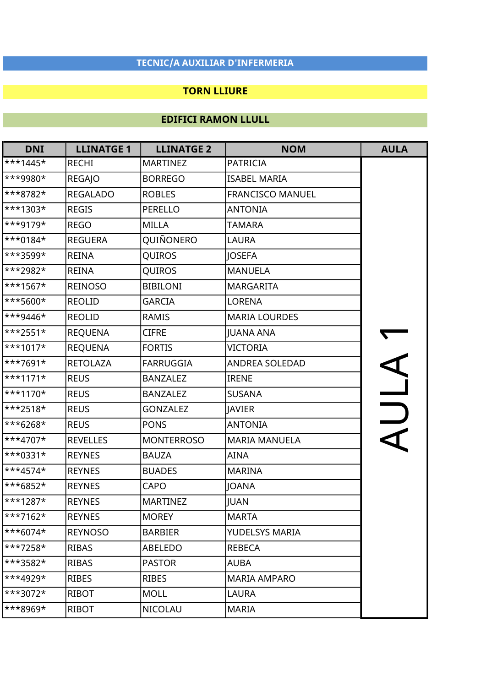### TORN LLIURE

| <b>DNI</b> | <b>LLINATGE 1</b> | <b>LLINATGE 2</b> | <b>NOM</b>              | <b>AULA</b> |
|------------|-------------------|-------------------|-------------------------|-------------|
| $***1445*$ | <b>RECHI</b>      | <b>MARTINEZ</b>   | <b>PATRICIA</b>         |             |
| ***9980*   | <b>REGAJO</b>     | <b>BORREGO</b>    | <b>ISABEL MARIA</b>     |             |
| $***8782*$ | <b>REGALADO</b>   | <b>ROBLES</b>     | <b>FRANCISCO MANUEL</b> |             |
| ***1303*   | <b>REGIS</b>      | <b>PERELLO</b>    | <b>ANTONIA</b>          |             |
| ***9179*   | <b>REGO</b>       | MILLA             | <b>TAMARA</b>           |             |
| $***0184*$ | <b>REGUERA</b>    | QUIÑONERO         | LAURA                   |             |
| $***3599*$ | <b>REINA</b>      | QUIROS            | JOSEFA                  |             |
| $**2982*$  | <b>REINA</b>      | QUIROS            | <b>MANUELA</b>          |             |
| $***1567*$ | <b>REINOSO</b>    | <b>BIBILONI</b>   | <b>MARGARITA</b>        |             |
| $***5600*$ | <b>REOLID</b>     | <b>GARCIA</b>     | <b>LORENA</b>           |             |
| $***9446*$ | <b>REOLID</b>     | <b>RAMIS</b>      | <b>MARIA LOURDES</b>    |             |
| $***2551*$ | <b>REQUENA</b>    | <b>CIFRE</b>      | <b>JUANA ANA</b>        |             |
| $***1017*$ | <b>REQUENA</b>    | <b>FORTIS</b>     | <b>VICTORIA</b>         |             |
| $***7691*$ | <b>RETOLAZA</b>   | <b>FARRUGGIA</b>  | <b>ANDREA SOLEDAD</b>   |             |
| $***1171*$ | <b>REUS</b>       | <b>BANZALEZ</b>   | <b>IRENE</b>            | AUL A       |
| $***1170*$ | <b>REUS</b>       | <b>BANZALEZ</b>   | <b>SUSANA</b>           |             |
| $***2518*$ | <b>REUS</b>       | <b>GONZALEZ</b>   | <b>JAVIER</b>           |             |
| $***6268*$ | <b>REUS</b>       | <b>PONS</b>       | <b>ANTONIA</b>          |             |
| ***4707*   | <b>REVELLES</b>   | <b>MONTERROSO</b> | <b>MARIA MANUELA</b>    |             |
| ***0331*   | <b>REYNES</b>     | <b>BAUZA</b>      | AINA                    |             |
| $***4574*$ | <b>REYNES</b>     | <b>BUADES</b>     | <b>MARINA</b>           |             |
| $***6852*$ | <b>REYNES</b>     | <b>CAPO</b>       | JOANA                   |             |
| $***1287*$ | <b>REYNES</b>     | <b>MARTINEZ</b>   | JUAN                    |             |
| $***7162*$ | <b>REYNES</b>     | <b>MOREY</b>      | <b>MARTA</b>            |             |
| $***6074*$ | <b>REYNOSO</b>    | <b>BARBIER</b>    | <b>YUDELSYS MARIA</b>   |             |
| ***7258*   | <b>RIBAS</b>      | ABELEDO           | <b>REBECA</b>           |             |
| ***3582*   | <b>RIBAS</b>      | <b>PASTOR</b>     | AUBA                    |             |
| $***4929*$ | <b>RIBES</b>      | <b>RIBES</b>      | <b>MARIA AMPARO</b>     |             |
| $***3072*$ | <b>RIBOT</b>      | <b>MOLL</b>       | LAURA                   |             |
| ***8969*   | RIBOT             | NICOLAU           | <b>MARIA</b>            |             |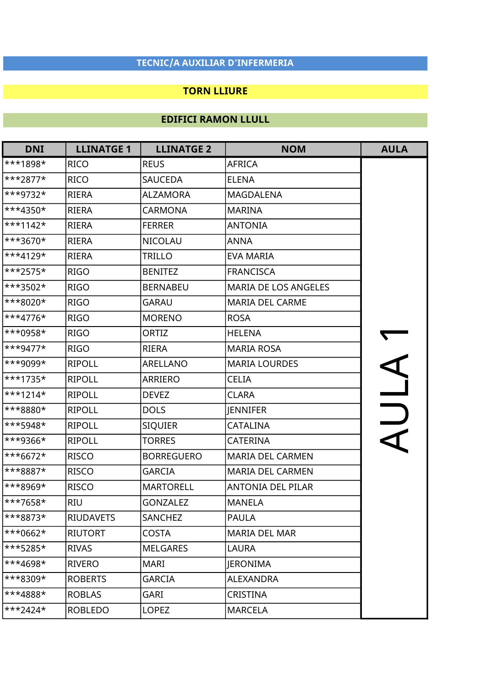### TORN LLIURE

| <b>DNI</b> | <b>LLINATGE 1</b> | <b>LLINATGE 2</b> | <b>NOM</b>               | <b>AULA</b>              |
|------------|-------------------|-------------------|--------------------------|--------------------------|
| ***1898*   | <b>RICO</b>       | <b>REUS</b>       | <b>AFRICA</b>            |                          |
| $***2877*$ | <b>RICO</b>       | <b>SAUCEDA</b>    | <b>ELENA</b>             |                          |
| $***9732*$ | <b>RIERA</b>      | <b>ALZAMORA</b>   | MAGDALENA                |                          |
| ***4350*   | <b>RIERA</b>      | <b>CARMONA</b>    | <b>MARINA</b>            |                          |
| $***1142*$ | RIERA             | <b>FERRER</b>     | <b>ANTONIA</b>           |                          |
| $***3670*$ | <b>RIERA</b>      | <b>NICOLAU</b>    | <b>ANNA</b>              |                          |
| $**4129*$  | <b>RIERA</b>      | <b>TRILLO</b>     | <b>EVA MARIA</b>         |                          |
| $***2575*$ | <b>RIGO</b>       | <b>BENITEZ</b>    | <b>FRANCISCA</b>         |                          |
| $***3502*$ | <b>RIGO</b>       | <b>BERNABEU</b>   | MARIA DE LOS ANGELES     |                          |
| $**8020*$  | <b>RIGO</b>       | <b>GARAU</b>      | <b>MARIA DEL CARME</b>   |                          |
| $***4776*$ | <b>RIGO</b>       | <b>MORENO</b>     | <b>ROSA</b>              |                          |
| $***0958*$ | <b>RIGO</b>       | ORTIZ             | <b>HELENA</b>            |                          |
| $***9477*$ | <b>RIGO</b>       | <b>RIERA</b>      | <b>MARIA ROSA</b>        |                          |
| ***9099*   | <b>RIPOLL</b>     | ARELLANO          | <b>MARIA LOURDES</b>     |                          |
| $***1735*$ | <b>RIPOLL</b>     | <b>ARRIERO</b>    | <b>CELIA</b>             | $\overline{\phantom{a}}$ |
| $***1214*$ | <b>RIPOLL</b>     | <b>DEVEZ</b>      | <b>CLARA</b>             |                          |
| ***8880*   | <b>RIPOLL</b>     | <b>DOLS</b>       | <b>JENNIFER</b>          | $\frac{1}{\sqrt{2}}$     |
| ***5948*   | <b>RIPOLL</b>     | <b>SIQUIER</b>    | <b>CATALINA</b>          |                          |
| ***9366*   | <b>RIPOLL</b>     | <b>TORRES</b>     | <b>CATERINA</b>          |                          |
| ***6672*   | <b>RISCO</b>      | <b>BORREGUERO</b> | <b>MARIA DEL CARMEN</b>  |                          |
| ***8887*   | <b>RISCO</b>      | <b>GARCIA</b>     | <b>MARIA DEL CARMEN</b>  |                          |
| ***8969*   | <b>RISCO</b>      | <b>MARTORELL</b>  | <b>ANTONIA DEL PILAR</b> |                          |
| $***7658*$ | <b>RIU</b>        | <b>GONZALEZ</b>   | <b>MANELA</b>            |                          |
| ***8873*   | <b>RIUDAVETS</b>  | <b>SANCHEZ</b>    | <b>PAULA</b>             |                          |
| ***0662*   | <b>RIUTORT</b>    | <b>COSTA</b>      | <b>MARIA DEL MAR</b>     |                          |
| ***5285*   | <b>RIVAS</b>      | <b>MELGARES</b>   | LAURA                    |                          |
| $***4698*$ | RIVERO            | <b>MARI</b>       | <b>JERONIMA</b>          |                          |
| ***8309*   | <b>ROBERTS</b>    | <b>GARCIA</b>     | ALEXANDRA                |                          |
| ***4888*   | <b>ROBLAS</b>     | <b>GARI</b>       | <b>CRISTINA</b>          |                          |
| $***2424*$ | <b>ROBLEDO</b>    | <b>LOPEZ</b>      | <b>MARCELA</b>           |                          |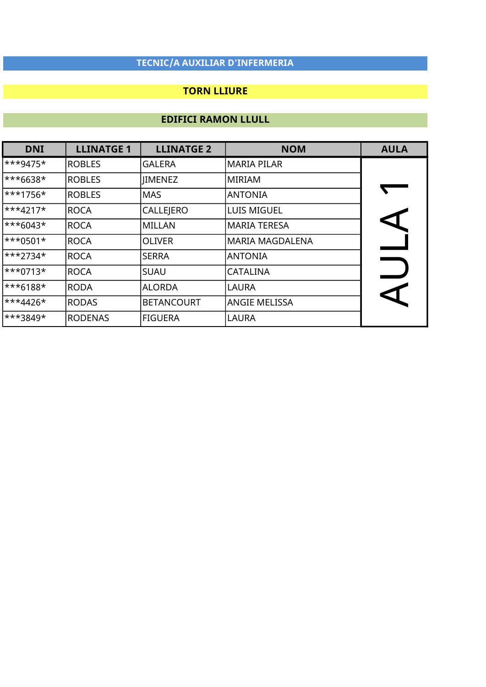### TORN LLIURE

| <b>DNI</b> | <b>LLINATGE 1</b> | <b>LLINATGE 2</b> | <b>NOM</b>           | <b>AULA</b> |
|------------|-------------------|-------------------|----------------------|-------------|
| $***9475*$ | <b>ROBLES</b>     | <b>GALERA</b>     | MARIA PILAR          |             |
| $***6638*$ | <b>ROBLES</b>     | <b>JIMENEZ</b>    | lMIRIAM              |             |
| $***1756*$ | <b>ROBLES</b>     | <b>MAS</b>        | <b>ANTONIA</b>       |             |
| $***4217*$ | ROCA              | CALLEJERO         | LUIS MIGUEL          |             |
| $***6043*$ | ROCA              | MILLAN            | MARIA TERESA         |             |
| $***0501*$ | ROCA              | <b>OLIVER</b>     | MARIA MAGDALENA      |             |
| $***2734*$ | <b>ROCA</b>       | <b>SERRA</b>      | <b>ANTONIA</b>       |             |
| $***0713*$ | <b>ROCA</b>       | <b>SUAU</b>       | lCATALINA            |             |
| $***6188*$ | RODA              | <b>ALORDA</b>     | <b>LAURA</b>         |             |
| $***4426*$ | RODAS             | <b>BETANCOURT</b> | <b>ANGIE MELISSA</b> |             |
| ***3849*   | <b>RODENAS</b>    | <b>FIGUERA</b>    | LAURA                |             |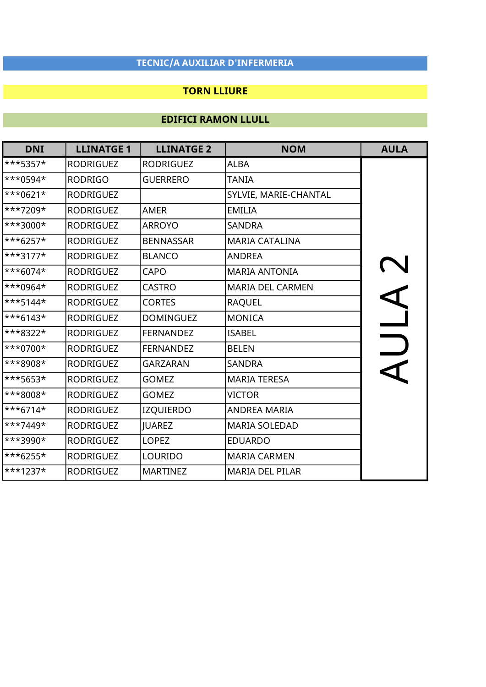### TORN LLIURE

| <b>DNI</b>          | <b>LLINATGE 1</b> | <b>LLINATGE 2</b> | <b>NOM</b>              | <b>AULA</b> |
|---------------------|-------------------|-------------------|-------------------------|-------------|
| ***5357*            | <b>RODRIGUEZ</b>  | <b>RODRIGUEZ</b>  | <b>ALBA</b>             |             |
| <sup>***0594*</sup> | <b>RODRIGO</b>    | <b>GUERRERO</b>   | <b>TANIA</b>            |             |
| $***0621*$          | <b>RODRIGUEZ</b>  |                   | SYLVIE, MARIE-CHANTAL   |             |
| ***7209*            | <b>RODRIGUEZ</b>  | AMER              | <b>EMILIA</b>           |             |
| <sup>***3000*</sup> | <b>RODRIGUEZ</b>  | <b>ARROYO</b>     | <b>SANDRA</b>           |             |
| ***6257*            | <b>RODRIGUEZ</b>  | <b>BENNASSAR</b>  | <b>MARIA CATALINA</b>   |             |
| $***3177*$          | <b>RODRIGUEZ</b>  | <b>BLANCO</b>     | <b>ANDREA</b>           |             |
| ***6074*            | <b>RODRIGUEZ</b>  | CAPO              | <b>MARIA ANTONIA</b>    |             |
| ***0964*            | <b>RODRIGUEZ</b>  | <b>CASTRO</b>     | <b>MARIA DEL CARMEN</b> |             |
| ***5144*            | <b>RODRIGUEZ</b>  | <b>CORTES</b>     | <b>RAQUEL</b>           |             |
| ***6143*            | <b>RODRIGUEZ</b>  | <b>DOMINGUEZ</b>  | <b>MONICA</b>           |             |
| ***8322*            | <b>RODRIGUEZ</b>  | <b>FERNANDEZ</b>  | <b>ISABEL</b>           |             |
| <sup>***0700*</sup> | <b>RODRIGUEZ</b>  | <b>FERNANDEZ</b>  | <b>BELEN</b>            |             |
| ***8908*            | <b>RODRIGUEZ</b>  | <b>GARZARAN</b>   | <b>SANDRA</b>           |             |
| ***5653*            | <b>RODRIGUEZ</b>  | <b>GOMEZ</b>      | <b>MARIA TERESA</b>     |             |
| ***8008*            | <b>RODRIGUEZ</b>  | <b>GOMEZ</b>      | <b>VICTOR</b>           |             |
| $***6714*$          | <b>RODRIGUEZ</b>  | <b>IZQUIERDO</b>  | <b>ANDREA MARIA</b>     |             |
| ***7449*            | <b>RODRIGUEZ</b>  | <b>JUAREZ</b>     | <b>MARIA SOLEDAD</b>    |             |
| ***3990*            | <b>RODRIGUEZ</b>  | <b>LOPEZ</b>      | <b>EDUARDO</b>          |             |
| ***6255*            | <b>RODRIGUEZ</b>  | LOURIDO           | <b>MARIA CARMEN</b>     |             |
| ***1237*            | <b>RODRIGUEZ</b>  | <b>MARTINEZ</b>   | <b>MARIA DEL PILAR</b>  |             |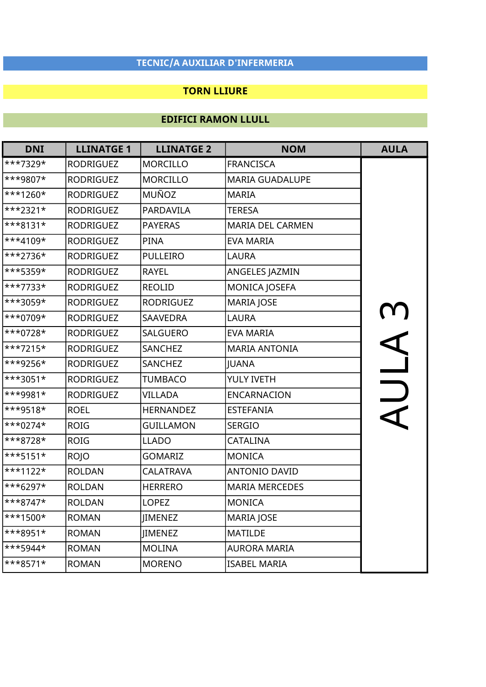### TORN LLIURE

| <b>DNI</b>  | <b>LLINATGE 1</b> | <b>LLINATGE 2</b> | <b>NOM</b>              | <b>AULA</b> |
|-------------|-------------------|-------------------|-------------------------|-------------|
| ***7329*    | <b>RODRIGUEZ</b>  | <b>MORCILLO</b>   | <b>FRANCISCA</b>        |             |
| ***9807*    | <b>RODRIGUEZ</b>  | <b>MORCILLO</b>   | <b>MARIA GUADALUPE</b>  |             |
| $***1260*$  | <b>RODRIGUEZ</b>  | <b>MUÑOZ</b>      | <b>MARIA</b>            |             |
| ***2321*    | <b>RODRIGUEZ</b>  | PARDAVILA         | <b>TERESA</b>           |             |
| ***8131*    | <b>RODRIGUEZ</b>  | <b>PAYERAS</b>    | <b>MARIA DEL CARMEN</b> |             |
| ***4109*    | <b>RODRIGUEZ</b>  | <b>PINA</b>       | <b>EVA MARIA</b>        |             |
| ***2736*    | <b>RODRIGUEZ</b>  | <b>PULLEIRO</b>   | LAURA                   |             |
| ***5359*    | <b>RODRIGUEZ</b>  | <b>RAYEL</b>      | ANGELES JAZMIN          |             |
| ***7733*    | <b>RODRIGUEZ</b>  | <b>REOLID</b>     | <b>MONICA JOSEFA</b>    |             |
| ***3059*    | <b>RODRIGUEZ</b>  | <b>RODRIGUEZ</b>  | <b>MARIA JOSE</b>       |             |
| ***0709*    | <b>RODRIGUEZ</b>  | <b>SAAVEDRA</b>   | <b>LAURA</b>            |             |
| ***0728*    | <b>RODRIGUEZ</b>  | <b>SALGUERO</b>   | <b>EVA MARIA</b>        |             |
| $***7215*$  | <b>RODRIGUEZ</b>  | SANCHEZ           | <b>MARIA ANTONIA</b>    |             |
| ***9256*    | <b>RODRIGUEZ</b>  | SANCHEZ           | JUANA                   | 11A3        |
| ***3051*    | <b>RODRIGUEZ</b>  | <b>TUMBACO</b>    | YULY IVETH              |             |
| ***9981*    | <b>RODRIGUEZ</b>  | <b>VILLADA</b>    | <b>ENCARNACION</b>      | $\Box$      |
| ***9518*    | <b>ROEL</b>       | <b>HERNANDEZ</b>  | <b>ESTEFANIA</b>        |             |
| $***0274*$  | <b>ROIG</b>       | <b>GUILLAMON</b>  | <b>SERGIO</b>           |             |
| ***8728*    | <b>ROIG</b>       | <b>LLADO</b>      | CATALINA                |             |
| $***5151*$  | <b>ROJO</b>       | <b>GOMARIZ</b>    | <b>MONICA</b>           |             |
| $***1122*$  | <b>ROLDAN</b>     | <b>CALATRAVA</b>  | <b>ANTONIO DAVID</b>    |             |
| ***6297*    | <b>ROLDAN</b>     | <b>HERRERO</b>    | <b>MARIA MERCEDES</b>   |             |
| ***8747*    | <b>ROLDAN</b>     | <b>LOPEZ</b>      | <b>MONICA</b>           |             |
| $***1500*$  | <b>ROMAN</b>      | JIMENEZ           | <b>MARIA JOSE</b>       |             |
| ***8951*    | <b>ROMAN</b>      | <b>JIMENEZ</b>    | <b>MATILDE</b>          |             |
| $***$ 5944* | <b>ROMAN</b>      | <b>MOLINA</b>     | <b>AURORA MARIA</b>     |             |
| ***8571*    | <b>ROMAN</b>      | <b>MORENO</b>     | <b>ISABEL MARIA</b>     |             |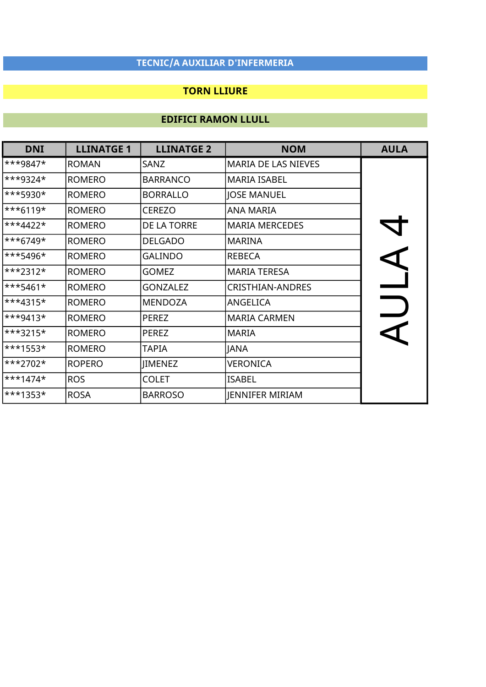### TORN LLIURE

| <b>DNI</b>                | <b>LLINATGE 1</b> | <b>LLINATGE 2</b> | <b>NOM</b>                 | <b>AULA</b> |
|---------------------------|-------------------|-------------------|----------------------------|-------------|
| ***9847*                  | <b>ROMAN</b>      | SANZ              | <b>MARIA DE LAS NIEVES</b> |             |
| ***9324*                  | <b>ROMERO</b>     | <b>BARRANCO</b>   | <b>MARIA ISABEL</b>        |             |
| <sup>***5930*</sup>       | <b>ROMERO</b>     | <b>BORRALLO</b>   | <b>JOSE MANUEL</b>         |             |
| ***6119*                  | <b>ROMERO</b>     | CEREZO            | <b>ANA MARIA</b>           |             |
| ***4422*                  | <b>ROMERO</b>     | DE LA TORRE       | <b>MARIA MERCEDES</b>      |             |
| ***6749*                  | <b>ROMERO</b>     | <b>DELGADO</b>    | MARINA                     |             |
| ***5496*                  | <b>ROMERO</b>     | <b>GALINDO</b>    | <b>REBECA</b>              |             |
| ***2312*                  | <b>ROMERO</b>     | <b>GOMEZ</b>      | <b>MARIA TERESA</b>        |             |
| ***5461*                  | <b>ROMERO</b>     | <b>GONZALEZ</b>   | <b>CRISTHIAN-ANDRES</b>    |             |
| ***4315*                  | <b>ROMERO</b>     | <b>MENDOZA</b>    | ANGELICA                   |             |
| $\ast\ast$ + 3413 $\star$ | <b>ROMERO</b>     | <b>PEREZ</b>      | <b>MARIA CARMEN</b>        |             |
| ***3215*                  | <b>ROMERO</b>     | PEREZ             | <b>MARIA</b>               |             |
| ***1553*                  | <b>ROMERO</b>     | TAPIA             | <b>JANA</b>                |             |
| ***2702*                  | <b>ROPERO</b>     | <b>JIMENEZ</b>    | <b>VERONICA</b>            |             |
| ***1474*                  | <b>ROS</b>        | <b>COLET</b>      | <b>ISABEL</b>              |             |
| ***1353*                  | <b>ROSA</b>       | <b>BARROSO</b>    | JENNIFER MIRIAM            |             |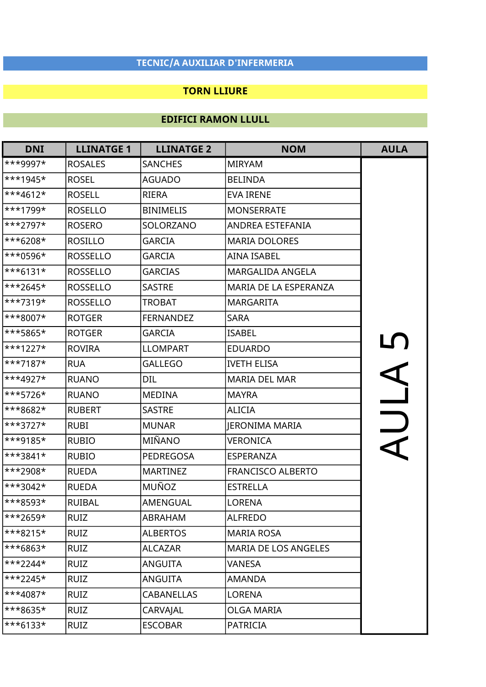### TORN LLIURE

| <b>DNI</b>                 | <b>LLINATGE 1</b> | <b>LLINATGE 2</b> | <b>NOM</b>               | <b>AULA</b> |
|----------------------------|-------------------|-------------------|--------------------------|-------------|
| ***9997*                   | <b>ROSALES</b>    | <b>SANCHES</b>    | <b>MIRYAM</b>            |             |
| ***1945*                   | <b>ROSEL</b>      | <b>AGUADO</b>     | <b>BELINDA</b>           |             |
| ***4612*                   | <b>ROSELL</b>     | <b>RIERA</b>      | <b>EVA IRENE</b>         |             |
| ***1799*                   | <b>ROSELLO</b>    | <b>BINIMELIS</b>  | <b>MONSERRATE</b>        |             |
| ***2797*                   | <b>ROSERO</b>     | SOLORZANO         | ANDREA ESTEFANIA         |             |
| ***6208*                   | <b>ROSILLO</b>    | <b>GARCIA</b>     | <b>MARIA DOLORES</b>     |             |
| ***0596*                   | <b>ROSSELLO</b>   | <b>GARCIA</b>     | <b>AINA ISABEL</b>       |             |
| ***6131*                   | <b>ROSSELLO</b>   | <b>GARCIAS</b>    | MARGALIDA ANGELA         |             |
| ***2645*                   | <b>ROSSELLO</b>   | <b>SASTRE</b>     | MARIA DE LA ESPERANZA    |             |
| ***7319*                   | <b>ROSSELLO</b>   | <b>TROBAT</b>     | <b>MARGARITA</b>         |             |
| ***8007*                   | <b>ROTGER</b>     | <b>FERNANDEZ</b>  | <b>SARA</b>              |             |
| ***5865*                   | <b>ROTGER</b>     | <b>GARCIA</b>     | <b>ISABEL</b>            |             |
| ***1227*                   | <b>ROVIRA</b>     | <b>LLOMPART</b>   | <b>EDUARDO</b>           | ULA5        |
| ***7187*                   | <b>RUA</b>        | <b>GALLEGO</b>    | <b>IVETH ELISA</b>       |             |
| ***4927*                   | <b>RUANO</b>      | <b>DIL</b>        | <b>MARIA DEL MAR</b>     |             |
| ***5726*                   | <b>RUANO</b>      | <b>MEDINA</b>     | <b>MAYRA</b>             |             |
| ***8682*                   | <b>RUBERT</b>     | <b>SASTRE</b>     | <b>ALICIA</b>            |             |
| ***3727*                   | <b>RUBI</b>       | <b>MUNAR</b>      | JERONIMA MARIA           |             |
| ***9185*                   | <b>RUBIO</b>      | MIÑANO            | <b>VERONICA</b>          |             |
| ***3841*                   | <b>RUBIO</b>      | PEDREGOSA         | ESPERANZA                |             |
| ***2908*                   | <b>RUEDA</b>      | <b>MARTINEZ</b>   | <b>FRANCISCO ALBERTO</b> |             |
| ***3042*                   | <b>RUEDA</b>      | <b>MUÑOZ</b>      | <b>ESTRELLA</b>          |             |
| ***8593*                   | <b>RUIBAL</b>     | <b>AMENGUAL</b>   | <b>LORENA</b>            |             |
| ***2659*                   | <b>RUIZ</b>       | ABRAHAM           | <b>ALFREDO</b>           |             |
| ***8215*                   | <b>RUIZ</b>       | <b>ALBERTOS</b>   | <b>MARIA ROSA</b>        |             |
| ***6863*                   | <b>RUIZ</b>       | <b>ALCAZAR</b>    | MARIA DE LOS ANGELES     |             |
| $\star\star\star2244\star$ | <b>RUIZ</b>       | <b>ANGUITA</b>    | VANESA                   |             |
| ***2245*                   | <b>RUIZ</b>       | <b>ANGUITA</b>    | <b>AMANDA</b>            |             |
| $\ast\ast4087\star$        | <b>RUIZ</b>       | <b>CABANELLAS</b> | <b>LORENA</b>            |             |
| ***8635*                   | <b>RUIZ</b>       | CARVAJAL          | OLGA MARIA               |             |
| ***6133*                   | <b>RUIZ</b>       | <b>ESCOBAR</b>    | <b>PATRICIA</b>          |             |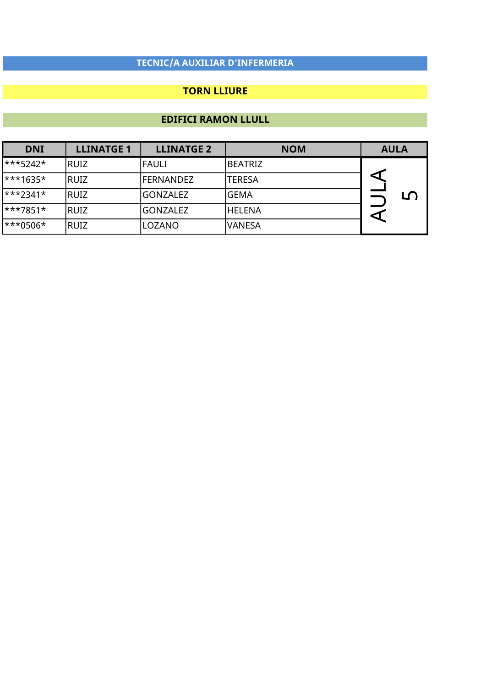### TORN LLIURE

| <b>DNI</b>             | <b>LLINATGE 1</b> | <b>LLINATGE 2</b> | <b>NOM</b>    | <b>AULA</b> |    |
|------------------------|-------------------|-------------------|---------------|-------------|----|
| $\ast\ast\ast$ 5242*   | IRUIZ             | <b>FAULI</b>      | IBEATRIZ      |             |    |
| $\ast\ast\ast$ 1635*   | IRUIZ             | IFERNANDEZ        | <b>TERESA</b> |             |    |
| $\ast\ast\ast2341\ast$ | RUIZ              | IGONZALEZ         | <b>GEMA</b>   |             | பி |
| $\ast\ast\ast7851\ast$ | IRUIZ             | IGONZALEZ         | lhelena       |             |    |
| <sup>***0506*</sup>    | IRUIZ             | LOZANO            | lvanesa       |             |    |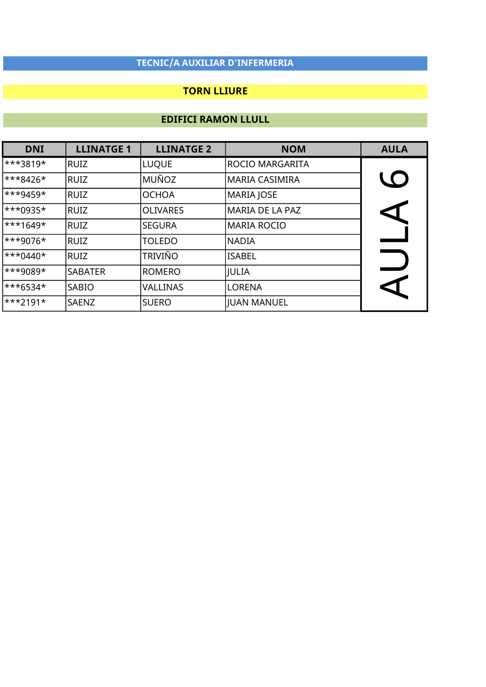### TORN LLIURE

| <b>DNI</b> | <b>LLINATGE 1</b> | <b>LLINATGE 2</b> | <b>NOM</b>      | <b>AULA</b>          |
|------------|-------------------|-------------------|-----------------|----------------------|
| ***3819*   | RUIZ              | <b>LUQUE</b>      | ROCIO MARGARITA |                      |
| $***8426*$ | RUIZ              | MUÑOZ             | MARIA CASIMIRA  | <b>LO</b>            |
| $**9459*$  | RUIZ              | <b>OCHOA</b>      | MARIA JOSE      |                      |
| $***0935*$ | RUIZ              | <b>OLIVARES</b>   | MARIA DE LA PAZ | $\blacktriangle$     |
| $***1649*$ | RUIZ              | <b>SEGURA</b>     | MARIA ROCIO     |                      |
| ***9076*   | RUIZ              | <b>TOLEDO</b>     | NADIA           |                      |
| $***0440*$ | RUIZ              | <b>TRIVIÑO</b>    | lisabel         |                      |
| ***9089*   | <b>SABATER</b>    | <b>ROMERO</b>     | JULIA           |                      |
| $***6534*$ | SABIO             | <b>VALLINAS</b>   | llorena         | $\blacktriangleleft$ |
| $***2191*$ | <b>SAENZ</b>      | <b>SUERO</b>      | JUAN MANUEL     |                      |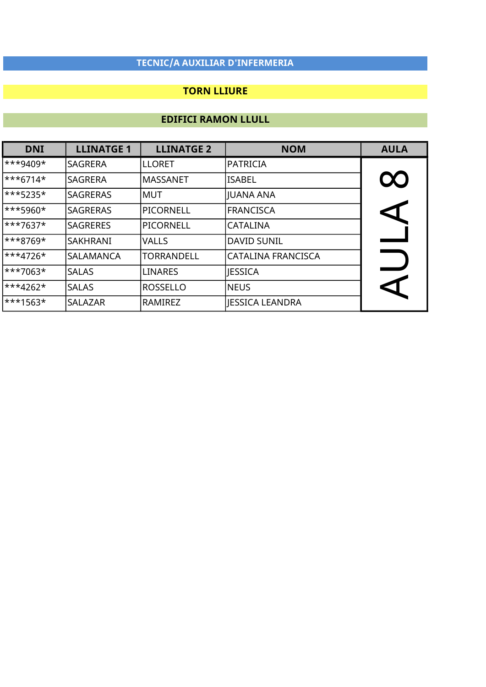### TORN LLIURE

| <b>DNI</b>             | <b>LLINATGE 1</b> | <b>LLINATGE 2</b> | <b>NOM</b>         | <b>AULA</b>          |
|------------------------|-------------------|-------------------|--------------------|----------------------|
| ***9409*               | <b>SAGRERA</b>    | <b>LLORET</b>     | <b>PATRICIA</b>    |                      |
| ***6714*               | <b>SAGRERA</b>    | <b>MASSANET</b>   | <b>ISABEL</b>      | $\infty$             |
| $\ast\ast\ast$ 5235*   | <b>SAGRERAS</b>   | IMUT              | JUANA ANA          |                      |
| $\ast\ast\ast$ 5960*   | <b>SAGRERAS</b>   | PICORNELL         | FRANCISCA          | $\blacktriangleleft$ |
| $\ast\ast\ast7637\ast$ | <b>SAGRERES</b>   | PICORNELL         | <b>CATALINA</b>    |                      |
| ***8769*               | SAKHRANI          | <b>VALLS</b>      | DAVID SUNIL        |                      |
| ***4726*               | ISALAMANCA        | <b>TORRANDELL</b> | CATALINA FRANCISCA |                      |
| <sup>***7063*</sup>    | <b>SALAS</b>      | <b>LINARES</b>    | <b>JESSICA</b>     |                      |
| ***4262*               | <b>SALAS</b>      | ROSSELLO          | <b>NEUS</b>        | CI                   |
| <sup>***1563*</sup>    | <b>SALAZAR</b>    | RAMIREZ           | JESSICA LEANDRA    |                      |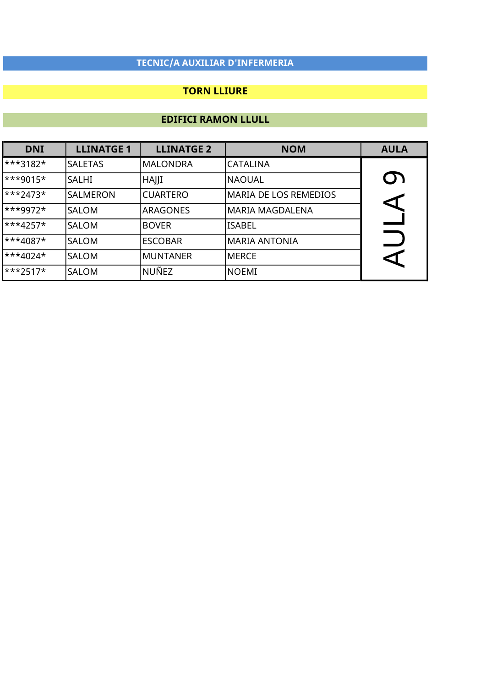### TORN LLIURE

| <b>DNI</b>              | <b>LLINATGE 1</b> | <b>LLINATGE 2</b> | <b>NOM</b>                   | <b>AULA</b>          |
|-------------------------|-------------------|-------------------|------------------------------|----------------------|
| $\ast\ast\ast 3182\ast$ | <b>SALETAS</b>    | <b>MALONDRA</b>   | CATALINA                     |                      |
| $\ast\ast$ + 9015*      | <b>SALHI</b>      | HAJJI             | <b>NAOUAL</b>                | <b>O)</b>            |
| $\ast\ast\ast$ 2473*    | ISALMERON         | <b>CUARTERO</b>   | <b>MARIA DE LOS REMEDIOS</b> |                      |
| $ ***9972*$             | <b>SALOM</b>      | <b>ARAGONES</b>   | MARIA MAGDALENA              | $\blacktriangleleft$ |
| $\ast \ast 4257 \star$  | <b>SALOM</b>      | <b>BOVER</b>      | lisabel                      |                      |
| ***4087*                | <b>SALOM</b>      | <b>ESCOBAR</b>    | MARIA ANTONIA                | $\Box$               |
| ***4024*                | <b>SALOM</b>      | <b>MUNTANER</b>   | MERCE                        | ◁                    |
| $\ast\ast\ast$ 2517*    | <b>SALOM</b>      | NUÑEZ             | <b>NOEMI</b>                 |                      |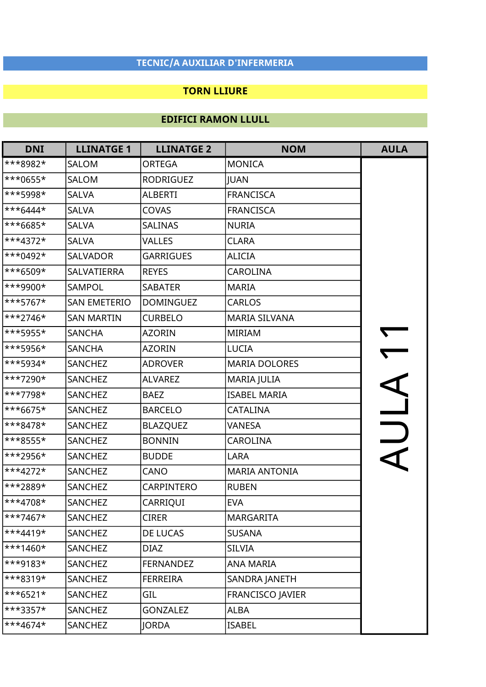### TORN LLIURE

| <b>DNI</b> | <b>LLINATGE 1</b>   | <b>LLINATGE 2</b> | <b>NOM</b>              | <b>AULA</b> |
|------------|---------------------|-------------------|-------------------------|-------------|
| ***8982*   | SALOM               | <b>ORTEGA</b>     | <b>MONICA</b>           |             |
| ***0655*   | SALOM               | <b>RODRIGUEZ</b>  | <b>JUAN</b>             |             |
| ***5998*   | <b>SALVA</b>        | <b>ALBERTI</b>    | <b>FRANCISCA</b>        |             |
| $***6444*$ | <b>SALVA</b>        | <b>COVAS</b>      | <b>FRANCISCA</b>        |             |
| $***6685*$ | <b>SALVA</b>        | <b>SALINAS</b>    | <b>NURIA</b>            |             |
| $***4372*$ | <b>SALVA</b>        | <b>VALLES</b>     | <b>CLARA</b>            |             |
| $***0492*$ | SALVADOR            | <b>GARRIGUES</b>  | <b>ALICIA</b>           |             |
| ***6509*   | SALVATIERRA         | <b>REYES</b>      | <b>CAROLINA</b>         |             |
| ***9900*   | SAMPOL              | <b>SABATER</b>    | <b>MARIA</b>            |             |
| ***5767*   | <b>SAN EMETERIO</b> | <b>DOMINGUEZ</b>  | <b>CARLOS</b>           |             |
| $***2746*$ | <b>SAN MARTIN</b>   | <b>CURBELO</b>    | <b>MARIA SILVANA</b>    |             |
| ***5955*   | <b>SANCHA</b>       | <b>AZORIN</b>     | <b>MIRIAM</b>           |             |
| ***5956*   | <b>SANCHA</b>       | <b>AZORIN</b>     | <b>LUCIA</b>            |             |
| ***5934*   | SANCHEZ             | <b>ADROVER</b>    | <b>MARIA DOLORES</b>    |             |
| ***7290*   | SANCHEZ             | <b>ALVAREZ</b>    | MARIA JULIA             |             |
| ***7798*   | SANCHEZ             | <b>BAEZ</b>       | <b>ISABEL MARIA</b>     |             |
| ***6675*   | SANCHEZ             | <b>BARCELO</b>    | CATALINA                |             |
| $***8478*$ | SANCHEZ             | <b>BLAZQUEZ</b>   | VANESA                  |             |
| ***8555*   | SANCHEZ             | <b>BONNIN</b>     | <b>CAROLINA</b>         |             |
| ***2956*   | SANCHEZ             | <b>BUDDE</b>      | LARA                    |             |
| $***4272*$ | SANCHEZ             | CANO              | <b>MARIA ANTONIA</b>    |             |
| ***2889*   | SANCHEZ             | <b>CARPINTERO</b> | <b>RUBEN</b>            |             |
| $**4708*$  | SANCHEZ             | <b>CARRIQUI</b>   | <b>EVA</b>              |             |
| $***7467*$ | SANCHEZ             | <b>CIRER</b>      | <b>MARGARITA</b>        |             |
| $***4419*$ | SANCHEZ             | DE LUCAS          | <b>SUSANA</b>           |             |
| $***1460*$ | SANCHEZ             | <b>DIAZ</b>       | <b>SILVIA</b>           |             |
| ***9183*   | SANCHEZ             | <b>FERNANDEZ</b>  | ANA MARIA               |             |
| $***8319*$ | SANCHEZ             | <b>FERREIRA</b>   | SANDRA JANETH           |             |
| $***6521*$ | SANCHEZ             | GIL               | <b>FRANCISCO JAVIER</b> |             |
| ***3357*   | SANCHEZ             | <b>GONZALEZ</b>   | <b>ALBA</b>             |             |
| $***4674*$ | SANCHEZ             | <b>JORDA</b>      | <b>ISABEL</b>           |             |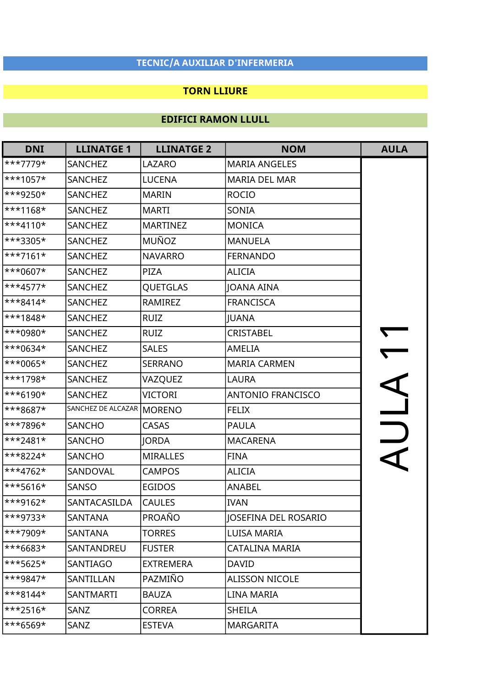### TORN LLIURE

| <b>DNI</b> | <b>LLINATGE 1</b>  | <b>LLINATGE 2</b> | <b>NOM</b>                  | <b>AULA</b> |
|------------|--------------------|-------------------|-----------------------------|-------------|
| ***7779*   | <b>SANCHEZ</b>     | <b>LAZARO</b>     | <b>MARIA ANGELES</b>        |             |
| ***1057*   | SANCHEZ            | <b>LUCENA</b>     | <b>MARIA DEL MAR</b>        |             |
| ***9250*   | SANCHEZ            | <b>MARIN</b>      | <b>ROCIO</b>                |             |
| $***1168*$ | SANCHEZ            | <b>MARTI</b>      | SONIA                       |             |
| $***4110*$ | SANCHEZ            | <b>MARTINEZ</b>   | <b>MONICA</b>               |             |
| ***3305*   | SANCHEZ            | MUÑOZ             | <b>MANUELA</b>              |             |
| $***7161*$ | <b>SANCHEZ</b>     | <b>NAVARRO</b>    | <b>FERNANDO</b>             |             |
| ***0607*   | <b>SANCHEZ</b>     | PIZA              | <b>ALICIA</b>               |             |
| ***4577*   | SANCHEZ            | <b>QUETGLAS</b>   | JOANA AINA                  |             |
| $***8414*$ | SANCHEZ            | RAMIREZ           | <b>FRANCISCA</b>            |             |
| ***1848*   | SANCHEZ            | <b>RUIZ</b>       | JUANA                       |             |
| ***0980*   | SANCHEZ            | <b>RUIZ</b>       | CRISTABEL                   |             |
| ***0634*   | <b>SANCHEZ</b>     | <b>SALES</b>      | AMELIA                      |             |
| $***0065*$ | SANCHEZ            | <b>SERRANO</b>    | <b>MARIA CARMEN</b>         |             |
| ***1798*   | SANCHEZ            | VAZQUEZ           | <b>LAURA</b>                |             |
| ***6190*   | <b>SANCHEZ</b>     | VICTORI           | <b>ANTONIO FRANCISCO</b>    |             |
| ***8687*   | SANCHEZ DE ALCAZAR | <b>MORENO</b>     | <b>FELIX</b>                |             |
| ***7896*   | <b>SANCHO</b>      | CASAS             | <b>PAULA</b>                |             |
| $***2481*$ | <b>SANCHO</b>      | JORDA             | <b>MACARENA</b>             | V IIIY      |
| ***8224*   | <b>SANCHO</b>      | <b>MIRALLES</b>   | <b>FINA</b>                 |             |
| $**4762*$  | SANDOVAL           | <b>CAMPOS</b>     | <b>ALICIA</b>               |             |
| $***5616*$ | SANSO              | <b>EGIDOS</b>     | <b>ANABEL</b>               |             |
| $***9162*$ | SANTACASILDA       | <b>CAULES</b>     | <b>IVAN</b>                 |             |
| ***9733*   | SANTANA            | PROAÑO            | <b>IOSEFINA DEL ROSARIO</b> |             |
| ***7909*   | SANTANA            | <b>TORRES</b>     | LUISA MARIA                 |             |
| ***6683*   | SANTANDREU         | <b>FUSTER</b>     | <b>CATALINA MARIA</b>       |             |
| ***5625*   | SANTIAGO           | <b>EXTREMERA</b>  | <b>DAVID</b>                |             |
| $***9847*$ | SANTILLAN          | PAZMIÑO           | <b>ALISSON NICOLE</b>       |             |
| $***8144*$ | <b>SANTMARTI</b>   | <b>BAUZA</b>      | <b>LINA MARIA</b>           |             |
| $***2516*$ | SANZ               | <b>CORREA</b>     | <b>SHEILA</b>               |             |
| ***6569*   | SANZ               | <b>ESTEVA</b>     | <b>MARGARITA</b>            |             |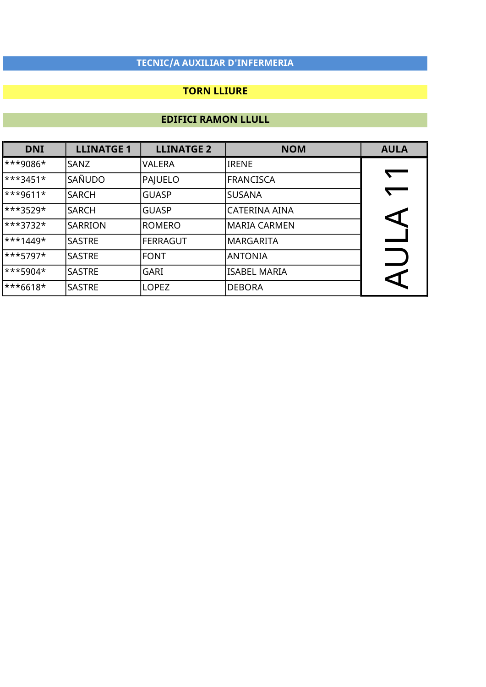### TORN LLIURE

| <b>DNI</b>             | <b>LLINATGE 1</b> | <b>LLINATGE 2</b> | <b>NOM</b>     | <b>AULA</b> |
|------------------------|-------------------|-------------------|----------------|-------------|
| ***9086*               | SANZ              | <b>VALERA</b>     | <b>IRENE</b>   |             |
| ***3451*               | SAÑUDO            | PAJUELO           | FRANCISCA      | $\sqrt{2}$  |
| <sup>***9611*</sup>    | <b>SARCH</b>      | <b>GUASP</b>      | <b>SUSANA</b>  |             |
| ***3529*               | <b>SARCH</b>      | <b>GUASP</b>      | CATERINA AINA  |             |
| ***3732*               | <b>SARRION</b>    | ROMERO            | MARIA CARMEN   |             |
| $\ast\ast\ast1449\ast$ | <b>SASTRE</b>     | FERRAGUT          | MARGARITA      |             |
| ***5797*               | <b>SASTRE</b>     | <b>FONT</b>       | <b>ANTONIA</b> |             |
| $\ast\ast\ast$ 5904*   | <b>SASTRE</b>     | <b>GARI</b>       | ISABEL MARIA   |             |
| ***6618*               | <b>SASTRE</b>     | <b>LOPEZ</b>      | DEBORA         |             |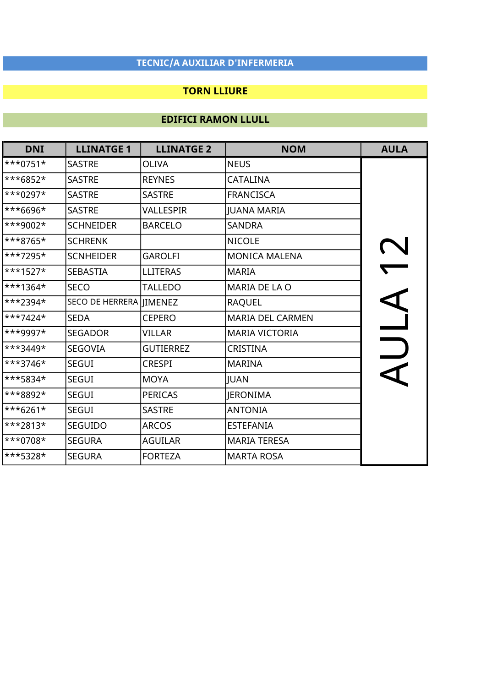### TORN LLIURE

| <b>DNI</b> | <b>LLINATGE 1</b>       | <b>LLINATGE 2</b> | <b>NOM</b>              | <b>AULA</b> |
|------------|-------------------------|-------------------|-------------------------|-------------|
| $***0751*$ | <b>SASTRE</b>           | <b>OLIVA</b>      | <b>NEUS</b>             |             |
| ***6852*   | <b>SASTRE</b>           | <b>REYNES</b>     | <b>CATALINA</b>         |             |
| ***0297*   | <b>SASTRE</b>           | <b>SASTRE</b>     | <b>FRANCISCA</b>        |             |
| ***6696*   | <b>SASTRE</b>           | VALLESPIR         | <b>JUANA MARIA</b>      |             |
| ***9002*   | <b>SCHNEIDER</b>        | <b>BARCELO</b>    | <b>SANDRA</b>           |             |
| ***8765*   | <b>SCHRENK</b>          |                   | <b>NICOLE</b>           |             |
| $***7295*$ | <b>SCNHEIDER</b>        | <b>GAROLFI</b>    | <b>MONICA MALENA</b>    |             |
| $***1527*$ | <b>SEBASTIA</b>         | <b>LLITERAS</b>   | <b>MARIA</b>            |             |
| ***1364*   | <b>SECO</b>             | <b>TALLEDO</b>    | MARIA DE LA O           |             |
| ***2394*   | SECO DE HERRERA JIMENEZ |                   | <b>RAQUEL</b>           |             |
| $***7424*$ | <b>SEDA</b>             | <b>CEPERO</b>     | <b>MARIA DEL CARMEN</b> |             |
| ***9997*   | <b>SEGADOR</b>          | <b>VILLAR</b>     | <b>MARIA VICTORIA</b>   |             |
| $***3449*$ | <b>SEGOVIA</b>          | <b>GUTIERREZ</b>  | <b>CRISTINA</b>         |             |
| ***3746*   | <b>SEGUI</b>            | <b>CRESPI</b>     | <b>MARINA</b>           |             |
| ***5834*   | <b>SEGUI</b>            | <b>MOYA</b>       | <b>JUAN</b>             |             |
| ***8892*   | <b>SEGUI</b>            | <b>PERICAS</b>    | <b>JERONIMA</b>         |             |
| $***6261*$ | <b>SEGUI</b>            | <b>SASTRE</b>     | <b>ANTONIA</b>          |             |
| $***2813*$ | <b>SEGUIDO</b>          | <b>ARCOS</b>      | <b>ESTEFANIA</b>        |             |
| $***0708*$ | <b>SEGURA</b>           | <b>AGUILAR</b>    | <b>MARIA TERESA</b>     |             |
| ***5328*   | <b>SEGURA</b>           | <b>FORTEZA</b>    | <b>MARTA ROSA</b>       |             |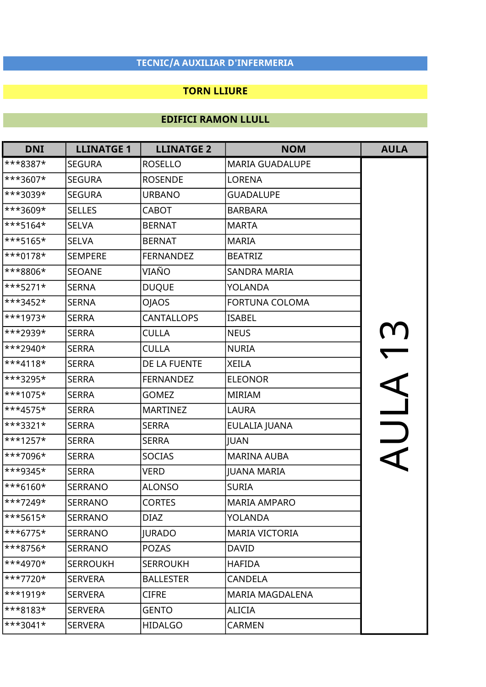### TORN LLIURE

| <b>DNI</b>  | <b>LLINATGE 1</b> | <b>LLINATGE 2</b> | <b>NOM</b>             | <b>AULA</b>  |
|-------------|-------------------|-------------------|------------------------|--------------|
| ***8387*    | <b>SEGURA</b>     | <b>ROSELLO</b>    | <b>MARIA GUADALUPE</b> |              |
| ***3607*    | <b>SEGURA</b>     | <b>ROSENDE</b>    | LORENA                 |              |
| $**3039*$   | <b>SEGURA</b>     | <b>URBANO</b>     | <b>GUADALUPE</b>       |              |
| ***3609*    | <b>SELLES</b>     | <b>CABOT</b>      | <b>BARBARA</b>         |              |
| $***5164*$  | <b>SELVA</b>      | <b>BERNAT</b>     | <b>MARTA</b>           |              |
| ***5165*    | <b>SELVA</b>      | <b>BERNAT</b>     | <b>MARIA</b>           |              |
| ***0178*    | <b>SEMPERE</b>    | <b>FERNANDEZ</b>  | <b>BEATRIZ</b>         |              |
| ***8806*    | <b>SEOANE</b>     | VIAÑO             | <b>SANDRA MARIA</b>    |              |
| ***5271*    | <b>SERNA</b>      | <b>DUQUE</b>      | <b>YOLANDA</b>         |              |
| $***3452*$  | <b>SERNA</b>      | <b>OJAOS</b>      | <b>FORTUNA COLOMA</b>  |              |
| ***1973*    | <b>SERRA</b>      | <b>CANTALLOPS</b> | <b>ISABEL</b>          |              |
| ***2939*    | <b>SERRA</b>      | <b>CULLA</b>      | <b>NEUS</b>            | $\mathbf{u}$ |
| $***2940*$  | <b>SERRA</b>      | <b>CULLA</b>      | <b>NURIA</b>           |              |
| $***4118*$  | <b>SERRA</b>      | DE LA FUENTE      | <b>XEILA</b>           |              |
| ***3295*    | <b>SERRA</b>      | <b>FERNANDEZ</b>  | <b>ELEONOR</b>         |              |
| ***1075*    | <b>SERRA</b>      | <b>GOMEZ</b>      | <b>MIRIAM</b>          |              |
| ***4575*    | <b>SERRA</b>      | <b>MARTINEZ</b>   | <b>LAURA</b>           |              |
| ***3321*    | <b>SERRA</b>      | <b>SERRA</b>      | EULALIA JUANA          |              |
| ***1257*    | <b>SERRA</b>      | <b>SERRA</b>      | JUAN                   |              |
| ***7096*    | <b>SERRA</b>      | <b>SOCIAS</b>     | <b>MARINA AUBA</b>     |              |
| $***9345*$  | <b>SERRA</b>      | <b>VERD</b>       | <b>JUANA MARIA</b>     |              |
| $***6160*$  | <b>SERRANO</b>    | <b>ALONSO</b>     | <b>SURIA</b>           |              |
| ***7249*    | <b>SERRANO</b>    | <b>CORTES</b>     | <b>MARIA AMPARO</b>    |              |
| $***$ 5615* | <b>SERRANO</b>    | <b>DIAZ</b>       | <b>YOLANDA</b>         |              |
| $***6775*$  | <b>SERRANO</b>    | <b>JURADO</b>     | <b>MARIA VICTORIA</b>  |              |
| ***8756*    | <b>SERRANO</b>    | <b>POZAS</b>      | <b>DAVID</b>           |              |
| $***4970*$  | <b>SERROUKH</b>   | <b>SERROUKH</b>   | <b>HAFIDA</b>          |              |
| ***7720*    | <b>SERVERA</b>    | <b>BALLESTER</b>  | <b>CANDELA</b>         |              |
| $***1919*$  | <b>SERVERA</b>    | <b>CIFRE</b>      | MARIA MAGDALENA        |              |
| ***8183*    | <b>SERVERA</b>    | <b>GENTO</b>      | <b>ALICIA</b>          |              |
| $***3041*$  | <b>SERVERA</b>    | <b>HIDALGO</b>    | <b>CARMEN</b>          |              |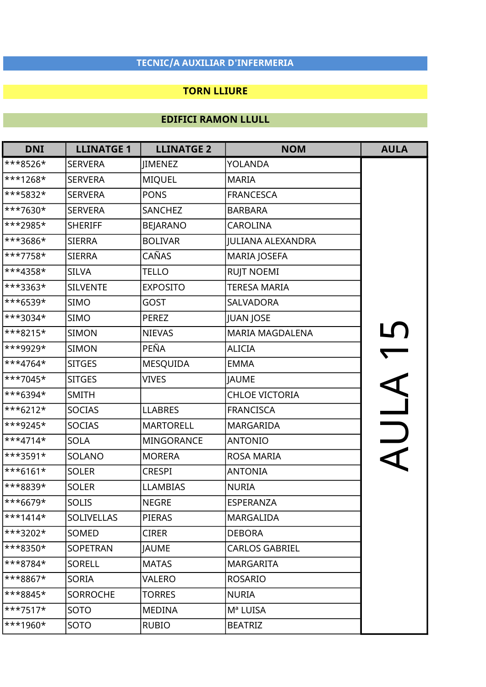### TORN LLIURE

| <b>DNI</b> | <b>LLINATGE 1</b> | <b>LLINATGE 2</b> | <b>NOM</b>             | <b>AULA</b> |
|------------|-------------------|-------------------|------------------------|-------------|
| ***8526*   | <b>SERVERA</b>    | <b>IIMENEZ</b>    | YOLANDA                |             |
| ***1268*   | <b>SERVERA</b>    | <b>MIQUEL</b>     | <b>MARIA</b>           |             |
| ***5832*   | <b>SERVERA</b>    | <b>PONS</b>       | <b>FRANCESCA</b>       |             |
| ***7630*   | <b>SERVERA</b>    | <b>SANCHEZ</b>    | <b>BARBARA</b>         |             |
| ***2985*   | <b>SHERIFF</b>    | <b>BEJARANO</b>   | <b>CAROLINA</b>        |             |
| ***3686*   | <b>SIERRA</b>     | <b>BOLIVAR</b>    | JULIANA ALEXANDRA      |             |
| $***7758*$ | <b>SIERRA</b>     | CAÑAS             | <b>MARIA JOSEFA</b>    |             |
| ***4358*   | <b>SILVA</b>      | <b>TELLO</b>      | <b>RUJT NOEMI</b>      |             |
| $***3363*$ | <b>SILVENTE</b>   | <b>EXPOSITO</b>   | <b>TERESA MARIA</b>    |             |
| ***6539*   | <b>SIMO</b>       | GOST              | SALVADORA              |             |
| ***3034*   | <b>SIMO</b>       | <b>PEREZ</b>      | JUAN JOSE              |             |
| ***8215*   | <b>SIMON</b>      | <b>NIEVAS</b>     | <b>MARIA MAGDALENA</b> | $\Gamma$    |
| ***9929*   | <b>SIMON</b>      | PEÑA              | <b>ALICIA</b>          |             |
| ***4764*   | <b>SITGES</b>     | MESQUIDA          | <b>EMMA</b>            |             |
| ***7045*   | <b>SITGES</b>     | <b>VIVES</b>      | <b>JAUME</b>           |             |
| ***6394*   | <b>SMITH</b>      |                   | <b>CHLOE VICTORIA</b>  |             |
| $***6212*$ | <b>SOCIAS</b>     | <b>LLABRES</b>    | <b>FRANCISCA</b>       |             |
| ***9245*   | <b>SOCIAS</b>     | <b>MARTORELL</b>  | MARGARIDA              |             |
| $***4714*$ | <b>SOLA</b>       | MINGORANCE        | <b>ANTONIO</b>         | IIY         |
| ***3591*   | SOLANO            | <b>MORERA</b>     | ROSA MARIA             |             |
| $***6161*$ | <b>SOLER</b>      | <b>CRESPI</b>     | <b>ANTONIA</b>         |             |
| ***8839*   | <b>SOLER</b>      | <b>LLAMBIAS</b>   | <b>NURIA</b>           |             |
| ***6679*   | <b>SOLIS</b>      | <b>NEGRE</b>      | ESPERANZA              |             |
| $***1414*$ | <b>SOLIVELLAS</b> | <b>PIERAS</b>     | MARGALIDA              |             |
| ***3202*   | SOMED             | <b>CIRER</b>      | <b>DEBORA</b>          |             |
| $***8350*$ | SOPETRAN          | <b>JAUME</b>      | <b>CARLOS GABRIEL</b>  |             |
| ***8784*   | <b>SORELL</b>     | <b>MATAS</b>      | <b>MARGARITA</b>       |             |
| ***8867*   | <b>SORIA</b>      | VALERO            | <b>ROSARIO</b>         |             |
| ***8845*   | <b>SORROCHE</b>   | <b>TORRES</b>     | <b>NURIA</b>           |             |
| $***7517*$ | SOTO              | <b>MEDINA</b>     | Mª LUISA               |             |
| $***1960*$ | SOTO              | <b>RUBIO</b>      | <b>BEATRIZ</b>         |             |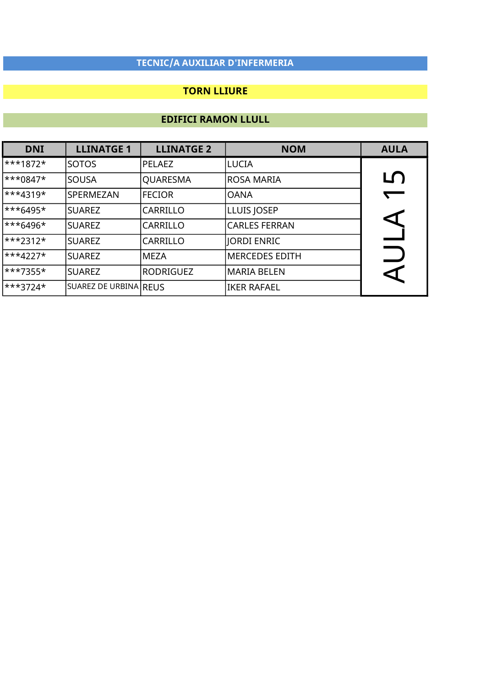### TORN LLIURE

| <b>DNI</b>           | <b>LLINATGE 1</b>     | <b>LLINATGE 2</b> | <b>NOM</b>           | <b>AULA</b> |
|----------------------|-----------------------|-------------------|----------------------|-------------|
| ***1872*             | <b>SOTOS</b>          | PELAEZ            | LUCIA                |             |
| ***0847*             | <b>SOUSA</b>          | QUARESMA          | ROSA MARIA           | LŊ          |
| <sup>***4319*</sup>  | SPERMEZAN             | <b>FECIOR</b>     | OANA                 | $\sqrt{2}$  |
| $\ast\ast\ast$ 6495* | <b>SUAREZ</b>         | <b>CARRILLO</b>   | LLUIS JOSEP          |             |
| <sup>***6496*</sup>  | <b>SUAREZ</b>         | <b>CARRILLO</b>   | <b>CARLES FERRAN</b> |             |
| ***2312*             | <b>SUAREZ</b>         | <b>CARRILLO</b>   | JORDI ENRIC          |             |
| ***4227*             | <b>SUAREZ</b>         | <b>MEZA</b>       | MERCEDES EDITH       |             |
| ***7355*             | <b>SUAREZ</b>         | RODRIGUEZ         | MARIA BELEN          |             |
| ***3724*             | SUAREZ DE URBINA REUS |                   | IKER RAFAEL          |             |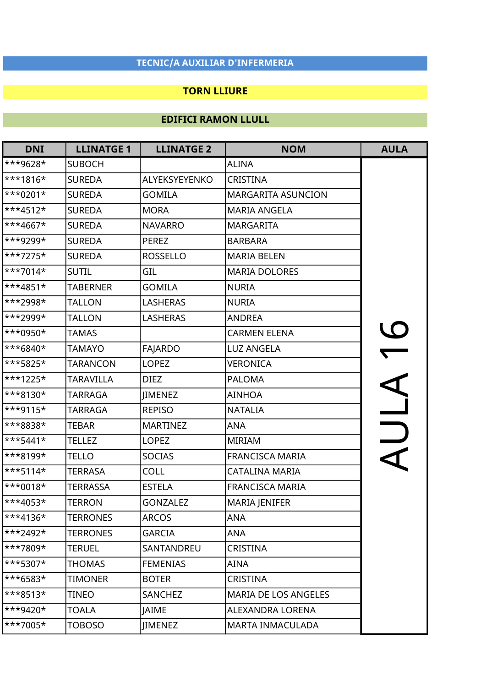### TORN LLIURE

| <b>DNI</b>          | <b>LLINATGE 1</b> | <b>LLINATGE 2</b> | <b>NOM</b>                  | <b>AULA</b>              |
|---------------------|-------------------|-------------------|-----------------------------|--------------------------|
| ***9628*            | <b>SUBOCH</b>     |                   | <b>ALINA</b>                |                          |
| ***1816*            | <b>SUREDA</b>     | ALYEKSYEYENKO     | <b>CRISTINA</b>             |                          |
| ***0201*            | <b>SUREDA</b>     | <b>GOMILA</b>     | <b>MARGARITA ASUNCION</b>   |                          |
| ***4512*            | <b>SUREDA</b>     | <b>MORA</b>       | <b>MARIA ANGELA</b>         |                          |
| ***4667*            | <b>SUREDA</b>     | <b>NAVARRO</b>    | <b>MARGARITA</b>            |                          |
| <sup>***9299*</sup> | <b>SUREDA</b>     | <b>PEREZ</b>      | <b>BARBARA</b>              |                          |
| ***7275*            | <b>SUREDA</b>     | <b>ROSSELLO</b>   | <b>MARIA BELEN</b>          |                          |
| ***7014*            | <b>SUTIL</b>      | GIL               | <b>MARIA DOLORES</b>        |                          |
| ***4851*            | <b>TABERNER</b>   | <b>GOMILA</b>     | <b>NURIA</b>                |                          |
| ***2998*            | <b>TALLON</b>     | <b>LASHERAS</b>   | <b>NURIA</b>                |                          |
| <sup>***2999*</sup> | <b>TALLON</b>     | <b>LASHERAS</b>   | <b>ANDREA</b>               |                          |
| ***0950*            | <b>TAMAS</b>      |                   | <b>CARMEN ELENA</b>         | $\mathcal{C}$            |
| ***6840*            | <b>TAMAYO</b>     | <b>FAJARDO</b>    | <b>LUZ ANGELA</b>           |                          |
| ***5825*            | <b>TARANCON</b>   | <b>LOPEZ</b>      | <b>VERONICA</b>             |                          |
| ***1225*            | <b>TARAVILLA</b>  | <b>DIEZ</b>       | <b>PALOMA</b>               |                          |
| ***8130*            | <b>TARRAGA</b>    | JIMENEZ           | <b>AINHOA</b>               | $\overline{\phantom{a}}$ |
| ***9115*            | <b>TARRAGA</b>    | <b>REPISO</b>     | <b>NATALIA</b>              |                          |
| ***8838*            | <b>TEBAR</b>      | <b>MARTINEZ</b>   | <b>ANA</b>                  |                          |
| ***5441*            | <b>TELLEZ</b>     | <b>LOPEZ</b>      | <b>MIRIAM</b>               | $\overline{\phantom{a}}$ |
| ***8199*            | <b>TELLO</b>      | <b>SOCIAS</b>     | <b>FRANCISCA MARIA</b>      |                          |
| ***5114*            | <b>TERRASA</b>    | <b>COLL</b>       | CATALINA MARIA              |                          |
| ***0018*            | <b>TERRASSA</b>   | <b>ESTELA</b>     | <b>FRANCISCA MARIA</b>      |                          |
| ***4053*            | <b>TERRON</b>     | <b>GONZALEZ</b>   | <b>MARIA JENIFER</b>        |                          |
| ***4136*            | <b>TERRONES</b>   | <b>ARCOS</b>      | <b>ANA</b>                  |                          |
| ***2492*            | <b>TERRONES</b>   | <b>GARCIA</b>     | ANA                         |                          |
| ***7809*            | <b>TERUEL</b>     | SANTANDREU        | CRISTINA                    |                          |
| ***5307*            | <b>THOMAS</b>     | <b>FEMENIAS</b>   | <b>AINA</b>                 |                          |
| ***6583*            | <b>TIMONER</b>    | <b>BOTER</b>      | <b>CRISTINA</b>             |                          |
| ***8513*            | TINEO             | SANCHEZ           | <b>MARIA DE LOS ANGELES</b> |                          |
| ***9420*            | TOALA             | <b>JAIME</b>      | ALEXANDRA LORENA            |                          |
| $***7005*$          | <b>TOBOSO</b>     | JIMENEZ           | <b>MARTA INMACULADA</b>     |                          |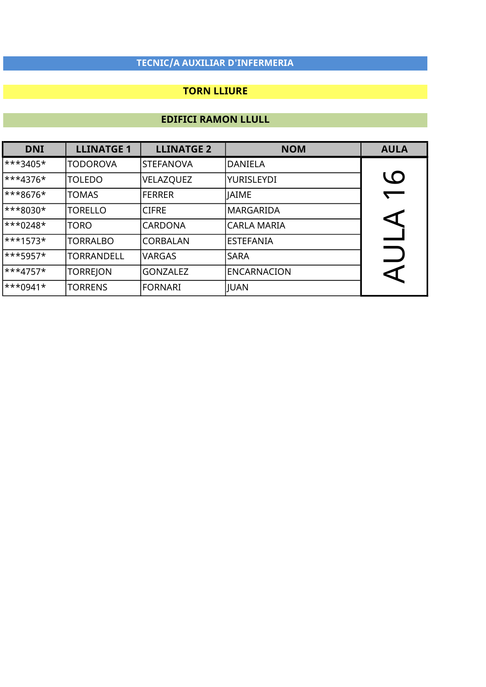### TORN LLIURE

| <b>DNI</b>                  | <b>LLINATGE 1</b> | <b>LLINATGE 2</b> | <b>NOM</b>         | <b>AULA</b> |
|-----------------------------|-------------------|-------------------|--------------------|-------------|
| ***3405*                    | <b>TODOROVA</b>   | <b>STEFANOVA</b>  | <b>DANIELA</b>     |             |
| $\ast \ast 4376 \ast$       | <b>TOLEDO</b>     | VELAZQUEZ         | YURISLEYDI         | <b>LO</b>   |
| ***8676*                    | <b>TOMAS</b>      | <b>IFERRER</b>    | <b>JAIME</b>       |             |
| $\ast \ast \ast 8030 \star$ | TORELLO           | <b>CIFRE</b>      | lMARGARIDA         |             |
| $\ast\ast\ast0248\ast$      | <b>TORO</b>       | <b>CARDONA</b>    | ICARLA MARIA       |             |
| $\ast\ast\ast1573\ast$      | <b>TORRALBO</b>   | <b>CORBALAN</b>   | lestefania         |             |
| $***$ 5957*                 | <b>TORRANDELL</b> | <b>VARGAS</b>     | <b>SARA</b>        |             |
| $\ast \ast 4757 \star$      | <b>TORREJON</b>   | <b>GONZALEZ</b>   | <b>ENCARNACION</b> | ⊲           |
| $\ast\ast\ast0941\ast$      | <b>TORRENS</b>    | <b>FORNARI</b>    | JUAN               |             |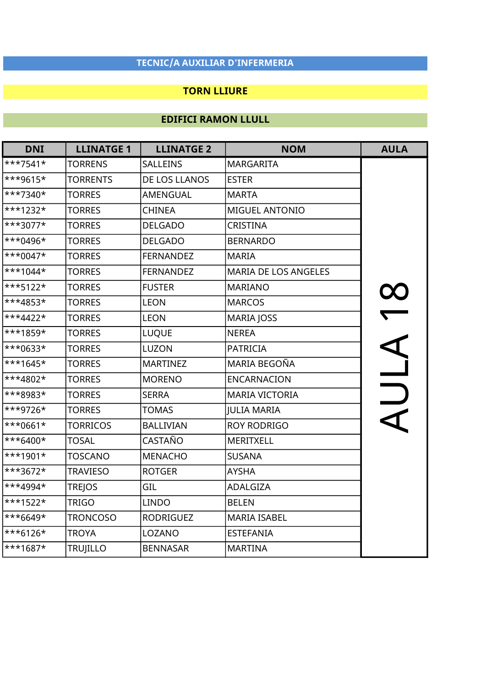### TORN LLIURE

| <b>DNI</b> | <b>LLINATGE 1</b> | <b>LLINATGE 2</b> | <b>NOM</b>                  | <b>AULA</b>              |
|------------|-------------------|-------------------|-----------------------------|--------------------------|
| $***7541*$ | <b>TORRENS</b>    | SALLEINS          | <b>MARGARITA</b>            |                          |
| ***9615*   | <b>TORRENTS</b>   | DE LOS LLANOS     | <b>ESTER</b>                |                          |
| ***7340*   | <b>TORRES</b>     | AMENGUAL          | <b>MARTA</b>                |                          |
| $***1232*$ | <b>TORRES</b>     | <b>CHINEA</b>     | <b>MIGUEL ANTONIO</b>       |                          |
| ***3077*   | <b>TORRES</b>     | <b>DELGADO</b>    | CRISTINA                    |                          |
| $***0496*$ | <b>TORRES</b>     | <b>DELGADO</b>    | <b>BERNARDO</b>             |                          |
| ***0047*   | <b>TORRES</b>     | <b>FERNANDEZ</b>  | <b>MARIA</b>                |                          |
| $***1044*$ | <b>TORRES</b>     | <b>FERNANDEZ</b>  | <b>MARIA DE LOS ANGELES</b> |                          |
| ***5122*   | <b>TORRES</b>     | <b>FUSTER</b>     | <b>MARIANO</b>              |                          |
| ***4853*   | <b>TORRES</b>     | <b>LEON</b>       | <b>MARCOS</b>               | $\alpha$                 |
| ***4422*   | <b>TORRES</b>     | <b>LEON</b>       | <b>MARIA JOSS</b>           |                          |
| ***1859*   | <b>TORRES</b>     | <b>LUQUE</b>      | <b>NEREA</b>                | $\overline{\phantom{0}}$ |
| ***0633*   | <b>TORRES</b>     | <b>LUZON</b>      | <b>PATRICIA</b>             | A IIIY                   |
| $***1645*$ | <b>TORRES</b>     | <b>MARTINEZ</b>   | MARIA BEGOÑA                |                          |
| ***4802*   | <b>TORRES</b>     | <b>MORENO</b>     | <b>ENCARNACION</b>          |                          |
| ***8983*   | <b>TORRES</b>     | <b>SERRA</b>      | <b>MARIA VICTORIA</b>       |                          |
| ***9726*   | <b>TORRES</b>     | <b>TOMAS</b>      | <b>JULIA MARIA</b>          |                          |
| $***0661*$ | <b>TORRICOS</b>   | <b>BALLIVIAN</b>  | <b>ROY RODRIGO</b>          |                          |
| ***6400*   | <b>TOSAL</b>      | CASTAÑO           | <b>MERITXELL</b>            |                          |
| $***1901*$ | <b>TOSCANO</b>    | <b>MENACHO</b>    | <b>SUSANA</b>               |                          |
| ***3672*   | <b>TRAVIESO</b>   | <b>ROTGER</b>     | <b>AYSHA</b>                |                          |
| ***4994*   | <b>TREJOS</b>     | GIL               | ADALGIZA                    |                          |
| ***1522*   | <b>TRIGO</b>      | <b>LINDO</b>      | <b>BELEN</b>                |                          |
| ***6649*   | <b>TRONCOSO</b>   | <b>RODRIGUEZ</b>  | <b>MARIA ISABEL</b>         |                          |
| ***6126*   | <b>TROYA</b>      | LOZANO            | <b>ESTEFANIA</b>            |                          |
| ***1687*   | <b>TRUJILLO</b>   | <b>BENNASAR</b>   | <b>MARTINA</b>              |                          |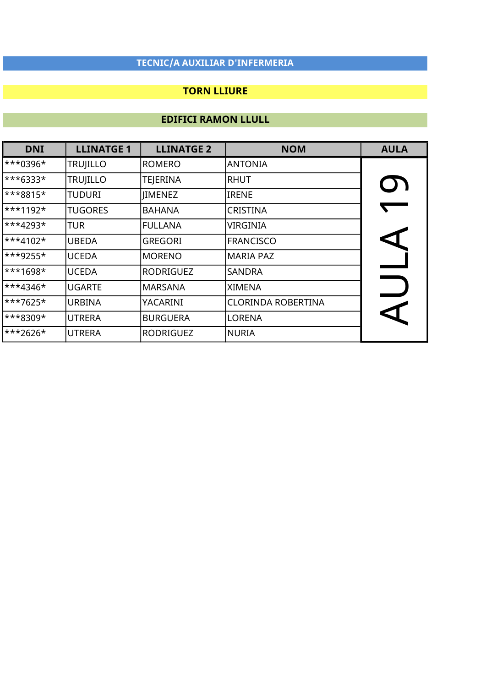### TORN LLIURE

| <b>DNI</b> | <b>LLINATGE 1</b> | <b>LLINATGE 2</b> | <b>NOM</b>                | <b>AULA</b>      |
|------------|-------------------|-------------------|---------------------------|------------------|
| $***0396*$ | <b>TRUJILLO</b>   | <b>ROMERO</b>     | <b>ANTONIA</b>            |                  |
| $***6333*$ | <b>TRUJILLO</b>   | <b>TEJERINA</b>   | <b>RHUT</b>               | <b>O)</b>        |
| ***8815*   | <b>TUDURI</b>     | <b>IIMENEZ</b>    | <b>IRENE</b>              |                  |
| $***1192*$ | <b>TUGORES</b>    | <b>BAHANA</b>     | <b>CRISTINA</b>           |                  |
| $***4293*$ | TUR               | <b>FULLANA</b>    | VIRGINIA                  |                  |
| $***4102*$ | <b>UBEDA</b>      | <b>GREGORI</b>    | FRANCISCO                 | $\blacktriangle$ |
| $***9255*$ | <b>UCEDA</b>      | <b>MORENO</b>     | MARIA PAZ                 |                  |
| $***1698*$ | <b>UCEDA</b>      | <b>RODRIGUEZ</b>  | <b>SANDRA</b>             |                  |
| $***4346*$ | <b>UGARTE</b>     | <b>MARSANA</b>    | <b>XIMENA</b>             |                  |
| ***7625*   | <b>URBINA</b>     | YACARINI          | <b>CLORINDA ROBERTINA</b> |                  |
| ***8309*   | <b>UTRERA</b>     | <b>BURGUERA</b>   | <b>LORENA</b>             |                  |
| $***2626*$ | <b>UTRERA</b>     | <b>RODRIGUEZ</b>  | NURIA                     |                  |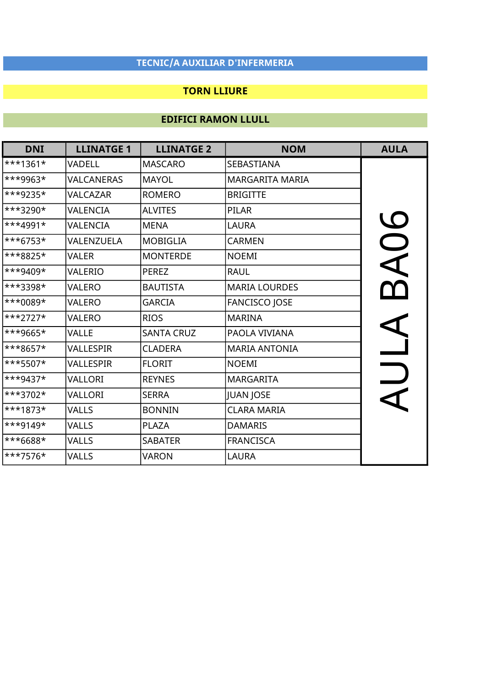### TORN LLIURE

| <b>DNI</b> | <b>LLINATGE 1</b> | <b>LLINATGE 2</b> | <b>NOM</b>             | <b>AULA</b> |
|------------|-------------------|-------------------|------------------------|-------------|
| $***1361*$ | VADELL            | <b>MASCARO</b>    | SEBASTIANA             |             |
| ***9963*   | VALCANERAS        | <b>MAYOL</b>      | <b>MARGARITA MARIA</b> |             |
| ***9235*   | <b>VALCAZAR</b>   | <b>ROMERO</b>     | <b>BRIGITTE</b>        |             |
| ***3290*   | VALENCIA          | <b>ALVITES</b>    | <b>PILAR</b>           |             |
| $***4991*$ | VALENCIA          | <b>MENA</b>       | <b>LAURA</b>           | AOG         |
| ***6753*   | VALENZUELA        | <b>MOBIGLIA</b>   | <b>CARMEN</b>          |             |
| ***8825*   | <b>VALER</b>      | <b>MONTERDE</b>   | <b>NOEMI</b>           |             |
| ***9409*   | VALERIO           | <b>PEREZ</b>      | <b>RAUL</b>            |             |
| ***3398*   | VALERO            | <b>BAUTISTA</b>   | <b>MARIA LOURDES</b>   |             |
| ***0089*   | VALERO            | <b>GARCIA</b>     | <b>FANCISCO JOSE</b>   |             |
| ***2727*   | VALERO            | <b>RIOS</b>       | <b>MARINA</b>          |             |
| ***9665*   | <b>VALLE</b>      | <b>SANTA CRUZ</b> | PAOLA VIVIANA          |             |
| ***8657*   | VALLESPIR         | <b>CLADERA</b>    | <b>MARIA ANTONIA</b>   |             |
| ***5507*   | VALLESPIR         | <b>FLORIT</b>     | <b>NOEMI</b>           |             |
| ***9437*   | VALLORI           | <b>REYNES</b>     | <b>MARGARITA</b>       |             |
| ***3702*   | VALLORI           | <b>SERRA</b>      | JUAN JOSE              |             |
| ***1873*   | VALLS             | <b>BONNIN</b>     | <b>CLARA MARIA</b>     |             |
| ***9149*   | <b>VALLS</b>      | <b>PLAZA</b>      | <b>DAMARIS</b>         |             |
| ***6688*   | VALLS             | <b>SABATER</b>    | <b>FRANCISCA</b>       |             |
| ***7576*   | VALLS             | VARON             | <b>LAURA</b>           |             |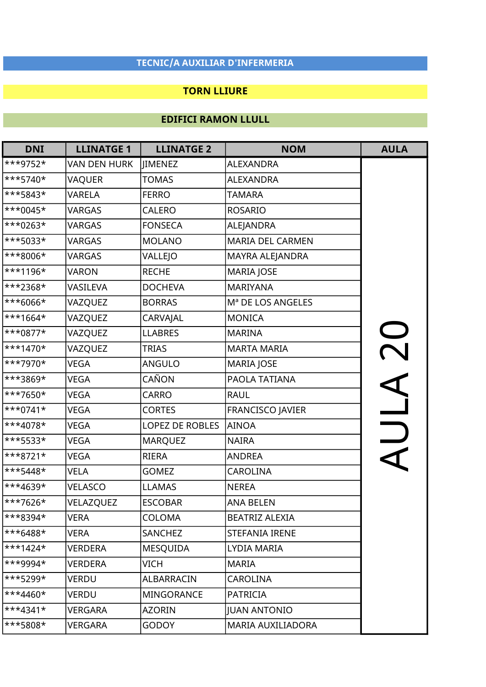### TORN LLIURE

| <b>DNI</b>             | <b>LLINATGE 1</b>   | <b>LLINATGE 2</b> | <b>NOM</b>               | <b>AULA</b> |
|------------------------|---------------------|-------------------|--------------------------|-------------|
| ***9752*               | <b>VAN DEN HURK</b> | JIMENEZ           | <b>ALEXANDRA</b>         |             |
| ***5740*               | <b>VAQUER</b>       | <b>TOMAS</b>      | <b>ALEXANDRA</b>         |             |
| ***5843*               | <b>VARELA</b>       | <b>FERRO</b>      | TAMARA                   |             |
| ***0045*               | <b>VARGAS</b>       | <b>CALERO</b>     | <b>ROSARIO</b>           |             |
| ***0263*               | <b>VARGAS</b>       | <b>FONSECA</b>    | ALEJANDRA                |             |
| ***5033*               | <b>VARGAS</b>       | <b>MOLANO</b>     | <b>MARIA DEL CARMEN</b>  |             |
| ***8006*               | <b>VARGAS</b>       | VALLEJO           | MAYRA ALEJANDRA          |             |
| ***1196*               | <b>VARON</b>        | <b>RECHE</b>      | <b>MARIA JOSE</b>        |             |
| ***2368*               | VASILEVA            | <b>DOCHEVA</b>    | <b>MARIYANA</b>          |             |
| ***6066*               | VAZQUEZ             | <b>BORRAS</b>     | Mª DE LOS ANGELES        |             |
| ***1664*               | VAZQUEZ             | CARVAJAL          | <b>MONICA</b>            |             |
| ***0877*               | VAZQUEZ             | <b>LLABRES</b>    | <b>MARINA</b>            |             |
| $\ast\ast\ast1470\ast$ | VAZQUEZ             | <b>TRIAS</b>      | <b>MARTA MARIA</b>       | OOY         |
| ***7970*               | <b>VEGA</b>         | <b>ANGULO</b>     | <b>MARIA JOSE</b>        |             |
| ***3869*               | VEGA                | CAÑON             | PAOLA TATIANA            |             |
| ***7650*               | VEGA                | <b>CARRO</b>      | <b>RAUL</b>              |             |
| $\ast\ast$ + 0741*     | <b>VEGA</b>         | <b>CORTES</b>     | <b>FRANCISCO JAVIER</b>  |             |
| ***4078*               | <b>VEGA</b>         | LOPEZ DE ROBLES   | <b>AINOA</b>             |             |
| ***5533*               | VEGA                | <b>MARQUEZ</b>    | <b>NAIRA</b>             | AIJI A      |
| ***8721*               | <b>VEGA</b>         | <b>RIERA</b>      | <b>ANDREA</b>            |             |
| ***5448*               | <b>VELA</b>         | <b>GOMEZ</b>      | <b>CAROLINA</b>          |             |
| ***4639*               | <b>VELASCO</b>      | <b>LLAMAS</b>     | <b>NEREA</b>             |             |
| ***7626*               | VELAZQUEZ           | <b>ESCOBAR</b>    | <b>ANA BELEN</b>         |             |
| ***8394*               | <b>VERA</b>         | <b>COLOMA</b>     | <b>BEATRIZ ALEXIA</b>    |             |
| $**6488*$              | VERA                | SANCHEZ           | <b>STEFANIA IRENE</b>    |             |
| ***1424*               | VERDERA             | <b>MESQUIDA</b>   | LYDIA MARIA              |             |
| <sup>***9994*</sup>    | <b>VERDERA</b>      | VICH              | <b>MARIA</b>             |             |
| $***5299*$             | VERDU               | ALBARRACIN        | <b>CAROLINA</b>          |             |
| $\ast$ *4460*          | <b>VERDU</b>        | <b>MINGORANCE</b> | <b>PATRICIA</b>          |             |
| $\ast$ *4341*          | VERGARA             | <b>AZORIN</b>     | <b>JUAN ANTONIO</b>      |             |
| ***5808*               | <b>VERGARA</b>      | <b>GODOY</b>      | <b>MARIA AUXILIADORA</b> |             |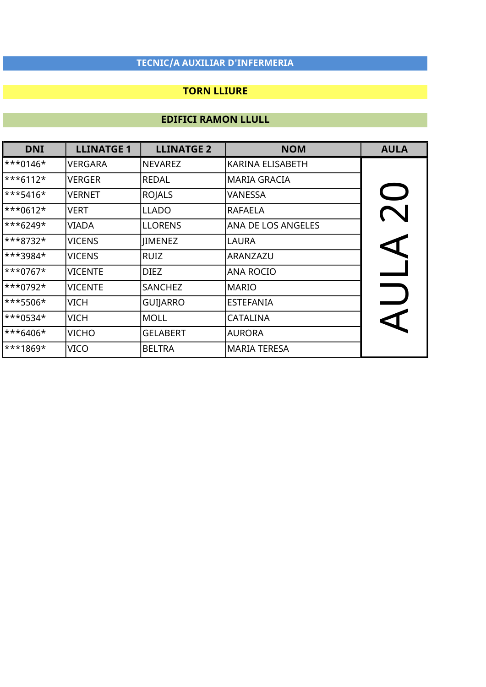### TORN LLIURE

| <b>DNI</b>           | <b>LLINATGE 1</b> | <b>LLINATGE 2</b> | <b>NOM</b>                | <b>AULA</b>          |
|----------------------|-------------------|-------------------|---------------------------|----------------------|
| ***0146*             | <b>VERGARA</b>    | <b>NEVAREZ</b>    | <b>KARINA ELISABETH</b>   |                      |
| ***6112*             | <b>VERGER</b>     | <b>REDAL</b>      | <b>MARIA GRACIA</b>       |                      |
| $\ast\ast\ast$ 5416* | <b>VERNET</b>     | <b>ROJALS</b>     | VANESSA                   | $\bigcup$            |
| ***0612*             | VERT              | <b>LLADO</b>      | <b>RAFAELA</b>            |                      |
| ***6249*             | VIADA             | <b>LLORENS</b>    | <b>ANA DE LOS ANGELES</b> |                      |
| ***8732*             | <b>VICENS</b>     | <b>JIMENEZ</b>    | <b>LAURA</b>              | $\blacktriangleleft$ |
| ***3984*             | <b>VICENS</b>     | <b>RUIZ</b>       | ARANZAZU                  |                      |
| ***0767*             | <b>VICENTE</b>    | <b>DIEZ</b>       | <b>ANA ROCIO</b>          |                      |
| $\ast\ast_{0792}$    | <b>VICENTE</b>    | SANCHEZ           | <b>MARIO</b>              |                      |
| ***5506*             | <b>VICH</b>       | <b>GUIJARRO</b>   | <b>ESTEFANIA</b>          |                      |
| ***0534*             | <b>VICH</b>       | <b>MOLL</b>       | <b>CATALINA</b>           |                      |
| ***6406*             | <b>VICHO</b>      | <b>GELABERT</b>   | <b>AURORA</b>             |                      |
| <sup>***1869*</sup>  | VICO              | <b>BELTRA</b>     | <b>MARIA TERESA</b>       |                      |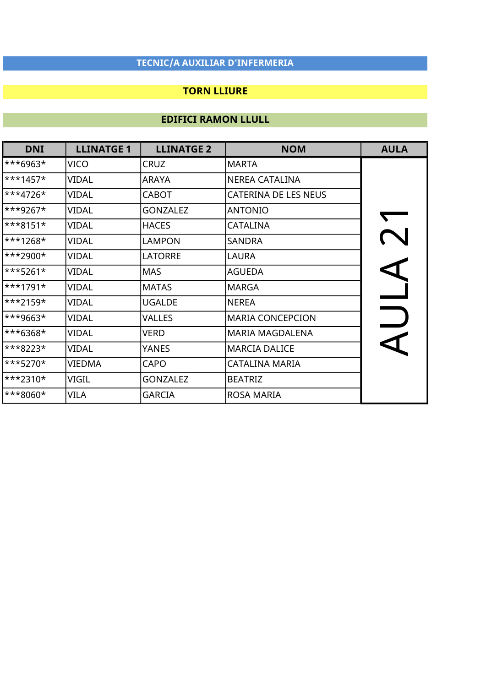### TORN LLIURE

| <b>DNI</b>          | <b>LLINATGE 1</b> | <b>LLINATGE 2</b> | <b>NOM</b>                  | <b>AULA</b> |
|---------------------|-------------------|-------------------|-----------------------------|-------------|
| ***6963*            | VICO              | <b>CRUZ</b>       | <b>MARTA</b>                |             |
| ***1457*            | VIDAL             | <b>ARAYA</b>      | <b>NEREA CATALINA</b>       |             |
| ***4726*            | VIDAL             | <b>CABOT</b>      | <b>CATERINA DE LES NEUS</b> |             |
| ***9267*            | VIDAL             | <b>GONZALEZ</b>   | <b>ANTONIO</b>              |             |
| ***8151*            | VIDAL             | <b>HACES</b>      | <b>CATALINA</b>             |             |
| ***1268*            | <b>VIDAL</b>      | <b>LAMPON</b>     | <b>SANDRA</b>               |             |
| <sup>***2900*</sup> | VIDAL             | <b>LATORRE</b>    | LAURA                       |             |
| ***5261*            | VIDAL             | <b>MAS</b>        | <b>AGUEDA</b>               |             |
| <sup>***1791*</sup> | VIDAL             | <b>MATAS</b>      | <b>MARGA</b>                |             |
| ***2159*            | VIDAL             | <b>UGALDE</b>     | <b>NEREA</b>                |             |
| ***9663*            | VIDAL             | VALLES            | <b>MARIA CONCEPCION</b>     |             |
| ***6368*            | VIDAL             | VERD              | <b>MARIA MAGDALENA</b>      |             |
| ***8223*            | VIDAL             | YANES             | <b>MARCIA DALICE</b>        |             |
| ***5270*            | VIEDMA            | <b>CAPO</b>       | <b>CATALINA MARIA</b>       |             |
| ***2310*            | VIGIL             | <b>GONZALEZ</b>   | <b>BEATRIZ</b>              |             |
| ***8060*            | VILA              | <b>GARCIA</b>     | <b>ROSA MARIA</b>           |             |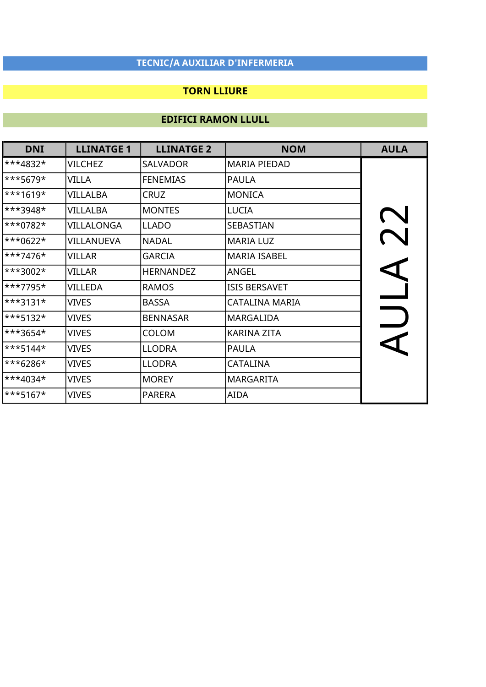### TORN LLIURE

| <b>DNI</b>             | <b>LLINATGE 1</b> | <b>LLINATGE 2</b> | <b>NOM</b>           | <b>AULA</b> |
|------------------------|-------------------|-------------------|----------------------|-------------|
| ***4832*               | <b>VILCHEZ</b>    | <b>SALVADOR</b>   | <b>MARIA PIEDAD</b>  |             |
| ***5679*               | <b>VILLA</b>      | <b>FENEMIAS</b>   | <b>PAULA</b>         |             |
| $\ast\ast\ast1619\ast$ | <b>VILLALBA</b>   | <b>CRUZ</b>       | <b>MONICA</b>        |             |
| ***3948*               | VILLALBA          | <b>MONTES</b>     | LUCIA                |             |
| ***0782*               | VILLALONGA        | <b>LLADO</b>      | <b>SEBASTIAN</b>     |             |
| ***0622*               | VILLANUEVA        | <b>NADAL</b>      | <b>MARIA LUZ</b>     |             |
| ***7476*               | <b>VILLAR</b>     | <b>GARCIA</b>     | <b>MARIA ISABEL</b>  |             |
| ***3002*               | VILLAR            | <b>HERNANDEZ</b>  | ANGEL                |             |
| ***7795*               | VILLEDA           | <b>RAMOS</b>      | <b>ISIS BERSAVET</b> |             |
| ***3131*               | <b>VIVES</b>      | <b>BASSA</b>      | CATALINA MARIA       |             |
| ***5132*               | <b>VIVES</b>      | <b>BENNASAR</b>   | <b>MARGALIDA</b>     |             |
| ***3654*               | <b>VIVES</b>      | <b>COLOM</b>      | <b>KARINA ZITA</b>   |             |
| ***5144*               | <b>VIVES</b>      | <b>LLODRA</b>     | <b>PAULA</b>         |             |
| ***6286*               | <b>VIVES</b>      | <b>LLODRA</b>     | <b>CATALINA</b>      |             |
| ***4034*               | <b>VIVES</b>      | <b>MOREY</b>      | <b>MARGARITA</b>     |             |
| ***5167*               | <b>VIVES</b>      | <b>PARERA</b>     | <b>AIDA</b>          |             |